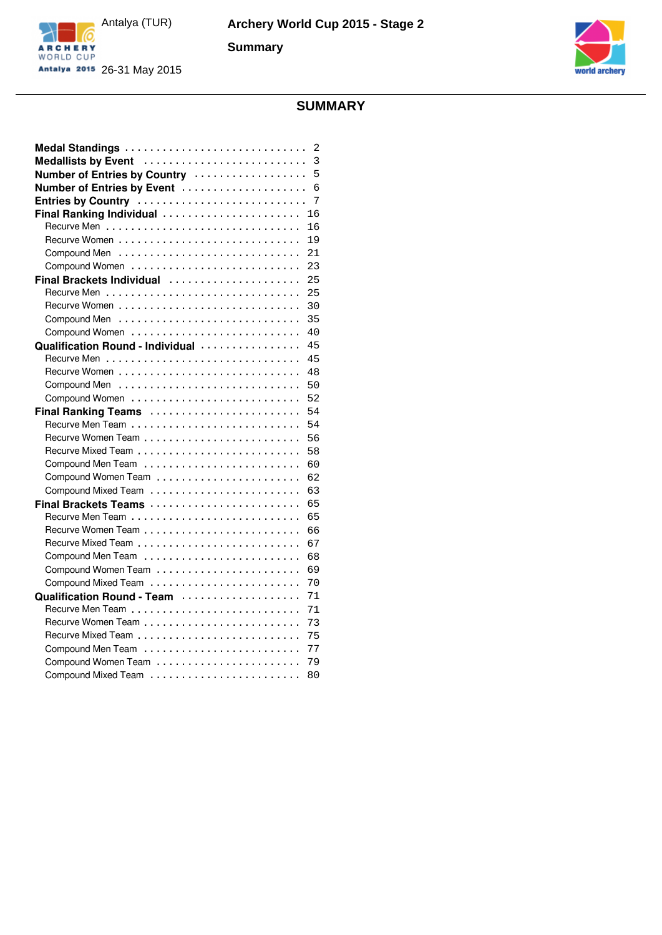



## **SUMMARY**

|                                  | 2  |
|----------------------------------|----|
| Medallists by Event              | 3  |
| Number of Entries by Country     | 5  |
| Number of Entries by Event       | 6  |
| Entries by Country               | 7  |
| Final Ranking Individual         | 16 |
|                                  | 16 |
|                                  | 19 |
|                                  | 21 |
|                                  | 23 |
| Final Brackets Individual        | 25 |
|                                  | 25 |
|                                  | 30 |
|                                  | 35 |
| Compound Women                   | 40 |
| Qualification Round - Individual | 45 |
|                                  | 45 |
|                                  | 48 |
|                                  | 50 |
| Compound Women                   | 52 |
| Final Ranking Teams              | 54 |
|                                  | 54 |
|                                  | 56 |
|                                  | 58 |
| Compound Men Team                | 60 |
|                                  | 62 |
|                                  | 63 |
| Final Brackets Teams             | 65 |
|                                  | 65 |
|                                  | 66 |
|                                  | 67 |
|                                  | 68 |
|                                  | 69 |
|                                  | 70 |
| Qualification Round - Team       | 71 |
|                                  | 71 |
|                                  | 73 |
|                                  | 75 |
|                                  | 77 |
|                                  | 79 |
|                                  | 80 |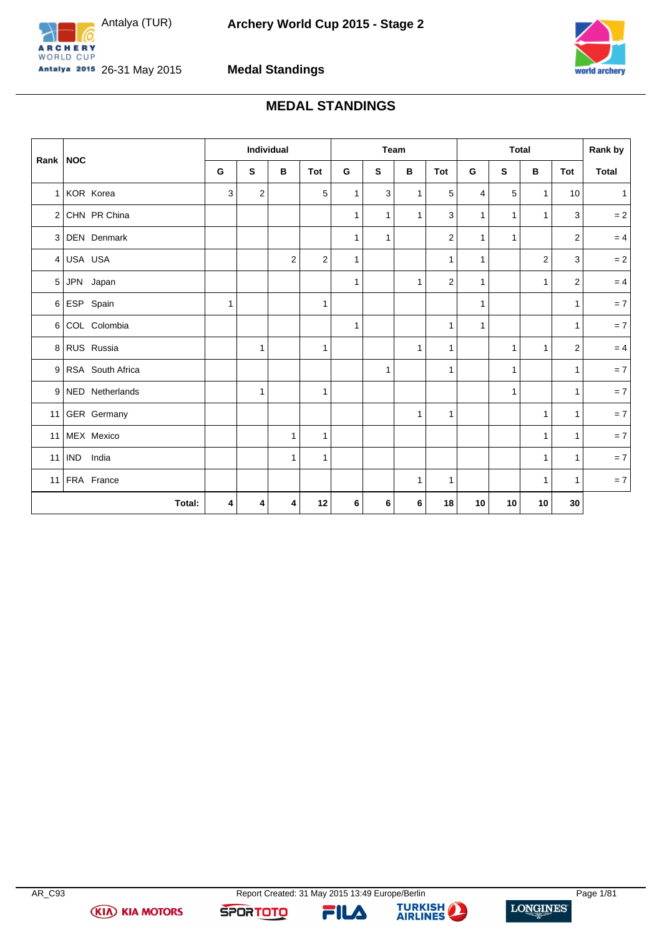<span id="page-1-0"></span>



**Medal Standings**

# **MEDAL STANDINGS**

| Rank   NOC     |                    |              |                | Individual   |                |              |              | Team         |                |              |              | <b>Total</b>   |                | Rank by      |
|----------------|--------------------|--------------|----------------|--------------|----------------|--------------|--------------|--------------|----------------|--------------|--------------|----------------|----------------|--------------|
|                |                    | G            | S              | B            | Tot            | G            | $\mathbf s$  | в            | Tot            | G            | S            | В              | Tot            | Total        |
| 1 <sup>1</sup> | KOR Korea          | 3            | $\overline{2}$ |              | 5              | $\mathbf{1}$ | 3            | $\mathbf{1}$ | 5              | 4            | 5            | $\mathbf{1}$   | 10             | $\mathbf{1}$ |
| 2 <sup>1</sup> | CHN PR China       |              |                |              |                | $\mathbf{1}$ | $\mathbf{1}$ | $\mathbf{1}$ | 3              | $\mathbf{1}$ | $\mathbf{1}$ | $\mathbf{1}$   | 3              | $=2$         |
|                | 3 DEN Denmark      |              |                |              |                | $\mathbf{1}$ | 1            |              | $\overline{c}$ | 1            | $\mathbf{1}$ |                | $\overline{2}$ | $= 4$        |
| 4 <sup>1</sup> | USA USA            |              |                | 2            | $\overline{2}$ | $\mathbf{1}$ |              |              | $\mathbf{1}$   | 1            |              | $\overline{2}$ | 3              | $= 2$        |
| 5 <sup>1</sup> | JPN Japan          |              |                |              |                | $\mathbf{1}$ |              | 1            | $\overline{2}$ | 1            |              | $\mathbf{1}$   | $\overline{2}$ | $= 4$        |
| 6              | ESP Spain          | $\mathbf{1}$ |                |              | $\mathbf{1}$   |              |              |              |                | 1            |              |                | $\mathbf{1}$   | $= 7$        |
| 6              | COL Colombia       |              |                |              |                | $\mathbf{1}$ |              |              | $\mathbf{1}$   | 1            |              |                | $\mathbf{1}$   | $= 7$        |
|                | 8 RUS Russia       |              | $\mathbf{1}$   |              | $\mathbf{1}$   |              |              | $\mathbf{1}$ | $\mathbf{1}$   |              | $\mathbf{1}$ | $\mathbf{1}$   | 2              | $= 4$        |
|                | 9 RSA South Africa |              |                |              |                |              | 1            |              | $\mathbf{1}$   |              | $\mathbf{1}$ |                | $\mathbf{1}$   | $= 7$        |
|                | 9 NED Netherlands  |              | $\mathbf{1}$   |              | 1              |              |              |              |                |              | $\mathbf{1}$ |                | $\mathbf{1}$   | $= 7$        |
|                | 11 GER Germany     |              |                |              |                |              |              | $\mathbf{1}$ | $\mathbf{1}$   |              |              | $\mathbf{1}$   | $\mathbf{1}$   | $= 7$        |
| 11             | MEX Mexico         |              |                | 1            | $\mathbf{1}$   |              |              |              |                |              |              | $\mathbf{1}$   | $\mathbf{1}$   | $= 7$        |
| 11             | IND India          |              |                | $\mathbf{1}$ | $\mathbf{1}$   |              |              |              |                |              |              | $\mathbf{1}$   | $\mathbf{1}$   | $= 7$        |
|                | 11 FRA France      |              |                |              |                |              |              | $\mathbf{1}$ | $\mathbf{1}$   |              |              | $\mathbf{1}$   | $\mathbf{1}$   | $= 7$        |
|                | Total:             | 4            | 4              | 4            | 12             | 6            | 6            | 6            | 18             | 10           | 10           | 10             | 30             |              |

**(KIA) KIA MOTORS** 



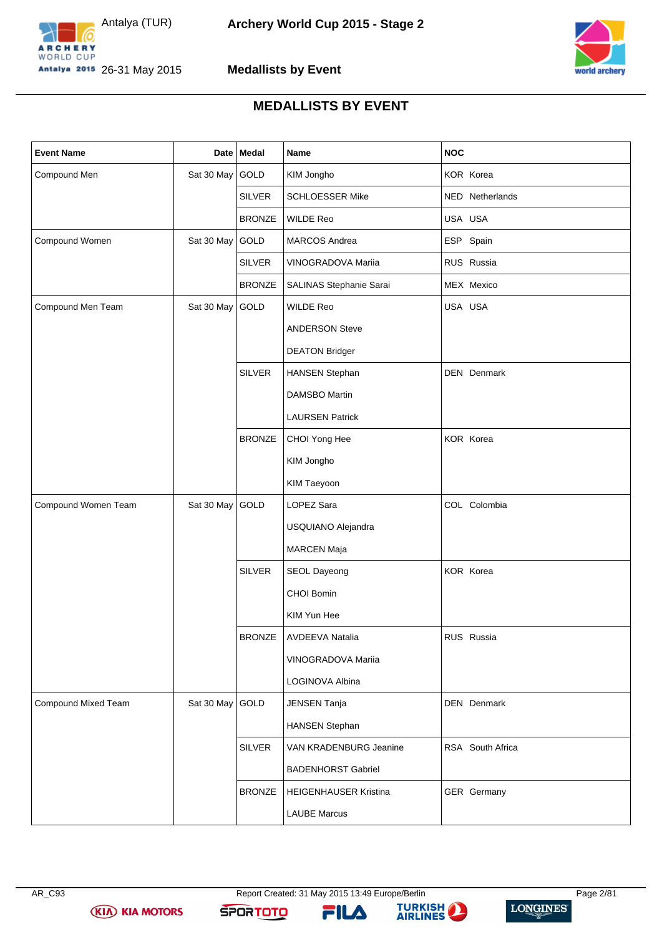



**Medallists by Event**

## **MEDALLISTS BY EVENT**

<span id="page-2-0"></span>

| <b>Event Name</b>   |                 | Date   Medal  | <b>Name</b>               | <b>NOC</b>       |
|---------------------|-----------------|---------------|---------------------------|------------------|
| Compound Men        | Sat 30 May GOLD |               | KIM Jongho                | KOR Korea        |
|                     |                 | <b>SILVER</b> | <b>SCHLOESSER Mike</b>    | NED Netherlands  |
|                     |                 | <b>BRONZE</b> | WILDE Reo                 | USA USA          |
| Compound Women      | Sat 30 May      | GOLD          | <b>MARCOS Andrea</b>      | ESP Spain        |
|                     |                 | <b>SILVER</b> | VINOGRADOVA Mariia        | RUS Russia       |
|                     |                 | <b>BRONZE</b> | SALINAS Stephanie Sarai   | MEX Mexico       |
| Compound Men Team   | Sat 30 May GOLD |               | <b>WILDE Reo</b>          | USA USA          |
|                     |                 |               | <b>ANDERSON Steve</b>     |                  |
|                     |                 |               | <b>DEATON Bridger</b>     |                  |
|                     |                 | <b>SILVER</b> | <b>HANSEN Stephan</b>     | DEN Denmark      |
|                     |                 |               | <b>DAMSBO Martin</b>      |                  |
|                     |                 |               | <b>LAURSEN Patrick</b>    |                  |
|                     |                 | <b>BRONZE</b> | CHOI Yong Hee             | KOR Korea        |
|                     |                 |               | KIM Jongho                |                  |
|                     |                 |               | KIM Taeyoon               |                  |
| Compound Women Team | Sat 30 May      | GOLD          | LOPEZ Sara                | COL Colombia     |
|                     |                 |               | USQUIANO Alejandra        |                  |
|                     |                 |               | MARCEN Maja               |                  |
|                     |                 | <b>SILVER</b> | SEOL Dayeong              | KOR Korea        |
|                     |                 |               | CHOI Bomin                |                  |
|                     |                 |               | KIM Yun Hee               |                  |
|                     |                 | <b>BRONZE</b> | AVDEEVA Natalia           | RUS Russia       |
|                     |                 |               | VINOGRADOVA Mariia        |                  |
|                     |                 |               | LOGINOVA Albina           |                  |
| Compound Mixed Team | Sat 30 May GOLD |               | <b>JENSEN Tanja</b>       | DEN Denmark      |
|                     |                 |               | <b>HANSEN Stephan</b>     |                  |
|                     |                 | <b>SILVER</b> | VAN KRADENBURG Jeanine    | RSA South Africa |
|                     |                 |               | <b>BADENHORST Gabriel</b> |                  |
|                     |                 | <b>BRONZE</b> | HEIGENHAUSER Kristina     | GER Germany      |
|                     |                 |               | <b>LAUBE Marcus</b>       |                  |

**(KIA) KIA MOTORS** 

FILA

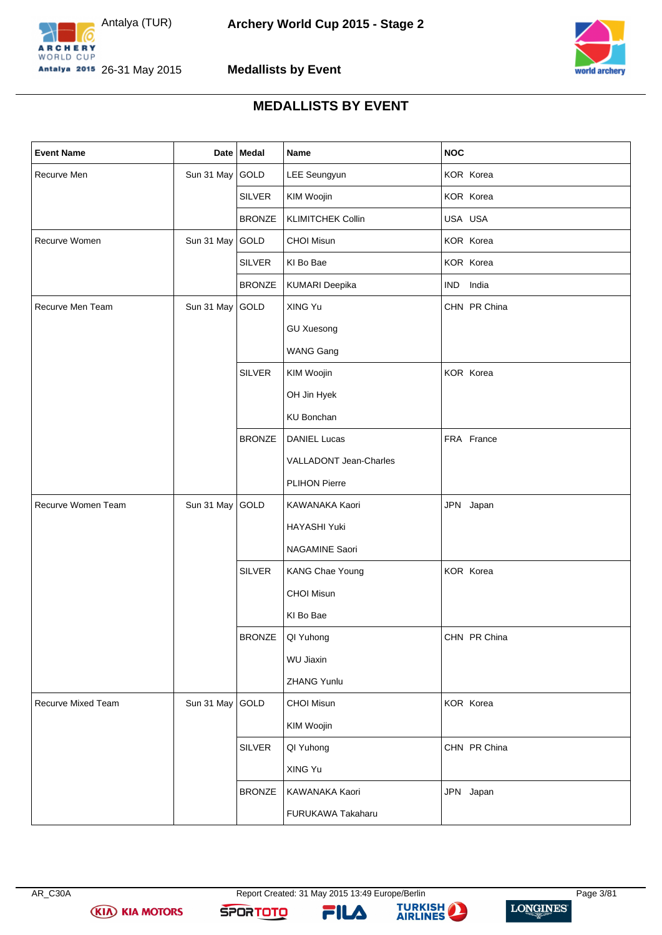



**Medallists by Event**

## **MEDALLISTS BY EVENT**

| <b>Event Name</b>  |                 | Date   Medal  | Name                     | NOC          |
|--------------------|-----------------|---------------|--------------------------|--------------|
| Recurve Men        | Sun 31 May GOLD |               | LEE Seungyun             | KOR Korea    |
|                    |                 | <b>SILVER</b> | KIM Woojin               | KOR Korea    |
|                    |                 | <b>BRONZE</b> | <b>KLIMITCHEK Collin</b> | USA USA      |
| Recurve Women      | Sun 31 May GOLD |               | <b>CHOI Misun</b>        | KOR Korea    |
|                    |                 | <b>SILVER</b> | KI Bo Bae                | KOR Korea    |
|                    |                 | <b>BRONZE</b> | KUMARI Deepika           | IND India    |
| Recurve Men Team   | Sun 31 May GOLD |               | XING Yu                  | CHN PR China |
|                    |                 |               | <b>GU Xuesong</b>        |              |
|                    |                 |               | <b>WANG Gang</b>         |              |
|                    |                 | <b>SILVER</b> | KIM Woojin               | KOR Korea    |
|                    |                 |               | OH Jin Hyek              |              |
|                    |                 |               | <b>KU Bonchan</b>        |              |
|                    |                 | <b>BRONZE</b> | <b>DANIEL Lucas</b>      | FRA France   |
|                    |                 |               | VALLADONT Jean-Charles   |              |
|                    |                 |               | PLIHON Pierre            |              |
| Recurve Women Team | Sun 31 May GOLD |               | KAWANAKA Kaori           | JPN Japan    |
|                    |                 |               | HAYASHI Yuki             |              |
|                    |                 |               | NAGAMINE Saori           |              |
|                    |                 | <b>SILVER</b> | <b>KANG Chae Young</b>   | KOR Korea    |
|                    |                 |               | <b>CHOI Misun</b>        |              |
|                    |                 |               | KI Bo Bae                |              |
|                    |                 | <b>BRONZE</b> | QI Yuhong                | CHN PR China |
|                    |                 |               | WU Jiaxin                |              |
|                    |                 |               | ZHANG Yunlu              |              |
| Recurve Mixed Team | Sun 31 May GOLD |               | <b>CHOI Misun</b>        | KOR Korea    |
|                    |                 |               | KIM Woojin               |              |
|                    |                 | <b>SILVER</b> | QI Yuhong                | CHN PR China |
|                    |                 |               | XING Yu                  |              |
|                    |                 | <b>BRONZE</b> | KAWANAKA Kaori           | JPN Japan    |
|                    |                 |               | FURUKAWA Takaharu        |              |

**(KIA) KIA MOTORS** 

FILA

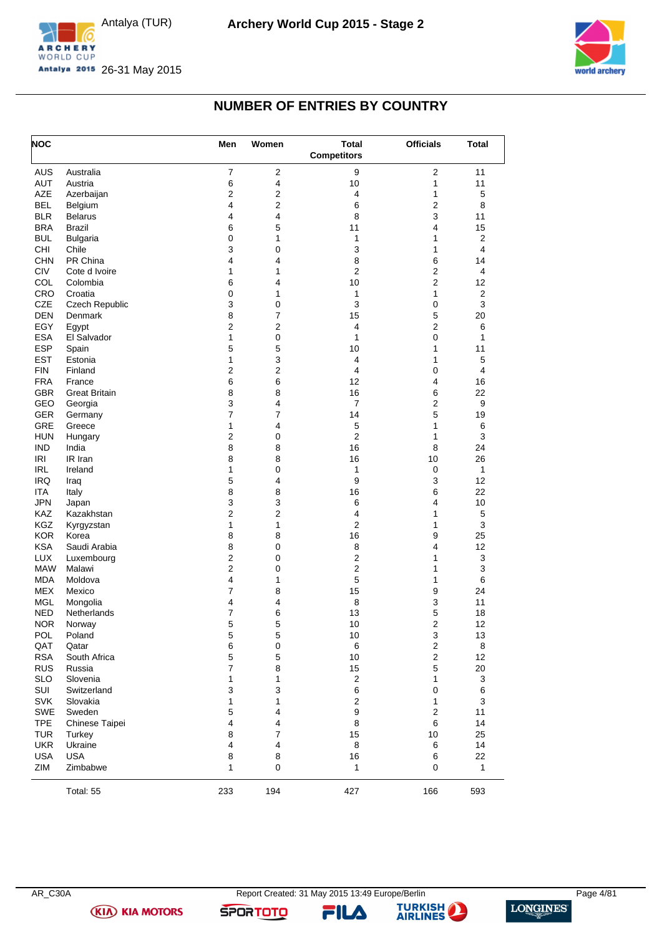



## **NUMBER OF ENTRIES BY COUNTRY**

<span id="page-4-0"></span>

| <b>NOC</b> |                       | Men                     | Women          | <b>Total</b><br><b>Competitors</b> | <b>Officials</b>        | <b>Total</b>            |
|------------|-----------------------|-------------------------|----------------|------------------------------------|-------------------------|-------------------------|
| AUS        | Australia             | $\overline{7}$          | $\overline{2}$ | 9                                  | $\overline{2}$          | 11                      |
| AUT        | Austria               | 6                       | 4              | 10                                 | 1                       | 11                      |
| AZE        | Azerbaijan            | $\boldsymbol{2}$        | 2              | 4                                  | 1                       | 5                       |
| <b>BEL</b> | Belgium               | 4                       | 2              | 6                                  | $\overline{2}$          | 8                       |
| <b>BLR</b> | <b>Belarus</b>        | 4                       | 4              | 8                                  | 3                       | 11                      |
| <b>BRA</b> | Brazil                | 6                       | 5              | 11                                 | 4                       | 15                      |
| <b>BUL</b> | <b>Bulgaria</b>       | 0                       | 1              | $\mathbf{1}$                       | 1                       | $\overline{2}$          |
| <b>CHI</b> | Chile                 | 3                       | 0              | 3                                  | 1                       | 4                       |
| <b>CHN</b> | PR China              | 4                       | 4              | 8                                  | 6                       | 14                      |
| <b>CIV</b> | Cote d Ivoire         | 1                       | 1              | $\overline{2}$                     | $\overline{c}$          | $\overline{\mathbf{4}}$ |
| COL        | Colombia              | 6                       | 4              | 10                                 | $\overline{2}$          | 12                      |
| CRO        | Croatia               | $\mathbf 0$             | 1              | $\mathbf{1}$                       | 1                       | $\overline{2}$          |
| <b>CZE</b> | <b>Czech Republic</b> | 3                       | 0              | 3                                  | 0                       | 3                       |
| <b>DEN</b> | Denmark               | 8                       | 7              | 15                                 | 5                       | 20                      |
| EGY        | Egypt                 | 2                       | 2              | $\overline{\mathbf{4}}$            | $\overline{2}$          | 6                       |
| <b>ESA</b> | El Salvador           | 1                       | 0              | $\mathbf{1}$                       | 0                       | $\mathbf{1}$            |
| <b>ESP</b> | Spain                 | 5                       | 5              | 10                                 | 1                       | 11                      |
| <b>EST</b> | Estonia               | 1                       | 3              | $\overline{\mathbf{4}}$            | 1                       | $\mathbf 5$             |
| <b>FIN</b> | Finland               | $\overline{2}$          | 2              | 4                                  | 0                       | 4                       |
| <b>FRA</b> | France                | 6                       | 6              | 12                                 | 4                       | 16                      |
| <b>GBR</b> | <b>Great Britain</b>  | 8                       | 8              | 16                                 | 6                       | 22                      |
| GEO        |                       | 3                       | 4              | $\overline{7}$                     | $\overline{2}$          | 9                       |
| <b>GER</b> | Georgia               | 7                       | 7              | 14                                 | 5                       |                         |
| GRE        | Germany               | 1                       | 4              |                                    | 1                       | 19                      |
|            | Greece                |                         |                | 5                                  |                         | 6                       |
| <b>HUN</b> | Hungary               | 2                       | 0              | $\overline{2}$                     | 1                       | $\mathsf 3$             |
| <b>IND</b> | India                 | 8                       | 8              | 16                                 | 8                       | 24                      |
| <b>IRI</b> | IR Iran               | 8                       | 8              | 16                                 | 10                      | 26                      |
| <b>IRL</b> | Ireland               | 1                       | 0              | 1                                  | 0                       | 1                       |
| <b>IRQ</b> | Iraq                  | $\mathbf 5$             | 4              | 9                                  | 3                       | 12                      |
| <b>ITA</b> | Italy                 | 8                       | 8              | 16                                 | 6                       | 22                      |
| <b>JPN</b> | Japan                 | 3                       | 3              | 6                                  | 4                       | 10                      |
| KAZ        | Kazakhstan            | $\overline{2}$          | $\overline{2}$ | 4                                  | 1                       | 5                       |
| KGZ        | Kyrgyzstan            | 1                       | 1              | $\overline{2}$                     | 1                       | 3                       |
| <b>KOR</b> | Korea                 | 8                       | 8              | 16                                 | 9                       | 25                      |
| <b>KSA</b> | Saudi Arabia          | 8                       | 0              | 8                                  | 4                       | 12                      |
| <b>LUX</b> | Luxembourg            | $\overline{c}$          | 0              | $\overline{2}$                     | 1                       | 3                       |
| <b>MAW</b> | Malawi                | $\overline{2}$          | 0              | $\overline{\mathbf{c}}$            | 1                       | 3                       |
| <b>MDA</b> | Moldova               | 4                       | 1              | $\mathbf 5$                        | 1                       | 6                       |
| <b>MEX</b> | Mexico                | $\overline{7}$          | 8              | 15                                 | 9                       | 24                      |
| <b>MGL</b> | Mongolia              | 4                       | 4              | 8                                  | 3                       | 11                      |
| NED        | Netherlands           | $\overline{7}$          | 6              | 13                                 | 5                       | 18                      |
| <b>NOR</b> | Norway                | 5                       | 5              | 10                                 | $\overline{2}$          | 12                      |
| POL        | Poland                | 5                       | 5              | 10                                 | 3                       | 13                      |
| QAT        | Qatar                 | 6                       | $\mathsf 0$    | 6                                  | $\mathbf{2}$            | 8                       |
| <b>RSA</b> | South Africa          | $\mathbf 5$             | 5              | 10                                 | $\overline{\mathbf{c}}$ | 12                      |
| <b>RUS</b> | Russia                | $\overline{7}$          | 8              | 15                                 | 5                       | 20                      |
| <b>SLO</b> | Slovenia              | 1                       | 1              | $\overline{c}$                     | 1                       | 3                       |
| SUI        | Switzerland           | 3                       | 3              | 6                                  | 0                       | 6                       |
| <b>SVK</b> | Slovakia              | 1                       | 1              | $\boldsymbol{2}$                   | 1                       | 3                       |
| SWE        | Sweden                | $\mathbf 5$             | 4              | 9                                  | $\overline{\mathbf{c}}$ | 11                      |
| <b>TPE</b> | Chinese Taipei        | 4                       | 4              | 8                                  | 6                       | 14                      |
| <b>TUR</b> | Turkey                | 8                       | 7              | 15                                 | 10                      | 25                      |
| <b>UKR</b> | Ukraine               | $\overline{\mathbf{4}}$ | 4              | 8                                  | 6                       | 14                      |
| <b>USA</b> | <b>USA</b>            | 8                       | 8              | 16                                 | 6                       | 22                      |
| ZIM        | Zimbabwe              | 1                       | 0              | $\mathbf{1}$                       | 0                       | 1                       |
|            | Total: 55             | 233                     | 194            | 427                                | 166                     | 593                     |

**(KIA) KIA MOTORS** 

FILA

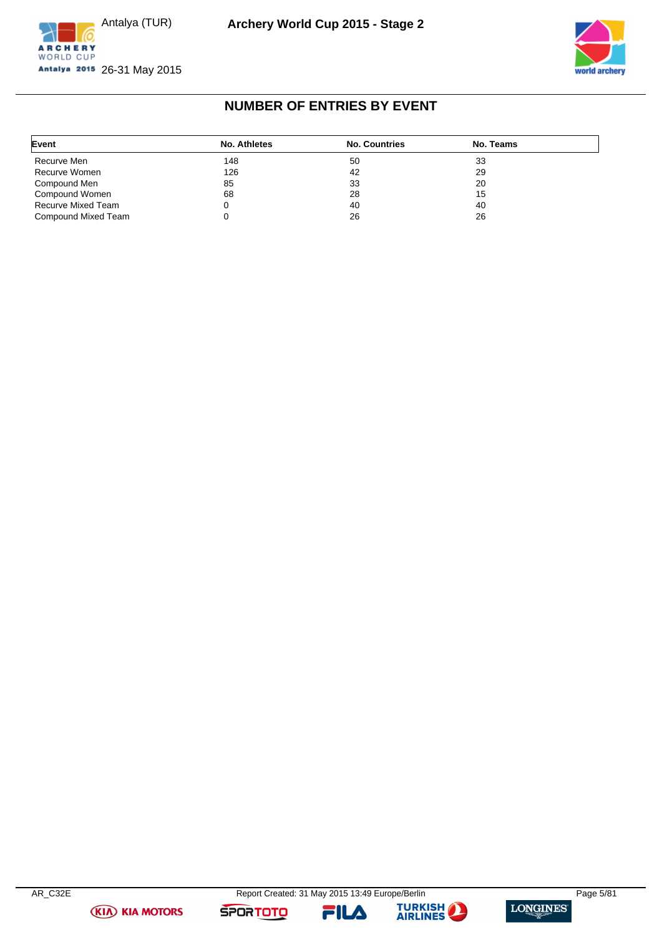





## **NUMBER OF ENTRIES BY EVENT**

<span id="page-5-0"></span>

| Event               | No. Athletes | <b>No. Countries</b> | No. Teams |  |
|---------------------|--------------|----------------------|-----------|--|
| Recurve Men         | 148          | 50                   | 33        |  |
| Recurve Women       | 126          | 42                   | 29        |  |
| Compound Men        | 85           | 33                   | 20        |  |
| Compound Women      | 68           | 28                   | 15        |  |
| Recurve Mixed Team  |              | 40                   | 40        |  |
| Compound Mixed Team |              | 26                   | 26        |  |

**(KIA) KIA MOTORS** 

FILA



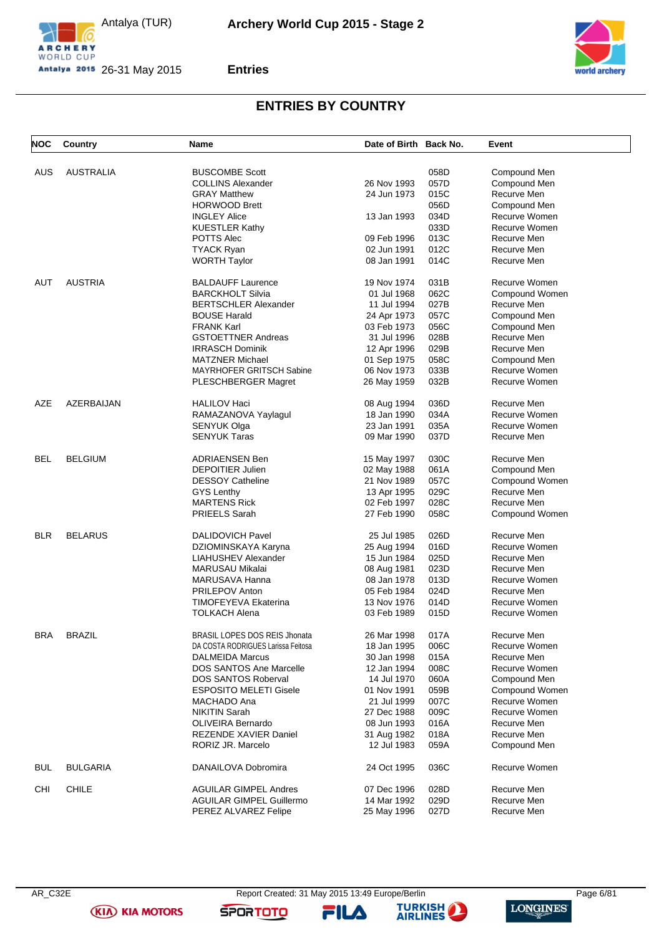







## **ENTRIES BY COUNTRY**

<span id="page-6-0"></span>

| <b>NOC</b> | Country          | <b>Name</b>                        | Date of Birth Back No. |      | Event          |
|------------|------------------|------------------------------------|------------------------|------|----------------|
| AUS        | <b>AUSTRALIA</b> | <b>BUSCOMBE Scott</b>              |                        | 058D | Compound Men   |
|            |                  | <b>COLLINS Alexander</b>           | 26 Nov 1993            | 057D | Compound Men   |
|            |                  |                                    |                        |      |                |
|            |                  | <b>GRAY Matthew</b>                | 24 Jun 1973            | 015C | Recurve Men    |
|            |                  | <b>HORWOOD Brett</b>               |                        | 056D | Compound Men   |
|            |                  | <b>INGLEY Alice</b>                | 13 Jan 1993            | 034D | Recurve Women  |
|            |                  | <b>KUESTLER Kathy</b>              |                        | 033D | Recurve Women  |
|            |                  | POTTS Alec                         | 09 Feb 1996            | 013C | Recurve Men    |
|            |                  | <b>TYACK Ryan</b>                  | 02 Jun 1991            | 012C | Recurve Men    |
|            |                  | <b>WORTH Taylor</b>                | 08 Jan 1991            | 014C | Recurve Men    |
| AUT        | <b>AUSTRIA</b>   | <b>BALDAUFF Laurence</b>           | 19 Nov 1974            | 031B | Recurve Women  |
|            |                  | <b>BARCKHOLT Silvia</b>            | 01 Jul 1968            | 062C | Compound Women |
|            |                  | <b>BERTSCHLER Alexander</b>        | 11 Jul 1994            | 027B | Recurve Men    |
|            |                  | <b>BOUSE Harald</b>                | 24 Apr 1973            | 057C | Compound Men   |
|            |                  | <b>FRANK Karl</b>                  | 03 Feb 1973            | 056C | Compound Men   |
|            |                  | <b>GSTOETTNER Andreas</b>          | 31 Jul 1996            | 028B | Recurve Men    |
|            |                  | <b>IRRASCH Dominik</b>             | 12 Apr 1996            | 029B | Recurve Men    |
|            |                  | <b>MATZNER Michael</b>             | 01 Sep 1975            | 058C | Compound Men   |
|            |                  | MAYRHOFER GRITSCH Sabine           | 06 Nov 1973            | 033B | Recurve Women  |
|            |                  |                                    |                        |      |                |
|            |                  | PLESCHBERGER Magret                | 26 May 1959            | 032B | Recurve Women  |
| AZE        | AZERBAIJAN       | <b>HALILOV Haci</b>                | 08 Aug 1994            | 036D | Recurve Men    |
|            |                  | RAMAZANOVA Yaylagul                | 18 Jan 1990            | 034A | Recurve Women  |
|            |                  | SENYUK Olga                        | 23 Jan 1991            | 035A | Recurve Women  |
|            |                  | <b>SENYUK Taras</b>                | 09 Mar 1990            | 037D | Recurve Men    |
|            |                  |                                    |                        |      |                |
| <b>BEL</b> | <b>BELGIUM</b>   | <b>ADRIAENSEN Ben</b>              | 15 May 1997            | 030C | Recurve Men    |
|            |                  | <b>DEPOITIER Julien</b>            | 02 May 1988            | 061A | Compound Men   |
|            |                  | <b>DESSOY Catheline</b>            | 21 Nov 1989            | 057C | Compound Women |
|            |                  | <b>GYS Lenthy</b>                  | 13 Apr 1995            | 029C | Recurve Men    |
|            |                  | <b>MARTENS Rick</b>                | 02 Feb 1997            | 028C | Recurve Men    |
|            |                  | <b>PRIEELS Sarah</b>               | 27 Feb 1990            | 058C | Compound Women |
|            |                  |                                    |                        |      |                |
| <b>BLR</b> | <b>BELARUS</b>   | <b>DALIDOVICH Pavel</b>            | 25 Jul 1985            | 026D | Recurve Men    |
|            |                  | DZIOMINSKAYA Karyna                | 25 Aug 1994            | 016D | Recurve Women  |
|            |                  | LIAHUSHEV Alexander                | 15 Jun 1984            | 025D | Recurve Men    |
|            |                  | <b>MARUSAU Mikalai</b>             | 08 Aug 1981            | 023D | Recurve Men    |
|            |                  | MARUSAVA Hanna                     | 08 Jan 1978            | 013D | Recurve Women  |
|            |                  | <b>PRILEPOV Anton</b>              | 05 Feb 1984            | 024D | Recurve Men    |
|            |                  | TIMOFEYEVA Ekaterina               | 13 Nov 1976            | 014D | Recurve Women  |
|            |                  | <b>TOLKACH Alena</b>               | 03 Feb 1989            | 015D | Recurve Women  |
| <b>BRA</b> | <b>BRAZIL</b>    | BRASIL LOPES DOS REIS Jhonata      | 26 Mar 1998            | 017A | Recurve Men    |
|            |                  | DA COSTA RODRIGUES Larissa Feitosa | 18 Jan 1995            | 006C | Recurve Women  |
|            |                  | <b>DALMEIDA Marcus</b>             | 30 Jan 1998            | 015A | Recurve Men    |
|            |                  | <b>DOS SANTOS Ane Marcelle</b>     | 12 Jan 1994            | 008C | Recurve Women  |
|            |                  | DOS SANTOS Roberval                | 14 Jul 1970            | 060A | Compound Men   |
|            |                  | <b>ESPOSITO MELETI Gisele</b>      | 01 Nov 1991            | 059B | Compound Women |
|            |                  |                                    |                        | 007C | Recurve Women  |
|            |                  | MACHADO Ana                        | 21 Jul 1999            |      |                |
|            |                  | <b>NIKITIN Sarah</b>               | 27 Dec 1988            | 009C | Recurve Women  |
|            |                  | <b>OLIVEIRA Bernardo</b>           | 08 Jun 1993            | 016A | Recurve Men    |
|            |                  | <b>REZENDE XAVIER Daniel</b>       | 31 Aug 1982            | 018A | Recurve Men    |
|            |                  | RORIZ JR. Marcelo                  | 12 Jul 1983            | 059A | Compound Men   |
| <b>BUL</b> | <b>BULGARIA</b>  | DANAILOVA Dobromira                | 24 Oct 1995            | 036C | Recurve Women  |
| CHI        | <b>CHILE</b>     | <b>AGUILAR GIMPEL Andres</b>       | 07 Dec 1996            | 028D | Recurve Men    |
|            |                  | <b>AGUILAR GIMPEL Guillermo</b>    | 14 Mar 1992            | 029D | Recurve Men    |
|            |                  | PEREZ ALVAREZ Felipe               | 25 May 1996            | 027D | Recurve Men    |

**(KIA) KIA MOTORS** 

FILA

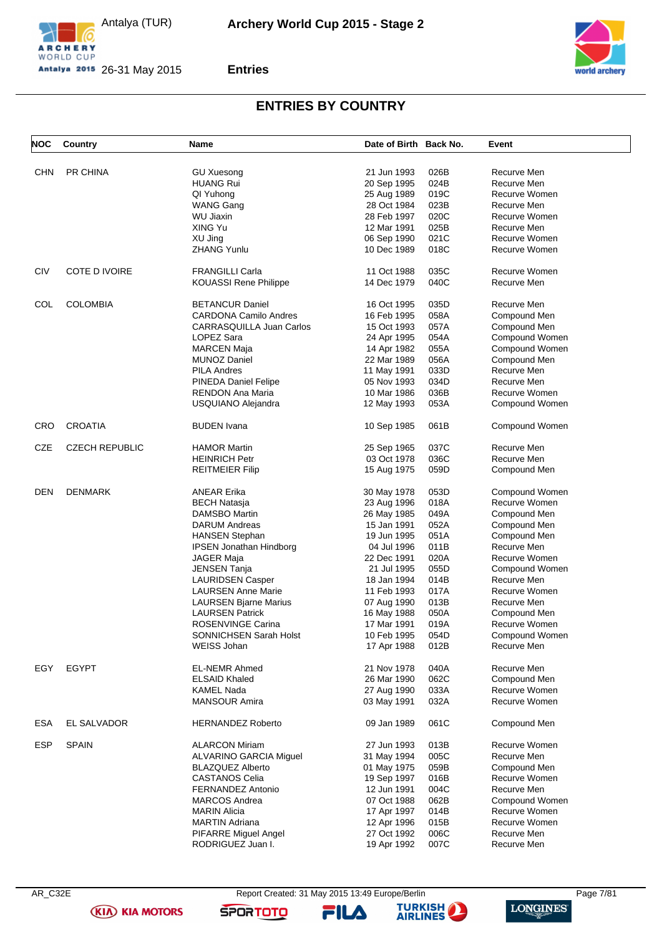





### **Entries**

# **ENTRIES BY COUNTRY**

| <b>NOC</b> | Country               | Name                           | Date of Birth Back No. |      | Event          |
|------------|-----------------------|--------------------------------|------------------------|------|----------------|
|            |                       |                                |                        |      |                |
| CHN        | PR CHINA              | <b>GU Xuesong</b>              | 21 Jun 1993            | 026B | Recurve Men    |
|            |                       | <b>HUANG Rui</b>               | 20 Sep 1995            | 024B | Recurve Men    |
|            |                       | QI Yuhong                      | 25 Aug 1989            | 019C | Recurve Women  |
|            |                       | <b>WANG Gang</b>               | 28 Oct 1984            | 023B | Recurve Men    |
|            |                       | <b>WU Jiaxin</b>               | 28 Feb 1997            | 020C | Recurve Women  |
|            |                       | XING Yu                        | 12 Mar 1991            | 025B | Recurve Men    |
|            |                       | XU Jing                        | 06 Sep 1990            | 021C | Recurve Women  |
|            |                       | <b>ZHANG Yunlu</b>             | 10 Dec 1989            | 018C | Recurve Women  |
| CIV        | COTE D IVOIRE         | <b>FRANGILLI Carla</b>         | 11 Oct 1988            | 035C | Recurve Women  |
|            |                       | <b>KOUASSI Rene Philippe</b>   | 14 Dec 1979            | 040C | Recurve Men    |
| COL        | <b>COLOMBIA</b>       | <b>BETANCUR Daniel</b>         | 16 Oct 1995            | 035D | Recurve Men    |
|            |                       | <b>CARDONA Camilo Andres</b>   | 16 Feb 1995            | 058A | Compound Men   |
|            |                       | CARRASQUILLA Juan Carlos       | 15 Oct 1993            | 057A | Compound Men   |
|            |                       | LOPEZ Sara                     |                        | 054A | Compound Women |
|            |                       |                                | 24 Apr 1995            |      |                |
|            |                       | <b>MARCEN Maja</b>             | 14 Apr 1982            | 055A | Compound Women |
|            |                       | <b>MUNOZ Daniel</b>            | 22 Mar 1989            | 056A | Compound Men   |
|            |                       | <b>PILA Andres</b>             | 11 May 1991            | 033D | Recurve Men    |
|            |                       | <b>PINEDA Daniel Felipe</b>    | 05 Nov 1993            | 034D | Recurve Men    |
|            |                       | RENDON Ana Maria               | 10 Mar 1986            | 036B | Recurve Women  |
|            |                       | USQUIANO Alejandra             | 12 May 1993            | 053A | Compound Women |
| <b>CRO</b> | <b>CROATIA</b>        | <b>BUDEN Ivana</b>             | 10 Sep 1985            | 061B | Compound Women |
| CZE        | <b>CZECH REPUBLIC</b> | <b>HAMOR Martin</b>            | 25 Sep 1965            | 037C | Recurve Men    |
|            |                       | <b>HEINRICH Petr</b>           | 03 Oct 1978            | 036C | Recurve Men    |
|            |                       | <b>REITMEIER Filip</b>         | 15 Aug 1975            | 059D | Compound Men   |
| DEN        | <b>DENMARK</b>        | <b>ANEAR Erika</b>             | 30 May 1978            | 053D | Compound Women |
|            |                       |                                |                        | 018A | Recurve Women  |
|            |                       | <b>BECH Natasja</b>            | 23 Aug 1996            |      |                |
|            |                       | <b>DAMSBO Martin</b>           | 26 May 1985            | 049A | Compound Men   |
|            |                       | <b>DARUM Andreas</b>           | 15 Jan 1991            | 052A | Compound Men   |
|            |                       | <b>HANSEN Stephan</b>          | 19 Jun 1995            | 051A | Compound Men   |
|            |                       | <b>IPSEN Jonathan Hindborg</b> | 04 Jul 1996            | 011B | Recurve Men    |
|            |                       | <b>JAGER Maja</b>              | 22 Dec 1991            | 020A | Recurve Women  |
|            |                       | <b>JENSEN Tanja</b>            | 21 Jul 1995            | 055D | Compound Women |
|            |                       | <b>LAURIDSEN Casper</b>        | 18 Jan 1994            | 014B | Recurve Men    |
|            |                       | <b>LAURSEN Anne Marie</b>      | 11 Feb 1993            | 017A | Recurve Women  |
|            |                       | <b>LAURSEN Bjarne Marius</b>   | 07 Aug 1990            | 013B | Recurve Men    |
|            |                       | <b>LAURSEN Patrick</b>         | 16 May 1988            | 050A | Compound Men   |
|            |                       | ROSENVINGE Carina              | 17 Mar 1991            | 019A | Recurve Women  |
|            |                       | SONNICHSEN Sarah Holst         | 10 Feb 1995            | 054D | Compound Women |
|            |                       | <b>WEISS Johan</b>             | 17 Apr 1988            | 012B | Recurve Men    |
| EGY        | <b>EGYPT</b>          | <b>EL-NEMR Ahmed</b>           | 21 Nov 1978            | 040A | Recurve Men    |
|            |                       |                                |                        |      |                |
|            |                       | <b>ELSAID Khaled</b>           | 26 Mar 1990            | 062C | Compound Men   |
|            |                       | <b>KAMEL Nada</b>              | 27 Aug 1990            | 033A | Recurve Women  |
|            |                       | <b>MANSOUR Amira</b>           | 03 May 1991            | 032A | Recurve Women  |
| <b>ESA</b> | EL SALVADOR           | <b>HERNANDEZ Roberto</b>       | 09 Jan 1989            | 061C | Compound Men   |
| <b>ESP</b> | <b>SPAIN</b>          | <b>ALARCON Miriam</b>          | 27 Jun 1993            | 013B | Recurve Women  |
|            |                       | ALVARINO GARCIA Miguel         | 31 May 1994            | 005C | Recurve Men    |
|            |                       | <b>BLAZQUEZ Alberto</b>        | 01 May 1975            | 059B | Compound Men   |
|            |                       | <b>CASTANOS Celia</b>          | 19 Sep 1997            | 016B | Recurve Women  |
|            |                       | FERNANDEZ Antonio              | 12 Jun 1991            | 004C | Recurve Men    |
|            |                       | <b>MARCOS Andrea</b>           | 07 Oct 1988            | 062B | Compound Women |
|            |                       | <b>MARIN Alicia</b>            |                        | 014B | Recurve Women  |
|            |                       |                                | 17 Apr 1997            |      |                |
|            |                       | <b>MARTIN Adriana</b>          | 12 Apr 1996            | 015B | Recurve Women  |
|            |                       | PIFARRE Miguel Angel           | 27 Oct 1992            | 006C | Recurve Men    |
|            |                       | RODRIGUEZ Juan I.              | 19 Apr 1992            | 007C | Recurve Men    |

**(KIA) KIA MOTORS** 

FILA

**SPORTOTO** 



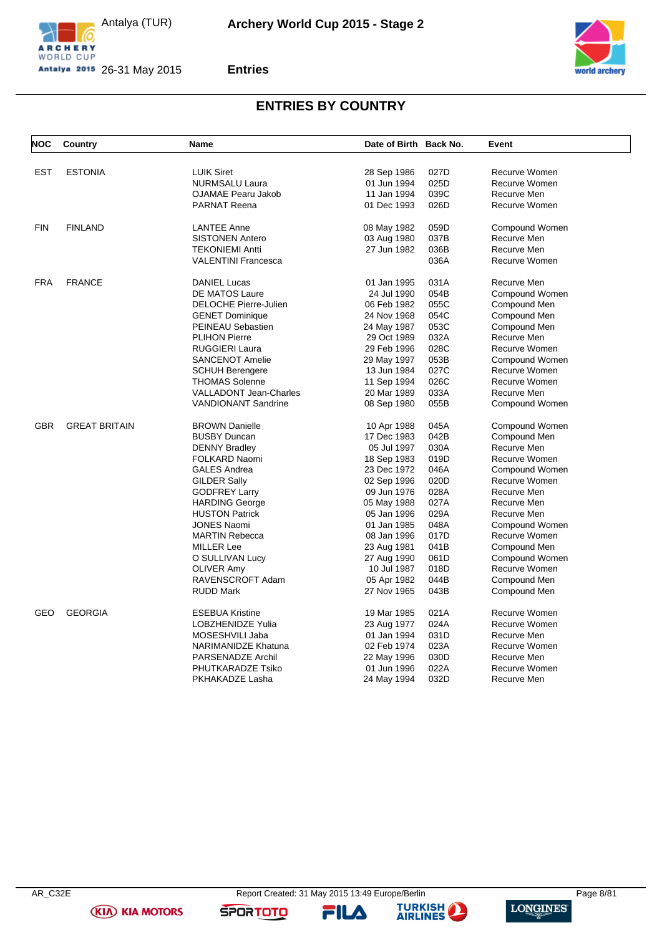





### **Entries**

# **ENTRIES BY COUNTRY**

| <b>NOC</b> | Country              | Name                          | Date of Birth Back No. |      | Event          |
|------------|----------------------|-------------------------------|------------------------|------|----------------|
|            |                      |                               |                        |      |                |
| <b>EST</b> | <b>ESTONIA</b>       | <b>LUIK Siret</b>             | 28 Sep 1986            | 027D | Recurve Women  |
|            |                      | <b>NURMSALU Laura</b>         | 01 Jun 1994            | 025D | Recurve Women  |
|            |                      | <b>OJAMAE Pearu Jakob</b>     | 11 Jan 1994            | 039C | Recurve Men    |
|            |                      | <b>PARNAT Reena</b>           | 01 Dec 1993            | 026D | Recurve Women  |
| <b>FIN</b> | <b>FINLAND</b>       | <b>LANTEE Anne</b>            | 08 May 1982            | 059D | Compound Women |
|            |                      | <b>SISTONEN Antero</b>        | 03 Aug 1980            | 037B | Recurve Men    |
|            |                      | <b>TEKONIEMI Antti</b>        | 27 Jun 1982            | 036B | Recurve Men    |
|            |                      | <b>VALENTINI Francesca</b>    |                        | 036A | Recurve Women  |
| <b>FRA</b> | <b>FRANCE</b>        | <b>DANIEL Lucas</b>           | 01 Jan 1995            | 031A | Recurve Men    |
|            |                      | <b>DE MATOS Laure</b>         | 24 Jul 1990            | 054B | Compound Women |
|            |                      | <b>DELOCHE Pierre-Julien</b>  | 06 Feb 1982            | 055C | Compound Men   |
|            |                      | <b>GENET Dominique</b>        | 24 Nov 1968            | 054C | Compound Men   |
|            |                      | <b>PEINEAU Sebastien</b>      | 24 May 1987            | 053C | Compound Men   |
|            |                      | <b>PLIHON Pierre</b>          | 29 Oct 1989            | 032A | Recurve Men    |
|            |                      | <b>RUGGIERI Laura</b>         | 29 Feb 1996            | 028C | Recurve Women  |
|            |                      | <b>SANCENOT Amelie</b>        | 29 May 1997            | 053B | Compound Women |
|            |                      | <b>SCHUH Berengere</b>        | 13 Jun 1984            | 027C | Recurve Women  |
|            |                      | <b>THOMAS Solenne</b>         | 11 Sep 1994            | 026C | Recurve Women  |
|            |                      | <b>VALLADONT Jean-Charles</b> | 20 Mar 1989            | 033A | Recurve Men    |
|            |                      | <b>VANDIONANT Sandrine</b>    | 08 Sep 1980            | 055B | Compound Women |
| <b>GBR</b> | <b>GREAT BRITAIN</b> | <b>BROWN Danielle</b>         | 10 Apr 1988            | 045A | Compound Women |
|            |                      | <b>BUSBY Duncan</b>           | 17 Dec 1983            | 042B | Compound Men   |
|            |                      | <b>DENNY Bradley</b>          | 05 Jul 1997            | 030A | Recurve Men    |
|            |                      | <b>FOLKARD Naomi</b>          | 18 Sep 1983            | 019D | Recurve Women  |
|            |                      | <b>GALES Andrea</b>           | 23 Dec 1972            | 046A | Compound Women |
|            |                      | <b>GILDER Sally</b>           | 02 Sep 1996            | 020D | Recurve Women  |
|            |                      | <b>GODFREY Larry</b>          | 09 Jun 1976            | 028A | Recurve Men    |
|            |                      | <b>HARDING George</b>         | 05 May 1988            | 027A | Recurve Men    |
|            |                      | <b>HUSTON Patrick</b>         | 05 Jan 1996            | 029A | Recurve Men    |
|            |                      | <b>JONES Naomi</b>            | 01 Jan 1985            | 048A | Compound Women |
|            |                      | <b>MARTIN Rebecca</b>         | 08 Jan 1996            | 017D | Recurve Women  |
|            |                      | <b>MILLER Lee</b>             | 23 Aug 1981            | 041B | Compound Men   |
|            |                      | O SULLIVAN Lucy               | 27 Aug 1990            | 061D | Compound Women |
|            |                      | <b>OLIVER Amy</b>             | 10 Jul 1987            | 018D | Recurve Women  |
|            |                      | RAVENSCROFT Adam              | 05 Apr 1982            | 044B | Compound Men   |
|            |                      | <b>RUDD Mark</b>              | 27 Nov 1965            | 043B | Compound Men   |
| GEO        | <b>GEORGIA</b>       | <b>ESEBUA Kristine</b>        | 19 Mar 1985            | 021A | Recurve Women  |
|            |                      | LOBZHENIDZE Yulia             | 23 Aug 1977            | 024A | Recurve Women  |
|            |                      | MOSESHVILI Jaba               | 01 Jan 1994            | 031D | Recurve Men    |
|            |                      | <b>NARIMANIDZE Khatuna</b>    | 02 Feb 1974            | 023A | Recurve Women  |
|            |                      | PARSENADZE Archil             | 22 May 1996            | 030D | Recurve Men    |
|            |                      | PHUTKARADZE Tsiko             | 01 Jun 1996            | 022A | Recurve Women  |
|            |                      | PKHAKADZE Lasha               | 24 May 1994            | 032D | Recurve Men    |
|            |                      |                               |                        |      |                |

**(KIA) KIA MOTORS** 

FILA

**SPORTOTO**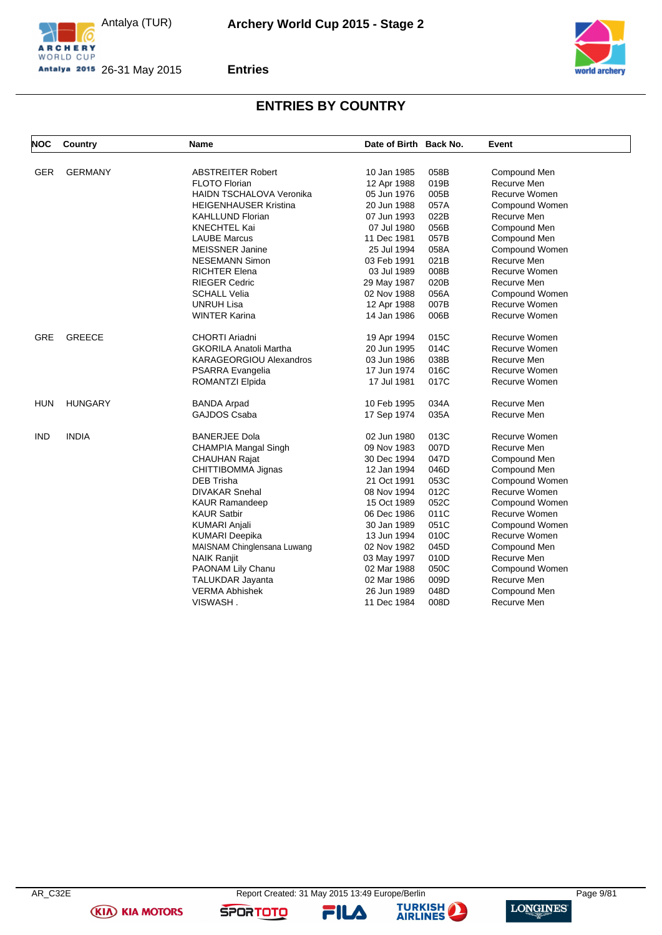





## **Entries**

# **ENTRIES BY COUNTRY**

| <b>NOC</b> | Country        | <b>Name</b>                     | Date of Birth Back No. |      | Event          |
|------------|----------------|---------------------------------|------------------------|------|----------------|
|            |                |                                 |                        |      |                |
| <b>GER</b> | <b>GERMANY</b> | <b>ABSTREITER Robert</b>        | 10 Jan 1985            | 058B | Compound Men   |
|            |                | <b>FLOTO Florian</b>            | 12 Apr 1988            | 019B | Recurve Men    |
|            |                | <b>HAIDN TSCHALOVA Veronika</b> | 05 Jun 1976            | 005B | Recurve Women  |
|            |                | <b>HEIGENHAUSER Kristina</b>    | 20 Jun 1988            | 057A | Compound Women |
|            |                | <b>KAHLLUND Florian</b>         | 07 Jun 1993            | 022B | Recurve Men    |
|            |                | <b>KNECHTEL Kai</b>             | 07 Jul 1980            | 056B | Compound Men   |
|            |                | <b>LAUBE Marcus</b>             | 11 Dec 1981            | 057B | Compound Men   |
|            |                | <b>MEISSNER Janine</b>          | 25 Jul 1994            | 058A | Compound Women |
|            |                | <b>NESEMANN Simon</b>           | 03 Feb 1991            | 021B | Recurve Men    |
|            |                | <b>RICHTER Elena</b>            | 03 Jul 1989            | 008B | Recurve Women  |
|            |                | <b>RIEGER Cedric</b>            | 29 May 1987            | 020B | Recurve Men    |
|            |                | <b>SCHALL Velia</b>             | 02 Nov 1988            | 056A | Compound Women |
|            |                | <b>UNRUH Lisa</b>               | 12 Apr 1988            | 007B | Recurve Women  |
|            |                | <b>WINTER Karina</b>            | 14 Jan 1986            | 006B | Recurve Women  |
| <b>GRE</b> | <b>GREECE</b>  | CHORTI Ariadni                  | 19 Apr 1994            | 015C | Recurve Women  |
|            |                | GKORILA Anatoli Martha          | 20 Jun 1995            | 014C | Recurve Women  |
|            |                | <b>KARAGEORGIOU Alexandros</b>  | 03 Jun 1986            | 038B | Recurve Men    |
|            |                | PSARRA Evangelia                | 17 Jun 1974            | 016C | Recurve Women  |
|            |                | ROMANTZI Elpida                 | 17 Jul 1981            | 017C | Recurve Women  |
| HUN        | <b>HUNGARY</b> | <b>BANDA Arpad</b>              | 10 Feb 1995            | 034A | Recurve Men    |
|            |                | <b>GAJDOS Csaba</b>             | 17 Sep 1974            | 035A | Recurve Men    |
| <b>IND</b> | <b>INDIA</b>   | <b>BANERJEE Dola</b>            | 02 Jun 1980            | 013C | Recurve Women  |
|            |                | CHAMPIA Mangal Singh            | 09 Nov 1983            | 007D | Recurve Men    |
|            |                | <b>CHAUHAN Rajat</b>            | 30 Dec 1994            | 047D | Compound Men   |
|            |                | CHITTIBOMMA Jignas              | 12 Jan 1994            | 046D | Compound Men   |
|            |                | <b>DEB Trisha</b>               | 21 Oct 1991            | 053C | Compound Women |
|            |                | <b>DIVAKAR Snehal</b>           | 08 Nov 1994            | 012C | Recurve Women  |
|            |                | <b>KAUR Ramandeep</b>           | 15 Oct 1989            | 052C | Compound Women |
|            |                | KAUR Satbir                     | 06 Dec 1986            | 011C | Recurve Women  |
|            |                | <b>KUMARI Anjali</b>            | 30 Jan 1989            | 051C | Compound Women |
|            |                | <b>KUMARI Deepika</b>           | 13 Jun 1994            | 010C | Recurve Women  |
|            |                | MAISNAM Chinglensana Luwang     | 02 Nov 1982            | 045D | Compound Men   |
|            |                | <b>NAIK Ranjit</b>              | 03 May 1997            | 010D | Recurve Men    |
|            |                | PAONAM Lily Chanu               | 02 Mar 1988            | 050C | Compound Women |
|            |                | <b>TALUKDAR Jayanta</b>         | 02 Mar 1986            | 009D | Recurve Men    |
|            |                | <b>VERMA Abhishek</b>           | 26 Jun 1989            | 048D | Compound Men   |
|            |                | VISWASH .                       | 11 Dec 1984            | 008D | Recurve Men    |

**(KIA) KIA MOTORS** 

FILA

**SPORTOTO** 

**TURKISH** 

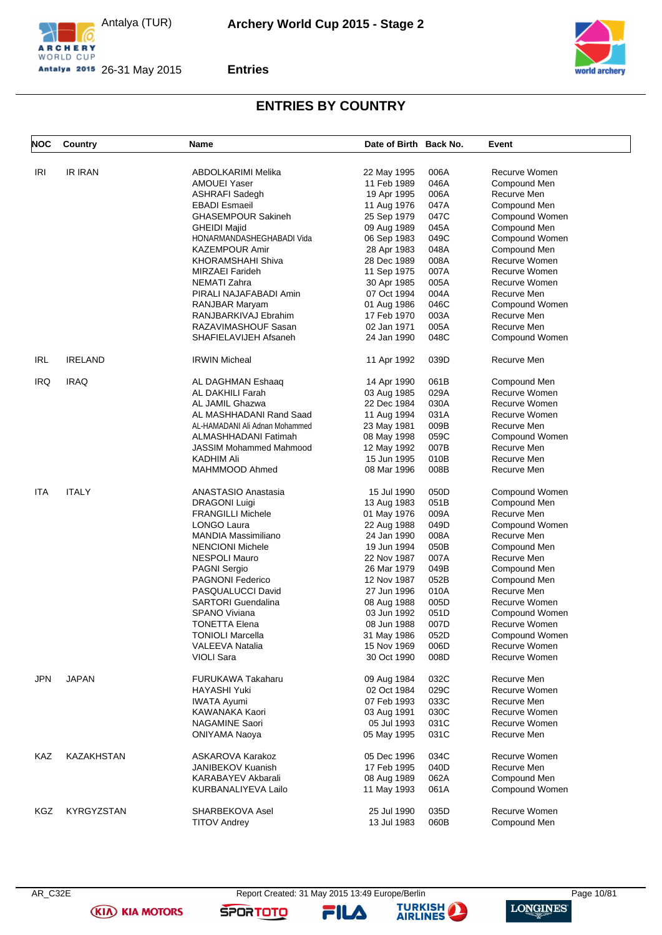





## **Entries**

# **ENTRIES BY COUNTRY**

| <b>NOC</b> | Country           | Name                           | Date of Birth Back No.     |      | Event          |
|------------|-------------------|--------------------------------|----------------------------|------|----------------|
| IRI        | <b>IR IRAN</b>    | ABDOLKARIMI Melika             | 22 May 1995                | 006A | Recurve Women  |
|            |                   | <b>AMOUEI Yaser</b>            | 11 Feb 1989                | 046A | Compound Men   |
|            |                   | <b>ASHRAFI Sadegh</b>          |                            | 006A | Recurve Men    |
|            |                   | <b>EBADI</b> Esmaeil           | 19 Apr 1995                | 047A | Compound Men   |
|            |                   |                                | 11 Aug 1976<br>25 Sep 1979 |      |                |
|            |                   | <b>GHASEMPOUR Sakineh</b>      |                            | 047C | Compound Women |
|            |                   | <b>GHEIDI Majid</b>            | 09 Aug 1989                | 045A | Compound Men   |
|            |                   | HONARMANDASHEGHABADI Vida      | 06 Sep 1983                | 049C | Compound Women |
|            |                   | <b>KAZEMPOUR Amir</b>          | 28 Apr 1983                | 048A | Compound Men   |
|            |                   | <b>KHORAMSHAHI Shiva</b>       | 28 Dec 1989                | 008A | Recurve Women  |
|            |                   | MIRZAEI Farideh                | 11 Sep 1975                | 007A | Recurve Women  |
|            |                   | <b>NEMATI Zahra</b>            | 30 Apr 1985                | 005A | Recurve Women  |
|            |                   | PIRALI NAJAFABADI Amin         | 07 Oct 1994                | 004A | Recurve Men    |
|            |                   | <b>RANJBAR Maryam</b>          | 01 Aug 1986                | 046C | Compound Women |
|            |                   | RANJBARKIVAJ Ebrahim           | 17 Feb 1970                | 003A | Recurve Men    |
|            |                   | RAZAVIMASHOUF Sasan            | 02 Jan 1971                | 005A | Recurve Men    |
|            |                   | SHAFIELAVIJEH Afsaneh          | 24 Jan 1990                | 048C | Compound Women |
| IRL        | <b>IRELAND</b>    | <b>IRWIN Micheal</b>           | 11 Apr 1992                | 039D | Recurve Men    |
| <b>IRQ</b> | <b>IRAQ</b>       | AL DAGHMAN Eshaaq              | 14 Apr 1990                | 061B | Compound Men   |
|            |                   | AL DAKHILI Farah               | 03 Aug 1985                | 029A | Recurve Women  |
|            |                   | AL JAMIL Ghazwa                | 22 Dec 1984                | 030A | Recurve Women  |
|            |                   | AL MASHHADANI Rand Saad        | 11 Aug 1994                | 031A | Recurve Women  |
|            |                   | AL-HAMADANI Ali Adnan Mohammed | 23 May 1981                | 009B | Recurve Men    |
|            |                   | ALMASHHADANI Fatimah           | 08 May 1998                | 059C | Compound Women |
|            |                   | <b>JASSIM Mohammed Mahmood</b> | 12 May 1992                | 007B | Recurve Men    |
|            |                   | <b>KADHIM Ali</b>              | 15 Jun 1995                | 010B | Recurve Men    |
|            |                   | MAHMMOOD Ahmed                 | 08 Mar 1996                | 008B | Recurve Men    |
|            |                   |                                |                            |      |                |
| ITA        | <b>ITALY</b>      | ANASTASIO Anastasia            | 15 Jul 1990                | 050D | Compound Women |
|            |                   | <b>DRAGONI Luigi</b>           | 13 Aug 1983                | 051B | Compound Men   |
|            |                   | <b>FRANGILLI Michele</b>       | 01 May 1976                | 009A | Recurve Men    |
|            |                   | LONGO Laura                    | 22 Aug 1988                | 049D | Compound Women |
|            |                   | MANDIA Massimiliano            | 24 Jan 1990                | 008A | Recurve Men    |
|            |                   | <b>NENCIONI Michele</b>        | 19 Jun 1994                | 050B | Compound Men   |
|            |                   | <b>NESPOLI Mauro</b>           | 22 Nov 1987                | 007A | Recurve Men    |
|            |                   | <b>PAGNI Sergio</b>            | 26 Mar 1979                | 049B | Compound Men   |
|            |                   | <b>PAGNONI Federico</b>        | 12 Nov 1987                | 052B | Compound Men   |
|            |                   | PASQUALUCCI David              | 27 Jun 1996                | 010A | Recurve Men    |
|            |                   | <b>SARTORI</b> Guendalina      | 08 Aug 1988                | 005D | Recurve Women  |
|            |                   | <b>SPANO Viviana</b>           | 03 Jun 1992                | 051D | Compound Women |
|            |                   | <b>TONETTA Elena</b>           | 08 Jun 1988                | 007D | Recurve Women  |
|            |                   | <b>TONIOLI Marcella</b>        | 31 May 1986                | 052D | Compound Women |
|            |                   | <b>VALEEVA Natalia</b>         | 15 Nov 1969                | 006D | Recurve Women  |
|            |                   | <b>VIOLI Sara</b>              | 30 Oct 1990                | 008D | Recurve Women  |
|            |                   |                                |                            |      |                |
| JPN        | <b>JAPAN</b>      | <b>FURUKAWA Takaharu</b>       | 09 Aug 1984                | 032C | Recurve Men    |
|            |                   | <b>HAYASHI Yuki</b>            | 02 Oct 1984                | 029C | Recurve Women  |
|            |                   | <b>IWATA Ayumi</b>             | 07 Feb 1993                | 033C | Recurve Men    |
|            |                   | KAWANAKA Kaori                 | 03 Aug 1991                | 030C | Recurve Women  |
|            |                   | <b>NAGAMINE Saori</b>          | 05 Jul 1993                | 031C | Recurve Women  |
|            |                   | ONIYAMA Naoya                  | 05 May 1995                | 031C | Recurve Men    |
| KAZ        | KAZAKHSTAN        | ASKAROVA Karakoz               | 05 Dec 1996                | 034C | Recurve Women  |
|            |                   | <b>JANIBEKOV Kuanish</b>       | 17 Feb 1995                | 040D | Recurve Men    |
|            |                   | KARABAYEV Akbarali             | 08 Aug 1989                | 062A | Compound Men   |
|            |                   | KURBANALIYEVA Lailo            | 11 May 1993                | 061A | Compound Women |
| KGZ        | <b>KYRGYZSTAN</b> | SHARBEKOVA Asel                | 25 Jul 1990                | 035D | Recurve Women  |
|            |                   | <b>TITOV Andrey</b>            | 13 Jul 1983                | 060B | Compound Men   |
|            |                   |                                |                            |      |                |

Report Created: 31 May 2015 13:49 Europe/Berlin Page 10/81

**(KIA) KIA MOTORS SPORTOTO** 

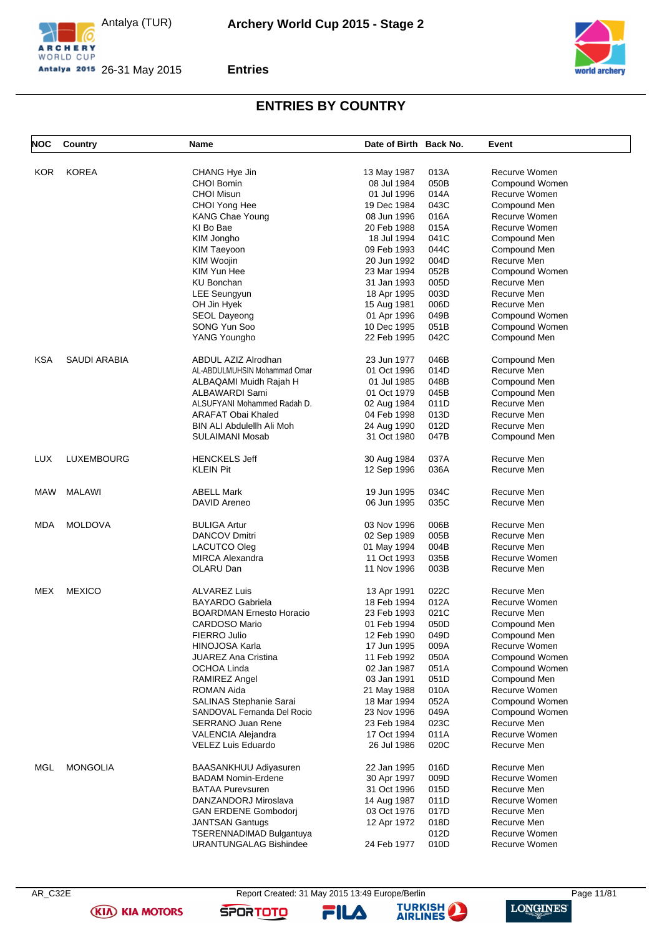





### **Entries**

# **ENTRIES BY COUNTRY**

| <b>NOC</b> | Country             | <b>Name</b>                   | Date of Birth Back No. |              | Event          |
|------------|---------------------|-------------------------------|------------------------|--------------|----------------|
|            |                     |                               |                        |              |                |
| <b>KOR</b> | <b>KOREA</b>        | CHANG Hye Jin                 | 13 May 1987            | 013A         | Recurve Women  |
|            |                     | <b>CHOI Bomin</b>             | 08 Jul 1984            | 050B         | Compound Women |
|            |                     | <b>CHOI Misun</b>             | 01 Jul 1996            | 014A         | Recurve Women  |
|            |                     |                               |                        |              |                |
|            |                     | CHOI Yong Hee                 | 19 Dec 1984            | 043C         | Compound Men   |
|            |                     | KANG Chae Young               | 08 Jun 1996            | 016A         | Recurve Women  |
|            |                     | KI Bo Bae                     | 20 Feb 1988            | 015A         | Recurve Women  |
|            |                     | KIM Jongho                    | 18 Jul 1994            | 041C         | Compound Men   |
|            |                     | <b>KIM Taeyoon</b>            | 09 Feb 1993            | 044C         | Compound Men   |
|            |                     | <b>KIM Woojin</b>             | 20 Jun 1992            | 004D         | Recurve Men    |
|            |                     | KIM Yun Hee                   | 23 Mar 1994            | 052B         | Compound Women |
|            |                     | <b>KU Bonchan</b>             | 31 Jan 1993            | 005D         | Recurve Men    |
|            |                     | LEE Seungyun                  | 18 Apr 1995            | 003D         | Recurve Men    |
|            |                     | OH Jin Hyek                   | 15 Aug 1981            | 006D         | Recurve Men    |
|            |                     | SEOL Dayeong                  | 01 Apr 1996            | 049B         | Compound Women |
|            |                     | SONG Yun Soo                  | 10 Dec 1995            | 051B         | Compound Women |
|            |                     | YANG Youngho                  |                        | 042C         |                |
|            |                     |                               | 22 Feb 1995            |              | Compound Men   |
| <b>KSA</b> | <b>SAUDI ARABIA</b> | ABDUL AZIZ Alrodhan           | 23 Jun 1977            | 046B         | Compound Men   |
|            |                     | AL-ABDULMUHSIN Mohammad Omar  | 01 Oct 1996            | 014D         | Recurve Men    |
|            |                     | ALBAQAMI Muidh Rajah H        | 01 Jul 1985            | 048B         | Compound Men   |
|            |                     | ALBAWARDI Sami                | 01 Oct 1979            | 045B         | Compound Men   |
|            |                     | ALSUFYANI Mohammed Radah D.   | 02 Aug 1984            | 011D         | Recurve Men    |
|            |                     |                               |                        | 013D         | Recurve Men    |
|            |                     | <b>ARAFAT Obai Khaled</b>     | 04 Feb 1998            |              |                |
|            |                     | BIN ALI Abdulellh Ali Moh     | 24 Aug 1990            | 012D         | Recurve Men    |
|            |                     | SULAIMANI Mosab               | 31 Oct 1980            | 047B         | Compound Men   |
| <b>LUX</b> | LUXEMBOURG          | <b>HENCKELS Jeff</b>          | 30 Aug 1984            | 037A         | Recurve Men    |
|            |                     | <b>KLEIN Pit</b>              | 12 Sep 1996            | 036A         | Recurve Men    |
|            |                     |                               |                        |              |                |
| MAW        | MALAWI              | <b>ABELL Mark</b>             | 19 Jun 1995            | 034C         | Recurve Men    |
|            |                     | DAVID Areneo                  | 06 Jun 1995            | 035C         | Recurve Men    |
| MDA        | <b>MOLDOVA</b>      | <b>BULIGA Artur</b>           | 03 Nov 1996            | 006B         | Recurve Men    |
|            |                     |                               |                        | 005B         | Recurve Men    |
|            |                     | DANCOV Dmitri                 | 02 Sep 1989            |              |                |
|            |                     | LACUTCO Oleg                  | 01 May 1994            | 004B         | Recurve Men    |
|            |                     | <b>MIRCA Alexandra</b>        | 11 Oct 1993            | 035B         | Recurve Women  |
|            |                     | OLARU Dan                     | 11 Nov 1996            | 003B         | Recurve Men    |
| MEX        | <b>MEXICO</b>       | <b>ALVAREZ Luis</b>           | 13 Apr 1991            | 022C         | Recurve Men    |
|            |                     | <b>BAYARDO Gabriela</b>       | 18 Feb 1994            | 012A         | Recurve Women  |
|            |                     | BOARDMAN Ernesto Horacio      | 23 Feb 1993            | 021C         | Recurve Men    |
|            |                     | <b>CARDOSO Mario</b>          | 01 Feb 1994            | 050D         | Compound Men   |
|            |                     | FIERRO Julio                  | 12 Feb 1990            | 049D         | Compound Men   |
|            |                     | <b>HINOJOSA Karla</b>         |                        |              | Recurve Women  |
|            |                     | <b>JUAREZ Ana Cristina</b>    | 17 Jun 1995            | 009A<br>050A | Compound Women |
|            |                     |                               | 11 Feb 1992            |              |                |
|            |                     | OCHOA Linda                   | 02 Jan 1987            | 051A         | Compound Women |
|            |                     | <b>RAMIREZ Angel</b>          | 03 Jan 1991            | 051D         | Compound Men   |
|            |                     | ROMAN Aida                    | 21 May 1988            | 010A         | Recurve Women  |
|            |                     | SALINAS Stephanie Sarai       | 18 Mar 1994            | 052A         | Compound Women |
|            |                     | SANDOVAL Fernanda Del Rocio   | 23 Nov 1996            | 049A         | Compound Women |
|            |                     | <b>SERRANO Juan Rene</b>      | 23 Feb 1984            | 023C         | Recurve Men    |
|            |                     | <b>VALENCIA Alejandra</b>     | 17 Oct 1994            | 011A         | Recurve Women  |
|            |                     | <b>VELEZ Luis Eduardo</b>     | 26 Jul 1986            | 020C         | Recurve Men    |
| MGL        | <b>MONGOLIA</b>     | <b>BAASANKHUU Adiyasuren</b>  | 22 Jan 1995            | 016D         | Recurve Men    |
|            |                     |                               |                        |              |                |
|            |                     | <b>BADAM Nomin-Erdene</b>     | 30 Apr 1997            | 009D         | Recurve Women  |
|            |                     | <b>BATAA Purevsuren</b>       | 31 Oct 1996            | 015D         | Recurve Men    |
|            |                     | DANZANDORJ Miroslava          | 14 Aug 1987            | 011D         | Recurve Women  |
|            |                     | <b>GAN ERDENE Gombodorj</b>   | 03 Oct 1976            | 017D         | Recurve Men    |
|            |                     | <b>JANTSAN Gantugs</b>        | 12 Apr 1972            | 018D         | Recurve Men    |
|            |                     | TSERENNADIMAD Bulgantuya      |                        | 012D         | Recurve Women  |
|            |                     | <b>URANTUNGALAG Bishindee</b> | 24 Feb 1977            | 010D         | Recurve Women  |
|            |                     |                               |                        |              |                |

**(KIA) KIA MOTORS** 

Report Created: 31 May 2015 13:49 Europe/Berlin Page 11/81



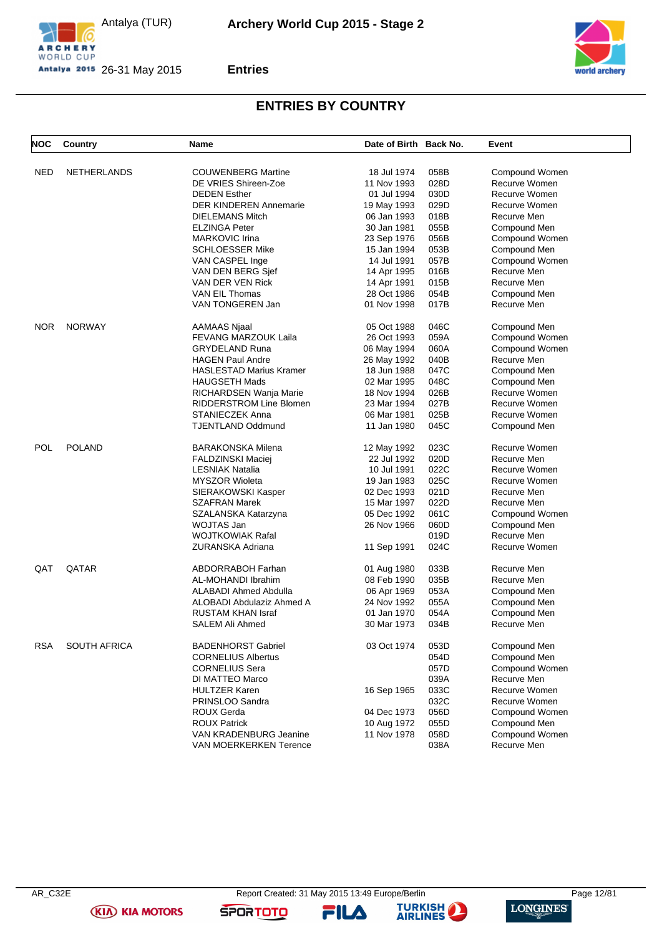





## **Entries**

# **ENTRIES BY COUNTRY**

| <b>NOC</b> | Country             | Name                      | Date of Birth Back No.      | Event                          |
|------------|---------------------|---------------------------|-----------------------------|--------------------------------|
|            | <b>NETHERLANDS</b>  |                           |                             |                                |
| <b>NED</b> |                     | <b>COUWENBERG Martine</b> | 18 Jul 1974<br>058B         | Compound Women                 |
|            |                     | DE VRIES Shireen-Zoe      | 028D<br>11 Nov 1993         | Recurve Women<br>Recurve Women |
|            |                     | <b>DEDEN Esther</b>       | 030D<br>01 Jul 1994<br>029D | Recurve Women                  |
|            |                     | DER KINDEREN Annemarie    | 19 May 1993                 |                                |
|            |                     | DIELEMANS Mitch           | 018B<br>06 Jan 1993         | Recurve Men                    |
|            |                     | ELZINGA Peter             | 055B<br>30 Jan 1981         | Compound Men                   |
|            |                     | <b>MARKOVIC Irina</b>     | 056B<br>23 Sep 1976         | Compound Women                 |
|            |                     | <b>SCHLOESSER Mike</b>    | 053B<br>15 Jan 1994         | Compound Men                   |
|            |                     | VAN CASPEL Inge           | 057B<br>14 Jul 1991         | Compound Women                 |
|            |                     | VAN DEN BERG Sjef         | 016B<br>14 Apr 1995         | Recurve Men                    |
|            |                     | VAN DER VEN Rick          | 015B<br>14 Apr 1991         | Recurve Men                    |
|            |                     | VAN EIL Thomas            | 054B<br>28 Oct 1986         | Compound Men                   |
|            |                     | VAN TONGEREN Jan          | 017B<br>01 Nov 1998         | Recurve Men                    |
| NOR.       | <b>NORWAY</b>       | <b>AAMAAS Njaal</b>       | 046C<br>05 Oct 1988         | Compound Men                   |
|            |                     | FEVANG MARZOUK Laila      | 059A<br>26 Oct 1993         | Compound Women                 |
|            |                     | <b>GRYDELAND Runa</b>     | 060A<br>06 May 1994         | Compound Women                 |
|            |                     | HAGEN Paul Andre          | 040B<br>26 May 1992         | Recurve Men                    |
|            |                     | HASLESTAD Marius Kramer   | 047C<br>18 Jun 1988         | Compound Men                   |
|            |                     | <b>HAUGSETH Mads</b>      | 048C<br>02 Mar 1995         | Compound Men                   |
|            |                     | RICHARDSEN Wanja Marie    | 026B<br>18 Nov 1994         | Recurve Women                  |
|            |                     | RIDDERSTROM Line Blomen   | 027B<br>23 Mar 1994         | Recurve Women                  |
|            |                     | STANIECZEK Anna           | 025B<br>06 Mar 1981         | Recurve Women                  |
|            |                     | TJENTLAND Oddmund         | 045C<br>11 Jan 1980         | Compound Men                   |
| POL        | <b>POLAND</b>       | BARAKONSKA Milena         | 023C<br>12 May 1992         | Recurve Women                  |
|            |                     | FALDZINSKI Maciej         | 020D<br>22 Jul 1992         | Recurve Men                    |
|            |                     | <b>LESNIAK Natalia</b>    | 022C<br>10 Jul 1991         | Recurve Women                  |
|            |                     | <b>MYSZOR Wioleta</b>     | 025C<br>19 Jan 1983         | Recurve Women                  |
|            |                     | SIERAKOWSKI Kasper        | 021D<br>02 Dec 1993         | Recurve Men                    |
|            |                     | SZAFRAN Marek             | 022D<br>15 Mar 1997         | Recurve Men                    |
|            |                     | SZALANSKA Katarzyna       | 061C<br>05 Dec 1992         | Compound Women                 |
|            |                     | WOJTAS Jan                | 26 Nov 1966<br>060D         | Compound Men                   |
|            |                     | WOJTKOWIAK Rafal          | 019D                        | Recurve Men                    |
|            |                     | ZURANSKA Adriana          | 024C                        | Recurve Women                  |
|            |                     |                           | 11 Sep 1991                 |                                |
| QAT        | QATAR               | <b>ABDORRABOH Farhan</b>  | 033B<br>01 Aug 1980         | Recurve Men                    |
|            |                     | AL-MOHANDI Ibrahim        | 08 Feb 1990<br>035B         | Recurve Men                    |
|            |                     | ALABADI Ahmed Abdulla     | 053A<br>06 Apr 1969         | Compound Men                   |
|            |                     | ALOBADI Abdulaziz Ahmed A | 24 Nov 1992<br>055A         | Compound Men                   |
|            |                     | RUSTAM KHAN Israf         | 01 Jan 1970<br>054A         | Compound Men                   |
|            |                     | SALEM Ali Ahmed           | 034B<br>30 Mar 1973         | Recurve Men                    |
| <b>RSA</b> | <b>SOUTH AFRICA</b> | <b>BADENHORST Gabriel</b> | 03 Oct 1974<br>053D         | Compound Men                   |
|            |                     | <b>CORNELIUS Albertus</b> | 054D                        | Compound Men                   |
|            |                     | <b>CORNELIUS Sera</b>     | 057D                        | Compound Women                 |
|            |                     | DI MATTEO Marco           | 039A                        | Recurve Men                    |
|            |                     | <b>HULTZER Karen</b>      | 033C<br>16 Sep 1965         | Recurve Women                  |
|            |                     | PRINSLOO Sandra           | 032C                        | Recurve Women                  |
|            |                     | ROUX Gerda                | 056D<br>04 Dec 1973         | Compound Women                 |
|            |                     | <b>ROUX Patrick</b>       | 055D<br>10 Aug 1972         | Compound Men                   |
|            |                     | VAN KRADENBURG Jeanine    | 058D<br>11 Nov 1978         | Compound Women                 |
|            |                     | VAN MOERKERKEN Terence    | 038A                        | Recurve Men                    |
|            |                     |                           |                             |                                |

**(KIA) KIA MOTORS** 

FILA

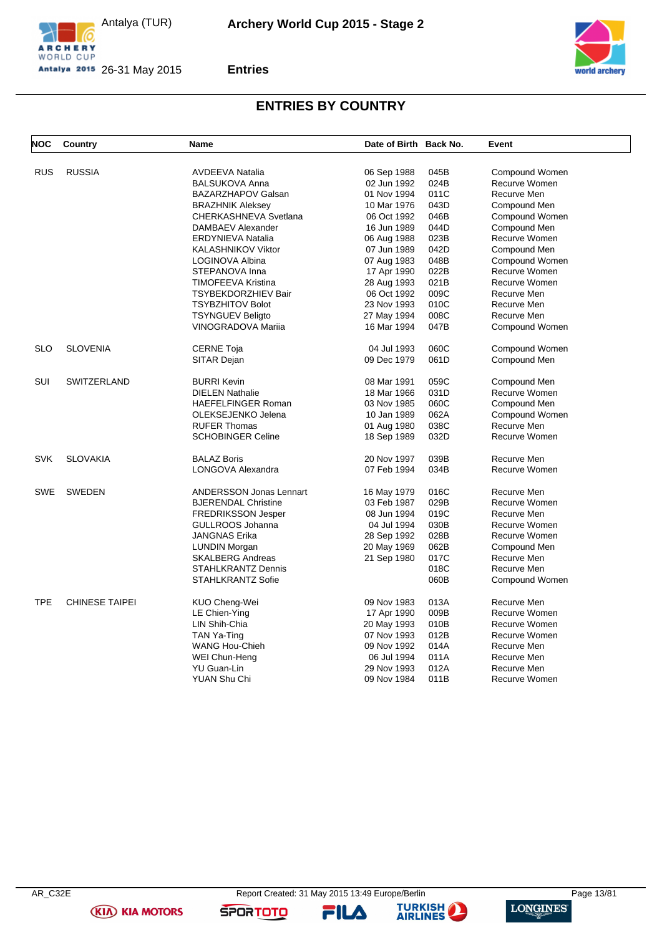





## **Entries**

# **ENTRIES BY COUNTRY**

| <b>NOC</b> | Country               | <b>Name</b>                    | Date of Birth Back No. |      | Event                |
|------------|-----------------------|--------------------------------|------------------------|------|----------------------|
|            |                       |                                |                        |      |                      |
| <b>RUS</b> | <b>RUSSIA</b>         | <b>AVDEEVA Natalia</b>         | 06 Sep 1988            | 045B | Compound Women       |
|            |                       | <b>BALSUKOVA Anna</b>          | 02 Jun 1992            | 024B | Recurve Women        |
|            |                       | <b>BAZARZHAPOV Galsan</b>      | 01 Nov 1994            | 011C | Recurve Men          |
|            |                       | <b>BRAZHNIK Aleksey</b>        | 10 Mar 1976            | 043D | Compound Men         |
|            |                       | CHERKASHNEVA Svetlana          | 06 Oct 1992            | 046B | Compound Women       |
|            |                       | DAMBAEV Alexander              | 16 Jun 1989            | 044D | Compound Men         |
|            |                       | <b>ERDYNIEVA Natalia</b>       | 06 Aug 1988            | 023B | <b>Recurve Women</b> |
|            |                       | KALASHNIKOV Viktor             | 07 Jun 1989            | 042D | Compound Men         |
|            |                       | LOGINOVA Albina                | 07 Aug 1983            | 048B | Compound Women       |
|            |                       | STEPANOVA Inna                 | 17 Apr 1990            | 022B | Recurve Women        |
|            |                       | <b>TIMOFEEVA Kristina</b>      | 28 Aug 1993            | 021B | Recurve Women        |
|            |                       | <b>TSYBEKDORZHIEV Bair</b>     | 06 Oct 1992            | 009C | Recurve Men          |
|            |                       | <b>TSYBZHITOV Bolot</b>        | 23 Nov 1993            | 010C | Recurve Men          |
|            |                       | <b>TSYNGUEV Beligto</b>        | 27 May 1994            | 008C | Recurve Men          |
|            |                       | <b>VINOGRADOVA Marija</b>      | 16 Mar 1994            | 047B | Compound Women       |
| <b>SLO</b> | <b>SLOVENIA</b>       | <b>CERNE Toja</b>              | 04 Jul 1993            | 060C | Compound Women       |
|            |                       | SITAR Dejan                    | 09 Dec 1979            | 061D | Compound Men         |
| SUI        | <b>SWITZERLAND</b>    | <b>BURRI Kevin</b>             | 08 Mar 1991            | 059C | Compound Men         |
|            |                       | <b>DIELEN Nathalie</b>         | 18 Mar 1966            | 031D | Recurve Women        |
|            |                       | <b>HAEFELFINGER Roman</b>      | 03 Nov 1985            | 060C | Compound Men         |
|            |                       | OLEKSEJENKO Jelena             | 10 Jan 1989            | 062A | Compound Women       |
|            |                       | <b>RUFER Thomas</b>            | 01 Aug 1980            | 038C | Recurve Men          |
|            |                       | <b>SCHOBINGER Celine</b>       | 18 Sep 1989            | 032D | Recurve Women        |
| <b>SVK</b> | <b>SLOVAKIA</b>       | <b>BALAZ Boris</b>             | 20 Nov 1997            | 039B | Recurve Men          |
|            |                       | LONGOVA Alexandra              | 07 Feb 1994            | 034B | Recurve Women        |
| <b>SWE</b> |                       |                                |                        |      |                      |
|            | <b>SWEDEN</b>         | <b>ANDERSSON Jonas Lennart</b> | 16 May 1979            | 016C | Recurve Men          |
|            |                       | <b>BJERENDAL Christine</b>     | 03 Feb 1987            | 029B | Recurve Women        |
|            |                       | <b>FREDRIKSSON Jesper</b>      | 08 Jun 1994            | 019C | Recurve Men          |
|            |                       | GULLROOS Johanna               | 04 Jul 1994            | 030B | Recurve Women        |
|            |                       | <b>JANGNAS Erika</b>           | 28 Sep 1992            | 028B | Recurve Women        |
|            |                       | <b>LUNDIN Morgan</b>           | 20 May 1969            | 062B | Compound Men         |
|            |                       | <b>SKALBERG Andreas</b>        | 21 Sep 1980            | 017C | Recurve Men          |
|            |                       | <b>STAHLKRANTZ Dennis</b>      |                        | 018C | Recurve Men          |
|            |                       | <b>STAHLKRANTZ Sofie</b>       |                        | 060B | Compound Women       |
| <b>TPE</b> | <b>CHINESE TAIPEI</b> | KUO Cheng-Wei                  | 09 Nov 1983            | 013A | Recurve Men          |
|            |                       | LE Chien-Ying                  | 17 Apr 1990            | 009B | Recurve Women        |
|            |                       | LIN Shih-Chia                  | 20 May 1993            | 010B | Recurve Women        |
|            |                       | TAN Ya-Ting                    | 07 Nov 1993            | 012B | Recurve Women        |
|            |                       | WANG Hou-Chieh                 | 09 Nov 1992            | 014A | Recurve Men          |
|            |                       | WEI Chun-Heng                  | 06 Jul 1994            | 011A | Recurve Men          |
|            |                       | YU Guan-Lin                    | 29 Nov 1993            | 012A | Recurve Men          |
|            |                       | <b>YUAN Shu Chi</b>            | 09 Nov 1984            | 011B | Recurve Women        |
|            |                       |                                |                        |      |                      |

**(KIA) KIA MOTORS** 

FILA

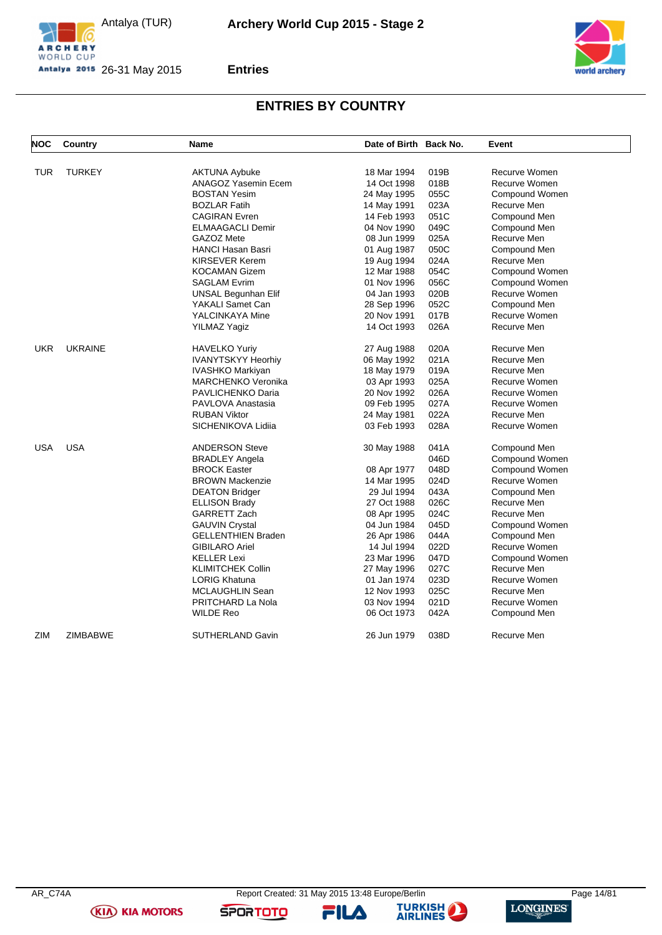







## **ENTRIES BY COUNTRY**

| NOC        | Country         | <b>Name</b>                | Date of Birth Back No. |      | Event          |
|------------|-----------------|----------------------------|------------------------|------|----------------|
|            |                 |                            |                        |      |                |
| TUR        | <b>TURKEY</b>   | <b>AKTUNA Aybuke</b>       | 18 Mar 1994            | 019B | Recurve Women  |
|            |                 | <b>ANAGOZ Yasemin Ecem</b> | 14 Oct 1998            | 018B | Recurve Women  |
|            |                 | <b>BOSTAN Yesim</b>        | 24 May 1995            | 055C | Compound Women |
|            |                 | <b>BOZLAR Fatih</b>        | 14 May 1991            | 023A | Recurve Men    |
|            |                 | <b>CAGIRAN Evren</b>       | 14 Feb 1993            | 051C | Compound Men   |
|            |                 | <b>ELMAAGACLI Demir</b>    | 04 Nov 1990            | 049C | Compound Men   |
|            |                 | GAZOZ Mete                 | 08 Jun 1999            | 025A | Recurve Men    |
|            |                 | <b>HANCI Hasan Basri</b>   | 01 Aug 1987            | 050C | Compound Men   |
|            |                 | <b>KIRSEVER Kerem</b>      | 19 Aug 1994            | 024A | Recurve Men    |
|            |                 | <b>KOCAMAN Gizem</b>       | 12 Mar 1988            | 054C | Compound Women |
|            |                 | <b>SAGLAM Evrim</b>        | 01 Nov 1996            | 056C | Compound Women |
|            |                 | UNSAL Begunhan Elif        | 04 Jan 1993            | 020B | Recurve Women  |
|            |                 | YAKALI Samet Can           | 28 Sep 1996            | 052C | Compound Men   |
|            |                 | YALCINKAYA Mine            | 20 Nov 1991            | 017B | Recurve Women  |
|            |                 | YILMAZ Yagiz               | 14 Oct 1993            | 026A | Recurve Men    |
| <b>UKR</b> | <b>UKRAINE</b>  | <b>HAVELKO Yuriy</b>       | 27 Aug 1988            | 020A | Recurve Men    |
|            |                 | <b>IVANYTSKYY Heorhiy</b>  | 06 May 1992            | 021A | Recurve Men    |
|            |                 | IVASHKO Markiyan           | 18 May 1979            | 019A | Recurve Men    |
|            |                 | <b>MARCHENKO Veronika</b>  | 03 Apr 1993            | 025A | Recurve Women  |
|            |                 | PAVLICHENKO Daria          | 20 Nov 1992            | 026A | Recurve Women  |
|            |                 | PAVLOVA Anastasia          | 09 Feb 1995            | 027A | Recurve Women  |
|            |                 | <b>RUBAN Viktor</b>        | 24 May 1981            | 022A | Recurve Men    |
|            |                 | SICHENIKOVA Lidiia         | 03 Feb 1993            | 028A | Recurve Women  |
| <b>USA</b> | <b>USA</b>      | <b>ANDERSON Steve</b>      | 30 May 1988            | 041A | Compound Men   |
|            |                 | <b>BRADLEY Angela</b>      |                        | 046D | Compound Women |
|            |                 | <b>BROCK Easter</b>        | 08 Apr 1977            | 048D | Compound Women |
|            |                 | <b>BROWN Mackenzie</b>     | 14 Mar 1995            | 024D | Recurve Women  |
|            |                 | <b>DEATON Bridger</b>      | 29 Jul 1994            | 043A | Compound Men   |
|            |                 | <b>ELLISON Brady</b>       | 27 Oct 1988            | 026C | Recurve Men    |
|            |                 | GARRETT Zach               | 08 Apr 1995            | 024C | Recurve Men    |
|            |                 | <b>GAUVIN Crystal</b>      | 04 Jun 1984            | 045D | Compound Women |
|            |                 | <b>GELLENTHIEN Braden</b>  | 26 Apr 1986            | 044A | Compound Men   |
|            |                 | <b>GIBILARO Ariel</b>      | 14 Jul 1994            | 022D | Recurve Women  |
|            |                 | <b>KELLER Lexi</b>         | 23 Mar 1996            | 047D | Compound Women |
|            |                 | <b>KLIMITCHEK Collin</b>   | 27 May 1996            | 027C | Recurve Men    |
|            |                 | <b>LORIG Khatuna</b>       | 01 Jan 1974            | 023D | Recurve Women  |
|            |                 | MCLAUGHLIN Sean            | 12 Nov 1993            | 025C | Recurve Men    |
|            |                 | PRITCHARD La Nola          | 03 Nov 1994            | 021D | Recurve Women  |
|            |                 | <b>WILDE Reo</b>           | 06 Oct 1973            | 042A | Compound Men   |
|            |                 |                            |                        |      |                |
| ZIM        | <b>ZIMBABWE</b> | <b>SUTHERLAND Gavin</b>    | 26 Jun 1979            | 038D | Recurve Men    |

**(KIA) KIA MOTORS** 

FILA

**SPORTOTO**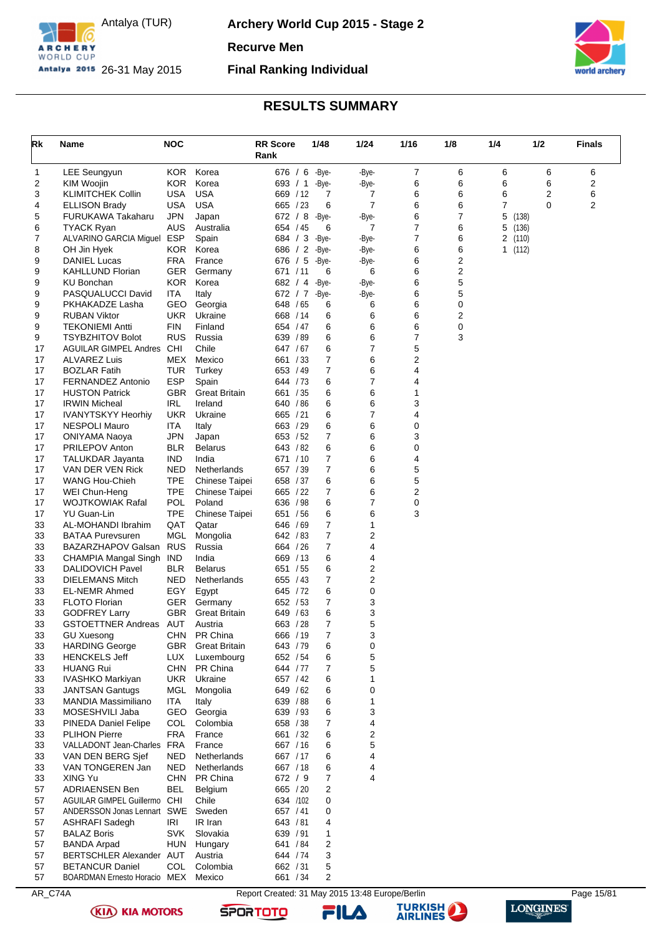

**Archery World Cup 2015 - Stage 2**

**Recurve Men**

**Final Ranking Individual**



## **RESULTS SUMMARY**

<span id="page-15-0"></span>

| Rk       | Name                                               | <b>NOC</b>               |                                    | <b>RR</b> Score<br>Rank | 1/48           | 1/24           | 1/16   | 1/8    | 1/4 | 1/2             | <b>Finals</b> |
|----------|----------------------------------------------------|--------------------------|------------------------------------|-------------------------|----------------|----------------|--------|--------|-----|-----------------|---------------|
| 1        | <b>LEE Seungyun</b>                                | KOR.                     | Korea                              | 676 / 6 -Bye-           |                | -Bye-          | 7      | 6      | 6   | 6               | 6             |
| 2        | KIM Woojin                                         | <b>KOR</b>               | Korea                              | 693 / 1                 | -Bye-          | -Bye-          | 6      | 6      | 6   | 6               | 2             |
| 3        | <b>KLIMITCHEK Collin</b>                           | USA                      | <b>USA</b>                         | 669 / 12                | 7              | 7              | 6      | 6      | 6   | 2               | 6             |
| 4        | <b>ELLISON Brady</b>                               | USA                      | <b>USA</b>                         | 665 / 23                | 6              | $\overline{7}$ | 6      | 6      | 7   | $\mathbf 0$     | 2             |
| 5        | FURUKAWA Takaharu                                  | <b>JPN</b>               | Japan                              | 672 / 8                 | -Bye-          | -Bye-          | 6      | 7      | 5   | (138)           |               |
| 6        | <b>TYACK Ryan</b>                                  | AUS                      | Australia                          | 654 / 45                | 6              | 7              | 7      | 6      | 5   | (136)           |               |
| 7<br>8   | ALVARINO GARCIA Miguel ESP<br>OH Jin Hyek          | <b>KOR</b>               | Spain<br>Korea                     | 684 / 3<br>686 / 2      | -Bye-<br>-Bye- | -Bye-<br>-Bye- | 7<br>6 | 6<br>6 | 2   | (110)<br>1(112) |               |
| 9        | DANIEL Lucas                                       | <b>FRA</b>               | France                             | 676 / 5                 | -Bye-          | -Bye-          | 6      | 2      |     |                 |               |
| 9        | <b>KAHLLUND Florian</b>                            | GER                      | Germany                            | 671 / 11                | 6              | 6              | 6      | 2      |     |                 |               |
| 9        | KU Bonchan                                         | <b>KOR</b>               | Korea                              | 682 / 4                 | -Bye-          | -Bye-          | 6      | 5      |     |                 |               |
| 9        | PASQUALUCCI David                                  | ITA                      | Italy                              | 672 / 7 -Bye-           |                | -Bye-          | 6      | 5      |     |                 |               |
| 9        | PKHAKADZE Lasha                                    | GEO                      | Georgia                            | 648 / 65                | 6              | 6              | 6      | 0      |     |                 |               |
| 9        | <b>RUBAN Viktor</b>                                | <b>UKR</b>               | Ukraine                            | 668 / 14                | 6              | 6              | 6      | 2      |     |                 |               |
| 9<br>9   | <b>TEKONIEMI Antti</b><br><b>TSYBZHITOV Bolot</b>  | FIN<br><b>RUS</b>        | Finland<br>Russia                  | 654 / 47<br>639 / 89    | 6<br>6         | 6<br>6         | 6<br>7 | 0<br>3 |     |                 |               |
| 17       | <b>AGUILAR GIMPEL Andres</b>                       | CHI                      | Chile                              | 647 / 67                | 6              | $\overline{7}$ | 5      |        |     |                 |               |
| 17       | <b>ALVAREZ Luis</b>                                | MEX                      | Mexico                             | 661 / 33                | 7              | 6              | 2      |        |     |                 |               |
| 17       | <b>BOZLAR Fatih</b>                                | TUR                      | Turkey                             | 653 / 49                | 7              | 6              | 4      |        |     |                 |               |
| 17       | <b>FERNANDEZ Antonio</b>                           | <b>ESP</b>               | Spain                              | 644 / 73                | 6              | $\overline{7}$ | 4      |        |     |                 |               |
| 17       | <b>HUSTON Patrick</b>                              | <b>GBR</b>               | <b>Great Britain</b>               | 661 / 35                | 6              | 6              | 1      |        |     |                 |               |
| 17       | <b>IRWIN Micheal</b>                               | IRL                      | Ireland                            | 640 / 86                | 6              | 6              | 3      |        |     |                 |               |
| 17       | <b>IVANYTSKYY Heorhiv</b>                          | <b>UKR</b>               | Ukraine                            | 665 / 21                | 6              | 7              | 4      |        |     |                 |               |
| 17       | <b>NESPOLI Mauro</b>                               | <b>ITA</b>               | Italy                              | 663 / 29                | 6              | 6              | 0      |        |     |                 |               |
| 17<br>17 | ONIYAMA Naoya<br><b>PRILEPOV Anton</b>             | <b>JPN</b><br><b>BLR</b> | Japan<br><b>Belarus</b>            | 653 / 52<br>643 / 82    | 7<br>6         | 6<br>6         | 3<br>0 |        |     |                 |               |
| 17       | <b>TALUKDAR Jayanta</b>                            | <b>IND</b>               | India                              | 671 / 10                | 7              | 6              | 4      |        |     |                 |               |
| 17       | VAN DER VEN Rick                                   | <b>NED</b>               | Netherlands                        | 657 / 39                | 7              | 6              | 5      |        |     |                 |               |
| 17       | <b>WANG Hou-Chieh</b>                              | <b>TPE</b>               | Chinese Taipei                     | 658 / 37                | 6              | 6              | 5      |        |     |                 |               |
| 17       | WEI Chun-Heng                                      | <b>TPE</b>               | Chinese Taipei                     | 665 / 22                | 7              | 6              | 2      |        |     |                 |               |
| 17       | <b>WOJTKOWIAK Rafal</b>                            | POL                      | Poland                             | 636 / 98                | 6              | 7              | 0      |        |     |                 |               |
| 17       | YU Guan-Lin                                        | <b>TPE</b>               | Chinese Taipei                     | 651 / 56                | 6              | 6              | 3      |        |     |                 |               |
| 33       | AL-MOHANDI Ibrahim                                 | QAT                      | Qatar                              | 646 / 69                | 7              | 1              |        |        |     |                 |               |
| 33       | <b>BATAA Purevsuren</b>                            | MGL                      | Mongolia                           | 642 / 83                | 7              | 2              |        |        |     |                 |               |
| 33<br>33 | BAZARZHAPOV Galsan<br>CHAMPIA Mangal Singh         | <b>RUS</b><br>IND        | Russia<br>India                    | 664 / 26<br>669 / 13    | 7<br>6         | 4<br>4         |        |        |     |                 |               |
| 33       | <b>DALIDOVICH Pavel</b>                            | <b>BLR</b>               | <b>Belarus</b>                     | 651 / 55                | 6              | 2              |        |        |     |                 |               |
| 33       | <b>DIELEMANS Mitch</b>                             | NED                      | Netherlands                        | 655 / 43                | 7              | 2              |        |        |     |                 |               |
| 33       | EL-NEMR Ahmed                                      | EGY                      | Egypt                              | 645 / 72                | 6              | 0              |        |        |     |                 |               |
| 33       | <b>FLOTO Florian</b>                               | <b>GER</b>               | Germany                            | 652 / 53                | 7              | 3              |        |        |     |                 |               |
| 33       | <b>GODFREY Larry</b>                               | <b>GBR</b>               | <b>Great Britain</b>               | 649 / 63                | 6              | 3              |        |        |     |                 |               |
| 33       | GSTOETTNER Andreas AUT                             |                          | Austria                            | 663 / 28                | 7              | 5              |        |        |     |                 |               |
| 33       | <b>GU Xuesong</b>                                  | CHN                      | PR China                           | 666 / 19                | 7              | 3              |        |        |     |                 |               |
| 33<br>33 | <b>HARDING George</b><br><b>HENCKELS Jeff</b>      | <b>GBR</b><br>LUX        | <b>Great Britain</b><br>Luxembourg | 643 / 79<br>652 / 54    | 6<br>6         | 0<br>5         |        |        |     |                 |               |
| 33       | <b>HUANG Rui</b>                                   |                          | CHN PR China                       | 644 / 77                | 7              | 5              |        |        |     |                 |               |
| 33       | IVASHKO Markiyan                                   | <b>UKR</b>               | Ukraine                            | 657 / 42                | 6              | 1              |        |        |     |                 |               |
| 33       | <b>JANTSAN Gantugs</b>                             | MGL                      | Mongolia                           | 649 / 62                | 6              | 0              |        |        |     |                 |               |
| 33       | <b>MANDIA Massimiliano</b>                         | ITA                      | Italy                              | 639 / 88                | 6              | 1              |        |        |     |                 |               |
| 33       | MOSESHVILI Jaba                                    | GEO                      | Georgia                            | 639 / 93                | 6              | 3              |        |        |     |                 |               |
| 33       | PINEDA Daniel Felipe                               | COL                      | Colombia                           | 658 / 38                | 7              | 4              |        |        |     |                 |               |
| 33       | <b>PLIHON Pierre</b>                               | <b>FRA</b>               | France                             | 661 / 32                | 6              | 2              |        |        |     |                 |               |
| 33       | VALLADONT Jean-Charles FRA<br>VAN DEN BERG Sjef    |                          | France                             | 667 / 16                | 6              | 5<br>4         |        |        |     |                 |               |
| 33<br>33 | VAN TONGEREN Jan                                   | <b>NED</b><br>NED        | Netherlands<br>Netherlands         | 667 / 17<br>667 / 18    | 6<br>6         | 4              |        |        |     |                 |               |
| 33       | XING Yu                                            | <b>CHN</b>               | PR China                           | 672 / 9                 | 7              | $\overline{4}$ |        |        |     |                 |               |
| 57       | ADRIAENSEN Ben                                     | <b>BEL</b>               | Belgium                            | 665 / 20                | 2              |                |        |        |     |                 |               |
| 57       | AGUILAR GIMPEL Guillermo                           | CHI                      | Chile                              | 634 /102                | 0              |                |        |        |     |                 |               |
| 57       | ANDERSSON Jonas Lennart SWE Sweden                 |                          |                                    | 657 / 41                | 0              |                |        |        |     |                 |               |
| 57       | <b>ASHRAFI Sadegh</b>                              | IRI                      | IR Iran                            | 643 / 81                | 4              |                |        |        |     |                 |               |
| 57       | <b>BALAZ Boris</b>                                 | SVK                      | Slovakia                           | 639 / 91                | 1              |                |        |        |     |                 |               |
| 57       | <b>BANDA Arpad</b>                                 | <b>HUN</b>               | Hungary                            | 641 / 84                | 2              |                |        |        |     |                 |               |
| 57<br>57 | BERTSCHLER Alexander AUT<br><b>BETANCUR Daniel</b> | COL                      | Austria<br>Colombia                | 644 / 74<br>662 / 31    | 3<br>5         |                |        |        |     |                 |               |
| 57       | BOARDMAN Ernesto Horacio MEX                       |                          | Mexico                             | 661 / 34                | 2              |                |        |        |     |                 |               |
|          |                                                    |                          |                                    |                         |                |                |        |        |     |                 |               |

AR\_C74A Report Created: 31 May 2015 13:48 Europe/Berlin Page 15/81

**SPORTOTO** 

**(KIA) KIA MOTORS** 



**TURKISH** 

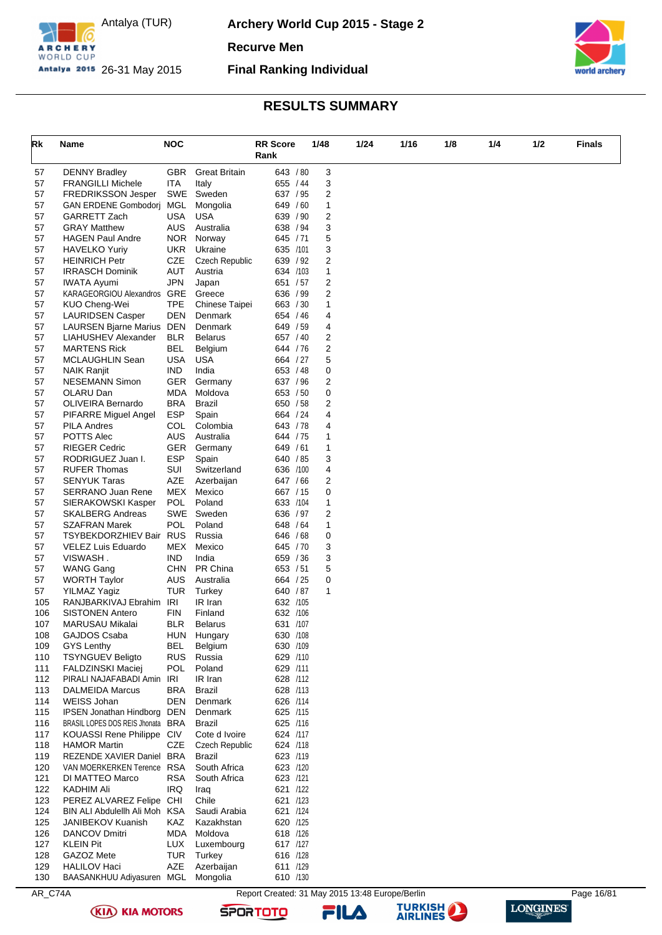

**Archery World Cup 2015 - Stage 2**

**Recurve Men**

**Final Ranking Individual**



## **RESULTS SUMMARY**

| Rk         | Name                                                   | <b>NOC</b>               |                               | <b>RR</b> Score<br>Rank | 1/48 | 1/24   | 1/16 | 1/8 | 1/4 | 1/2 | Finals |
|------------|--------------------------------------------------------|--------------------------|-------------------------------|-------------------------|------|--------|------|-----|-----|-----|--------|
|            |                                                        |                          |                               |                         |      |        |      |     |     |     |        |
| 57<br>57   | <b>DENNY Bradley</b><br><b>FRANGILLI Michele</b>       | GBR.<br>ITA              | <b>Great Britain</b><br>Italy | 643 / 80<br>655 / 44    |      | 3<br>3 |      |     |     |     |        |
| 57         | <b>FREDRIKSSON Jesper</b>                              | SWE                      | Sweden                        | 637 / 95                |      | 2      |      |     |     |     |        |
| 57         | <b>GAN ERDENE Gombodori</b>                            | MGL                      | Mongolia                      | 649 / 60                |      | 1      |      |     |     |     |        |
| 57         | GARRETT Zach                                           | USA                      | <b>USA</b>                    | 639 / 90                |      | 2      |      |     |     |     |        |
| 57         | <b>GRAY Matthew</b>                                    | AUS                      | Australia                     | 638 / 94                |      | 3      |      |     |     |     |        |
| 57         | <b>HAGEN Paul Andre</b>                                | <b>NOR</b>               | Norway                        | 645 / 71                |      | 5      |      |     |     |     |        |
| 57         | <b>HAVELKO Yuriy</b>                                   | UKR.                     | Ukraine                       | 635 /101                |      | 3      |      |     |     |     |        |
| 57         | <b>HEINRICH Petr</b>                                   | CZE                      | <b>Czech Republic</b>         | 639 / 92                |      | 2      |      |     |     |     |        |
| 57         | <b>IRRASCH Dominik</b>                                 | <b>AUT</b>               | Austria                       | 634 /103                |      | 1      |      |     |     |     |        |
| 57         | <b>IWATA Ayumi</b>                                     | JPN                      | Japan                         | 651 / 57                |      | 2      |      |     |     |     |        |
| 57         | KARAGEORGIOU Alexandros GRE                            |                          | Greece                        | 636 / 99                |      | 2      |      |     |     |     |        |
| 57         | KUO Cheng-Wei                                          | TPE                      | Chinese Taipei                | 663 / 30                |      | 1      |      |     |     |     |        |
| 57         | <b>LAURIDSEN Casper</b>                                | DEN                      | Denmark                       | 654 / 46                |      | 4      |      |     |     |     |        |
| 57         | LAURSEN Bjarne Marius DEN                              |                          | Denmark                       | 649 / 59                |      | 4      |      |     |     |     |        |
| 57<br>57   | LIAHUSHEV Alexander<br><b>MARTENS Rick</b>             | <b>BLR</b><br><b>BEL</b> | <b>Belarus</b><br>Belgium     | 657 / 40<br>644 / 76    |      | 2<br>2 |      |     |     |     |        |
| 57         | MCLAUGHLIN Sean                                        | <b>USA</b>               | <b>USA</b>                    | 664 / 27                |      | 5      |      |     |     |     |        |
| 57         | <b>NAIK Ranjit</b>                                     | <b>IND</b>               | India                         | 653 / 48                |      | 0      |      |     |     |     |        |
| 57         | <b>NESEMANN Simon</b>                                  | <b>GER</b>               | Germany                       | 637 / 96                |      | 2      |      |     |     |     |        |
| 57         | OLARU Dan                                              | MDA                      | Moldova                       | 653 / 50                |      | 0      |      |     |     |     |        |
| 57         | <b>OLIVEIRA Bernardo</b>                               | BRA                      | Brazil                        | 650 / 58                |      | 2      |      |     |     |     |        |
| 57         | PIFARRE Miguel Angel                                   | <b>ESP</b>               | Spain                         | 664 / 24                |      | 4      |      |     |     |     |        |
| 57         | <b>PILA Andres</b>                                     | <b>COL</b>               | Colombia                      | 643 / 78                |      | 4      |      |     |     |     |        |
| 57         | POTTS Alec                                             | AUS                      | Australia                     | 644 / 75                |      | 1      |      |     |     |     |        |
| 57         | <b>RIEGER Cedric</b>                                   | <b>GER</b>               | Germany                       | 649 / 61                |      | 1      |      |     |     |     |        |
| 57         | RODRIGUEZ Juan I.                                      | <b>ESP</b>               | Spain                         | 640 / 85                |      | 3      |      |     |     |     |        |
| 57         | <b>RUFER Thomas</b>                                    | SUI                      | Switzerland                   | 636 /100                |      | 4      |      |     |     |     |        |
| 57         | <b>SENYUK Taras</b>                                    | <b>AZE</b>               | Azerbaijan                    | 647 / 66                |      | 2      |      |     |     |     |        |
| 57         | <b>SERRANO Juan Rene</b><br>SIERAKOWSKI Kasper         | <b>MEX</b><br><b>POL</b> | Mexico<br>Poland              | 667 / 15<br>633 /104    |      | 0      |      |     |     |     |        |
| 57<br>57   | <b>SKALBERG Andreas</b>                                | SWE                      | Sweden                        | 636 / 97                |      | 1<br>2 |      |     |     |     |        |
| 57         | <b>SZAFRAN Marek</b>                                   | POL                      | Poland                        | 648 / 64                |      | 1      |      |     |     |     |        |
| 57         | TSYBEKDORZHIEV Bair RUS                                |                          | Russia                        | 646 / 68                |      | 0      |      |     |     |     |        |
| 57         | VELEZ Luis Eduardo                                     | MEX                      | Mexico                        | 645 / 70                |      | 3      |      |     |     |     |        |
| 57         | VISWASH.                                               | IND                      | India                         | 659 / 36                |      | 3      |      |     |     |     |        |
| 57         | <b>WANG Gang</b>                                       | CHN                      | PR China                      | 653 / 51                |      | 5      |      |     |     |     |        |
| 57         | <b>WORTH Taylor</b>                                    | AUS                      | Australia                     | 664 / 25                |      | 0      |      |     |     |     |        |
| 57         | <b>YILMAZ Yagiz</b>                                    | TUR                      | Turkey                        | 640 / 87                |      | 1      |      |     |     |     |        |
| 105        | RANJBARKIVAJ Ebrahim IRI                               |                          | IR Iran                       | 632 /105                |      |        |      |     |     |     |        |
| 106        | <b>SISTONEN Antero</b>                                 | FIN                      | Finland                       | 632 /106                |      |        |      |     |     |     |        |
| 107        | MARUSAU Mikalai                                        | <b>BLR</b>               | <b>Belarus</b>                | 631 /107                |      |        |      |     |     |     |        |
| 108        | GAJDOS Csaba                                           | HUN                      | Hungary                       | 630 /108                |      |        |      |     |     |     |        |
| 109        | <b>GYS Lenthy</b>                                      | <b>BEL</b>               | Belgium                       | 630 /109                |      |        |      |     |     |     |        |
| 110        | <b>TSYNGUEV Beligto</b>                                | <b>RUS</b>               | Russia                        | 629 /110                |      |        |      |     |     |     |        |
| 111<br>112 | <b>FALDZINSKI Maciej</b><br>PIRALI NAJAFABADI Amin IRI | POL                      | Poland<br>IR Iran             | 629 /111<br>628 /112    |      |        |      |     |     |     |        |
| 113        | DALMEIDA Marcus                                        | BRA                      | Brazil                        | 628 /113                |      |        |      |     |     |     |        |
| 114        | <b>WEISS Johan</b>                                     | <b>DEN</b>               | Denmark                       | 626 /114                |      |        |      |     |     |     |        |
| 115        | IPSEN Jonathan Hindborg DEN                            |                          | Denmark                       | 625 /115                |      |        |      |     |     |     |        |
| 116        | BRASIL LOPES DOS REIS Jhonata BRA                      |                          | Brazil                        | 625 /116                |      |        |      |     |     |     |        |
| 117        | KOUASSI Rene Philippe CIV                              |                          | Cote d Ivoire                 | 624 /117                |      |        |      |     |     |     |        |
| 118        | <b>HAMOR Martin</b>                                    | CZE                      | <b>Czech Republic</b>         | 624 /118                |      |        |      |     |     |     |        |
| 119        | REZENDE XAVIER Daniel BRA                              |                          | <b>Brazil</b>                 | 623 /119                |      |        |      |     |     |     |        |
| 120        | VAN MOERKERKEN Terence RSA                             |                          | South Africa                  | 623 /120                |      |        |      |     |     |     |        |
| 121        | DI MATTEO Marco                                        | RSA                      | South Africa                  | 623 /121                |      |        |      |     |     |     |        |
| 122        | KADHIM Ali                                             | <b>IRQ</b>               | Iraq                          | 621 /122                |      |        |      |     |     |     |        |
| 123        | PEREZ ALVAREZ Felipe CHI                               |                          | Chile                         | 621 /123                |      |        |      |     |     |     |        |
| 124        | BIN ALI Abdulellh Ali Moh KSA                          |                          | Saudi Arabia                  | 621 /124                |      |        |      |     |     |     |        |
| 125        | <b>JANIBEKOV Kuanish</b>                               | KAZ                      | Kazakhstan                    | 620 /125                |      |        |      |     |     |     |        |
| 126        | DANCOV Dmitri                                          | <b>MDA</b>               | Moldova                       | 618 /126                |      |        |      |     |     |     |        |
| 127<br>128 | <b>KLEIN Pit</b><br>GAZOZ Mete                         | LUX<br>TUR               | Luxembourg<br>Turkey          | 617 /127<br>616 /128    |      |        |      |     |     |     |        |
| 129        | <b>HALILOV Haci</b>                                    | AZE                      | Azerbaijan                    | 611 /129                |      |        |      |     |     |     |        |
| 130        | BAASANKHUU Adiyasuren MGL                              |                          | Mongolia                      | 610 /130                |      |        |      |     |     |     |        |

**(KIA) KIA MOTORS** 

AR\_C74A Report Created: 31 May 2015 13:48 Europe/Berlin Page 16/81

**SPORTOTO** 

FILA



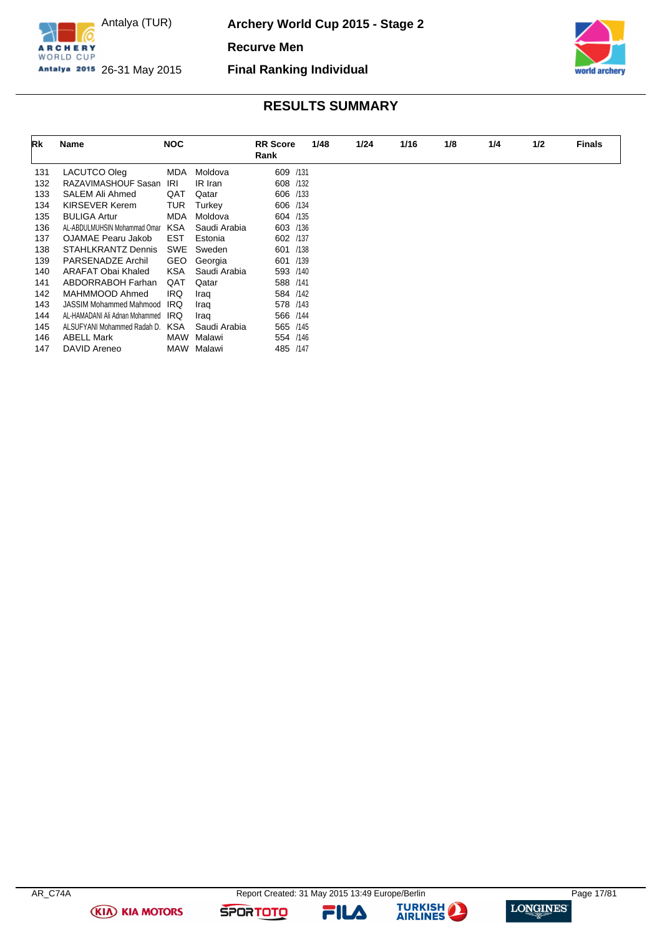

**Archery World Cup 2015 - Stage 2**

**Recurve Men**

**Final Ranking Individual**



## **RESULTS SUMMARY**

| Rk  | Name                           | <b>NOC</b> |              | <b>RR</b> Score | 1/48 | 1/24 | 1/16 | 1/8 | 1/4 | 1/2 | <b>Finals</b> |
|-----|--------------------------------|------------|--------------|-----------------|------|------|------|-----|-----|-----|---------------|
|     |                                |            |              | Rank            |      |      |      |     |     |     |               |
| 131 | LACUTCO Oleg                   | <b>MDA</b> | Moldova      | 609 /131        |      |      |      |     |     |     |               |
| 132 | RAZAVIMASHOUF Sasan            | IRI        | IR Iran      | 608 /132        |      |      |      |     |     |     |               |
| 133 | <b>SALEM Ali Ahmed</b>         | QAT        | Qatar        | 606 /133        |      |      |      |     |     |     |               |
| 134 | <b>KIRSEVER Kerem</b>          | TUR        | Turkey       | 606 /134        |      |      |      |     |     |     |               |
| 135 | <b>BULIGA Artur</b>            | <b>MDA</b> | Moldova      | 604 /135        |      |      |      |     |     |     |               |
| 136 | AL-ABDULMUHSIN Mohammad Omar   | <b>KSA</b> | Saudi Arabia | 603 /136        |      |      |      |     |     |     |               |
| 137 | OJAMAE Pearu Jakob             | <b>EST</b> | Estonia      | 602 /137        |      |      |      |     |     |     |               |
| 138 | <b>STAHLKRANTZ Dennis</b>      | SWE        | Sweden       | 601 /138        |      |      |      |     |     |     |               |
| 139 | PARSENADZE Archil              | <b>GEO</b> | Georgia      | 601 /139        |      |      |      |     |     |     |               |
| 140 | ARAFAT Obai Khaled             | <b>KSA</b> | Saudi Arabia | 593 /140        |      |      |      |     |     |     |               |
| 141 | ABDORRABOH Farhan              | QAT        | Qatar        | 588 /141        |      |      |      |     |     |     |               |
| 142 | MAHMMOOD Ahmed                 | <b>IRQ</b> | Iraq         | 584 /142        |      |      |      |     |     |     |               |
| 143 | JASSIM Mohammed Mahmood        | IRQ        | Iraq         | 578 /143        |      |      |      |     |     |     |               |
| 144 | AL-HAMADANI Ali Adnan Mohammed | <b>IRQ</b> | Iraq         | 566 /144        |      |      |      |     |     |     |               |
| 145 | ALSUFYANI Mohammed Radah D.    | <b>KSA</b> | Saudi Arabia | 565 /145        |      |      |      |     |     |     |               |
| 146 | <b>ABELL Mark</b>              | <b>MAW</b> | Malawi       | 554 /146        |      |      |      |     |     |     |               |
| 147 | DAVID Areneo                   | MAW        | Malawi       | 485 /147        |      |      |      |     |     |     |               |

**(KIA) KIA MOTORS** 

**SPORTOTO** 

FILA



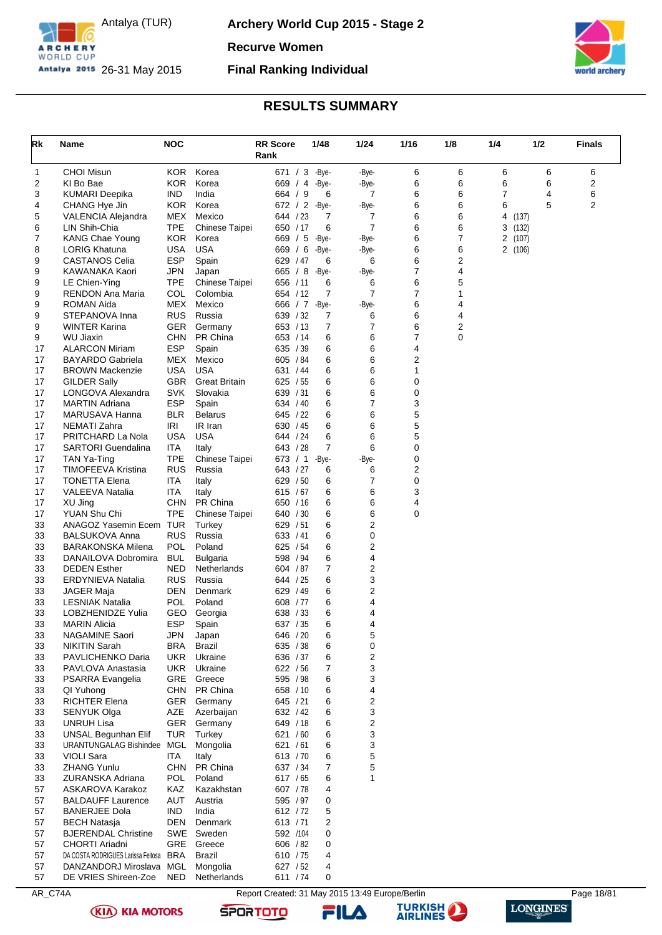

**Archery World Cup 2015 - Stage 2**

**Recurve Women**

## **Final Ranking Individual**



## **RESULTS SUMMARY**

<span id="page-18-0"></span>

| Rk       | Name                                            | <b>NOC</b>               |                                    | <b>RR Score</b>      | 1/48       | 1/24           | 1/16   | 1/8    | 1/4        | 1/2    | <b>Finals</b> |
|----------|-------------------------------------------------|--------------------------|------------------------------------|----------------------|------------|----------------|--------|--------|------------|--------|---------------|
|          |                                                 |                          |                                    | Rank                 |            |                |        |        |            |        |               |
| 1        | <b>CHOI Misun</b>                               | <b>KOR</b>               | Korea                              | 671 / 3              | -Bye-      | -Bye-          | 6      | 6      | 6          | 6      | 6             |
| 2<br>3   | KI Bo Bae<br><b>KUMARI Deepika</b>              | <b>KOR</b><br><b>IND</b> | Korea<br>India                     | 669 / 4<br>664 / 9   | -Bye-<br>6 | -Bye-<br>7     | 6<br>6 | 6<br>6 | 6<br>7     | 6<br>4 | 2<br>6        |
| 4        | CHANG Hye Jin                                   | <b>KOR</b>               | Korea                              | 672 / 2              | -Bye-      | -Bye-          | 6      | 6      | 6          | 5      | 2             |
| 5        | VALENCIA Alejandra                              | MEX                      | Mexico                             | 644 / 23             | 7          | 7              | 6      | 6      | 4<br>(137) |        |               |
| 6        | LIN Shih-Chia                                   | <b>TPE</b>               | Chinese Taipei                     | 650 / 17             | 6          | $\overline{7}$ | 6      | 6      | 3<br>(132) |        |               |
| 7        | <b>KANG Chae Young</b>                          | <b>KOR</b>               | Korea                              | 669 / 5              | -Bye-      | -Bye-          | 6      | 7      | 2<br>(107) |        |               |
| 8        | LORIG Khatuna                                   | USA                      | <b>USA</b>                         | 669 / 6              | -Bye-      | -Bye-          | 6      | 6      | 2(106)     |        |               |
| 9        | CASTANOS Celia                                  | <b>ESP</b>               | Spain                              | 629 / 47             | 6          | 6              | 6      | 2      |            |        |               |
| 9<br>9   | KAWANAKA Kaori<br>LE Chien-Ying                 | <b>JPN</b><br><b>TPE</b> | Japan<br>Chinese Taipei            | 665 / 8<br>656 / 11  | -Bye-<br>6 | -Bye-<br>6     | 7<br>6 | 4<br>5 |            |        |               |
| 9        | <b>RENDON Ana Maria</b>                         | COL                      | Colombia                           | 654 / 12             | 7          | $\overline{7}$ | 7      | 1      |            |        |               |
| 9        | ROMAN Aida                                      | MEX                      | Mexico                             | 666 / 7              | -Bye-      | -Bye-          | 6      | 4      |            |        |               |
| 9        | STEPANOVA Inna                                  | <b>RUS</b>               | Russia                             | 639 / 32             | 7          | 6              | 6      | 4      |            |        |               |
| 9        | WINTER Karina                                   | GER                      | Germany                            | 653 / 13             | 7          | 7              | 6      | 2      |            |        |               |
| 9        | <b>WU Jiaxin</b>                                | <b>CHN</b>               | PR China                           | 653 / 14             | 6          | 6              | 7      | 0      |            |        |               |
| 17       | <b>ALARCON Miriam</b>                           | <b>ESP</b>               | Spain                              | 635 / 39             | 6          | 6              | 4      |        |            |        |               |
| 17       | <b>BAYARDO Gabriela</b>                         | <b>MEX</b>               | Mexico                             | 605 / 84             | 6          | 6              | 2      |        |            |        |               |
| 17<br>17 | <b>BROWN Mackenzie</b><br><b>GILDER Sally</b>   | USA<br><b>GBR</b>        | <b>USA</b><br><b>Great Britain</b> | 631 / 44<br>625 / 55 | 6<br>6     | 6<br>6         | 1      |        |            |        |               |
| 17       | LONGOVA Alexandra                               | SVK                      | Slovakia                           | 639 / 31             | 6          | 6              | 0<br>0 |        |            |        |               |
| 17       | <b>MARTIN Adriana</b>                           | <b>ESP</b>               | Spain                              | 634 / 40             | 6          | $\overline{7}$ | 3      |        |            |        |               |
| 17       | MARUSAVA Hanna                                  | <b>BLR</b>               | <b>Belarus</b>                     | 645 / 22             | 6          | 6              | 5      |        |            |        |               |
| 17       | NEMATI Zahra                                    | IRI                      | IR Iran                            | 630 / 45             | 6          | 6              | 5      |        |            |        |               |
| 17       | PRITCHARD La Nola                               | <b>USA</b>               | <b>USA</b>                         | 644 / 24             | 6          | 6              | 5      |        |            |        |               |
| 17       | <b>SARTORI</b> Guendalina                       | <b>ITA</b>               | Italy                              | 643 / 28             | 7          | 6              | 0      |        |            |        |               |
| 17       | TAN Ya-Ting                                     | <b>TPE</b>               | Chinese Taipei                     | 673 / 1              | -Bye-      | -Bye-          | 0      |        |            |        |               |
| 17       | TIMOFEEVA Kristina                              | <b>RUS</b>               | Russia                             | 643 / 27             | 6          | 6<br>7         | 2<br>0 |        |            |        |               |
| 17<br>17 | <b>TONETTA Elena</b><br>VALEEVA Natalia         | ITA<br>ITA               | Italy<br>Italy                     | 629 / 50<br>615 / 67 | 6<br>6     | 6              | 3      |        |            |        |               |
| 17       | XU Jing                                         | <b>CHN</b>               | PR China                           | 650 / 16             | 6          | 6              | 4      |        |            |        |               |
| 17       | YUAN Shu Chi                                    | <b>TPE</b>               | Chinese Taipei                     | 640 / 30             | 6          | 6              | 0      |        |            |        |               |
| 33       | ANAGOZ Yasemin Ecem TUR                         |                          | Turkey                             | 629 / 51             | 6          | $\overline{c}$ |        |        |            |        |               |
| 33       | <b>BALSUKOVA Anna</b>                           | <b>RUS</b>               | Russia                             | 633 / 41             | 6          | $\mathbf 0$    |        |        |            |        |               |
| 33       | <b>BARAKONSKA Milena</b>                        | POL                      | Poland                             | 625 / 54             | 6          | 2              |        |        |            |        |               |
| 33       | DANAILOVA Dobromira                             | <b>BUL</b>               | Bulgaria                           | 598 / 94             | 6          | 4              |        |        |            |        |               |
| 33<br>33 | <b>DEDEN Esther</b><br><b>ERDYNIEVA Natalia</b> | NED<br><b>RUS</b>        | Netherlands<br>Russia              | 604 / 87<br>644 / 25 | 7<br>6     | 2<br>3         |        |        |            |        |               |
| 33       | <b>JAGER Maja</b>                               | DEN                      | Denmark                            | 629 / 49             | 6          | 2              |        |        |            |        |               |
| 33       | <b>LESNIAK Natalia</b>                          | POL                      | Poland                             | 608 / 77             | 6          | 4              |        |        |            |        |               |
| 33       | <b>LOBZHENIDZE Yulia</b>                        | GEO                      | Georgia                            | 638 / 33             | 6          | 4              |        |        |            |        |               |
| 33       | <b>MARIN Alicia</b>                             | <b>ESP</b>               | Spain                              | 637 / 35             | 6          | 4              |        |        |            |        |               |
| 33       | <b>NAGAMINE Saori</b>                           | <b>JPN</b>               | Japan                              | 646 / 20             | 6          | 5              |        |        |            |        |               |
| 33       | <b>NIKITIN Sarah</b>                            | <b>BRA</b>               | Brazil                             | 635 / 38             | 6          | 0              |        |        |            |        |               |
| 33       | PAVLICHENKO Daria                               | UKR.                     | Ukraine<br>Ukraine                 | 636 / 37             | 6          | 2              |        |        |            |        |               |
| 33<br>33 | PAVLOVA Anastasia<br>PSARRA Evangelia           | <b>UKR</b>               | <b>GRE</b> Greece                  | 622 / 56<br>595 / 98 | 7<br>6     | 3<br>3         |        |        |            |        |               |
| 33       | QI Yuhong                                       |                          | CHN PR China                       | 658 / 10             | 6          | 4              |        |        |            |        |               |
| 33       | <b>RICHTER Elena</b>                            |                          | GER Germany                        | 645 / 21             | 6          | $\overline{c}$ |        |        |            |        |               |
| 33       | SENYUK Olga                                     | AZE                      | Azerbaijan                         | 632 / 42             | 6          | 3              |        |        |            |        |               |
| 33       | <b>UNRUH Lisa</b>                               | <b>GER</b>               | Germany                            | 649 / 18             | 6          | 2              |        |        |            |        |               |
| 33       | <b>UNSAL Begunhan Elif</b>                      | TUR                      | Turkey                             | 621 / 60             | 6          | 3              |        |        |            |        |               |
| 33       | URANTUNGALAG Bishindee MGL                      |                          | Mongolia                           | 621 / 61             | 6          | 3              |        |        |            |        |               |
| 33       | <b>VIOLI Sara</b><br><b>ZHANG Yunlu</b>         | <b>ITA</b>               | Italy<br>CHN PR China              | 613 / 70<br>637 / 34 | 6<br>7     | 5<br>5         |        |        |            |        |               |
| 33<br>33 | ZURANSKA Adriana                                | <b>POL</b>               | Poland                             | 617 / 65             | 6          | 1              |        |        |            |        |               |
| 57       | ASKAROVA Karakoz                                | KAZ                      | Kazakhstan                         | 607 / 78             | 4          |                |        |        |            |        |               |
| 57       | <b>BALDAUFF Laurence</b>                        | AUT                      | Austria                            | 595 / 97             | 0          |                |        |        |            |        |               |
| 57       | <b>BANERJEE Dola</b>                            | <b>IND</b>               | India                              | 612 / 72             | 5          |                |        |        |            |        |               |
| 57       | <b>BECH Natasja</b>                             | DEN                      | Denmark                            | 613 / 71             | 2          |                |        |        |            |        |               |
| 57       | <b>BJERENDAL Christine</b>                      |                          | SWE Sweden                         | 592 /104             | 0          |                |        |        |            |        |               |
| 57       | CHORTI Ariadni                                  |                          | GRE Greece                         | 606 / 82             | 0          |                |        |        |            |        |               |
| 57       | DA COSTA RODRIGUES Larissa Feitosa BRA          |                          | <b>Brazil</b>                      | 610 / 75             | 4          |                |        |        |            |        |               |
| 57<br>57 | DANZANDORJ Miroslava<br>DE VRIES Shireen-Zoe    | MGL<br><b>NED</b>        | Mongolia<br>Netherlands            | 627 / 52<br>611 / 74 | 4<br>0     |                |        |        |            |        |               |
|          |                                                 |                          |                                    |                      |            |                |        |        |            |        |               |

AR\_C74A Report Created: 31 May 2015 13:49 Europe/Berlin Page 18/81





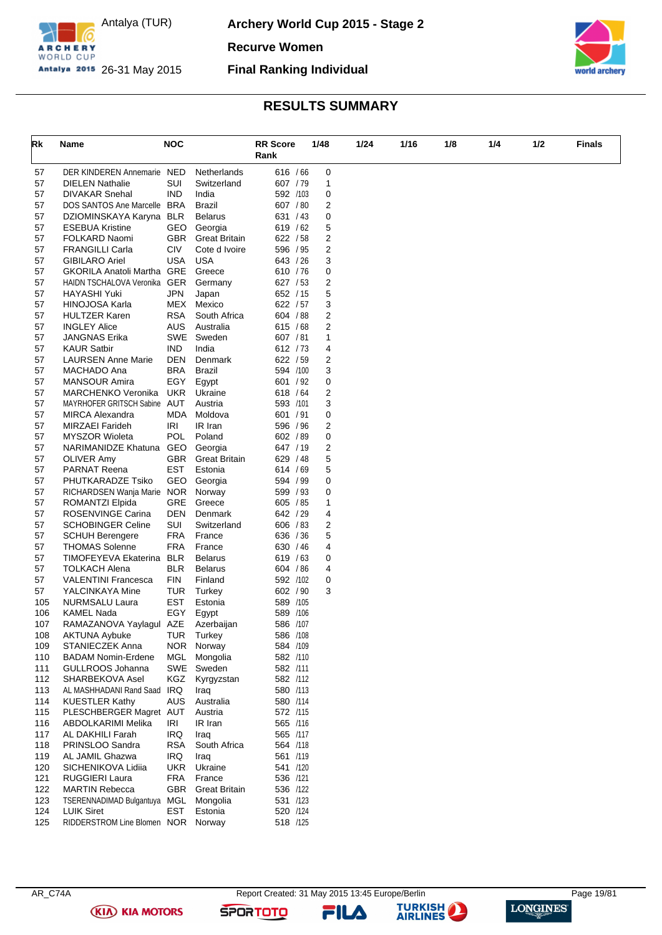

**Archery World Cup 2015 - Stage 2**

**Recurve Women**

**Final Ranking Individual**



## **RESULTS SUMMARY**

| Rk       | Name                                                 | <b>NOC</b> |                            | <b>RR Score</b><br>Rank | 1/48              | 1/24 | 1/16 | 1/8 | 1/4 | 1/2 | Finals |
|----------|------------------------------------------------------|------------|----------------------------|-------------------------|-------------------|------|------|-----|-----|-----|--------|
|          |                                                      |            |                            |                         |                   |      |      |     |     |     |        |
| 57<br>57 | DER KINDEREN Annemarie NED<br><b>DIELEN Nathalie</b> | SUI        | Netherlands<br>Switzerland | 616 / 66<br>607 / 79    | 0<br>$\mathbf{1}$ |      |      |     |     |     |        |
| 57       | <b>DIVAKAR Snehal</b>                                | <b>IND</b> | India                      | 592 /103                | 0                 |      |      |     |     |     |        |
| 57       | DOS SANTOS Ane Marcelle BRA                          |            | Brazil                     | 607 / 80                | 2                 |      |      |     |     |     |        |
| 57       | DZIOMINSKAYA Karyna BLR                              |            | <b>Belarus</b>             | 631 / 43                | 0                 |      |      |     |     |     |        |
| 57       | <b>ESEBUA Kristine</b>                               | GEO        | Georgia                    | 619 / 62                | 5                 |      |      |     |     |     |        |
| 57       | FOLKARD Naomi                                        | <b>GBR</b> | <b>Great Britain</b>       | 622 / 58                | 2                 |      |      |     |     |     |        |
| 57       | <b>FRANGILLI Carla</b>                               | <b>CIV</b> | Cote d Ivoire              | 596 / 95                | 2                 |      |      |     |     |     |        |
| 57       | <b>GIBILARO Ariel</b>                                | <b>USA</b> | <b>USA</b>                 | 643 / 26                | 3                 |      |      |     |     |     |        |
| 57       | GKORILA Anatoli Martha GRE                           |            | Greece                     | 610 / 76                | 0                 |      |      |     |     |     |        |
| 57       | HAIDN TSCHALOVA Veronika GER                         |            | Germany                    | 627 / 53                | 2                 |      |      |     |     |     |        |
| 57       | HAYASHI Yuki                                         | JPN        | Japan                      | 652 / 15                | 5                 |      |      |     |     |     |        |
| 57       | HINOJOSA Karla                                       | MEX        | Mexico                     | 622 / 57                | 3                 |      |      |     |     |     |        |
| 57       | <b>HULTZER Karen</b>                                 | <b>RSA</b> | South Africa               | 604 / 88                | 2                 |      |      |     |     |     |        |
| 57       | <b>INGLEY Alice</b>                                  | <b>AUS</b> | Australia                  | 615 / 68                | 2                 |      |      |     |     |     |        |
| 57       | JANGNAS Erika                                        | SWE        | Sweden                     | 607 / 81                | 1                 |      |      |     |     |     |        |
| 57       | <b>KAUR Satbir</b>                                   | <b>IND</b> | India                      | 612 / 73                | 4                 |      |      |     |     |     |        |
| 57       | <b>LAURSEN Anne Marie</b>                            | DEN        | Denmark                    | 622 / 59                | 2                 |      |      |     |     |     |        |
| 57       | MACHADO Ana                                          | <b>BRA</b> | <b>Brazil</b>              | 594 /100                | 3                 |      |      |     |     |     |        |
| 57       | <b>MANSOUR Amira</b>                                 | EGY        | Egypt                      | 601 / 92                | 0                 |      |      |     |     |     |        |
| 57       | MARCHENKO Veronika                                   | UKR.       | Ukraine                    | 618 / 64                | 2                 |      |      |     |     |     |        |
| 57       | MAYRHOFER GRITSCH Sabine AUT                         |            | Austria                    | 593 /101                | 3                 |      |      |     |     |     |        |
| 57       | <b>MIRCA Alexandra</b>                               | MDA        | Moldova                    | 601 / 91                | 0                 |      |      |     |     |     |        |
| 57       | MIRZAEI Farideh                                      | IRI        | IR Iran                    | 596 / 96                | 2                 |      |      |     |     |     |        |
| 57       | <b>MYSZOR Wioleta</b>                                | POL        | Poland                     | 602 / 89                | 0                 |      |      |     |     |     |        |
| 57       | NARIMANIDZE Khatuna GEO                              |            | Georgia                    | 647 / 19                | 2                 |      |      |     |     |     |        |
| 57       | <b>OLIVER Amy</b>                                    | <b>GBR</b> | <b>Great Britain</b>       | 629 / 48                | 5                 |      |      |     |     |     |        |
| 57       | PARNAT Reena                                         | <b>EST</b> | Estonia                    | 614 / 69                | 5                 |      |      |     |     |     |        |
| 57       | PHUTKARADZE Tsiko                                    | GEO        | Georgia                    | 594 / 99                | 0                 |      |      |     |     |     |        |
| 57       | RICHARDSEN Wanja Marie NOR                           |            | Norway                     | 599 / 93                | 0                 |      |      |     |     |     |        |
| 57       | ROMANTZI Elpida                                      | GRE        | Greece                     | 605 / 85                | 1                 |      |      |     |     |     |        |
| 57       | ROSENVINGE Carina                                    | DEN        | Denmark                    | 642 / 29                | 4                 |      |      |     |     |     |        |
| 57       | <b>SCHOBINGER Celine</b>                             | SUI        | Switzerland                | 606 / 83                | 2                 |      |      |     |     |     |        |
| 57       | <b>SCHUH Berengere</b>                               | <b>FRA</b> | France                     | 636 / 36                | 5                 |      |      |     |     |     |        |
| 57       | <b>THOMAS Solenne</b>                                | <b>FRA</b> | France                     | 630 / 46                | 4                 |      |      |     |     |     |        |
| 57       | TIMOFEYEVA Ekaterina BLR                             |            | <b>Belarus</b>             | 619 / 63                | 0                 |      |      |     |     |     |        |
| 57       | TOLKACH Alena                                        | <b>BLR</b> | <b>Belarus</b>             | 604 / 86                | 4                 |      |      |     |     |     |        |
| 57       | <b>VALENTINI Francesca</b>                           | <b>FIN</b> | Finland                    | 592 /102                | 0                 |      |      |     |     |     |        |
| 57       | YALCINKAYA Mine                                      | TUR        | Turkey                     | 602 / 90                | 3                 |      |      |     |     |     |        |
| 105      | NURMSALU Laura                                       | <b>EST</b> | Estonia                    | 589 /105                |                   |      |      |     |     |     |        |
| 106      | KAMEL Nada                                           | EGY        | Egypt                      | 589 /106                |                   |      |      |     |     |     |        |
| 107      | RAMAZANOVA Yaylagul AZE                              |            | Azerbaijan                 | 586 /107                |                   |      |      |     |     |     |        |
| 108      | <b>AKTUNA Aybuke</b>                                 |            | TUR Turkey                 | 586 /108                |                   |      |      |     |     |     |        |
| 109      | STANIECZEK Anna                                      | <b>NOR</b> | Norway                     | 584 /109                |                   |      |      |     |     |     |        |
| 110      | <b>BADAM Nomin-Erdene</b>                            | MGL        | Mongolia                   | 582 /110                |                   |      |      |     |     |     |        |
| 111      | GULLROOS Johanna                                     | SWE        | Sweden                     | 582 /111                |                   |      |      |     |     |     |        |
| 112      | SHARBEKOVA Asel                                      | KGZ        | Kyrgyzstan                 | 582 /112                |                   |      |      |     |     |     |        |
| 113      | AL MASHHADANI Rand Saad IRQ                          |            | Iraq                       | 580 /113                |                   |      |      |     |     |     |        |
| 114      | <b>KUESTLER Kathy</b>                                | AUS        | Australia                  | 580 /114                |                   |      |      |     |     |     |        |
| 115      | PLESCHBERGER Magret AUT                              |            | Austria                    | 572 /115                |                   |      |      |     |     |     |        |
| 116      | ABDOLKARIMI Melika                                   | IRI        | IR Iran                    | 565 /116                |                   |      |      |     |     |     |        |
| 117      | AL DAKHILI Farah                                     | IRQ        | Iraq                       | 565 /117                |                   |      |      |     |     |     |        |
| 118      | PRINSLOO Sandra                                      | <b>RSA</b> | South Africa               | 564 /118                |                   |      |      |     |     |     |        |
| 119      | AL JAMIL Ghazwa                                      | IRQ        | Iraq                       | 561 /119                |                   |      |      |     |     |     |        |
| 120      | SICHENIKOVA Lidiia                                   | <b>UKR</b> | Ukraine                    | 541 /120                |                   |      |      |     |     |     |        |
| 121      | RUGGIERI Laura                                       | <b>FRA</b> | France                     | 536 /121                |                   |      |      |     |     |     |        |
| 122      | <b>MARTIN Rebecca</b>                                | <b>GBR</b> | <b>Great Britain</b>       | 536 /122                |                   |      |      |     |     |     |        |
| 123      | TSERENNADIMAD Bulgantuya MGL                         |            | Mongolia                   | 531 /123                |                   |      |      |     |     |     |        |
| 124      | <b>LUIK Siret</b>                                    | <b>EST</b> | Estonia                    | 520 /124                |                   |      |      |     |     |     |        |
| 125      | RIDDERSTROM Line Blomen NOR                          |            | Norway                     | 518 /125                |                   |      |      |     |     |     |        |
|          |                                                      |            |                            |                         |                   |      |      |     |     |     |        |

**(KIA) KIA MOTORS** 

**SPORTOTO** 

FILA



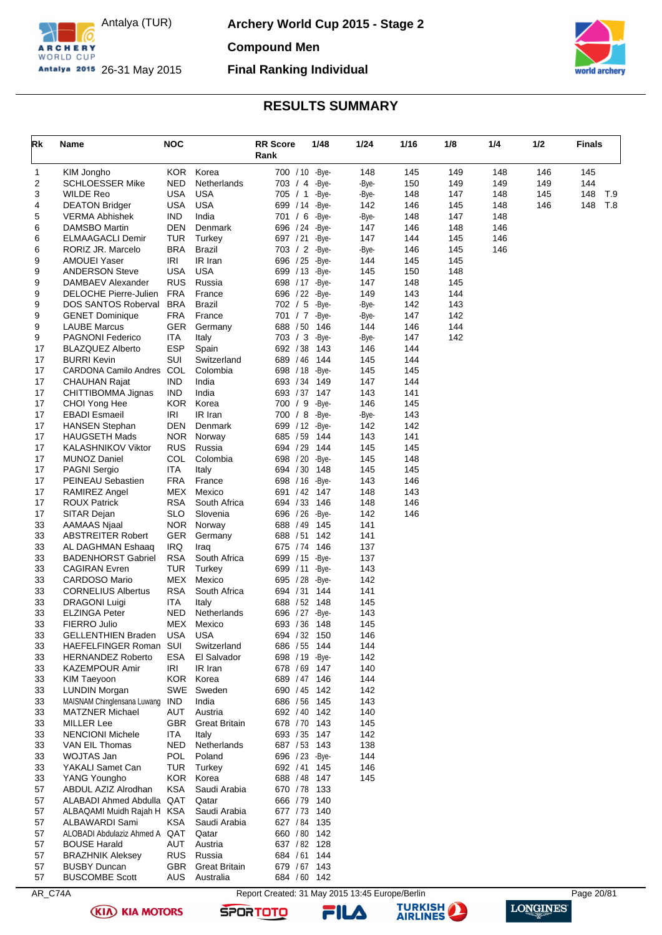

**Archery World Cup 2015 - Stage 2**

**Compound Men**

**Final Ranking Individual**



## **RESULTS SUMMARY**

<span id="page-20-0"></span>

| Rk       | Name                                             | <b>NOC</b>               |                         | <b>RR Score</b><br>Rank          | 1/48           | 1/24         | 1/16       | 1/8        | 1/4        | 1/2        | <b>Finals</b> |     |
|----------|--------------------------------------------------|--------------------------|-------------------------|----------------------------------|----------------|--------------|------------|------------|------------|------------|---------------|-----|
|          |                                                  |                          |                         |                                  |                |              |            |            |            |            |               |     |
| 1<br>2   | KIM Jongho<br><b>SCHLOESSER Mike</b>             | <b>KOR</b><br>NED        | Korea<br>Netherlands    | 700 / 10 - Bye-<br>703 / 4 -Bye- |                | 148<br>-Bye- | 145<br>150 | 149<br>149 | 148<br>149 | 146<br>149 | 145<br>144    |     |
| 3        | <b>WILDE Reo</b>                                 | USA                      | <b>USA</b>              | 705 / 1                          | -Bye-          | -Bye-        | 148        | 147        | 148        | 145        | 148           | T.9 |
| 4        | <b>DEATON Bridger</b>                            | USA                      | <b>USA</b>              | 699 / 14                         | -Bye-          | 142          | 146        | 145        | 148        | 146        | 148           | T.8 |
| 5        | <b>VERMA Abhishek</b>                            | <b>IND</b>               | India                   | 701 / 6 -Bye-                    |                | -Bye-        | 148        | 147        | 148        |            |               |     |
| 6        | DAMSBO Martin                                    | DEN                      | Denmark                 | 696 / 24 - Bye-                  |                | 147          | 146        | 148        | 146        |            |               |     |
| 6        | <b>ELMAAGACLI Demir</b>                          | TUR                      | Turkey                  | 697 / 21                         | -Bye-          | 147          | 144        | 145        | 146        |            |               |     |
| 6        | RORIZ JR. Marcelo                                | <b>BRA</b>               | Brazil                  | 703 / 2 -Bye-                    |                | -Bye-        | 146        | 145        | 146        |            |               |     |
| 9        | <b>AMOUEI Yaser</b>                              | IRI                      | IR Iran                 | 696 / 25 - Bye-                  |                | 144          | 145        | 145        |            |            |               |     |
| 9        | <b>ANDERSON Steve</b>                            | <b>USA</b>               | <b>USA</b>              | 699 / 13 - Bye-                  |                | 145          | 150        | 148        |            |            |               |     |
| 9        | DAMBAEV Alexander                                | <b>RUS</b>               | Russia                  | 698 / 17 - Bye-                  |                | 147          | 148        | 145        |            |            |               |     |
| 9        | DELOCHE Pierre-Julien                            | <b>FRA</b>               | France                  | 696 / 22 - Bye-                  |                | 149          | 143        | 144        |            |            |               |     |
| 9<br>9   | DOS SANTOS Roberval                              | <b>BRA</b><br><b>FRA</b> | <b>Brazil</b><br>France | 702 / 5<br>701 / 7               | -Bye-<br>-Bye- | -Bye-        | 142<br>147 | 143<br>142 |            |            |               |     |
| 9        | <b>GENET Dominique</b><br><b>LAUBE Marcus</b>    | <b>GER</b>               | Germany                 | 688 / 50                         | 146            | -Bye-<br>144 | 146        | 144        |            |            |               |     |
| 9        | <b>PAGNONI Federico</b>                          | <b>ITA</b>               | Italy                   | 703 / 3                          | -Bye-          | -Bye-        | 147        | 142        |            |            |               |     |
| 17       | <b>BLAZQUEZ Alberto</b>                          | <b>ESP</b>               | Spain                   | 692 / 38                         | 143            | 146          | 144        |            |            |            |               |     |
| 17       | <b>BURRI Kevin</b>                               | SUI                      | Switzerland             | 689 / 46                         | 144            | 145          | 144        |            |            |            |               |     |
| 17       | CARDONA Camilo Andres COL                        |                          | Colombia                | 698 / 18                         | -Bye-          | 145          | 145        |            |            |            |               |     |
| 17       | CHAUHAN Rajat                                    | <b>IND</b>               | India                   | 693 / 34                         | 149            | 147          | 144        |            |            |            |               |     |
| 17       | CHITTIBOMMA Jignas                               | <b>IND</b>               | India                   | 693 / 37                         | 147            | 143          | 141        |            |            |            |               |     |
| 17       | CHOI Yong Hee                                    | <b>KOR</b>               | Korea                   | 700 / 9                          | -Bye-          | 146          | 145        |            |            |            |               |     |
| 17       | <b>EBADI Esmaeil</b>                             | <b>IRI</b>               | IR Iran                 | 700 / 8                          | -Bye-          | -Bye-        | 143        |            |            |            |               |     |
| 17       | <b>HANSEN Stephan</b>                            | DEN                      | Denmark                 | 699 / 12 - Bye-                  |                | 142          | 142        |            |            |            |               |     |
| 17       | <b>HAUGSETH Mads</b>                             | <b>NOR</b>               | Norway                  | 685 / 59                         | 144            | 143          | 141        |            |            |            |               |     |
| 17       | <b>KALASHNIKOV Viktor</b>                        | <b>RUS</b>               | Russia                  | 694 / 29 144                     |                | 145          | 145        |            |            |            |               |     |
| 17       | <b>MUNOZ Daniel</b>                              | COL                      | Colombia                | 698 / 20 - Bye-                  |                | 145          | 148        |            |            |            |               |     |
| 17<br>17 | <b>PAGNI Sergio</b>                              | ITA<br><b>FRA</b>        | Italy<br>France         | 694 / 30                         | 148            | 145<br>143   | 145        |            |            |            |               |     |
| 17       | PEINEAU Sebastien<br>RAMIREZ Angel               | MEX                      | Mexico                  | 698 / 16 - Bye-<br>691 / 42      | 147            | 148          | 146<br>143 |            |            |            |               |     |
| 17       | <b>ROUX Patrick</b>                              | <b>RSA</b>               | South Africa            | 694 / 33                         | 146            | 148          | 146        |            |            |            |               |     |
| 17       | SITAR Dejan                                      | <b>SLO</b>               | Slovenia                | 696 / 26 - Bye-                  |                | 142          | 146        |            |            |            |               |     |
| 33       | AAMAAS Njaal                                     | <b>NOR</b>               | Norway                  | 688 / 49                         | 145            | 141          |            |            |            |            |               |     |
| 33       | <b>ABSTREITER Robert</b>                         | <b>GER</b>               | Germany                 | 688 / 51                         | 142            | 141          |            |            |            |            |               |     |
| 33       | AL DAGHMAN Eshaaq                                | <b>IRQ</b>               | Iraq                    | 675 / 74                         | 146            | 137          |            |            |            |            |               |     |
| 33       | <b>BADENHORST Gabriel</b>                        | <b>RSA</b>               | South Africa            | 699 / 15 - Bye-                  |                | 137          |            |            |            |            |               |     |
| 33       | <b>CAGIRAN Evren</b>                             | TUR                      | Turkey                  | 699 / 11                         | -Bye-          | 143          |            |            |            |            |               |     |
| 33       | <b>CARDOSO Mario</b>                             | MEX                      | Mexico                  | 695 / 28 - Bye-                  |                | 142          |            |            |            |            |               |     |
| 33       | <b>CORNELIUS Albertus</b>                        | <b>RSA</b>               | South Africa            | 694 / 31                         | 144            | 141          |            |            |            |            |               |     |
| 33       | <b>DRAGONI Luigi</b>                             | <b>ITA</b>               | Italy                   | 688 / 52                         | 148            | 145          |            |            |            |            |               |     |
| 33       | <b>ELZINGA Peter</b>                             | NED                      | Netherlands             | 696 / 27 - Bye-                  |                | 143          |            |            |            |            |               |     |
| 33       | FIERRO Julio                                     | MEX<br><b>USA</b>        | Mexico<br><b>USA</b>    | 693 / 36 148                     |                | 145<br>146   |            |            |            |            |               |     |
| 33<br>33 | <b>GELLENTHIEN Braden</b><br>HAEFELFINGER Roman  | SUI                      | Switzerland             | 694 / 32 150<br>686 / 55 144     |                | 144          |            |            |            |            |               |     |
| 33       | <b>HERNANDEZ Roberto</b>                         | <b>ESA</b>               | El Salvador             | 698 / 19 - Bye-                  |                | 142          |            |            |            |            |               |     |
| 33       | <b>KAZEMPOUR Amir</b>                            | IRI                      | IR Iran                 | 678 / 69 147                     |                | 140          |            |            |            |            |               |     |
| 33       | <b>KIM Taeyoon</b>                               | <b>KOR</b>               | Korea                   | 689 / 47 146                     |                | 144          |            |            |            |            |               |     |
| 33       | <b>LUNDIN Morgan</b>                             |                          | SWE Sweden              | 690 / 45                         | 142            | 142          |            |            |            |            |               |     |
| 33       | MAISNAM Chinglensana Luwang                      | <b>IND</b>               | India                   | 686 / 56 145                     |                | 143          |            |            |            |            |               |     |
| 33       | <b>MATZNER Michael</b>                           | AUT                      | Austria                 | 692 / 40 142                     |                | 140          |            |            |            |            |               |     |
| 33       | <b>MILLER Lee</b>                                | <b>GBR</b>               | <b>Great Britain</b>    | 678 / 70 143                     |                | 145          |            |            |            |            |               |     |
| 33       | <b>NENCIONI Michele</b>                          | <b>ITA</b>               | Italy                   | 693 / 35 147                     |                | 142          |            |            |            |            |               |     |
| 33       | VAN EIL Thomas                                   | <b>NED</b>               | Netherlands             | 687 / 53 143                     |                | 138          |            |            |            |            |               |     |
| 33       | WOJTAS Jan                                       | <b>POL</b>               | Poland                  | 696 / 23 - Bye-                  |                | 144          |            |            |            |            |               |     |
| 33       | YAKALI Samet Can                                 | <b>TUR</b>               | Turkey                  | 692 / 41 145                     |                | 146          |            |            |            |            |               |     |
| 33       | YANG Youngho                                     | <b>KOR</b>               | Korea                   | 688 / 48 147                     |                | 145          |            |            |            |            |               |     |
| 57       | ABDUL AZIZ Alrodhan<br>ALABADI Ahmed Abdulla QAT | <b>KSA</b>               | Saudi Arabia            | 670 / 78 133                     |                |              |            |            |            |            |               |     |
| 57<br>57 | ALBAQAMI Muidh Rajah H KSA                       |                          | Qatar<br>Saudi Arabia   | 666 / 79 140<br>677 / 73 140     |                |              |            |            |            |            |               |     |
| 57       | ALBAWARDI Sami                                   | <b>KSA</b>               | Saudi Arabia            | 627 / 84 135                     |                |              |            |            |            |            |               |     |
| 57       | ALOBADI Abdulaziz Ahmed A QAT                    |                          | Qatar                   | 660 / 80 142                     |                |              |            |            |            |            |               |     |
| 57       | <b>BOUSE Harald</b>                              | AUT                      | Austria                 | 637 / 82 128                     |                |              |            |            |            |            |               |     |
| 57       | <b>BRAZHNIK Aleksey</b>                          | <b>RUS</b>               | Russia                  | 684 / 61 144                     |                |              |            |            |            |            |               |     |
| 57       | <b>BUSBY Duncan</b>                              | <b>GBR</b>               | <b>Great Britain</b>    | 679 / 67 143                     |                |              |            |            |            |            |               |     |
| 57       | <b>BUSCOMBE Scott</b>                            | AUS.                     | Australia               | 684 / 60 142                     |                |              |            |            |            |            |               |     |

AR\_C74A Report Created: 31 May 2015 13:45 Europe/Berlin Page 20/81





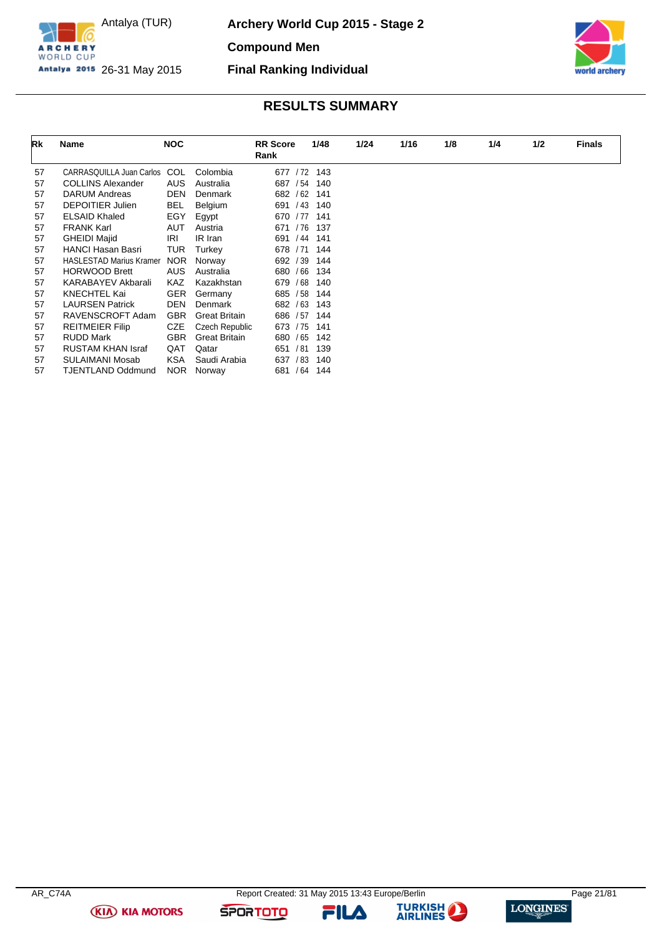

**Archery World Cup 2015 - Stage 2**

**Compound Men**

**Final Ranking Individual**

Antalya 2015 26-31 May 2015



## **RESULTS SUMMARY**

| Rk | Name                           | <b>NOC</b> |                      | <b>RR</b> Score<br>Rank | 1/48 | 1/24 | 1/16 | 1/8 | 1/4 | 1/2 | <b>Finals</b> |
|----|--------------------------------|------------|----------------------|-------------------------|------|------|------|-----|-----|-----|---------------|
| 57 | CARRASQUILLA Juan Carlos COL   |            | Colombia             | 677 / 72                | 143  |      |      |     |     |     |               |
| 57 | <b>COLLINS Alexander</b>       | <b>AUS</b> | Australia            | 687 / 54                | 140  |      |      |     |     |     |               |
| 57 | <b>DARUM Andreas</b>           | DEN        | Denmark              | 682 / 62                | 141  |      |      |     |     |     |               |
| 57 | <b>DEPOITIER Julien</b>        | <b>BEL</b> | Belgium              | 691 / 43                | 140  |      |      |     |     |     |               |
| 57 | <b>ELSAID Khaled</b>           | EGY        | Egypt                | 670 / 77                | 141  |      |      |     |     |     |               |
| 57 | <b>FRANK Karl</b>              | <b>AUT</b> | Austria              | 671 / 76                | 137  |      |      |     |     |     |               |
| 57 | <b>GHEIDI Majid</b>            | IRI        | IR Iran              | / 44<br>691             | 141  |      |      |     |     |     |               |
| 57 | <b>HANCI Hasan Basri</b>       | TUR        | Turkey               | 678 / 71                | 144  |      |      |     |     |     |               |
| 57 | <b>HASLESTAD Marius Kramer</b> | <b>NOR</b> | Norway               | 692 / 39                | 144  |      |      |     |     |     |               |
| 57 | <b>HORWOOD Brett</b>           | <b>AUS</b> | Australia            | 680 / 66                | 134  |      |      |     |     |     |               |
| 57 | <b>KARABAYEV Akbarali</b>      | <b>KAZ</b> | Kazakhstan           | 679 / 68                | 140  |      |      |     |     |     |               |
| 57 | <b>KNECHTEL Kai</b>            | <b>GER</b> | Germany              | 685 / 58                | 144  |      |      |     |     |     |               |
| 57 | <b>LAURSEN Patrick</b>         | DEN        | Denmark              | 682 / 63                | 143  |      |      |     |     |     |               |
| 57 | RAVENSCROFT Adam               | <b>GBR</b> | <b>Great Britain</b> | 686 / 57                | 144  |      |      |     |     |     |               |
| 57 | <b>REITMEIER Filip</b>         | <b>CZE</b> | Czech Republic       | 673 / 75                | 141  |      |      |     |     |     |               |
| 57 | RUDD Mark                      | <b>GBR</b> | <b>Great Britain</b> | 680 / 65                | 142  |      |      |     |     |     |               |
| 57 | <b>RUSTAM KHAN Israf</b>       | QAT        | Qatar                | 651 / 81                | 139  |      |      |     |     |     |               |
| 57 | SULAIMANI Mosab                | <b>KSA</b> | Saudi Arabia         | 637<br>/83              | 140  |      |      |     |     |     |               |
| 57 | <b>TJENTLAND Oddmund</b>       | NOR        | Norway               | 681 / 64 144            |      |      |      |     |     |     |               |

**(KIA) KIA MOTORS** 

**SPORTOTO** 

FILA



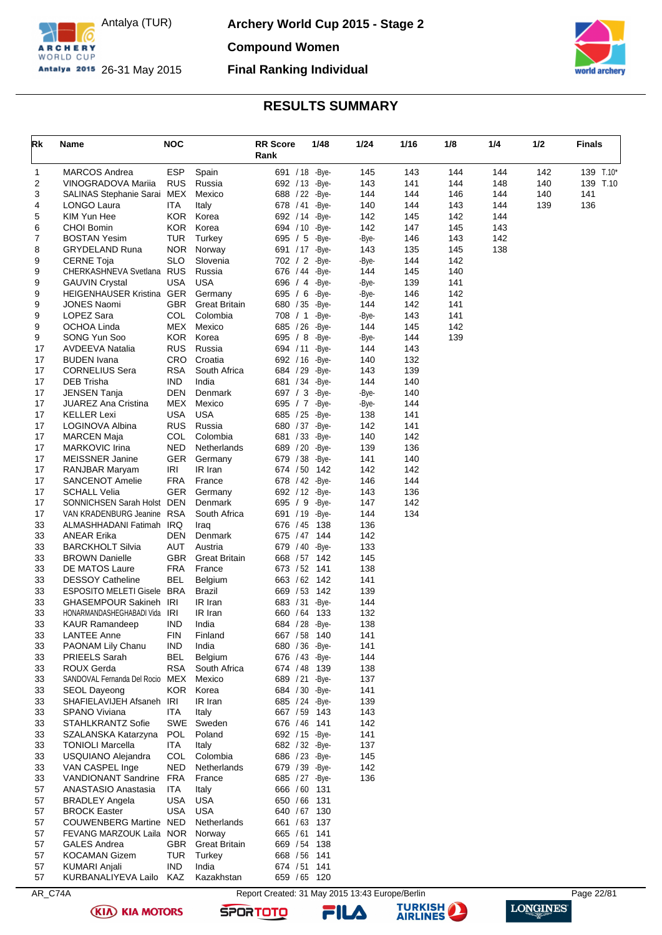

**Archery World Cup 2015 - Stage 2**

**Compound Women**

## **Final Ranking Individual**



## **RESULTS SUMMARY**

<span id="page-22-0"></span>

| Rk       | Name                                               | <b>NOC</b>        |                           | <b>RR Score</b><br>Rank            | 1/48           | 1/24         | 1/16       | 1/8        | 1/4        | 1/2 | <b>Finals</b> |
|----------|----------------------------------------------------|-------------------|---------------------------|------------------------------------|----------------|--------------|------------|------------|------------|-----|---------------|
| 1        | <b>MARCOS Andrea</b>                               | <b>ESP</b>        | Spain                     | 691 / 18 - Bye-                    |                | 145          | 143        | 144        | 144        | 142 | 139 T.10*     |
| 2        | VINOGRADOVA Mariia                                 | <b>RUS</b>        | Russia                    | 692 / 13 - Bye-                    |                | 143          | 141        | 144        | 148        | 140 | 139 T.10      |
| 3        | SALINAS Stephanie Sarai                            | MEX               | Mexico                    | 688 / 22 - Bye-                    |                | 144          | 144        | 146        | 144        | 140 | 141           |
| 4        | LONGO Laura                                        | ITA<br><b>KOR</b> | Italy                     | 678 / 41                           | -Bye-          | 140          | 144        | 143        | 144        | 139 | 136           |
| 5<br>6   | KIM Yun Hee<br><b>CHOI Bomin</b>                   | <b>KOR</b>        | Korea<br>Korea            | 692 / 14 - Bye-<br>694 / 10 - Bye- |                | 142<br>142   | 145<br>147 | 142<br>145 | 144<br>143 |     |               |
| 7        | <b>BOSTAN Yesim</b>                                | <b>TUR</b>        | Turkey                    | 695 $/5$                           | -Bye-          | -Bye-        | 146        | 143        | 142        |     |               |
| 8        | <b>GRYDELAND Runa</b>                              | <b>NOR</b>        | Norway                    | 691 / 17 - Bye-                    |                | 143          | 135        | 145        | 138        |     |               |
| 9        | <b>CERNE Toja</b>                                  | <b>SLO</b>        | Slovenia                  | 702 / 2 -Bye-                      |                | -Bye-        | 144        | 142        |            |     |               |
| 9        | CHERKASHNEVA Svetlana RUS                          |                   | Russia                    | 676 / 44                           | -Bye-          | 144          | 145        | 140        |            |     |               |
| 9        | <b>GAUVIN Crystal</b>                              | USA               | <b>USA</b>                | 696 / 4 - Bye-                     |                | -Bye-        | 139        | 141        |            |     |               |
| 9        | HEIGENHAUSER Kristina GER                          |                   | Germany                   | 695 / 6 - Bye-                     |                | -Bye-        | 146        | 142        |            |     |               |
| 9        | <b>JONES Naomi</b>                                 | <b>GBR</b>        | <b>Great Britain</b>      | 680 / 35                           | -Bye-          | 144          | 142        | 141        |            |     |               |
| 9<br>9   | LOPEZ Sara<br>OCHOA Linda                          | COL<br>MEX        | Colombia<br>Mexico        | 708 / 1<br>685 / 26                | -Bye-<br>-Bye- | -Bye-<br>144 | 143<br>145 | 141<br>142 |            |     |               |
| 9        | SONG Yun Soo                                       | KOR               | Korea                     | 695 / 8 - Bye-                     |                | -Bye-        | 144        | 139        |            |     |               |
| 17       | AVDEEVA Natalia                                    | <b>RUS</b>        | Russia                    | 694 / 11                           | -Bye-          | 144          | 143        |            |            |     |               |
| 17       | <b>BUDEN</b> Ivana                                 | <b>CRO</b>        | Croatia                   | 692 / 16                           | -Bye-          | 140          | 132        |            |            |     |               |
| 17       | <b>CORNELIUS Sera</b>                              | <b>RSA</b>        | South Africa              | 684 / 29                           | -Bye-          | 143          | 139        |            |            |     |               |
| 17       | DEB Trisha                                         | <b>IND</b>        | India                     | 681 / 34 - Bye-                    |                | 144          | 140        |            |            |     |               |
| 17       | <b>JENSEN Tanja</b>                                | DEN               | Denmark                   | 697 / 3                            | -Bye-          | -Bye-        | 140        |            |            |     |               |
| 17       | <b>JUAREZ Ana Cristina</b>                         | MEX               | Mexico                    | 695 / 7 -Bye-                      |                | -Bye-        | 144        |            |            |     |               |
| 17<br>17 | <b>KELLER Lexi</b>                                 | USA<br><b>RUS</b> | <b>USA</b><br>Russia      | 685 / 25 - Bye-                    |                | 138<br>142   | 141        |            |            |     |               |
| 17       | LOGINOVA Albina<br><b>MARCEN Maja</b>              | COL               | Colombia                  | 680 / 37 - Bye-<br>681 / 33        | -Bye-          | 140          | 141<br>142 |            |            |     |               |
| 17       | <b>MARKOVIC Irina</b>                              | <b>NED</b>        | Netherlands               | 689 / 20 - Bye-                    |                | 139          | 136        |            |            |     |               |
| 17       | <b>MEISSNER Janine</b>                             | <b>GER</b>        | Germany                   | 679 / 38                           | -Bye-          | 141          | 140        |            |            |     |               |
| 17       | RANJBAR Maryam                                     | IRI               | IR Iran                   | 674 / 50                           | 142            | 142          | 142        |            |            |     |               |
| 17       | SANCENOT Amelie                                    | <b>FRA</b>        | France                    | 678 / 42 - Bye-                    |                | 146          | 144        |            |            |     |               |
| 17       | <b>SCHALL Velia</b>                                | <b>GER</b>        | Germany                   | 692 / 12 - Bye-                    |                | 143          | 136        |            |            |     |               |
| 17       | SONNICHSEN Sarah Holst DEN                         |                   | Denmark                   | 695 / 9                            | -Bye-          | 147          | 142        |            |            |     |               |
| 17<br>33 | VAN KRADENBURG Jeanine<br>ALMASHHADANI Fatimah IRQ | <b>RSA</b>        | South Africa              | 691 / 19 - Bye-<br>676 / 45        |                | 144<br>136   | 134        |            |            |     |               |
| 33       | <b>ANEAR Erika</b>                                 | DEN               | Iraq<br>Denmark           | 675 / 47 144                       | 138            | 142          |            |            |            |     |               |
| 33       | <b>BARCKHOLT Silvia</b>                            | AUT               | Austria                   | 679 / 40 - Bye-                    |                | 133          |            |            |            |     |               |
| 33       | <b>BROWN Danielle</b>                              | <b>GBR</b>        | <b>Great Britain</b>      | 668 / 57                           | 142            | 145          |            |            |            |     |               |
| 33       | DE MATOS Laure                                     | <b>FRA</b>        | France                    | 673 / 52 141                       |                | 138          |            |            |            |     |               |
| 33       | <b>DESSOY Catheline</b>                            | BEL               | Belgium                   | 663 / 62 142                       |                | 141          |            |            |            |     |               |
| 33       | ESPOSITO MELETI Gisele BRA                         |                   | <b>Brazil</b>             | 669 / 53                           | 142            | 139          |            |            |            |     |               |
| 33       | <b>GHASEMPOUR Sakineh IRI</b>                      |                   | IR Iran                   | 683 / 31                           | -Bye-          | 144          |            |            |            |     |               |
| 33<br>33 | HONARMANDASHEGHABADI Vida<br><b>KAUR Ramandeep</b> | IRI<br><b>IND</b> | IR Iran<br>India          | 660 / 64<br>684 / 28 - Bye-        | 133            | 132<br>138   |            |            |            |     |               |
| 33       | <b>LANTEE Anne</b>                                 | <b>FIN</b>        | Finland                   | 667 / 58                           | 140            | 141          |            |            |            |     |               |
| 33       | PAONAM Lily Chanu                                  | <b>IND</b>        | India                     | 680 / 36 - Bye-                    |                | 141          |            |            |            |     |               |
| 33       | PRIEELS Sarah                                      | BEL               | Belgium                   | 676 / 43 - Bye-                    |                | 144          |            |            |            |     |               |
| 33       | ROUX Gerda                                         | <b>RSA</b>        | South Africa              | 674 / 48 139                       |                | 138          |            |            |            |     |               |
| 33       | SANDOVAL Fernanda Del Rocio MEX                    |                   | Mexico                    | 689 / 21 - Bye-                    |                | 137          |            |            |            |     |               |
| 33       | <b>SEOL Dayeong</b>                                |                   | KOR Korea                 | 684 / 30 - Bye-                    |                | 141          |            |            |            |     |               |
| 33       | SHAFIELAVIJEH Afsaneh IRI                          |                   | IR Iran                   | 685 / 24 - Bye-                    |                | 139          |            |            |            |     |               |
| 33<br>33 | SPANO Viviana<br><b>STAHLKRANTZ Sofie</b>          | ITA               | Italy<br>SWE Sweden       | 667 / 59 143<br>676 / 46 141       |                | 143<br>142   |            |            |            |     |               |
| 33       | SZALANSKA Katarzyna                                | <b>POL</b>        | Poland                    | 692 / 15 - Bye -                   |                | 141          |            |            |            |     |               |
| 33       | <b>TONIOLI Marcella</b>                            | ITA.              | Italy                     | 682 / 32 - Bye-                    |                | 137          |            |            |            |     |               |
| 33       | USQUIANO Alejandra                                 | <b>COL</b>        | Colombia                  | 686 / 23 - Bye-                    |                | 145          |            |            |            |     |               |
| 33       | VAN CASPEL Inge                                    | <b>NED</b>        | Netherlands               | 679 / 39 - Bye-                    |                | 142          |            |            |            |     |               |
| 33       | VANDIONANT Sandrine FRA                            |                   | France                    | 685 / 27 - Bye-                    |                | 136          |            |            |            |     |               |
| 57       | ANASTASIO Anastasia                                | ITA               | Italy                     | 666 / 60 131                       |                |              |            |            |            |     |               |
| 57       | <b>BRADLEY Angela</b>                              | <b>USA</b>        | USA                       | 650 / 66 131                       |                |              |            |            |            |     |               |
| 57<br>57 | <b>BROCK Easter</b><br>COUWENBERG Martine NED      | <b>USA</b>        | <b>USA</b><br>Netherlands | 640 / 67 130<br>661 / 63 137       |                |              |            |            |            |     |               |
| 57       | FEVANG MARZOUK Laila NOR                           |                   | Norway                    | 665 / 61 141                       |                |              |            |            |            |     |               |
| 57       | <b>GALES Andrea</b>                                | <b>GBR</b>        | <b>Great Britain</b>      | 669 / 54 138                       |                |              |            |            |            |     |               |
| 57       | <b>KOCAMAN Gizem</b>                               | TUR               | Turkey                    | 668 / 56 141                       |                |              |            |            |            |     |               |
| 57       | <b>KUMARI Anjali</b>                               | <b>IND</b>        | India                     | 674 / 51 141                       |                |              |            |            |            |     |               |
| 57       | KURBANALIYEVA Lailo                                | KAZ               | Kazakhstan                | 659 / 65 120                       |                |              |            |            |            |     |               |

AR\_C74A Report Created: 31 May 2015 13:43 Europe/Berlin Page 22/81





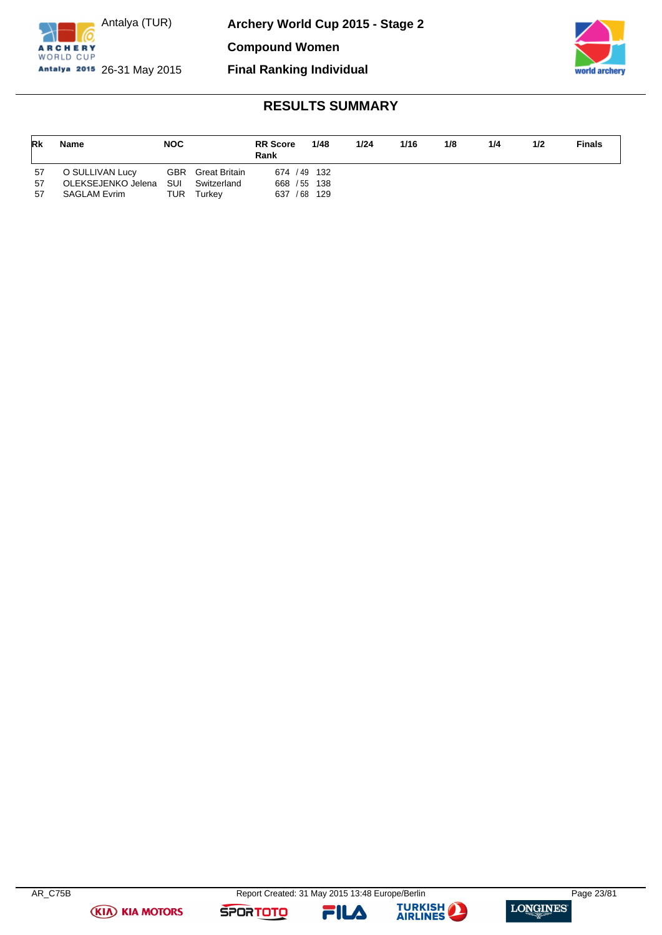

Antalya (TUR) Antalya 2015 26-31 May 2015

**Compound Women**

**Final Ranking Individual**



# **RESULTS SUMMARY**

| Rk | <b>Name</b>         | <b>NOC</b> |                          | <b>RR</b> Score<br>Rank | 1/48 | 1/24 | 1/16 | 1/8 | 1/4 | 1/2 | <b>Finals</b> |
|----|---------------------|------------|--------------------------|-------------------------|------|------|------|-----|-----|-----|---------------|
| 57 | O SULLIVAN Lucy     |            | <b>GBR</b> Great Britain | 674 / 49 132            |      |      |      |     |     |     |               |
| 57 | OLEKSEJENKO Jelena  | SUI        | Switzerland              | 668 / 55 138            |      |      |      |     |     |     |               |
| 57 | <b>SAGLAM Evrim</b> | TUR        | Turkev                   | 637 / 68 129            |      |      |      |     |     |     |               |

FILA



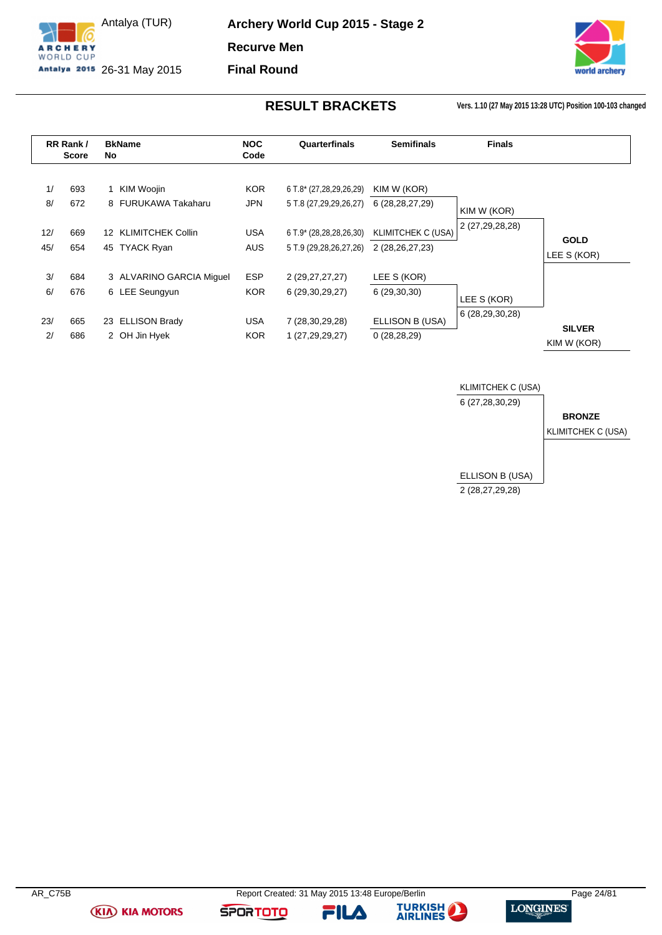

Antalya (TUR) Antalya 2015 26-31 May 2015 **Archery World Cup 2015 - Stage 2 Recurve Men Final Round**



**RESULT BRACKETS Vers. 1.10 (27 May 2015 13:28 UTC) Position 100-103 changed**

<span id="page-24-0"></span>

|            | RR Rank /<br><b>Score</b> | No              | <b>BkName</b>                             | <b>NOC</b><br>Code       | Quarterfinals                                     | <b>Semifinals</b>                        | <b>Finals</b>                  |               |
|------------|---------------------------|-----------------|-------------------------------------------|--------------------------|---------------------------------------------------|------------------------------------------|--------------------------------|---------------|
| 1/<br>8/   | 693<br>672                |                 | KIM Woojin<br>8 FURUKAWA Takaharu         | <b>KOR</b><br>JPN        | 6 T.8* (27,28,29,26,29)<br>5 T.8 (27,29,29,26,27) | KIM W (KOR)<br>6 (28, 28, 27, 29)        |                                |               |
|            |                           |                 |                                           |                          |                                                   |                                          | KIM W (KOR)<br>2 (27,29,28,28) |               |
| 12/<br>45/ | 669<br>654                | 12 <sup>1</sup> | <b>KLIMITCHEK Collin</b><br>45 TYACK Ryan | <b>USA</b><br><b>AUS</b> | 6 T.9* (28,28,28,26,30)<br>5 T.9 (29,28,26,27,26) | KLIMITCHEK C (USA)<br>2 (28, 26, 27, 23) |                                | <b>GOLD</b>   |
|            |                           |                 |                                           |                          |                                                   |                                          |                                | LEE S (KOR)   |
| 3/         | 684                       |                 | 3 ALVARINO GARCIA Miquel                  | <b>ESP</b>               | 2 (29,27,27,27)                                   | LEE S (KOR)                              |                                |               |
| 6/         | 676                       |                 | 6 LEE Seungyun                            | <b>KOR</b>               | 6 (29,30,29,27)                                   | 6(29,30,30)                              | LEE S (KOR)                    |               |
| 23/        | 665                       |                 | 23 ELLISON Brady                          | USA                      | 7 (28,30,29,28)                                   | ELLISON B (USA)                          | 6 (28,29,30,28)                | <b>SILVER</b> |
| 2/         | 686                       |                 | 2 OH Jin Hyek                             | <b>KOR</b>               | 1 (27,29,29,27)                                   | 0(28, 28, 29)                            |                                | KIM W (KOR)   |



**(KIA) KIA MOTORS** 

FILA

**SPORTOTO** 

**TURKISH** 

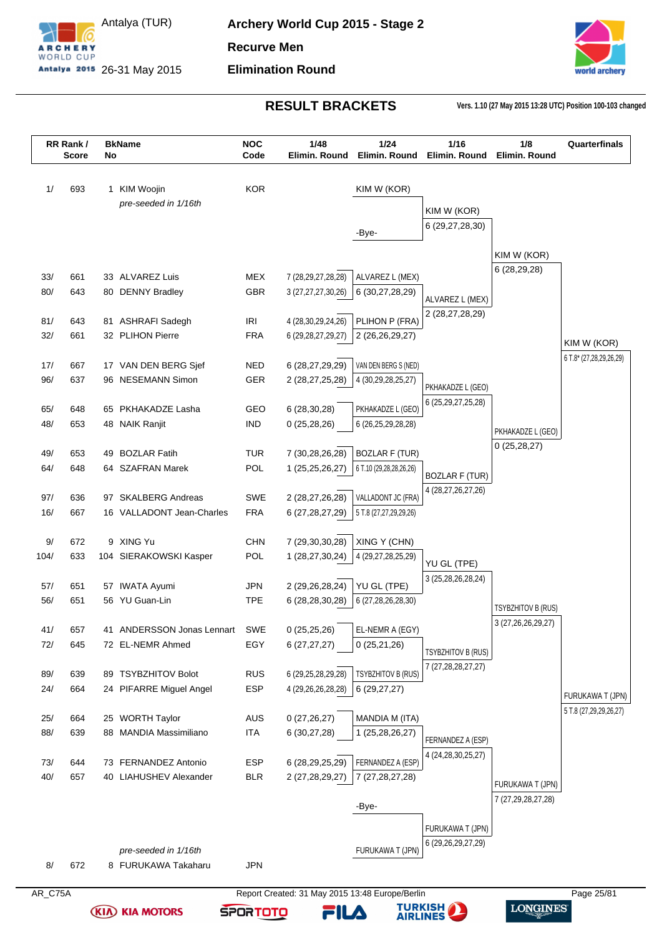



**RESULT BRACKETS Vers. 1.10 (27 May 2015 13:28 UTC) Position 100-103 changed**

|            | RR Rank/<br><b>Score</b> | No | <b>BkName</b>                        | <b>NOC</b><br>Code | 1/48<br>Elimin. Round                        | 1/24<br>Elimin. Round                   | 1/16<br>Elimin. Round                       | 1/8<br>Elimin. Round      | Quarterfinals                          |
|------------|--------------------------|----|--------------------------------------|--------------------|----------------------------------------------|-----------------------------------------|---------------------------------------------|---------------------------|----------------------------------------|
| 1/         | 693                      |    | 1 KIM Woojin                         | <b>KOR</b>         |                                              | KIM W (KOR)                             |                                             |                           |                                        |
|            |                          |    | pre-seeded in 1/16th                 |                    |                                              |                                         |                                             |                           |                                        |
|            |                          |    |                                      |                    |                                              |                                         | KIM W (KOR)                                 |                           |                                        |
|            |                          |    |                                      |                    |                                              | -Bye-                                   | 6 (29,27,28,30)                             |                           |                                        |
|            |                          |    |                                      |                    |                                              |                                         |                                             | KIM W (KOR)               |                                        |
|            | 661                      |    | 33 ALVAREZ Luis                      |                    |                                              |                                         |                                             | 6 (28,29,28)              |                                        |
| 33/<br>80/ | 643                      |    | 80 DENNY Bradley                     | MEX<br>GBR         | 7 (28, 29, 27, 28, 28)<br>3 (27,27,27,30,26) | ALVAREZ L (MEX)<br>6 (30,27,28,29)      |                                             |                           |                                        |
|            |                          |    |                                      |                    |                                              |                                         | ALVAREZ L (MEX)                             |                           |                                        |
| 81/        | 643                      |    | 81 ASHRAFI Sadegh                    | <b>IRI</b>         | 4 (28, 30, 29, 24, 26)                       | PLIHON P (FRA)                          | 2 (28,27,28,29)                             |                           |                                        |
| 32/        | 661                      |    | 32 PLIHON Pierre                     | <b>FRA</b>         | 6 (29, 28, 27, 29, 27)                       | 2 (26,26,29,27)                         |                                             |                           |                                        |
|            |                          |    |                                      |                    |                                              |                                         |                                             |                           | KIM W (KOR)<br>6 T.8* (27,28,29,26,29) |
| 17/        | 667                      |    | 17 VAN DEN BERG Sjef                 | <b>NED</b>         | 6 (28,27,29,29)                              | VAN DEN BERG S (NED)                    |                                             |                           |                                        |
| 96/        | 637                      |    | 96 NESEMANN Simon                    | GER                | 2 (28,27,25,28)                              | 4 (30, 29, 28, 25, 27)                  | PKHAKADZE L (GEO)                           |                           |                                        |
|            |                          |    |                                      | <b>GEO</b>         |                                              |                                         | 6 (25, 29, 27, 25, 28)                      |                           |                                        |
| 65/<br>48/ | 648<br>653               |    | 65 PKHAKADZE Lasha<br>48 NAIK Ranjit | <b>IND</b>         | 6(28, 30, 28)<br>0(25, 28, 26)               | PKHAKADZE L (GEO)<br>6 (26,25,29,28,28) |                                             |                           |                                        |
|            |                          |    |                                      |                    |                                              |                                         |                                             | PKHAKADZE L (GEO)         |                                        |
| 49/        | 653                      | 49 | <b>BOZLAR Fatih</b>                  | <b>TUR</b>         | 7 (30,28,26,28)                              | <b>BOZLAR F (TUR)</b>                   |                                             | 0(25, 28, 27)             |                                        |
| 64/        | 648                      |    | 64 SZAFRAN Marek                     | POL                | 1 (25,25,26,27)                              | 6 T.10 (29,28,28,26,26)                 |                                             |                           |                                        |
|            |                          |    |                                      |                    |                                              |                                         | <b>BOZLAR F (TUR)</b><br>4 (28,27,26,27,26) |                           |                                        |
| 97/        | 636                      |    | 97 SKALBERG Andreas                  | <b>SWE</b>         | 2 (28,27,26,28)                              | VALLADONT JC (FRA)                      |                                             |                           |                                        |
| 16/        | 667                      |    | 16 VALLADONT Jean-Charles            | <b>FRA</b>         | 6 (27, 28, 27, 29)                           | 5 T.8 (27,27,29,29,26)                  |                                             |                           |                                        |
| 9/         | 672                      |    | 9 XING Yu                            | <b>CHN</b>         | 7 (29,30,30,28)                              | XING Y (CHN)                            |                                             |                           |                                        |
| 104/       | 633                      |    | 104 SIERAKOWSKI Kasper               | POL                | 1 (28,27,30,24)                              | 4 (29, 27, 28, 25, 29)                  |                                             |                           |                                        |
|            |                          |    |                                      |                    |                                              |                                         | YU GL (TPE)                                 |                           |                                        |
| 57/        | 651                      |    | 57 IWATA Ayumi                       | JPN                | 2 (29,26,28,24)                              | YU GL (TPE)                             | 3 (25,28,26,28,24)                          |                           |                                        |
| 56/        | 651                      |    | 56 YU Guan-Lin                       | <b>TPE</b>         | 6 (28,28,30,28)                              | 6 (27,28,26,28,30)                      |                                             | <b>TSYBZHITOV B (RUS)</b> |                                        |
|            |                          |    |                                      |                    |                                              |                                         |                                             | 3 (27, 26, 26, 29, 27)    |                                        |
| 41/        | 657                      |    | 41 ANDERSSON Jonas Lennart           | <b>SWE</b>         | 0(25,25,26)                                  | EL-NEMR A (EGY)                         |                                             |                           |                                        |
| 72/        | 645                      |    | 72 EL-NEMR Ahmed                     | EGY                | 6(27, 27, 27)                                | 0(25,21,26)                             | TSYBZHITOV B (RUS)                          |                           |                                        |
|            | 639                      |    | 89 TSYBZHITOV Bolot                  | <b>RUS</b>         |                                              | TSYBZHITOV B (RUS)                      | 7 (27, 28, 28, 27, 27)                      |                           |                                        |
| 89/<br>24/ | 664                      |    | 24 PIFARRE Miguel Angel              | ESP                | 6 (29, 25, 28, 29, 28)<br>4 (29,26,26,28,28) | 6(29, 27, 27)                           |                                             |                           |                                        |
|            |                          |    |                                      |                    |                                              |                                         |                                             |                           | FURUKAWA T (JPN)                       |
| 25/        | 664                      |    | 25 WORTH Taylor                      | AUS                | 0(27,26,27)                                  | MANDIA M (ITA)                          |                                             |                           | 5 T.8 (27,29,29,26,27)                 |
| 88/        | 639                      | 88 | <b>MANDIA Massimiliano</b>           | <b>ITA</b>         | 6(30,27,28)                                  | 1 (25,28,26,27)                         |                                             |                           |                                        |
|            |                          |    |                                      |                    |                                              |                                         | FERNANDEZ A (ESP)<br>4 (24,28,30,25,27)     |                           |                                        |
| 73/        | 644                      |    | 73 FERNANDEZ Antonio                 | <b>ESP</b>         | 6 (28,29,25,29)                              | FERNANDEZ A (ESP)                       |                                             |                           |                                        |
| 40/        | 657                      |    | 40 LIAHUSHEV Alexander               | <b>BLR</b>         | 2 (27,28,29,27)                              | 7 (27, 28, 27, 28)                      |                                             | FURUKAWA T (JPN)          |                                        |
|            |                          |    |                                      |                    |                                              |                                         |                                             | 7 (27,29,28,27,28)        |                                        |
|            |                          |    |                                      |                    |                                              | -Bye-                                   |                                             |                           |                                        |
|            |                          |    |                                      |                    |                                              |                                         | FURUKAWA T (JPN)                            |                           |                                        |
|            |                          |    | pre-seeded in 1/16th                 |                    |                                              | FURUKAWA T (JPN)                        | 6 (29,26,29,27,29)                          |                           |                                        |
| 8/         | 672                      |    | 8 FURUKAWA Takaharu                  | <b>JPN</b>         |                                              |                                         |                                             |                           |                                        |
|            |                          |    |                                      |                    |                                              |                                         |                                             |                           |                                        |

**(KIA) KIA MOTORS** 



FILA



**TURKISH**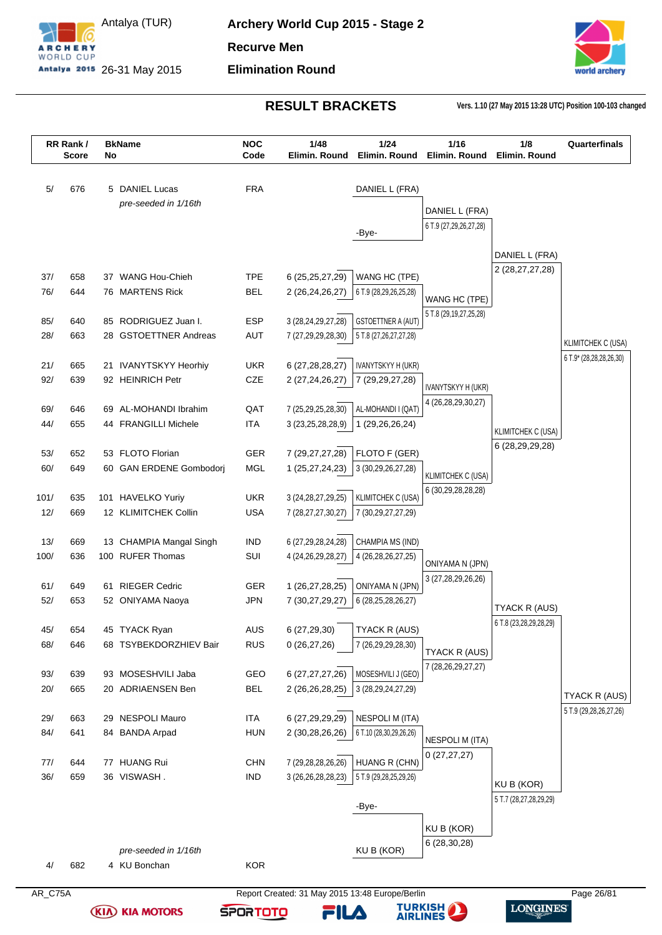



**RESULT BRACKETS Vers. 1.10 (27 May 2015 13:28 UTC) Position 100-103 changed**

|            | RR Rank/<br><b>Score</b> | No | <b>BkName</b>           | <b>NOC</b><br>Code | 1/48<br>Elimin, Round  | 1/24<br>Elimin. Round     | 1/16<br>Elimin, Round      | 1/8<br>Elimin. Round      | Quarterfinals             |
|------------|--------------------------|----|-------------------------|--------------------|------------------------|---------------------------|----------------------------|---------------------------|---------------------------|
|            |                          |    |                         |                    |                        |                           |                            |                           |                           |
| 5/         | 676                      |    | 5 DANIEL Lucas          | <b>FRA</b>         |                        | DANIEL L (FRA)            |                            |                           |                           |
|            |                          |    | pre-seeded in 1/16th    |                    |                        |                           | DANIEL L (FRA)             |                           |                           |
|            |                          |    |                         |                    |                        |                           | 6 T.9 (27,29,26,27,28)     |                           |                           |
|            |                          |    |                         |                    |                        | -Bye-                     |                            |                           |                           |
|            |                          |    |                         |                    |                        |                           |                            | DANIEL L (FRA)            |                           |
| 37/        | 658                      |    | 37 WANG Hou-Chieh       | <b>TPE</b>         | 6 (25,25,27,29)        | WANG HC (TPE)             |                            | 2 (28,27,27,28)           |                           |
| 76/        | 644                      |    | 76 MARTENS Rick         | <b>BEL</b>         | 2 (26,24,26,27)        | 6 T.9 (28,29,26,25,28)    |                            |                           |                           |
|            |                          |    |                         |                    |                        |                           | WANG HC (TPE)              |                           |                           |
| 85/        | 640                      |    | 85 RODRIGUEZ Juan I.    | <b>ESP</b>         | 3 (28, 24, 29, 27, 28) | <b>GSTOETTNER A (AUT)</b> | 5 T.8 (29, 19, 27, 25, 28) |                           |                           |
| 28/        | 663                      |    | 28 GSTOETTNER Andreas   | <b>AUT</b>         | 7 (27,29,29,28,30)     | 5 T.8 (27,26,27,27,28)    |                            |                           |                           |
|            |                          |    |                         |                    |                        |                           |                            |                           | <b>KLIMITCHEK C (USA)</b> |
| 21/        | 665                      |    | 21 IVANYTSKYY Heorhiy   | <b>UKR</b>         | 6 (27, 28, 28, 27)     | IVANYTSKYY H (UKR)        |                            |                           | 6 T.9* (28,28,28,26,30)   |
| 92/        | 639                      |    | 92 HEINRICH Petr        | CZE                | 2 (27,24,26,27)        | 7 (29,29,27,28)           |                            |                           |                           |
|            |                          |    |                         |                    |                        |                           | <b>IVANYTSKYY H (UKR)</b>  |                           |                           |
| 69/        | 646                      |    | 69 AL-MOHANDI Ibrahim   | QAT                | 7 (25,29,25,28,30)     | AL-MOHANDI I (QAT)        | 4 (26,28,29,30,27)         |                           |                           |
| 44/        | 655                      |    | 44 FRANGILLI Michele    | <b>ITA</b>         | 3 (23, 25, 28, 28, 9)  | 1 (29,26,26,24)           |                            |                           |                           |
|            |                          |    |                         |                    |                        |                           |                            | <b>KLIMITCHEK C (USA)</b> |                           |
| 53/        | 652                      |    | 53 FLOTO Florian        | <b>GER</b>         | 7 (29,27,27,28)        | FLOTO F (GER)             |                            | 6 (28, 29, 29, 28)        |                           |
| 60/        | 649                      |    | 60 GAN ERDENE Gombodorj | <b>MGL</b>         | 1 (25,27,24,23)        | 3 (30,29,26,27,28)        |                            |                           |                           |
|            |                          |    |                         |                    |                        |                           | <b>KLIMITCHEK C (USA)</b>  |                           |                           |
| 101/       | 635                      |    | 101 HAVELKO Yuriy       | <b>UKR</b>         | 3 (24, 28, 27, 29, 25) | KLIMITCHEK C (USA)        | 6 (30,29,28,28,28)         |                           |                           |
| 12/        | 669                      |    | 12 KLIMITCHEK Collin    | <b>USA</b>         | 7 (28, 27, 27, 30, 27) | 7 (30,29,27,27,29)        |                            |                           |                           |
|            |                          |    |                         |                    |                        |                           |                            |                           |                           |
| 13/        | 669                      |    | 13 CHAMPIA Mangal Singh | <b>IND</b>         | 6 (27,29,28,24,28)     | CHAMPIA MS (IND)          |                            |                           |                           |
| 100/       | 636                      |    | 100 RUFER Thomas        | SUI                | 4 (24, 26, 29, 28, 27) | 4 (26,28,26,27,25)        | ONIYAMA N (JPN)            |                           |                           |
|            |                          |    |                         |                    |                        |                           | 3 (27,28,29,26,26)         |                           |                           |
| 61/        | 649                      |    | 61 RIEGER Cedric        | GER                | 1 (26,27,28,25)        | ONIYAMA N (JPN)           |                            |                           |                           |
| 52/        | 653                      |    | 52 ONIYAMA Naoya        | <b>JPN</b>         | 7 (30,27,29,27)        | 6 (28,25,28,26,27)        |                            | TYACK R (AUS)             |                           |
|            |                          |    |                         |                    |                        |                           |                            | 6 T.8 (23,28,29,28,29)    |                           |
| 45/        | 654                      |    | 45 TYACK Ryan           | AUS                | 6 (27,29,30)           | TYACK R (AUS)             |                            |                           |                           |
| 68/        | 646                      |    | 68 TSYBEKDORZHIEV Bair  | <b>RUS</b>         | 0(26, 27, 26)          | 7 (26,29,29,28,30)        | TYACK R (AUS)              |                           |                           |
|            |                          |    |                         |                    |                        |                           | 7 (28, 26, 29, 27, 27)     |                           |                           |
| 93/        | 639                      |    | 93 MOSESHVILI Jaba      | GEO                | 6 (27,27,27,26)        | MOSESHVILI J (GEO)        |                            |                           |                           |
| 20/        | 665                      |    | 20 ADRIAENSEN Ben       | <b>BEL</b>         | 2 (26,26,28,25)        | 3 (28, 29, 24, 27, 29)    |                            |                           | TYACK R (AUS)             |
|            |                          |    |                         |                    |                        |                           |                            |                           | 5 T.9 (29,28,26,27,26)    |
| 29/        | 663                      |    | 29 NESPOLI Mauro        | <b>ITA</b>         | 6 (27,29,29,29)        | <b>NESPOLI M (ITA)</b>    |                            |                           |                           |
| 84/        | 641                      |    | 84 BANDA Arpad          | <b>HUN</b>         | 2 (30,28,26,26)        | 6 T.10 (28,30,29,26,26)   | <b>NESPOLI M (ITA)</b>     |                           |                           |
|            | 644                      |    | 77 HUANG Rui            | <b>CHN</b>         | 7 (29,28,28,26,26)     | HUANG R (CHN)             | 0(27, 27, 27)              |                           |                           |
| 77/<br>36/ | 659                      |    | 36 VISWASH.             | <b>IND</b>         | 3 (26,26,28,28,23)     | 5 T.9 (29,28,25,29,26)    |                            |                           |                           |
|            |                          |    |                         |                    |                        |                           |                            | KU B (KOR)                |                           |
|            |                          |    |                         |                    |                        | -Bye-                     |                            | 5 T.7 (28,27,28,29,29)    |                           |
|            |                          |    |                         |                    |                        |                           |                            |                           |                           |
|            |                          |    |                         |                    |                        |                           | KU B (KOR)                 |                           |                           |
|            |                          |    | pre-seeded in 1/16th    |                    |                        | KU B (KOR)                | 6 (28,30,28)               |                           |                           |
|            |                          |    |                         |                    |                        |                           |                            |                           |                           |
| 4/         | 682                      |    | 4 KU Bonchan            | <b>KOR</b>         |                        |                           |                            |                           |                           |

**(KIA) KIA MOTORS** 



**TURKISH**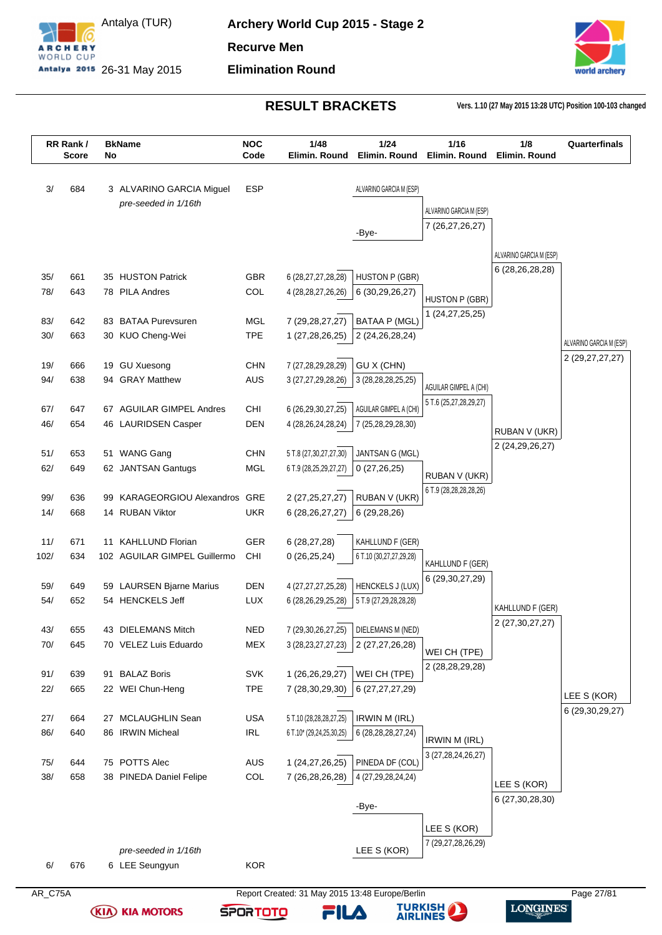

Antalya (TUR) Antalya 2015 26-31 May 2015 **Archery World Cup 2015 - Stage 2 Recurve Men Elimination Round**



**RESULT BRACKETS Vers. 1.10 (27 May 2015 13:28 UTC) Position 100-103 changed**

| 684<br><b>ESP</b><br>3/<br>3 ALVARINO GARCIA Miguel<br>ALVARINO GARCIA M (ESP)<br>pre-seeded in 1/16th<br>ALVARINO GARCIA M (ESP)<br>7 (26,27,26,27)<br>-Bye-<br>ALVARINO GARCIA M (ESP)<br>6 (28,26,28,28)<br><b>GBR</b><br><b>HUSTON P (GBR)</b><br>35/<br>661<br>35 HUSTON Patrick<br>6 (28,27,27,28,28)<br>COL<br>78/<br>643<br>78 PILA Andres<br>4 (28, 28, 27, 26, 26)<br>6 (30,29,26,27)<br>HUSTON P (GBR)<br>1 (24,27,25,25)<br>83 BATAA Purevsuren<br>MGL<br><b>BATAA P (MGL)</b><br>83/<br>642<br>7 (29, 28, 27, 27)<br><b>TPE</b><br>30/<br>663<br>30 KUO Cheng-Wei<br>1 (27,28,26,25)<br>2 (24,26,28,24)<br><b>GU Xuesong</b><br><b>CHN</b><br>7 (27,28,29,28,29)<br>GU X (CHN)<br>19/<br>666<br>19<br>638<br>94 GRAY Matthew<br>AUS<br>94/<br>3 (27,27,29,28,26)<br>3 (28, 28, 28, 25, 25)<br>AGUILAR GIMPEL A (CHI)<br>5 T.6 (25,27,28,29,27)<br>67 AGUILAR GIMPEL Andres<br>CHI<br>6 (26,29,30,27,25)<br>AGUILAR GIMPEL A (CHI)<br>67/<br>647<br><b>DEN</b><br>46/<br>654<br>46 LAURIDSEN Casper<br>4 (28, 26, 24, 28, 24)<br>7 (25,28,29,28,30)<br>RUBAN V (UKR)<br>2 (24, 29, 26, 27)<br>51 WANG Gang<br>JANTSAN G (MGL)<br>51/<br>653<br><b>CHN</b><br>5 T.8 (27,30,27,27,30)<br>62/<br>62 JANTSAN Gantugs<br><b>MGL</b><br>649<br>6 T.9 (28,25,29,27,27)<br>0(27,26,25)<br>RUBAN V (UKR)<br>6 T.9 (28, 28, 28, 28, 26)<br>GRE<br>2 (27, 25, 27, 27)<br>RUBAN V (UKR)<br>99/<br>636<br>KARAGEORGIOU Alexandros<br>99<br>14/<br><b>UKR</b><br>668<br>14 RUBAN Viktor<br>6 (28,26,27,27)<br>6(29, 28, 26)<br>671<br><b>KAHLLUND Florian</b><br><b>GER</b><br>KAHLLUND F (GER)<br>11/<br>6(28, 27, 28)<br>11<br>102/<br>634<br>102 AGUILAR GIMPEL Guillermo<br>CHI<br>6 T.10 (30,27,27,29,28)<br>0(26, 25, 24)<br>KAHLLUND F (GER)<br>6 (29, 30, 27, 29)<br><b>DEN</b><br><b>HENCKELS J (LUX)</b><br>649<br>59 LAURSEN Bjarne Marius<br>4 (27,27,27,25,28)<br>59/<br>652<br>54 HENCKELS Jeff<br><b>LUX</b><br>54/<br>6 (28,26,29,25,28)<br>5 T.9 (27,29,28,28,28)<br>KAHLLUND F (GER)<br>2 (27, 30, 27, 27)<br><b>NED</b><br>43 DIELEMANS Mitch<br>7 (29, 30, 26, 27, 25)<br>DIELEMANS M (NED)<br>43/<br>655<br>645<br>70 VELEZ Luis Eduardo<br>MEX<br>70/<br>3 (28, 23, 27, 27, 23)<br>2 (27,27,26,28)<br>WEI CH (TPE)<br>2 (28, 28, 29, 28)<br>91 BALAZ Boris<br>SVK<br>1 (26,26,29,27)<br>WEI CH (TPE)<br>91/<br>639<br>22 WEI Chun-Heng<br><b>TPE</b><br>22/<br>665<br>7 (28,30,29,30)<br>6 (27,27,27,29)<br><b>USA</b><br>5 T.10 (28,28,28,27,25)<br><b>IRWIN M (IRL)</b><br>27/<br>27 MCLAUGHLIN Sean<br>664<br>86 IRWIN Micheal<br>$\ensuremath{\mathsf{IRL}}\xspace$<br>86/<br>640<br>6 T.10* (29,24,25,30,25)<br>6 (28, 28, 28, 27, 24)<br><b>IRWIN M (IRL)</b><br>3 (27,28,24,26,27)<br>75 POTTS Alec<br>AUS<br>1 (24,27,26,25)<br>PINEDA DF (COL)<br>644<br>75/<br>COL<br>7 (26,28,26,28)<br>38/<br>658<br>38 PINEDA Daniel Felipe<br>4 (27,29,28,24,24)<br>LEE S (KOR)<br>6 (27, 30, 28, 30)<br>-Bye-<br>LEE S (KOR)<br>7 (29,27,28,26,29)<br>LEE S (KOR)<br>pre-seeded in 1/16th | RR Rank/ | <b>Score</b> | No | <b>BkName</b> | <b>NOC</b><br>Code | 1/48<br>Elimin. Round | 1/24<br>Elimin. Round | 1/16<br>Elimin. Round | 1/8<br>Elimin. Round | Quarterfinals           |
|--------------------------------------------------------------------------------------------------------------------------------------------------------------------------------------------------------------------------------------------------------------------------------------------------------------------------------------------------------------------------------------------------------------------------------------------------------------------------------------------------------------------------------------------------------------------------------------------------------------------------------------------------------------------------------------------------------------------------------------------------------------------------------------------------------------------------------------------------------------------------------------------------------------------------------------------------------------------------------------------------------------------------------------------------------------------------------------------------------------------------------------------------------------------------------------------------------------------------------------------------------------------------------------------------------------------------------------------------------------------------------------------------------------------------------------------------------------------------------------------------------------------------------------------------------------------------------------------------------------------------------------------------------------------------------------------------------------------------------------------------------------------------------------------------------------------------------------------------------------------------------------------------------------------------------------------------------------------------------------------------------------------------------------------------------------------------------------------------------------------------------------------------------------------------------------------------------------------------------------------------------------------------------------------------------------------------------------------------------------------------------------------------------------------------------------------------------------------------------------------------------------------------------------------------------------------------------------------------------------------------------------------------------------------------------------------------------------------------------------------------------------------------------------------------------------------------------------------------------------------------------------------------------------------------------------------------------------------------------------------------------------|----------|--------------|----|---------------|--------------------|-----------------------|-----------------------|-----------------------|----------------------|-------------------------|
|                                                                                                                                                                                                                                                                                                                                                                                                                                                                                                                                                                                                                                                                                                                                                                                                                                                                                                                                                                                                                                                                                                                                                                                                                                                                                                                                                                                                                                                                                                                                                                                                                                                                                                                                                                                                                                                                                                                                                                                                                                                                                                                                                                                                                                                                                                                                                                                                                                                                                                                                                                                                                                                                                                                                                                                                                                                                                                                                                                                                              |          |              |    |               |                    |                       |                       |                       |                      |                         |
|                                                                                                                                                                                                                                                                                                                                                                                                                                                                                                                                                                                                                                                                                                                                                                                                                                                                                                                                                                                                                                                                                                                                                                                                                                                                                                                                                                                                                                                                                                                                                                                                                                                                                                                                                                                                                                                                                                                                                                                                                                                                                                                                                                                                                                                                                                                                                                                                                                                                                                                                                                                                                                                                                                                                                                                                                                                                                                                                                                                                              |          |              |    |               |                    |                       |                       |                       |                      |                         |
|                                                                                                                                                                                                                                                                                                                                                                                                                                                                                                                                                                                                                                                                                                                                                                                                                                                                                                                                                                                                                                                                                                                                                                                                                                                                                                                                                                                                                                                                                                                                                                                                                                                                                                                                                                                                                                                                                                                                                                                                                                                                                                                                                                                                                                                                                                                                                                                                                                                                                                                                                                                                                                                                                                                                                                                                                                                                                                                                                                                                              |          |              |    |               |                    |                       |                       |                       |                      |                         |
|                                                                                                                                                                                                                                                                                                                                                                                                                                                                                                                                                                                                                                                                                                                                                                                                                                                                                                                                                                                                                                                                                                                                                                                                                                                                                                                                                                                                                                                                                                                                                                                                                                                                                                                                                                                                                                                                                                                                                                                                                                                                                                                                                                                                                                                                                                                                                                                                                                                                                                                                                                                                                                                                                                                                                                                                                                                                                                                                                                                                              |          |              |    |               |                    |                       |                       |                       |                      |                         |
|                                                                                                                                                                                                                                                                                                                                                                                                                                                                                                                                                                                                                                                                                                                                                                                                                                                                                                                                                                                                                                                                                                                                                                                                                                                                                                                                                                                                                                                                                                                                                                                                                                                                                                                                                                                                                                                                                                                                                                                                                                                                                                                                                                                                                                                                                                                                                                                                                                                                                                                                                                                                                                                                                                                                                                                                                                                                                                                                                                                                              |          |              |    |               |                    |                       |                       |                       |                      |                         |
|                                                                                                                                                                                                                                                                                                                                                                                                                                                                                                                                                                                                                                                                                                                                                                                                                                                                                                                                                                                                                                                                                                                                                                                                                                                                                                                                                                                                                                                                                                                                                                                                                                                                                                                                                                                                                                                                                                                                                                                                                                                                                                                                                                                                                                                                                                                                                                                                                                                                                                                                                                                                                                                                                                                                                                                                                                                                                                                                                                                                              |          |              |    |               |                    |                       |                       |                       |                      |                         |
|                                                                                                                                                                                                                                                                                                                                                                                                                                                                                                                                                                                                                                                                                                                                                                                                                                                                                                                                                                                                                                                                                                                                                                                                                                                                                                                                                                                                                                                                                                                                                                                                                                                                                                                                                                                                                                                                                                                                                                                                                                                                                                                                                                                                                                                                                                                                                                                                                                                                                                                                                                                                                                                                                                                                                                                                                                                                                                                                                                                                              |          |              |    |               |                    |                       |                       |                       |                      |                         |
|                                                                                                                                                                                                                                                                                                                                                                                                                                                                                                                                                                                                                                                                                                                                                                                                                                                                                                                                                                                                                                                                                                                                                                                                                                                                                                                                                                                                                                                                                                                                                                                                                                                                                                                                                                                                                                                                                                                                                                                                                                                                                                                                                                                                                                                                                                                                                                                                                                                                                                                                                                                                                                                                                                                                                                                                                                                                                                                                                                                                              |          |              |    |               |                    |                       |                       |                       |                      |                         |
|                                                                                                                                                                                                                                                                                                                                                                                                                                                                                                                                                                                                                                                                                                                                                                                                                                                                                                                                                                                                                                                                                                                                                                                                                                                                                                                                                                                                                                                                                                                                                                                                                                                                                                                                                                                                                                                                                                                                                                                                                                                                                                                                                                                                                                                                                                                                                                                                                                                                                                                                                                                                                                                                                                                                                                                                                                                                                                                                                                                                              |          |              |    |               |                    |                       |                       |                       |                      |                         |
|                                                                                                                                                                                                                                                                                                                                                                                                                                                                                                                                                                                                                                                                                                                                                                                                                                                                                                                                                                                                                                                                                                                                                                                                                                                                                                                                                                                                                                                                                                                                                                                                                                                                                                                                                                                                                                                                                                                                                                                                                                                                                                                                                                                                                                                                                                                                                                                                                                                                                                                                                                                                                                                                                                                                                                                                                                                                                                                                                                                                              |          |              |    |               |                    |                       |                       |                       |                      |                         |
|                                                                                                                                                                                                                                                                                                                                                                                                                                                                                                                                                                                                                                                                                                                                                                                                                                                                                                                                                                                                                                                                                                                                                                                                                                                                                                                                                                                                                                                                                                                                                                                                                                                                                                                                                                                                                                                                                                                                                                                                                                                                                                                                                                                                                                                                                                                                                                                                                                                                                                                                                                                                                                                                                                                                                                                                                                                                                                                                                                                                              |          |              |    |               |                    |                       |                       |                       |                      | ALVARINO GARCIA M (ESP) |
|                                                                                                                                                                                                                                                                                                                                                                                                                                                                                                                                                                                                                                                                                                                                                                                                                                                                                                                                                                                                                                                                                                                                                                                                                                                                                                                                                                                                                                                                                                                                                                                                                                                                                                                                                                                                                                                                                                                                                                                                                                                                                                                                                                                                                                                                                                                                                                                                                                                                                                                                                                                                                                                                                                                                                                                                                                                                                                                                                                                                              |          |              |    |               |                    |                       |                       |                       |                      | 2 (29, 27, 27, 27)      |
|                                                                                                                                                                                                                                                                                                                                                                                                                                                                                                                                                                                                                                                                                                                                                                                                                                                                                                                                                                                                                                                                                                                                                                                                                                                                                                                                                                                                                                                                                                                                                                                                                                                                                                                                                                                                                                                                                                                                                                                                                                                                                                                                                                                                                                                                                                                                                                                                                                                                                                                                                                                                                                                                                                                                                                                                                                                                                                                                                                                                              |          |              |    |               |                    |                       |                       |                       |                      |                         |
|                                                                                                                                                                                                                                                                                                                                                                                                                                                                                                                                                                                                                                                                                                                                                                                                                                                                                                                                                                                                                                                                                                                                                                                                                                                                                                                                                                                                                                                                                                                                                                                                                                                                                                                                                                                                                                                                                                                                                                                                                                                                                                                                                                                                                                                                                                                                                                                                                                                                                                                                                                                                                                                                                                                                                                                                                                                                                                                                                                                                              |          |              |    |               |                    |                       |                       |                       |                      |                         |
|                                                                                                                                                                                                                                                                                                                                                                                                                                                                                                                                                                                                                                                                                                                                                                                                                                                                                                                                                                                                                                                                                                                                                                                                                                                                                                                                                                                                                                                                                                                                                                                                                                                                                                                                                                                                                                                                                                                                                                                                                                                                                                                                                                                                                                                                                                                                                                                                                                                                                                                                                                                                                                                                                                                                                                                                                                                                                                                                                                                                              |          |              |    |               |                    |                       |                       |                       |                      |                         |
|                                                                                                                                                                                                                                                                                                                                                                                                                                                                                                                                                                                                                                                                                                                                                                                                                                                                                                                                                                                                                                                                                                                                                                                                                                                                                                                                                                                                                                                                                                                                                                                                                                                                                                                                                                                                                                                                                                                                                                                                                                                                                                                                                                                                                                                                                                                                                                                                                                                                                                                                                                                                                                                                                                                                                                                                                                                                                                                                                                                                              |          |              |    |               |                    |                       |                       |                       |                      |                         |
|                                                                                                                                                                                                                                                                                                                                                                                                                                                                                                                                                                                                                                                                                                                                                                                                                                                                                                                                                                                                                                                                                                                                                                                                                                                                                                                                                                                                                                                                                                                                                                                                                                                                                                                                                                                                                                                                                                                                                                                                                                                                                                                                                                                                                                                                                                                                                                                                                                                                                                                                                                                                                                                                                                                                                                                                                                                                                                                                                                                                              |          |              |    |               |                    |                       |                       |                       |                      |                         |
|                                                                                                                                                                                                                                                                                                                                                                                                                                                                                                                                                                                                                                                                                                                                                                                                                                                                                                                                                                                                                                                                                                                                                                                                                                                                                                                                                                                                                                                                                                                                                                                                                                                                                                                                                                                                                                                                                                                                                                                                                                                                                                                                                                                                                                                                                                                                                                                                                                                                                                                                                                                                                                                                                                                                                                                                                                                                                                                                                                                                              |          |              |    |               |                    |                       |                       |                       |                      |                         |
|                                                                                                                                                                                                                                                                                                                                                                                                                                                                                                                                                                                                                                                                                                                                                                                                                                                                                                                                                                                                                                                                                                                                                                                                                                                                                                                                                                                                                                                                                                                                                                                                                                                                                                                                                                                                                                                                                                                                                                                                                                                                                                                                                                                                                                                                                                                                                                                                                                                                                                                                                                                                                                                                                                                                                                                                                                                                                                                                                                                                              |          |              |    |               |                    |                       |                       |                       |                      |                         |
|                                                                                                                                                                                                                                                                                                                                                                                                                                                                                                                                                                                                                                                                                                                                                                                                                                                                                                                                                                                                                                                                                                                                                                                                                                                                                                                                                                                                                                                                                                                                                                                                                                                                                                                                                                                                                                                                                                                                                                                                                                                                                                                                                                                                                                                                                                                                                                                                                                                                                                                                                                                                                                                                                                                                                                                                                                                                                                                                                                                                              |          |              |    |               |                    |                       |                       |                       |                      |                         |
|                                                                                                                                                                                                                                                                                                                                                                                                                                                                                                                                                                                                                                                                                                                                                                                                                                                                                                                                                                                                                                                                                                                                                                                                                                                                                                                                                                                                                                                                                                                                                                                                                                                                                                                                                                                                                                                                                                                                                                                                                                                                                                                                                                                                                                                                                                                                                                                                                                                                                                                                                                                                                                                                                                                                                                                                                                                                                                                                                                                                              |          |              |    |               |                    |                       |                       |                       |                      |                         |
|                                                                                                                                                                                                                                                                                                                                                                                                                                                                                                                                                                                                                                                                                                                                                                                                                                                                                                                                                                                                                                                                                                                                                                                                                                                                                                                                                                                                                                                                                                                                                                                                                                                                                                                                                                                                                                                                                                                                                                                                                                                                                                                                                                                                                                                                                                                                                                                                                                                                                                                                                                                                                                                                                                                                                                                                                                                                                                                                                                                                              |          |              |    |               |                    |                       |                       |                       |                      |                         |
|                                                                                                                                                                                                                                                                                                                                                                                                                                                                                                                                                                                                                                                                                                                                                                                                                                                                                                                                                                                                                                                                                                                                                                                                                                                                                                                                                                                                                                                                                                                                                                                                                                                                                                                                                                                                                                                                                                                                                                                                                                                                                                                                                                                                                                                                                                                                                                                                                                                                                                                                                                                                                                                                                                                                                                                                                                                                                                                                                                                                              |          |              |    |               |                    |                       |                       |                       |                      |                         |
|                                                                                                                                                                                                                                                                                                                                                                                                                                                                                                                                                                                                                                                                                                                                                                                                                                                                                                                                                                                                                                                                                                                                                                                                                                                                                                                                                                                                                                                                                                                                                                                                                                                                                                                                                                                                                                                                                                                                                                                                                                                                                                                                                                                                                                                                                                                                                                                                                                                                                                                                                                                                                                                                                                                                                                                                                                                                                                                                                                                                              |          |              |    |               |                    |                       |                       |                       |                      |                         |
|                                                                                                                                                                                                                                                                                                                                                                                                                                                                                                                                                                                                                                                                                                                                                                                                                                                                                                                                                                                                                                                                                                                                                                                                                                                                                                                                                                                                                                                                                                                                                                                                                                                                                                                                                                                                                                                                                                                                                                                                                                                                                                                                                                                                                                                                                                                                                                                                                                                                                                                                                                                                                                                                                                                                                                                                                                                                                                                                                                                                              |          |              |    |               |                    |                       |                       |                       |                      |                         |
|                                                                                                                                                                                                                                                                                                                                                                                                                                                                                                                                                                                                                                                                                                                                                                                                                                                                                                                                                                                                                                                                                                                                                                                                                                                                                                                                                                                                                                                                                                                                                                                                                                                                                                                                                                                                                                                                                                                                                                                                                                                                                                                                                                                                                                                                                                                                                                                                                                                                                                                                                                                                                                                                                                                                                                                                                                                                                                                                                                                                              |          |              |    |               |                    |                       |                       |                       |                      |                         |
|                                                                                                                                                                                                                                                                                                                                                                                                                                                                                                                                                                                                                                                                                                                                                                                                                                                                                                                                                                                                                                                                                                                                                                                                                                                                                                                                                                                                                                                                                                                                                                                                                                                                                                                                                                                                                                                                                                                                                                                                                                                                                                                                                                                                                                                                                                                                                                                                                                                                                                                                                                                                                                                                                                                                                                                                                                                                                                                                                                                                              |          |              |    |               |                    |                       |                       |                       |                      |                         |
|                                                                                                                                                                                                                                                                                                                                                                                                                                                                                                                                                                                                                                                                                                                                                                                                                                                                                                                                                                                                                                                                                                                                                                                                                                                                                                                                                                                                                                                                                                                                                                                                                                                                                                                                                                                                                                                                                                                                                                                                                                                                                                                                                                                                                                                                                                                                                                                                                                                                                                                                                                                                                                                                                                                                                                                                                                                                                                                                                                                                              |          |              |    |               |                    |                       |                       |                       |                      |                         |
|                                                                                                                                                                                                                                                                                                                                                                                                                                                                                                                                                                                                                                                                                                                                                                                                                                                                                                                                                                                                                                                                                                                                                                                                                                                                                                                                                                                                                                                                                                                                                                                                                                                                                                                                                                                                                                                                                                                                                                                                                                                                                                                                                                                                                                                                                                                                                                                                                                                                                                                                                                                                                                                                                                                                                                                                                                                                                                                                                                                                              |          |              |    |               |                    |                       |                       |                       |                      |                         |
|                                                                                                                                                                                                                                                                                                                                                                                                                                                                                                                                                                                                                                                                                                                                                                                                                                                                                                                                                                                                                                                                                                                                                                                                                                                                                                                                                                                                                                                                                                                                                                                                                                                                                                                                                                                                                                                                                                                                                                                                                                                                                                                                                                                                                                                                                                                                                                                                                                                                                                                                                                                                                                                                                                                                                                                                                                                                                                                                                                                                              |          |              |    |               |                    |                       |                       |                       |                      |                         |
|                                                                                                                                                                                                                                                                                                                                                                                                                                                                                                                                                                                                                                                                                                                                                                                                                                                                                                                                                                                                                                                                                                                                                                                                                                                                                                                                                                                                                                                                                                                                                                                                                                                                                                                                                                                                                                                                                                                                                                                                                                                                                                                                                                                                                                                                                                                                                                                                                                                                                                                                                                                                                                                                                                                                                                                                                                                                                                                                                                                                              |          |              |    |               |                    |                       |                       |                       |                      |                         |
|                                                                                                                                                                                                                                                                                                                                                                                                                                                                                                                                                                                                                                                                                                                                                                                                                                                                                                                                                                                                                                                                                                                                                                                                                                                                                                                                                                                                                                                                                                                                                                                                                                                                                                                                                                                                                                                                                                                                                                                                                                                                                                                                                                                                                                                                                                                                                                                                                                                                                                                                                                                                                                                                                                                                                                                                                                                                                                                                                                                                              |          |              |    |               |                    |                       |                       |                       |                      |                         |
|                                                                                                                                                                                                                                                                                                                                                                                                                                                                                                                                                                                                                                                                                                                                                                                                                                                                                                                                                                                                                                                                                                                                                                                                                                                                                                                                                                                                                                                                                                                                                                                                                                                                                                                                                                                                                                                                                                                                                                                                                                                                                                                                                                                                                                                                                                                                                                                                                                                                                                                                                                                                                                                                                                                                                                                                                                                                                                                                                                                                              |          |              |    |               |                    |                       |                       |                       |                      | LEE S (KOR)             |
|                                                                                                                                                                                                                                                                                                                                                                                                                                                                                                                                                                                                                                                                                                                                                                                                                                                                                                                                                                                                                                                                                                                                                                                                                                                                                                                                                                                                                                                                                                                                                                                                                                                                                                                                                                                                                                                                                                                                                                                                                                                                                                                                                                                                                                                                                                                                                                                                                                                                                                                                                                                                                                                                                                                                                                                                                                                                                                                                                                                                              |          |              |    |               |                    |                       |                       |                       |                      | 6 (29, 30, 29, 27)      |
|                                                                                                                                                                                                                                                                                                                                                                                                                                                                                                                                                                                                                                                                                                                                                                                                                                                                                                                                                                                                                                                                                                                                                                                                                                                                                                                                                                                                                                                                                                                                                                                                                                                                                                                                                                                                                                                                                                                                                                                                                                                                                                                                                                                                                                                                                                                                                                                                                                                                                                                                                                                                                                                                                                                                                                                                                                                                                                                                                                                                              |          |              |    |               |                    |                       |                       |                       |                      |                         |
|                                                                                                                                                                                                                                                                                                                                                                                                                                                                                                                                                                                                                                                                                                                                                                                                                                                                                                                                                                                                                                                                                                                                                                                                                                                                                                                                                                                                                                                                                                                                                                                                                                                                                                                                                                                                                                                                                                                                                                                                                                                                                                                                                                                                                                                                                                                                                                                                                                                                                                                                                                                                                                                                                                                                                                                                                                                                                                                                                                                                              |          |              |    |               |                    |                       |                       |                       |                      |                         |
|                                                                                                                                                                                                                                                                                                                                                                                                                                                                                                                                                                                                                                                                                                                                                                                                                                                                                                                                                                                                                                                                                                                                                                                                                                                                                                                                                                                                                                                                                                                                                                                                                                                                                                                                                                                                                                                                                                                                                                                                                                                                                                                                                                                                                                                                                                                                                                                                                                                                                                                                                                                                                                                                                                                                                                                                                                                                                                                                                                                                              |          |              |    |               |                    |                       |                       |                       |                      |                         |
|                                                                                                                                                                                                                                                                                                                                                                                                                                                                                                                                                                                                                                                                                                                                                                                                                                                                                                                                                                                                                                                                                                                                                                                                                                                                                                                                                                                                                                                                                                                                                                                                                                                                                                                                                                                                                                                                                                                                                                                                                                                                                                                                                                                                                                                                                                                                                                                                                                                                                                                                                                                                                                                                                                                                                                                                                                                                                                                                                                                                              |          |              |    |               |                    |                       |                       |                       |                      |                         |
|                                                                                                                                                                                                                                                                                                                                                                                                                                                                                                                                                                                                                                                                                                                                                                                                                                                                                                                                                                                                                                                                                                                                                                                                                                                                                                                                                                                                                                                                                                                                                                                                                                                                                                                                                                                                                                                                                                                                                                                                                                                                                                                                                                                                                                                                                                                                                                                                                                                                                                                                                                                                                                                                                                                                                                                                                                                                                                                                                                                                              |          |              |    |               |                    |                       |                       |                       |                      |                         |
|                                                                                                                                                                                                                                                                                                                                                                                                                                                                                                                                                                                                                                                                                                                                                                                                                                                                                                                                                                                                                                                                                                                                                                                                                                                                                                                                                                                                                                                                                                                                                                                                                                                                                                                                                                                                                                                                                                                                                                                                                                                                                                                                                                                                                                                                                                                                                                                                                                                                                                                                                                                                                                                                                                                                                                                                                                                                                                                                                                                                              |          |              |    |               |                    |                       |                       |                       |                      |                         |
|                                                                                                                                                                                                                                                                                                                                                                                                                                                                                                                                                                                                                                                                                                                                                                                                                                                                                                                                                                                                                                                                                                                                                                                                                                                                                                                                                                                                                                                                                                                                                                                                                                                                                                                                                                                                                                                                                                                                                                                                                                                                                                                                                                                                                                                                                                                                                                                                                                                                                                                                                                                                                                                                                                                                                                                                                                                                                                                                                                                                              |          |              |    |               |                    |                       |                       |                       |                      |                         |
|                                                                                                                                                                                                                                                                                                                                                                                                                                                                                                                                                                                                                                                                                                                                                                                                                                                                                                                                                                                                                                                                                                                                                                                                                                                                                                                                                                                                                                                                                                                                                                                                                                                                                                                                                                                                                                                                                                                                                                                                                                                                                                                                                                                                                                                                                                                                                                                                                                                                                                                                                                                                                                                                                                                                                                                                                                                                                                                                                                                                              |          |              |    |               |                    |                       |                       |                       |                      |                         |
|                                                                                                                                                                                                                                                                                                                                                                                                                                                                                                                                                                                                                                                                                                                                                                                                                                                                                                                                                                                                                                                                                                                                                                                                                                                                                                                                                                                                                                                                                                                                                                                                                                                                                                                                                                                                                                                                                                                                                                                                                                                                                                                                                                                                                                                                                                                                                                                                                                                                                                                                                                                                                                                                                                                                                                                                                                                                                                                                                                                                              |          |              |    |               |                    |                       |                       |                       |                      |                         |
| <b>KOR</b><br>6/<br>676<br>6 LEE Seungyun                                                                                                                                                                                                                                                                                                                                                                                                                                                                                                                                                                                                                                                                                                                                                                                                                                                                                                                                                                                                                                                                                                                                                                                                                                                                                                                                                                                                                                                                                                                                                                                                                                                                                                                                                                                                                                                                                                                                                                                                                                                                                                                                                                                                                                                                                                                                                                                                                                                                                                                                                                                                                                                                                                                                                                                                                                                                                                                                                                    |          |              |    |               |                    |                       |                       |                       |                      |                         |

**TURKISH** 

FILA

**LONGINES** 

**(KIA) KIA MOTORS**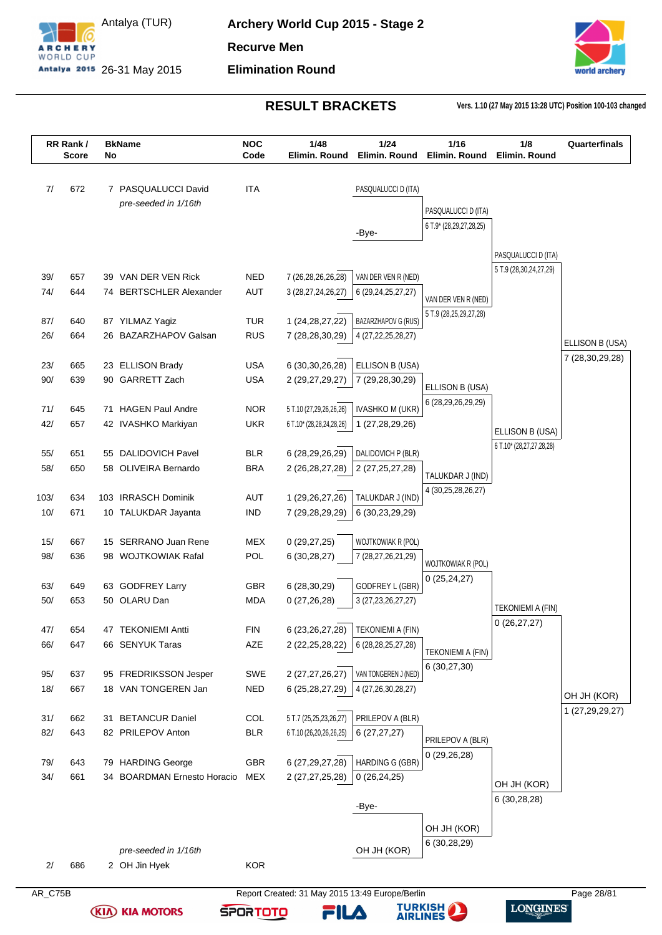



**RESULT BRACKETS Vers. 1.10 (27 May 2015 13:28 UTC) Position 100-103 changed**

| 7/         | 672        |                                             |                          |                                                   |                                           |                                   |                          |                 |
|------------|------------|---------------------------------------------|--------------------------|---------------------------------------------------|-------------------------------------------|-----------------------------------|--------------------------|-----------------|
|            |            |                                             |                          |                                                   |                                           |                                   |                          |                 |
|            |            | 7 PASQUALUCCI David                         | <b>ITA</b>               |                                                   | PASQUALUCCI D (ITA)                       |                                   |                          |                 |
|            |            | pre-seeded in 1/16th                        |                          |                                                   |                                           | PASQUALUCCI D (ITA)               |                          |                 |
|            |            |                                             |                          |                                                   |                                           | 6 T.9* (28,29,27,28,25)           |                          |                 |
|            |            |                                             |                          |                                                   | -Bye-                                     |                                   |                          |                 |
|            |            |                                             |                          |                                                   |                                           |                                   | PASQUALUCCI D (ITA)      |                 |
| 39/        | 657        | 39 VAN DER VEN Rick                         | <b>NED</b>               | 7 (26,28,26,26,28)                                | VAN DER VEN R (NED)                       |                                   | 5 T.9 (28,30,24,27,29)   |                 |
| 74/        | 644        | 74 BERTSCHLER Alexander                     | <b>AUT</b>               | 3 (28,27,24,26,27)                                | 6 (29, 24, 25, 27, 27)                    | VAN DER VEN R (NED)               |                          |                 |
|            |            |                                             |                          |                                                   |                                           | 5 T.9 (28,25,29,27,28)            |                          |                 |
| 87/        | 640        | 87 YILMAZ Yagiz                             | <b>TUR</b>               | 1 (24, 28, 27, 22)                                | BAZARZHAPOV G (RUS)                       |                                   |                          |                 |
| 26/        | 664        | 26 BAZARZHAPOV Galsan                       | <b>RUS</b>               | 7 (28,28,30,29)                                   | 4 (27, 22, 25, 28, 27)                    |                                   |                          | ELLISON B (USA) |
| 23/        | 665        | 23 ELLISON Brady                            | <b>USA</b>               | 6 (30, 30, 26, 28)                                | ELLISON B (USA)                           |                                   |                          | 7 (28,30,29,28) |
| 90/        | 639        | 90 GARRETT Zach                             | <b>USA</b>               | 2 (29,27,29,27)                                   | 7 (29,28,30,29)                           |                                   |                          |                 |
|            |            |                                             |                          |                                                   |                                           | ELLISON B (USA)                   |                          |                 |
| 71/        | 645        | 71 HAGEN Paul Andre                         | <b>NOR</b>               | 5 T.10 (27,29,26,26,26)                           | <b>IVASHKO M (UKR)</b>                    | 6 (28,29,26,29,29)                |                          |                 |
| 42/        | 657        | 42 IVASHKO Markiyan                         | <b>UKR</b>               | 6 T.10* (28,28,24,28,26)                          | 1 (27,28,29,26)                           |                                   | ELLISON B (USA)          |                 |
|            |            |                                             |                          |                                                   |                                           |                                   | 6 T.10* (28,27,27,28,28) |                 |
| 55/<br>58/ | 651<br>650 | 55 DALIDOVICH Pavel<br>58 OLIVEIRA Bernardo | <b>BLR</b><br><b>BRA</b> | 6 (28,29,26,29)                                   | DALIDOVICH P (BLR)                        |                                   |                          |                 |
|            |            |                                             |                          | 2 (26,28,27,28)                                   | 2 (27, 25, 27, 28)                        | TALUKDAR J (IND)                  |                          |                 |
| 103/       | 634        | 103 IRRASCH Dominik                         | <b>AUT</b>               | 1 (29,26,27,26)                                   | TALUKDAR J (IND)                          | 4 (30,25,28,26,27)                |                          |                 |
| 10/        | 671        | 10 TALUKDAR Jayanta                         | <b>IND</b>               | 7 (29,28,29,29)                                   | 6 (30,23,29,29)                           |                                   |                          |                 |
|            |            |                                             |                          |                                                   |                                           |                                   |                          |                 |
| 15/        | 667        | 15 SERRANO Juan Rene                        | <b>MEX</b>               | 0(29, 27, 25)                                     | WOJTKOWIAK R (POL)                        |                                   |                          |                 |
| 98/        | 636        | 98 WOJTKOWIAK Rafal                         | POL                      | 6(30, 28, 27)                                     | 7 (28, 27, 26, 21, 29)                    | WOJTKOWIAK R (POL)                |                          |                 |
|            |            |                                             |                          |                                                   |                                           | 0(25, 24, 27)                     |                          |                 |
| 63/<br>50/ | 649<br>653 | 63 GODFREY Larry<br>50 OLARU Dan            | <b>GBR</b><br><b>MDA</b> | 6(28, 30, 29)<br>0(27,26,28)                      | GODFREY L (GBR)<br>3 (27, 23, 26, 27, 27) |                                   |                          |                 |
|            |            |                                             |                          |                                                   |                                           |                                   | <b>TEKONIEMI A (FIN)</b> |                 |
| 47/        | 654        | 47 TEKONIEMI Antti                          | <b>FIN</b>               | 6 (23, 26, 27, 28)                                | <b>TEKONIEMI A (FIN)</b>                  |                                   | 0(26, 27, 27)            |                 |
| 66/        | 647        | 66 SENYUK Taras                             | AZE                      | 2 (22, 25, 28, 22)                                | 6 (28, 28, 25, 27, 28)                    |                                   |                          |                 |
|            |            |                                             |                          |                                                   |                                           | TEKONIEMI A (FIN)<br>6 (30,27,30) |                          |                 |
| 95/        | 637        | 95 FREDRIKSSON Jesper                       | SWE                      | 2 (27,27,26,27)                                   | VAN TONGEREN J (NED)                      |                                   |                          |                 |
| 18/        | 667        | 18 VAN TONGEREN Jan                         | <b>NED</b>               | 6 (25,28,27,29)                                   | 4 (27,26,30,28,27)                        |                                   |                          | OH JH (KOR)     |
|            |            |                                             |                          |                                                   |                                           |                                   |                          | 1 (27,29,29,27) |
| 31/<br>82/ | 662<br>643 | 31 BETANCUR Daniel<br>82 PRILEPOV Anton     | COL<br><b>BLR</b>        | 5 T.7 (25,25,23,26,27)<br>6 T.10 (26,20,26,26,25) | PRILEPOV A (BLR)<br>6(27, 27, 27)         |                                   |                          |                 |
|            |            |                                             |                          |                                                   |                                           | PRILEPOV A (BLR)                  |                          |                 |
| 79/        | 643        | 79 HARDING George                           | GBR                      | 6 (27, 29, 27, 28)                                | HARDING G (GBR)                           | 0(29,26,28)                       |                          |                 |
| 34/        | 661        | 34 BOARDMAN Ernesto Horacio                 | <b>MEX</b>               | 2 (27, 27, 25, 28)                                | 0(26, 24, 25)                             |                                   | OH JH (KOR)              |                 |
|            |            |                                             |                          |                                                   |                                           |                                   | 6(30, 28, 28)            |                 |
|            |            |                                             |                          |                                                   | -Bye-                                     |                                   |                          |                 |
|            |            |                                             |                          |                                                   |                                           | OH JH (KOR)                       |                          |                 |
|            |            |                                             |                          |                                                   |                                           | 6 (30,28,29)                      |                          |                 |
| 2/         | 686        | pre-seeded in 1/16th<br>2 OH Jin Hyek       | <b>KOR</b>               |                                                   | OH JH (KOR)                               |                                   |                          |                 |

**TURKISH** 

FILA

**SPORTOTO** 

LONGINES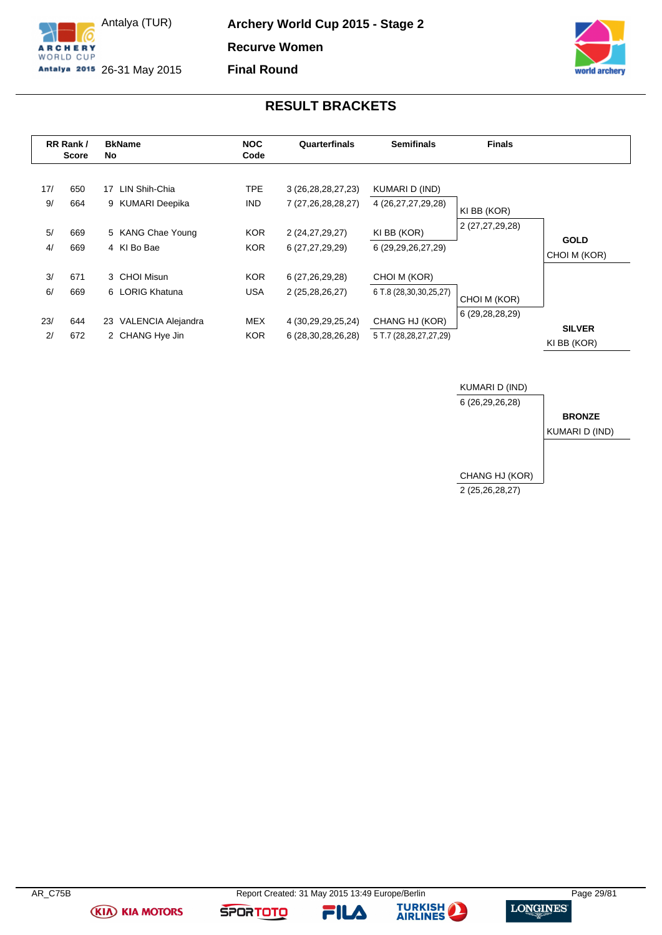

Antalya (TUR) Antalya 2015 26-31 May 2015 **Archery World Cup 2015 - Stage 2 Recurve Women Final Round**



## **RESULT BRACKETS**

<span id="page-29-0"></span>

|           | RR Rank/<br><b>Score</b> |    | <b>BkName</b><br>No               | <b>NOC</b><br>Code       | Quarterfinals                                | <b>Semifinals</b>                    | <b>Finals</b>   |                              |
|-----------|--------------------------|----|-----------------------------------|--------------------------|----------------------------------------------|--------------------------------------|-----------------|------------------------------|
| 17/<br>9/ | 650<br>664               | 17 | LIN Shih-Chia<br>9 KUMARI Deepika | <b>TPE</b><br><b>IND</b> | 3 (26, 28, 28, 27, 23)<br>7 (27,26,28,28,27) | KUMARI D (IND)<br>4 (26,27,27,29,28) | KI BB (KOR)     |                              |
| 5/<br>4/  | 669<br>669               |    | 5 KANG Chae Young<br>4 KI Bo Bae  | <b>KOR</b><br><b>KOR</b> | 2 (24, 27, 29, 27)<br>6 (27,27,29,29)        | KI BB (KOR)<br>6 (29,29,26,27,29)    | 2 (27,27,29,28) | <b>GOLD</b><br>CHOI M (KOR)  |
| 3/        | 671                      |    | 3 CHOI Misun                      | <b>KOR</b>               | 6 (27,26,29,28)                              | CHOI M (KOR)                         |                 |                              |
| 6/        | 669                      |    | 6 LORIG Khatuna                   | USA                      | 2 (25,28,26,27)                              | 6 T.8 (28,30,30,25,27)               | CHOI M (KOR)    |                              |
| 23/       | 644                      |    | 23 VALENCIA Alejandra             | <b>MEX</b>               | 4 (30,29,29,25,24)                           | CHANG HJ (KOR)                       | 6 (29,28,28,29) |                              |
| 2/        | 672                      |    | 2 CHANG Hye Jin                   | <b>KOR</b>               | 6 (28, 30, 28, 26, 28)                       | 5 T.7 (28,28,27,27,29)               |                 | <b>SILVER</b><br>KI BB (KOR) |





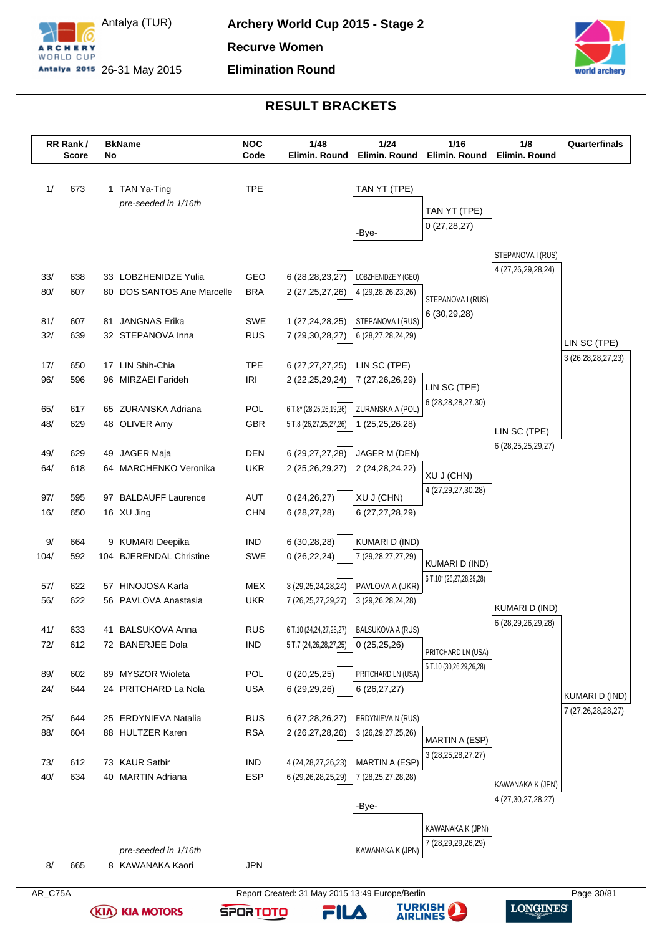



|         | RR Rank/<br><b>Score</b> | No | <b>BkName</b>              | <b>NOC</b><br>Code | 1/48<br>Elimin. Round                           | 1/24<br>Elimin. Round  | 1/16<br>Elimin. Round                             | 1/8<br>Elimin. Round   | Quarterfinals          |
|---------|--------------------------|----|----------------------------|--------------------|-------------------------------------------------|------------------------|---------------------------------------------------|------------------------|------------------------|
| 1/      | 673                      |    | 1 TAN Ya-Ting              | <b>TPE</b>         |                                                 | TAN YT (TPE)           |                                                   |                        |                        |
|         |                          |    | pre-seeded in 1/16th       |                    |                                                 |                        | TAN YT (TPE)                                      |                        |                        |
|         |                          |    |                            |                    |                                                 |                        | 0(27, 28, 27)                                     |                        |                        |
|         |                          |    |                            |                    |                                                 | -Bye-                  |                                                   |                        |                        |
|         |                          |    |                            |                    |                                                 |                        |                                                   | STEPANOVA I (RUS)      |                        |
| 33/     | 638                      |    | 33 LOBZHENIDZE Yulia       | GEO                | 6 (28, 28, 23, 27)                              | LOBZHENIDZE Y (GEO)    |                                                   | 4 (27,26,29,28,24)     |                        |
| 80/     | 607                      |    | 80 DOS SANTOS Ane Marcelle | <b>BRA</b>         | 2 (27, 25, 27, 26)                              | 4 (29,28,26,23,26)     | STEPANOVA I (RUS)                                 |                        |                        |
|         |                          |    |                            |                    |                                                 |                        | 6 (30,29,28)                                      |                        |                        |
| 81/     | 607                      | 81 | <b>JANGNAS Erika</b>       | SWE                | 1 (27,24,28,25)                                 | STEPANOVA I (RUS)      |                                                   |                        |                        |
| 32/     | 639                      |    | 32 STEPANOVA Inna          | <b>RUS</b>         | 7 (29,30,28,27)                                 | 6 (28,27,28,24,29)     |                                                   |                        | LIN SC (TPE)           |
| 17/     | 650                      |    | 17 LIN Shih-Chia           | <b>TPE</b>         | 6 (27,27,27,25)                                 | LIN SC (TPE)           |                                                   |                        | 3 (26, 28, 28, 27, 23) |
| 96/     | 596                      |    | 96 MIRZAEI Farideh         | IRI                | 2 (22, 25, 29, 24)                              | 7 (27,26,26,29)        | LIN SC (TPE)                                      |                        |                        |
|         |                          |    |                            |                    |                                                 |                        | 6 (28,28,28,27,30)                                |                        |                        |
| 65/     | 617                      |    | 65 ZURANSKA Adriana        | POL                | 6 T.8* (28,25,26,19,26)                         | ZURANSKA A (POL)       |                                                   |                        |                        |
| 48/     | 629                      |    | 48 OLIVER Amy              | GBR                | 5 T.8 (26,27,25,27,26)                          | 1 (25,25,26,28)        |                                                   | LIN SC (TPE)           |                        |
| 49/     | 629                      |    | 49 JAGER Maja              | <b>DEN</b>         | 6 (29,27,27,28)                                 | JAGER M (DEN)          |                                                   | 6 (28, 25, 25, 29, 27) |                        |
| 64/     | 618                      |    | 64 MARCHENKO Veronika      | <b>UKR</b>         | 2 (25,26,29,27)                                 | 2 (24, 28, 24, 22)     |                                                   |                        |                        |
|         |                          |    |                            |                    |                                                 |                        | XU J (CHN)<br>4 (27, 29, 27, 30, 28)              |                        |                        |
| 97/     | 595                      | 97 | <b>BALDAUFF Laurence</b>   | <b>AUT</b>         | 0(24,26,27)                                     | XU J (CHN)             |                                                   |                        |                        |
| 16/     | 650                      |    | 16 XU Jing                 | <b>CHN</b>         | 6 (28,27,28)                                    | 6 (27,27,28,29)        |                                                   |                        |                        |
| $9/$    | 664                      |    | 9 KUMARI Deepika           | <b>IND</b>         | 6 (30,28,28)                                    | KUMARI D (IND)         |                                                   |                        |                        |
| 104/    | 592                      |    | 104 BJERENDAL Christine    | SWE                | 0(26, 22, 24)                                   | 7 (29, 28, 27, 27, 29) |                                                   |                        |                        |
|         |                          |    |                            |                    |                                                 |                        | <b>KUMARI D (IND)</b><br>6 T.10* (26,27,28,29,28) |                        |                        |
| 57/     | 622                      |    | 57 HINOJOSA Karla          | <b>MEX</b>         | 3 (29, 25, 24, 28, 24)                          | PAVLOVA A (UKR)        |                                                   |                        |                        |
| 56/     | 622                      |    | 56 PAVLOVA Anastasia       | <b>UKR</b>         | 7 (26, 25, 27, 29, 27)                          | 3 (29, 26, 28, 24, 28) |                                                   | <b>KUMARI D (IND)</b>  |                        |
| 41/     | 633                      |    | 41 BALSUKOVA Anna          | <b>RUS</b>         | 6 T.10 (24,24,27,28,27)                         | BALSUKOVA A (RUS)      |                                                   | 6 (28,29,26,29,28)     |                        |
| 72/     | 612                      |    | 72 BANERJEE Dola           | <b>IND</b>         | 5 T.7 (24,26,28,27,25)                          | 0(25,25,26)            |                                                   |                        |                        |
|         |                          |    |                            |                    |                                                 |                        | PRITCHARD LN (USA)<br>5 T.10 (30,26,29,26,28)     |                        |                        |
| 89/     | 602                      |    | 89 MYSZOR Wioleta          | POL                | 0(20, 25, 25)                                   | PRITCHARD LN (USA)     |                                                   |                        |                        |
| 24/     | 644                      |    | 24 PRITCHARD La Nola       | <b>USA</b>         | 6 (29,29,26)                                    | 6(26, 27, 27)          |                                                   |                        | KUMARI D (IND)         |
| 25/     | 644                      |    | 25 ERDYNIEVA Natalia       | <b>RUS</b>         | 6 (27,28,26,27)                                 | ERDYNIEVA N (RUS)      |                                                   |                        | 7 (27,26,28,28,27)     |
| 88/     | 604                      |    | 88 HULTZER Karen           | <b>RSA</b>         | 2 (26,27,28,26)                                 | 3 (26, 29, 27, 25, 26) |                                                   |                        |                        |
|         |                          |    |                            |                    |                                                 |                        | MARTIN A (ESP)                                    |                        |                        |
| 73/     | 612                      |    | 73 KAUR Satbir             | <b>IND</b>         | 4 (24, 28, 27, 26, 23)                          | MARTIN A (ESP)         | 3 (28, 25, 28, 27, 27)                            |                        |                        |
| 40/     | 634                      |    | 40 MARTIN Adriana          | <b>ESP</b>         | 6 (29,26,28,25,29)                              | 7 (28, 25, 27, 28, 28) |                                                   | KAWANAKA K (JPN)       |                        |
|         |                          |    |                            |                    |                                                 |                        |                                                   | 4 (27,30,27,28,27)     |                        |
|         |                          |    |                            |                    |                                                 | -Bye-                  |                                                   |                        |                        |
|         |                          |    |                            |                    |                                                 |                        | KAWANAKA K (JPN)                                  |                        |                        |
|         |                          |    | pre-seeded in 1/16th       |                    |                                                 | KAWANAKA K (JPN)       | 7 (28,29,29,26,29)                                |                        |                        |
| 8/      | 665                      |    | 8 KAWANAKA Kaori           | <b>JPN</b>         |                                                 |                        |                                                   |                        |                        |
| AR_C75A |                          |    |                            |                    | Report Created: 31 May 2015 13:49 Europe/Berlin |                        |                                                   |                        | Page 30/81             |



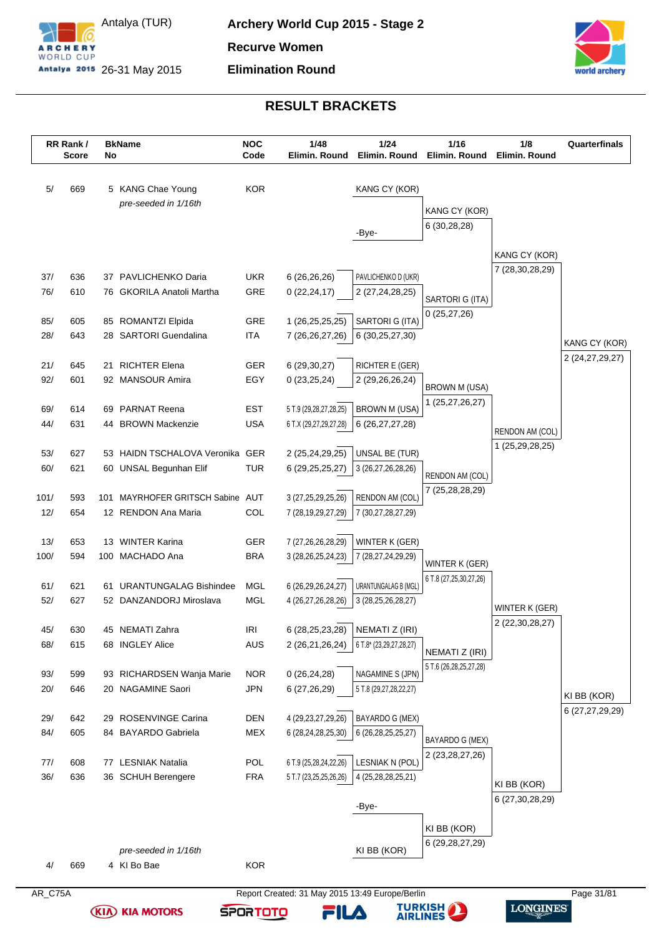



|            | RR Rank/<br><b>Score</b> | No  | <b>BkName</b>                                            | <b>NOC</b><br>Code | 1/48<br>Elimin. Round                           | 1/24<br>Elimin, Round                          | $1/16$<br>Elimin. Round        | 1/8<br>Elimin. Round | Quarterfinals      |
|------------|--------------------------|-----|----------------------------------------------------------|--------------------|-------------------------------------------------|------------------------------------------------|--------------------------------|----------------------|--------------------|
| 5/         | 669                      |     | 5 KANG Chae Young                                        | <b>KOR</b>         |                                                 | KANG CY (KOR)                                  |                                |                      |                    |
|            |                          |     | pre-seeded in 1/16th                                     |                    |                                                 |                                                |                                |                      |                    |
|            |                          |     |                                                          |                    |                                                 |                                                | KANG CY (KOR)<br>6(30, 28, 28) |                      |                    |
|            |                          |     |                                                          |                    |                                                 | -Bye-                                          |                                |                      |                    |
|            |                          |     |                                                          |                    |                                                 |                                                |                                | KANG CY (KOR)        |                    |
| 37/        | 636                      |     | 37 PAVLICHENKO Daria                                     | UKR.               | 6(26, 26, 26)                                   | PAVLICHENKO D (UKR)                            |                                | 7 (28,30,28,29)      |                    |
| 76/        | 610                      |     | 76 GKORILA Anatoli Martha                                | GRE                | 0(22, 24, 17)                                   | 2 (27,24,28,25)                                |                                |                      |                    |
|            |                          |     |                                                          |                    |                                                 |                                                | SARTORI G (ITA)                |                      |                    |
| 85/        | 605                      |     | 85 ROMANTZI Elpida                                       | GRE                | 1 (26,25,25,25)                                 | SARTORI G (ITA)                                | 0(25, 27, 26)                  |                      |                    |
| 28/        | 643                      |     | 28 SARTORI Guendalina                                    | <b>ITA</b>         | 7 (26,26,27,26)                                 | 6 (30,25,27,30)                                |                                |                      | KANG CY (KOR)      |
|            |                          |     | <b>RICHTER Elena</b>                                     | <b>GER</b>         |                                                 |                                                |                                |                      | 2 (24, 27, 29, 27) |
| 21/<br>92/ | 645<br>601               | 21  | 92 MANSOUR Amira                                         | EGY                | 6(29, 30, 27)<br>0(23,25,24)                    | RICHTER E (GER)<br>2 (29,26,26,24)             |                                |                      |                    |
|            |                          |     |                                                          |                    |                                                 |                                                | <b>BROWN M (USA)</b>           |                      |                    |
| 69/        | 614                      |     | 69 PARNAT Reena                                          | <b>EST</b>         | 5 T.9 (29,28,27,28,25)                          | <b>BROWN M (USA)</b>                           | 1 (25,27,26,27)                |                      |                    |
| 44/        | 631                      |     | 44 BROWN Mackenzie                                       | <b>USA</b>         | 6 T.X (29,27,29,27,28)                          | 6 (26, 27, 27, 28)                             |                                | RENDON AM (COL)      |                    |
|            |                          |     |                                                          |                    |                                                 |                                                |                                | 1 (25,29,28,25)      |                    |
| 53/        | 627                      |     | 53 HAIDN TSCHALOVA Veronika GER                          |                    | 2 (25,24,29,25)                                 | UNSAL BE (TUR)                                 |                                |                      |                    |
| 60/        | 621                      |     | 60 UNSAL Begunhan Elif                                   | <b>TUR</b>         | 6 (29, 25, 25, 27)                              | 3 (26,27,26,28,26)                             | RENDON AM (COL)                |                      |                    |
| 101/       | 593                      | 101 | MAYRHOFER GRITSCH Sabine AUT                             |                    | 3 (27,25,29,25,26)                              | RENDON AM (COL)                                | 7 (25,28,28,29)                |                      |                    |
| 12/        | 654                      |     | 12 RENDON Ana Maria                                      | COL                | 7 (28, 19, 29, 27, 29)                          | 7 (30,27,28,27,29)                             |                                |                      |                    |
|            |                          |     |                                                          |                    |                                                 |                                                |                                |                      |                    |
| 13/        | 653                      |     | 13 WINTER Karina                                         | <b>GER</b>         | 7 (27,26,26,28,29)                              | WINTER K (GER)                                 |                                |                      |                    |
| 100/       | 594                      |     | 100 MACHADO Ana                                          | <b>BRA</b>         | 3 (28, 26, 25, 24, 23)                          | 7 (28,27,24,29,29)                             | WINTER K (GER)                 |                      |                    |
|            |                          |     |                                                          |                    |                                                 |                                                | 6 T.8 (27, 25, 30, 27, 26)     |                      |                    |
| 61/<br>52/ | 621<br>627               | 61  | <b>URANTUNGALAG Bishindee</b><br>52 DANZANDORJ Miroslava | MGL<br>MGL         | 6 (26,29,26,24,27)<br>4 (26,27,26,28,26)        | URANTUNGALAG B (MGL)<br>3 (28, 25, 26, 28, 27) |                                |                      |                    |
|            |                          |     |                                                          |                    |                                                 |                                                |                                | WINTER K (GER)       |                    |
| 45/        | 630                      |     | 45 NEMATI Zahra                                          | <b>IRI</b>         | 6 (28, 25, 23, 28)                              | NEMATI Z (IRI)                                 |                                | 2 (22, 30, 28, 27)   |                    |
| 68/        | 615                      |     | 68 INGLEY Alice                                          | <b>AUS</b>         | 2 (26,21,26,24)   6 T.8* (23,29,27,28,27)       |                                                | NEMATI Z (IRI)                 |                      |                    |
|            |                          |     |                                                          |                    |                                                 |                                                | 5 T.6 (26, 28, 25, 27, 28)     |                      |                    |
| 93/        | 599                      |     | 93 RICHARDSEN Wanja Marie                                | <b>NOR</b>         | 0(26, 24, 28)                                   | NAGAMINE S (JPN)                               |                                |                      |                    |
| 20/        | 646                      |     | 20 NAGAMINE Saori                                        | <b>JPN</b>         | 6 (27,26,29)                                    | 5 T.8 (29,27,28,22,27)                         |                                |                      | KI BB (KOR)        |
| 29/        | 642                      | 29  | ROSENVINGE Carina                                        | DEN                | 4 (29, 23, 27, 29, 26)                          | BAYARDO G (MEX)                                |                                |                      | 6 (27,27,29,29)    |
| 84/        | 605                      |     | 84 BAYARDO Gabriela                                      | MEX                | 6 (28,24,28,25,30)                              | 6 (26, 28, 25, 25, 27)                         |                                |                      |                    |
|            |                          |     |                                                          |                    |                                                 |                                                | BAYARDO G (MEX)                |                      |                    |
| 77/        | 608                      |     | 77 LESNIAK Natalia                                       | <b>POL</b>         | 6 T.9 (25,28,24,22,26)                          | LESNIAK N (POL)                                | 2 (23, 28, 27, 26)             |                      |                    |
| 36/        | 636                      |     | 36 SCHUH Berengere                                       | <b>FRA</b>         | 5 T.7 (23,25,25,26,26)                          | 4 (25,28,28,25,21)                             |                                | KI BB (KOR)          |                    |
|            |                          |     |                                                          |                    |                                                 |                                                |                                | 6 (27, 30, 28, 29)   |                    |
|            |                          |     |                                                          |                    |                                                 | -Bye-                                          |                                |                      |                    |
|            |                          |     |                                                          |                    |                                                 |                                                | KI BB (KOR)                    |                      |                    |
|            |                          |     | pre-seeded in 1/16th                                     |                    |                                                 | KI BB (KOR)                                    | 6 (29, 28, 27, 29)             |                      |                    |
| 4/         | 669                      |     | 4 KI Bo Bae                                              | <b>KOR</b>         |                                                 |                                                |                                |                      |                    |
|            |                          |     |                                                          |                    |                                                 |                                                |                                |                      |                    |
| AR_C75A    |                          |     |                                                          |                    | Report Created: 31 May 2015 13:49 Europe/Berlin |                                                |                                |                      | Page 31/81         |

**TURKISH** 

FILA

LONGINES

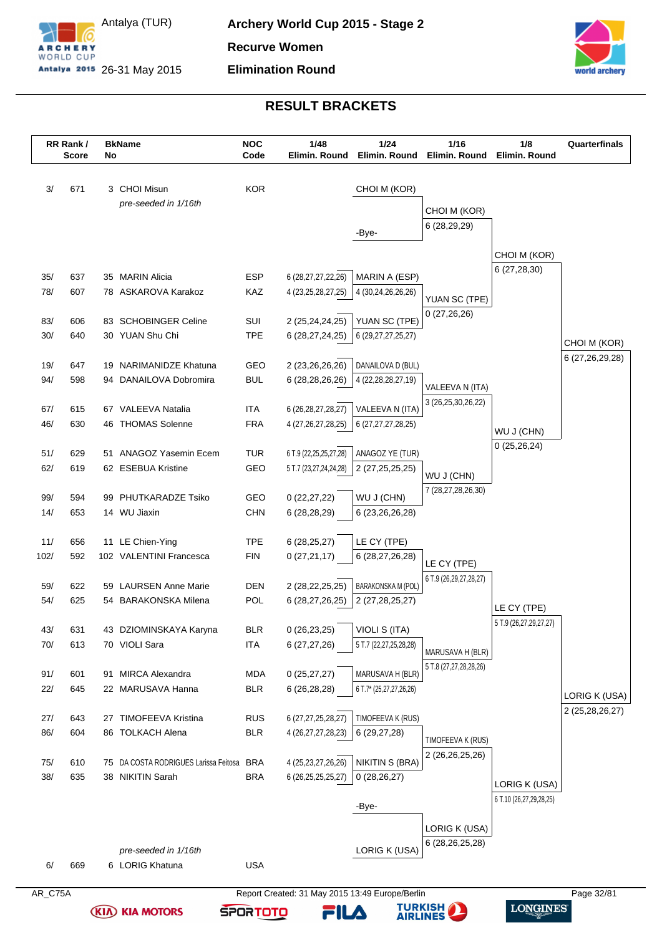



|         | RR Rank/<br><b>Score</b> | No | <b>BkName</b>                         | <b>NOC</b><br>Code | 1/48<br>Elimin. Round                           | 1/24<br>Elimin. Round     | 1/16<br>Elimin. Round  | 1/8<br>Elimin. Round                     | Quarterfinals                    |
|---------|--------------------------|----|---------------------------------------|--------------------|-------------------------------------------------|---------------------------|------------------------|------------------------------------------|----------------------------------|
| 3/      | 671                      |    | 3 CHOI Misun                          | <b>KOR</b>         |                                                 | CHOI M (KOR)              |                        |                                          |                                  |
|         |                          |    | pre-seeded in 1/16th                  |                    |                                                 |                           | CHOI M (KOR)           |                                          |                                  |
|         |                          |    |                                       |                    |                                                 |                           | 6 (28,29,29)           |                                          |                                  |
|         |                          |    |                                       |                    |                                                 | -Bye-                     |                        |                                          |                                  |
|         |                          |    |                                       |                    |                                                 |                           |                        | CHOI M (KOR)                             |                                  |
| 35/     | 637                      |    | 35 MARIN Alicia                       | <b>ESP</b>         | 6 (28,27,27,22,26)                              | MARIN A (ESP)             |                        | 6(27, 28, 30)                            |                                  |
| 78/     | 607                      |    | 78 ASKAROVA Karakoz                   | KAZ                | 4 (23, 25, 28, 27, 25)                          | 4 (30,24,26,26,26)        | YUAN SC (TPE)          |                                          |                                  |
| 83/     | 606                      |    | 83 SCHOBINGER Celine                  | SUI                | 2 (25,24,24,25)                                 | YUAN SC (TPE)             | 0(27,26,26)            |                                          |                                  |
| 30/     | 640                      |    | 30 YUAN Shu Chi                       | <b>TPE</b>         | 6 (28,27,24,25)                                 | 6 (29, 27, 27, 25, 27)    |                        |                                          |                                  |
|         |                          |    |                                       |                    |                                                 |                           |                        |                                          | CHOI M (KOR)                     |
| 19/     | 647                      |    | 19 NARIMANIDZE Khatuna                | GEO                | 2 (23,26,26,26)                                 | DANAILOVA D (BUL)         |                        |                                          | 6 (27,26,29,28)                  |
| 94/     | 598                      |    | 94 DANAILOVA Dobromira                | <b>BUL</b>         | 6 (28,28,26,26)                                 | 4 (22, 28, 28, 27, 19)    | VALEEVA N (ITA)        |                                          |                                  |
| 67/     | 615                      |    | 67 VALEEVA Natalia                    | <b>ITA</b>         | 6 (26, 28, 27, 28, 27)                          | VALEEVA N (ITA)           | 3 (26,25,30,26,22)     |                                          |                                  |
| 46/     | 630                      |    | 46 THOMAS Solenne                     | <b>FRA</b>         | 4 (27, 26, 27, 28, 25)                          | 6 (27,27,27,28,25)        |                        |                                          |                                  |
|         |                          |    |                                       |                    |                                                 |                           |                        | WU J (CHN)                               |                                  |
| 51/     | 629                      |    | 51 ANAGOZ Yasemin Ecem                | <b>TUR</b>         | 6 T.9 (22,25,25,27,28)                          | ANAGOZ YE (TUR)           |                        | 0(25, 26, 24)                            |                                  |
| 62/     | 619                      |    | 62 ESEBUA Kristine                    | GEO                | 5 T.7 (23,27,24,24,28)                          | 2 (27, 25, 25, 25)        | WU J (CHN)             |                                          |                                  |
| 99/     | 594                      |    | 99 PHUTKARADZE Tsiko                  | GEO                | 0(22, 27, 22)                                   | WU J (CHN)                | 7 (28,27,28,26,30)     |                                          |                                  |
| 14/     | 653                      |    | 14 WU Jiaxin                          | <b>CHN</b>         | 6(28, 28, 29)                                   | 6 (23,26,26,28)           |                        |                                          |                                  |
|         |                          |    |                                       |                    |                                                 |                           |                        |                                          |                                  |
| 11/     | 656                      |    | 11 LE Chien-Ying                      | <b>TPE</b>         | 6(28, 25, 27)                                   | LE CY (TPE)               |                        |                                          |                                  |
| 102/    | 592                      |    | 102 VALENTINI Francesca               | FIN                | 0(27, 21, 17)                                   | 6 (28,27,26,28)           | LE CY (TPE)            |                                          |                                  |
| 59/     | 622                      |    | 59 LAURSEN Anne Marie                 | <b>DEN</b>         | 2 (28, 22, 25, 25)                              | <b>BARAKONSKA M (POL)</b> | 6 T.9 (26,29,27,28,27) |                                          |                                  |
| 54/     | 625                      |    | 54 BARAKONSKA Milena                  | POL                | 6 (28,27,26,25)                                 | 2 (27,28,25,27)           |                        |                                          |                                  |
|         |                          |    |                                       |                    |                                                 |                           |                        | LE CY (TPE)<br>5 T.9 (26,27,29,27,27)    |                                  |
| 43/     | 631                      |    | 43 DZIOMINSKAYA Karyna                | <b>BLR</b>         | 0(26, 23, 25)                                   | VIOLI S (ITA)             |                        |                                          |                                  |
| 70/     | 613                      |    | 70 VIOLI Sara                         | <b>ITA</b>         | 6(27, 27, 26)                                   | 5 T.7 (22,27,25,28,28)    | MARUSAVA H (BLR)       |                                          |                                  |
| 91/     | 601                      |    | 91 MIRCA Alexandra                    | <b>MDA</b>         | 0(25, 27, 27)                                   | MARUSAVA H (BLR)          | 5 T.8 (27,27,28,28,26) |                                          |                                  |
| 22/     | 645                      |    | 22 MARUSAVA Hanna                     | <b>BLR</b>         | 6(26, 28, 28)                                   | 6 T.7* (25,27,27,26,26)   |                        |                                          |                                  |
|         |                          |    |                                       |                    |                                                 |                           |                        |                                          | LORIG K (USA)<br>2 (25,28,26,27) |
| 27/     | 643                      |    | 27 TIMOFEEVA Kristina                 | <b>RUS</b>         | 6 (27, 27, 25, 28, 27)                          | TIMOFEEVA K (RUS)         |                        |                                          |                                  |
| 86/     | 604                      |    | 86 TOLKACH Alena                      | <b>BLR</b>         | 4 (26, 27, 27, 28, 23)                          | 6(29, 27, 28)             | TIMOFEEVA K (RUS)      |                                          |                                  |
| 75/     | 610                      |    | 75 DA COSTA RODRIGUES Larissa Feitosa | <b>BRA</b>         | 4 (25, 23, 27, 26, 26)                          | <b>NIKITIN S (BRA)</b>    | 2 (26,26,25,26)        |                                          |                                  |
| 38/     | 635                      |    | 38 NIKITIN Sarah                      | <b>BRA</b>         | 6 (26, 25, 25, 25, 27)                          | 0(28, 26, 27)             |                        |                                          |                                  |
|         |                          |    |                                       |                    |                                                 |                           |                        | LORIG K (USA)<br>6 T.10 (26,27,29,28,25) |                                  |
|         |                          |    |                                       |                    |                                                 | -Bye-                     |                        |                                          |                                  |
|         |                          |    |                                       |                    |                                                 |                           | LORIG K (USA)          |                                          |                                  |
|         |                          |    | pre-seeded in 1/16th                  |                    |                                                 | LORIG K (USA)             | 6 (28, 26, 25, 28)     |                                          |                                  |
| 6/      | 669                      |    | 6 LORIG Khatuna                       | <b>USA</b>         |                                                 |                           |                        |                                          |                                  |
| AR_C75A |                          |    |                                       |                    | Report Created: 31 May 2015 13:49 Europe/Berlin |                           |                        |                                          | Page 32/81                       |

**(KIA) KIA MOTORS** 



FILA

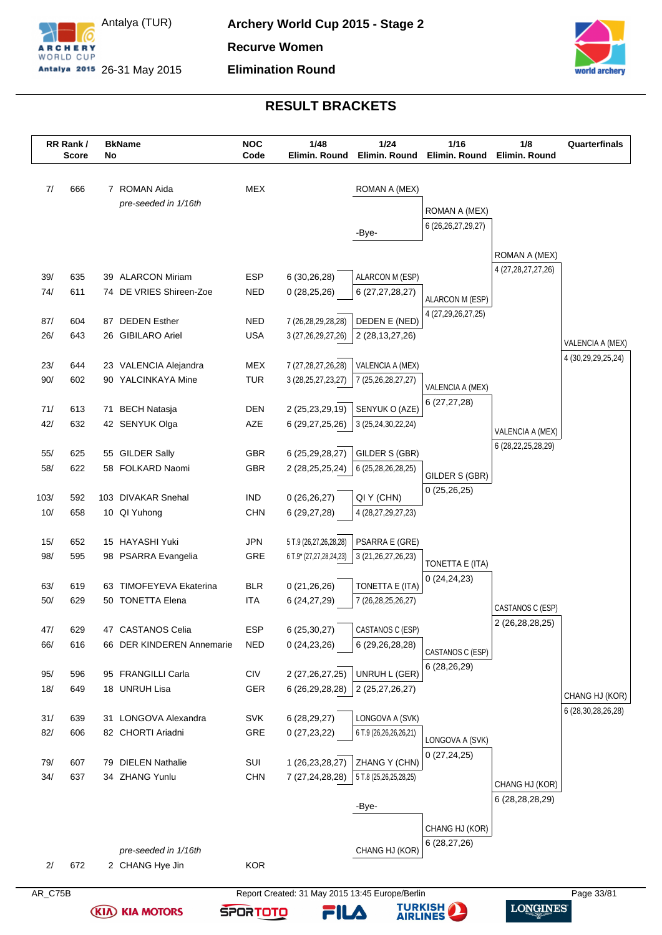



|            | RR Rank/<br><b>Score</b> | No | <b>BkName</b>                                  | <b>NOC</b><br>Code       | 1/48<br>Elimin. Round                           | 1/24<br>Elimin. Round               | 1/16<br>Elimin. Round         | 1/8<br>Elimin. Round   | Quarterfinals                        |
|------------|--------------------------|----|------------------------------------------------|--------------------------|-------------------------------------------------|-------------------------------------|-------------------------------|------------------------|--------------------------------------|
| 7/         | 666                      |    | 7 ROMAN Aida                                   | <b>MEX</b>               |                                                 | ROMAN A (MEX)                       |                               |                        |                                      |
|            |                          |    | pre-seeded in 1/16th                           |                          |                                                 |                                     | ROMAN A (MEX)                 |                        |                                      |
|            |                          |    |                                                |                          |                                                 | -Bye-                               | 6 (26, 26, 27, 29, 27)        |                        |                                      |
|            |                          |    |                                                |                          |                                                 |                                     |                               |                        |                                      |
|            |                          |    |                                                |                          |                                                 |                                     |                               | ROMAN A (MEX)          |                                      |
| 39/        | 635                      |    | 39 ALARCON Miriam                              | <b>ESP</b>               | 6 (30,26,28)                                    | ALARCON M (ESP)                     |                               | 4 (27,28,27,27,26)     |                                      |
| 74/        | 611                      |    | 74 DE VRIES Shireen-Zoe                        | <b>NED</b>               | 0(28,25,26)                                     | 6 (27,27,28,27)                     | ALARCON M (ESP)               |                        |                                      |
|            |                          |    |                                                | <b>NED</b>               |                                                 |                                     | 4 (27,29,26,27,25)            |                        |                                      |
| 87/<br>26/ | 604<br>643               | 87 | <b>DEDEN Esther</b><br>26 GIBILARO Ariel       | <b>USA</b>               | 7 (26,28,29,28,28)<br>3 (27, 26, 29, 27, 26)    | DEDEN E (NED)<br>2 (28, 13, 27, 26) |                               |                        |                                      |
|            |                          |    |                                                |                          |                                                 |                                     |                               |                        | VALENCIA A (MEX)                     |
| 23/        | 644                      |    | 23 VALENCIA Alejandra                          | <b>MEX</b>               | 7 (27, 28, 27, 26, 28)                          | VALENCIA A (MEX)                    |                               |                        | 4 (30,29,29,25,24)                   |
| 90/        | 602                      |    | 90 YALCINKAYA Mine                             | <b>TUR</b>               | 3 (28, 25, 27, 23, 27)                          | 7 (25,26,28,27,27)                  | VALENCIA A (MEX)              |                        |                                      |
|            |                          |    |                                                |                          |                                                 |                                     | 6(27, 27, 28)                 |                        |                                      |
| 71/        | 613                      | 71 | <b>BECH Natasja</b>                            | <b>DEN</b>               | 2 (25,23,29,19)                                 | SENYUK O (AZE)                      |                               |                        |                                      |
| 42/        | 632                      |    | 42 SENYUK Olga                                 | AZE                      | 6 (29,27,25,26)                                 | 3 (25,24,30,22,24)                  |                               | VALENCIA A (MEX)       |                                      |
| 55/        | 625                      |    | 55 GILDER Sally                                | <b>GBR</b>               | 6 (25,29,28,27)                                 | GILDER S (GBR)                      |                               | 6 (28, 22, 25, 28, 29) |                                      |
| 58/        | 622                      |    | 58 FOLKARD Naomi                               | <b>GBR</b>               | 2 (28,25,25,24)                                 | 6 (25,28,26,28,25)                  |                               |                        |                                      |
|            |                          |    |                                                |                          |                                                 |                                     | GILDER S (GBR)<br>0(25,26,25) |                        |                                      |
| 103/       | 592                      |    | 103 DIVAKAR Snehal                             | <b>IND</b>               | 0(26,26,27)                                     | QI Y (CHN)                          |                               |                        |                                      |
| 10/        | 658                      |    | 10 QI Yuhong                                   | <b>CHN</b>               | 6 (29,27,28)                                    | 4 (28,27,29,27,23)                  |                               |                        |                                      |
| 15/        | 652                      |    | 15 HAYASHI Yuki                                | <b>JPN</b>               | 5 T.9 (26,27,26,28,28)                          | PSARRA E (GRE)                      |                               |                        |                                      |
| 98/        | 595                      |    | 98 PSARRA Evangelia                            | <b>GRE</b>               | 6 T.9* (27,27,28,24,23)                         | 3 (21, 26, 27, 26, 23)              |                               |                        |                                      |
|            |                          |    |                                                |                          |                                                 |                                     | TONETTA E (ITA)               |                        |                                      |
| 63/        | 619                      |    | 63 TIMOFEYEVA Ekaterina                        | <b>BLR</b>               | 0(21, 26, 26)                                   | TONETTA E (ITA)                     | 0(24, 24, 23)                 |                        |                                      |
| 50/        | 629                      |    | 50 TONETTA Elena                               | <b>ITA</b>               | 6(24, 27, 29)                                   | 7 (26,28,25,26,27)                  |                               | CASTANOS C (ESP)       |                                      |
|            |                          |    |                                                |                          |                                                 |                                     |                               | 2 (26,28,28,25)        |                                      |
| 47/<br>66/ | 629<br>616               |    | 47 CASTANOS Celia<br>66 DER KINDEREN Annemarie | <b>ESP</b><br><b>NED</b> | 6 (25,30,27)                                    | CASTANOS C (ESP)                    |                               |                        |                                      |
|            |                          |    |                                                |                          | 0(24, 23, 26)                                   | 6 (29,26,28,28)                     | CASTANOS C (ESP)              |                        |                                      |
| 95/        | 596                      |    | 95 FRANGILLI Carla                             | <b>CIV</b>               | 2 (27,26,27,25)                                 | UNRUH L (GER)                       | 6 (28,26,29)                  |                        |                                      |
| 18/        | 649                      |    | 18 UNRUH Lisa                                  | <b>GER</b>               | 6 (26,29,28,28)                                 | 2 (25,27,26,27)                     |                               |                        |                                      |
|            |                          |    |                                                |                          |                                                 |                                     |                               |                        | CHANG HJ (KOR)<br>6 (28,30,28,26,28) |
| 31/        | 639                      |    | 31 LONGOVA Alexandra                           | SVK                      | 6(28, 29, 27)                                   | LONGOVA A (SVK)                     |                               |                        |                                      |
| 82/        | 606                      |    | 82 CHORTI Ariadni                              | GRE                      | 0(27, 23, 22)                                   | 6 T.9 (26,26,26,26,21)              | LONGOVA A (SVK)               |                        |                                      |
| 79/        | 607                      | 79 | <b>DIELEN Nathalie</b>                         | SUI                      | 1 (26,23,28,27)                                 | ZHANG Y (CHN)                       | 0(27, 24, 25)                 |                        |                                      |
| 34/        | 637                      |    | 34 ZHANG Yunlu                                 | <b>CHN</b>               | 7 (27,24,28,28)                                 | 5 T.8 (25,26,25,28,25)              |                               |                        |                                      |
|            |                          |    |                                                |                          |                                                 |                                     |                               | CHANG HJ (KOR)         |                                      |
|            |                          |    |                                                |                          |                                                 | -Bye-                               |                               | 6 (28, 28, 28, 29)     |                                      |
|            |                          |    |                                                |                          |                                                 |                                     | CHANG HJ (KOR)                |                        |                                      |
|            |                          |    |                                                |                          |                                                 |                                     | 6(28, 27, 26)                 |                        |                                      |
|            |                          |    | pre-seeded in 1/16th                           |                          |                                                 | CHANG HJ (KOR)                      |                               |                        |                                      |
| 2/         | 672                      |    | 2 CHANG Hye Jin                                | <b>KOR</b>               |                                                 |                                     |                               |                        |                                      |
| AR_C75B    |                          |    |                                                |                          | Report Created: 31 May 2015 13:45 Europe/Berlin |                                     |                               |                        | Page 33/81                           |

**(KIA) KIA MOTORS** 



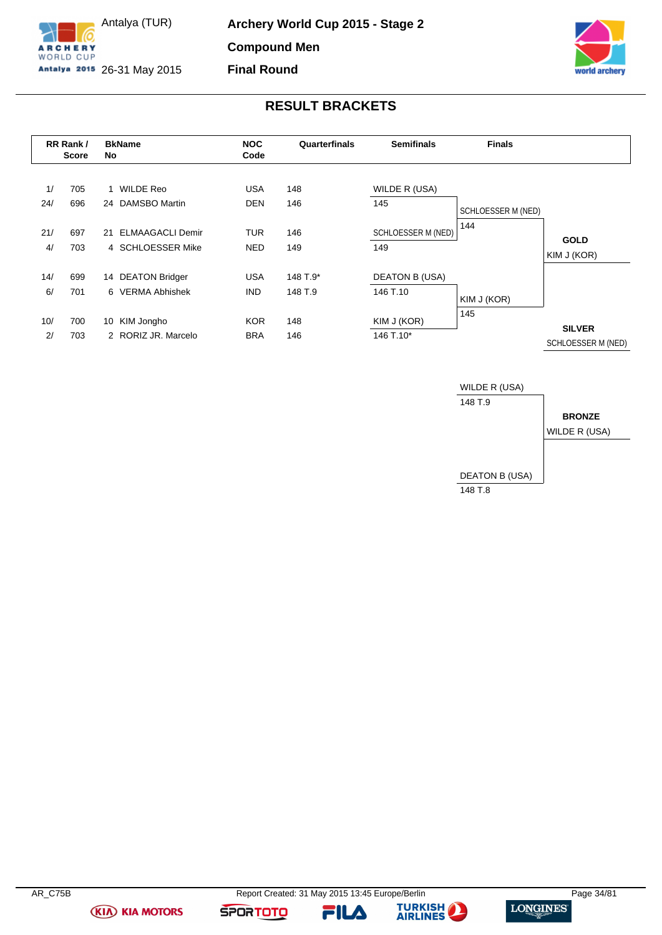

Antalya (TUR) Antalya 2015 26-31 May 2015 **Archery World Cup 2015 - Stage 2 Compound Men Final Round**



# **RESULT BRACKETS**

<span id="page-34-0"></span>

|     | RR Rank/<br><b>Score</b> | <b>BkName</b><br>No           | <b>NOC</b><br>Code | Quarterfinals | <b>Semifinals</b>     | <b>Finals</b>      |                            |
|-----|--------------------------|-------------------------------|--------------------|---------------|-----------------------|--------------------|----------------------------|
|     |                          |                               |                    |               |                       |                    |                            |
| 1/  | 705                      | WILDE Reo<br>1                | <b>USA</b>         | 148           | WILDE R (USA)         |                    |                            |
| 24/ | 696                      | <b>DAMSBO Martin</b><br>24    | <b>DEN</b>         | 146           | 145                   | SCHLOESSER M (NED) |                            |
| 21/ | 697                      | <b>ELMAAGACLI Demir</b><br>21 | <b>TUR</b>         | 146           | SCHLOESSER M (NED)    | 144                |                            |
| 4/  | 703                      | 4 SCHLOESSER Mike             | <b>NED</b>         | 149           | 149                   |                    | <b>GOLD</b><br>KIM J (KOR) |
| 14/ | 699                      | <b>DEATON Bridger</b><br>14   | <b>USA</b>         | 148 T.9*      | <b>DEATON B (USA)</b> |                    |                            |
| 6/  | 701                      | 6 VERMA Abhishek              | IND.               | 148 T.9       | 146 T.10              |                    |                            |
|     |                          |                               |                    |               |                       | KIM J (KOR)        |                            |
| 10/ | 700                      | KIM Jongho<br>10              | <b>KOR</b>         | 148           | KIM J (KOR)           | 145                | <b>SILVER</b>              |
| 2/  | 703                      | 2 RORIZ JR, Marcelo           | <b>BRA</b>         | 146           | 146 T.10*             |                    | SCHLOESSER M (NED)         |



**(KIA) KIA MOTORS** 

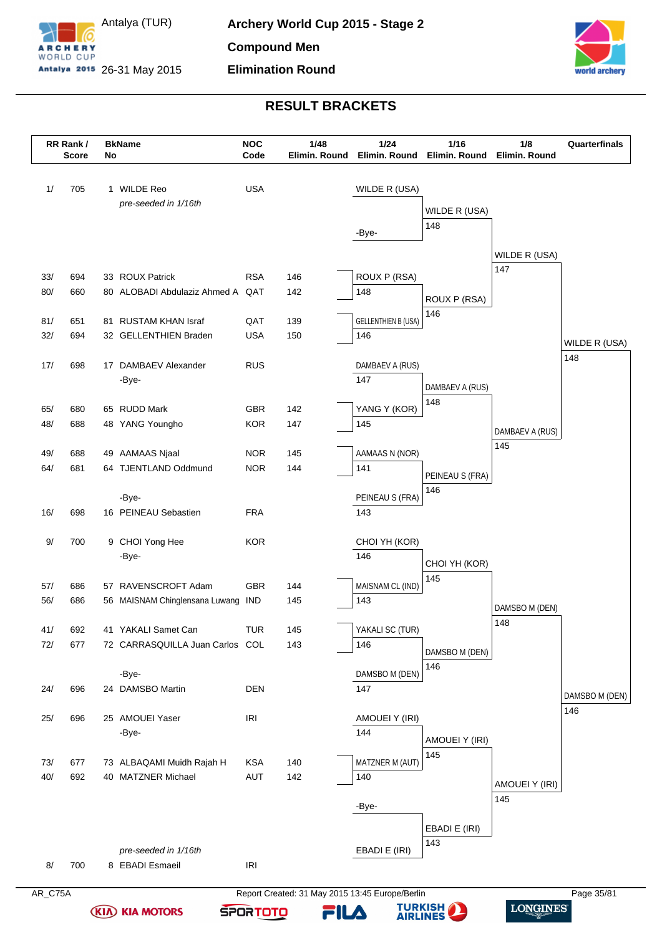

Antalya (TUR) Antalya 2015 26-31 May 2015



# **RESULT BRACKETS**

|            | RR Rank/<br><b>Score</b> | No | <b>BkName</b>                           | <b>NOC</b><br>Code       | 1/48<br>Elimin. Round | $1/24$<br>Elimin. Round    | 1/16<br>Elimin. Round | 1/8<br>Elimin. Round | Quarterfinals  |
|------------|--------------------------|----|-----------------------------------------|--------------------------|-----------------------|----------------------------|-----------------------|----------------------|----------------|
| 1/         | 705                      |    | 1 WILDE Reo                             | <b>USA</b>               |                       | WILDE R (USA)              |                       |                      |                |
|            |                          |    | pre-seeded in 1/16th                    |                          |                       |                            | WILDE R (USA)         |                      |                |
|            |                          |    |                                         |                          |                       |                            | 148                   |                      |                |
|            |                          |    |                                         |                          |                       | -Bye-                      |                       |                      |                |
|            |                          |    |                                         |                          |                       |                            |                       | WILDE R (USA)        |                |
| 33/        | 694                      |    | 33 ROUX Patrick                         | <b>RSA</b>               | 146                   | ROUX P (RSA)               |                       | 147                  |                |
| 80/        | 660                      |    | 80 ALOBADI Abdulaziz Ahmed A QAT        |                          | 142                   | 148                        | ROUX P (RSA)          |                      |                |
|            |                          |    |                                         |                          |                       |                            | 146                   |                      |                |
| 81/        | 651                      |    | 81 RUSTAM KHAN Israf                    | QAT                      | 139                   | <b>GELLENTHIEN B (USA)</b> |                       |                      |                |
| 32/        | 694                      |    | 32 GELLENTHIEN Braden                   | <b>USA</b>               | 150                   | 146                        |                       |                      | WILDE R (USA)  |
| 17/        | 698                      |    | 17 DAMBAEV Alexander                    | <b>RUS</b>               |                       | DAMBAEV A (RUS)            |                       |                      | 148            |
|            |                          |    | -Bye-                                   |                          |                       | 147                        |                       |                      |                |
|            |                          |    |                                         |                          |                       |                            | DAMBAEV A (RUS)       |                      |                |
| 65/        | 680                      |    | 65 RUDD Mark                            | GBR                      | 142                   | YANG Y (KOR)               | 148                   |                      |                |
| 48/        | 688                      |    | 48 YANG Youngho                         | <b>KOR</b>               | 147                   | 145                        |                       | DAMBAEV A (RUS)      |                |
|            |                          |    |                                         |                          |                       |                            |                       | 145                  |                |
| 49/<br>64/ | 688<br>681               |    | 49 AAMAAS Njaal<br>64 TJENTLAND Oddmund | <b>NOR</b><br><b>NOR</b> | 145<br>144            | AAMAAS N (NOR)<br>141      |                       |                      |                |
|            |                          |    |                                         |                          |                       |                            | PEINEAU S (FRA)       |                      |                |
|            |                          |    | -Bye-                                   |                          |                       | PEINEAU S (FRA)            | 146                   |                      |                |
| 16/        | 698                      |    | 16 PEINEAU Sebastien                    | <b>FRA</b>               |                       | 143                        |                       |                      |                |
|            |                          |    |                                         |                          |                       |                            |                       |                      |                |
| 9/         | 700                      |    | 9 CHOI Yong Hee                         | <b>KOR</b>               |                       | CHOI YH (KOR)              |                       |                      |                |
|            |                          |    | -Bye-                                   |                          |                       | 146                        | CHOI YH (KOR)         |                      |                |
| 57/        | 686                      |    | 57 RAVENSCROFT Adam                     | <b>GBR</b>               | 144                   | MAISNAM CL (IND)           | 145                   |                      |                |
| 56/        | 686                      |    | 56 MAISNAM Chinglensana Luwang          | <b>IND</b>               | 145                   | 143                        |                       |                      |                |
|            |                          |    |                                         |                          |                       |                            |                       | DAMSBO M (DEN)       |                |
| 41/        | 692                      |    | 41 YAKALI Samet Can                     | <b>TUR</b>               | 145                   | YAKALI SC (TUR)            |                       | 148                  |                |
| 72/        | 677                      |    | 72 CARRASQUILLA Juan Carlos COL         |                          | 143                   | 146                        | DAMSBO M (DEN)        |                      |                |
|            |                          |    |                                         |                          |                       |                            | 146                   |                      |                |
|            |                          |    | -Bye-                                   |                          |                       | DAMSBO M (DEN)             |                       |                      |                |
| 24/        | 696                      |    | 24 DAMSBO Martin                        | <b>DEN</b>               |                       | 147                        |                       |                      | DAMSBO M (DEN) |
| 25/        | 696                      |    | 25 AMOUEI Yaser                         | IRI                      |                       | AMOUEI Y (IRI)             |                       |                      | 146            |
|            |                          |    | -Bye-                                   |                          |                       | 144                        |                       |                      |                |
|            |                          |    |                                         |                          |                       |                            | AMOUEI Y (IRI)        |                      |                |
| 73/        | 677                      |    | 73 ALBAQAMI Muidh Rajah H               | <b>KSA</b>               | 140                   | MATZNER M (AUT)            | 145                   |                      |                |
| 40/        | 692                      |    | 40 MATZNER Michael                      | AUT                      | 142                   | 140                        |                       | AMOUEI Y (IRI)       |                |
|            |                          |    |                                         |                          |                       |                            |                       | 145                  |                |
|            |                          |    |                                         |                          |                       | -Bye-                      |                       |                      |                |
|            |                          |    |                                         |                          |                       |                            | EBADI E (IRI)         |                      |                |
|            |                          |    | pre-seeded in 1/16th                    |                          |                       | EBADI E (IRI)              | 143                   |                      |                |
| 8/         | 700                      |    | 8 EBADI Esmaeil                         | IRI                      |                       |                            |                       |                      |                |
|            |                          |    |                                         |                          |                       |                            |                       |                      |                |

**(KIA) KIA MOTORS** 

AR\_C75A Report Created: 31 May 2015 13:45 Europe/Berlin Page 35/81 **TURKISH** 

**SPORTOTO** 

FILA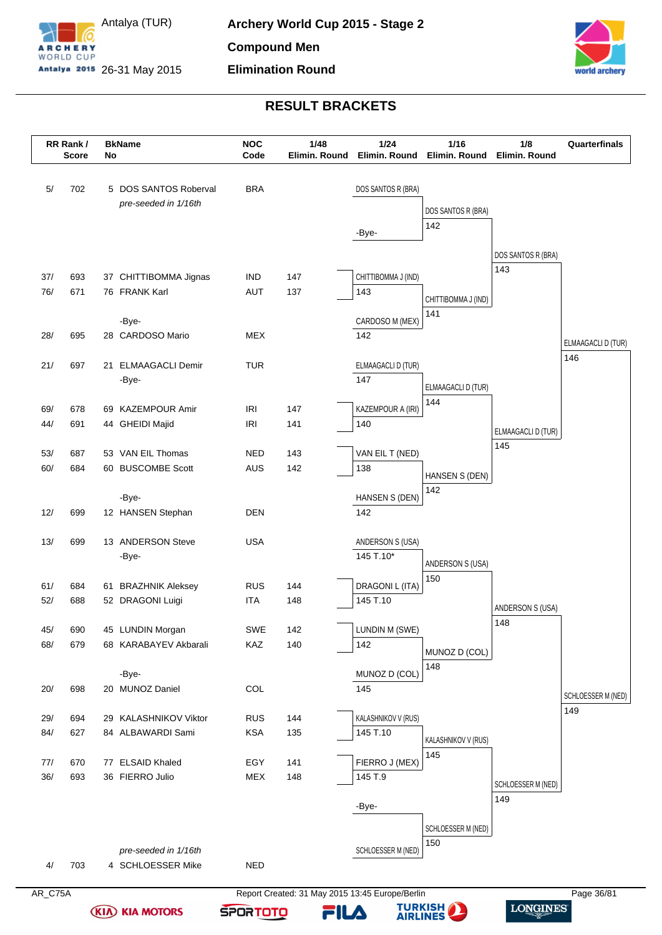



|            | RR Rank/<br><b>Score</b> | <b>BkName</b><br>No                           | <b>NOC</b><br>Code       | 1/48<br>Elimin. Round                           | $1/24$<br>Elimin. Round    | 1/16<br>Elimin. Round            | 1/8<br>Elimin. Round      | Quarterfinals      |
|------------|--------------------------|-----------------------------------------------|--------------------------|-------------------------------------------------|----------------------------|----------------------------------|---------------------------|--------------------|
| 5/         | 702                      | 5 DOS SANTOS Roberval<br>pre-seeded in 1/16th | <b>BRA</b>               |                                                 | DOS SANTOS R (BRA)         | DOS SANTOS R (BRA)               |                           |                    |
|            |                          |                                               |                          |                                                 | -Bye-                      | 142                              |                           |                    |
|            |                          |                                               |                          |                                                 |                            |                                  |                           |                    |
|            |                          |                                               |                          |                                                 |                            |                                  | DOS SANTOS R (BRA)<br>143 |                    |
| 37/<br>76/ | 693<br>671               | 37 CHITTIBOMMA Jignas<br>76 FRANK Karl        | <b>IND</b><br><b>AUT</b> | 147<br>137                                      | CHITTIBOMMA J (IND)<br>143 |                                  |                           |                    |
|            |                          |                                               |                          |                                                 |                            | CHITTIBOMMA J (IND)              |                           |                    |
|            |                          | -Bye-                                         |                          |                                                 | CARDOSO M (MEX)            | 141                              |                           |                    |
| 28/        | 695                      | 28 CARDOSO Mario                              | <b>MEX</b>               |                                                 | 142                        |                                  |                           | ELMAAGACLI D (TUR) |
| 21/        | 697                      | 21 ELMAAGACLI Demir                           | <b>TUR</b>               |                                                 | ELMAAGACLI D (TUR)         |                                  |                           | 146                |
|            |                          | -Bye-                                         |                          |                                                 | 147                        |                                  |                           |                    |
|            |                          |                                               |                          |                                                 |                            | <b>ELMAAGACLI D (TUR)</b><br>144 |                           |                    |
| 69/        | 678                      | 69 KAZEMPOUR Amir                             | IRI                      | 147                                             | KAZEMPOUR A (IRI)<br>140   |                                  |                           |                    |
| 44/        | 691                      | 44 GHEIDI Majid                               | <b>IRI</b>               | 141                                             |                            |                                  | ELMAAGACLI D (TUR)        |                    |
| 53/        | 687                      | 53 VAN EIL Thomas                             | <b>NED</b>               | 143                                             | VAN EIL T (NED)            |                                  | 145                       |                    |
| 60/        | 684                      | 60 BUSCOMBE Scott                             | <b>AUS</b>               | 142                                             | 138                        | HANSEN S (DEN)                   |                           |                    |
|            |                          | -Bye-                                         |                          |                                                 | HANSEN S (DEN)             | 142                              |                           |                    |
| 12/        | 699                      | 12 HANSEN Stephan                             | <b>DEN</b>               |                                                 | 142                        |                                  |                           |                    |
|            |                          |                                               |                          |                                                 |                            |                                  |                           |                    |
| 13/        | 699                      | 13 ANDERSON Steve                             | <b>USA</b>               |                                                 | ANDERSON S (USA)           |                                  |                           |                    |
|            |                          | -Bye-                                         |                          |                                                 | 145 T.10*                  | ANDERSON S (USA)                 |                           |                    |
| 61/        | 684                      | 61 BRAZHNIK Aleksey                           | <b>RUS</b>               | 144                                             | DRAGONI L (ITA)            | 150                              |                           |                    |
| 52/        | 688                      | 52 DRAGONI Luigi                              | <b>ITA</b>               | 148                                             | 145 T.10                   |                                  | ANDERSON S (USA)          |                    |
|            |                          |                                               |                          |                                                 |                            |                                  | 148                       |                    |
| 45/<br>68/ | 690<br>679               | 45 LUNDIN Morgan<br>68 KARABAYEV Akbarali     | SWE<br><b>KAZ</b>        | 142<br>140                                      | LUNDIN M (SWE)<br>142      |                                  |                           |                    |
|            |                          |                                               |                          |                                                 |                            | MUNOZ D (COL)                    |                           |                    |
|            |                          | -Bye-                                         |                          |                                                 | MUNOZ D (COL)              | 148                              |                           |                    |
| 20/        | 698                      | 20 MUNOZ Daniel                               | COL                      |                                                 | 145                        |                                  |                           | SCHLOESSER M (NED) |
| 29/        | 694                      | 29 KALASHNIKOV Viktor                         | <b>RUS</b>               | 144                                             | KALASHNIKOV V (RUS)        |                                  |                           | 149                |
| 84/        | 627                      | 84 ALBAWARDI Sami                             | <b>KSA</b>               | 135                                             | 145 T.10                   |                                  |                           |                    |
|            |                          |                                               |                          |                                                 |                            | KALASHNIKOV V (RUS)<br>145       |                           |                    |
| 77/        | 670                      | 77 ELSAID Khaled                              | EGY                      | 141                                             | FIERRO J (MEX)             |                                  |                           |                    |
| 36/        | 693                      | 36 FIERRO Julio                               | <b>MEX</b>               | 148                                             | 145 T.9                    |                                  | SCHLOESSER M (NED)        |                    |
|            |                          |                                               |                          |                                                 | -Bye-                      |                                  | 149                       |                    |
|            |                          |                                               |                          |                                                 |                            | SCHLOESSER M (NED)               |                           |                    |
|            |                          |                                               |                          |                                                 | SCHLOESSER M (NED)         | 150                              |                           |                    |
| 4/         | 703                      | pre-seeded in 1/16th<br>4 SCHLOESSER Mike     | <b>NED</b>               |                                                 |                            |                                  |                           |                    |
|            |                          |                                               |                          |                                                 |                            |                                  |                           |                    |
| AR_C75A    |                          |                                               |                          | Report Created: 31 May 2015 13:45 Europe/Berlin |                            |                                  |                           | Page 36/81         |

**(KIA) KIA MOTORS** 



FILA

TURKISH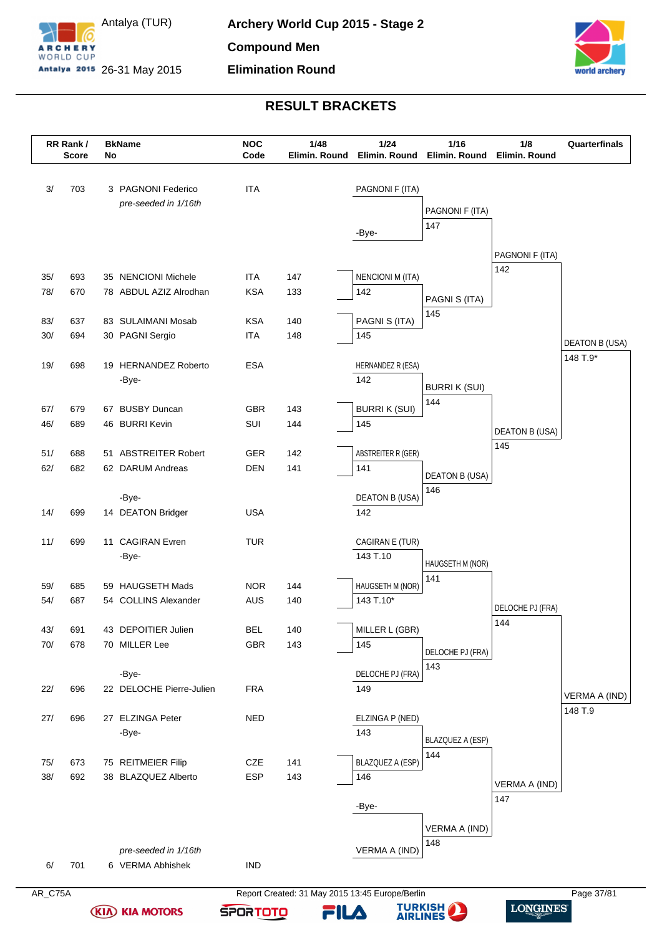

Antalya (TUR) Antalya 2015 26-31 May 2015



# **RESULT BRACKETS**

|            | RR Rank/<br><b>Score</b> | No | <b>BkName</b>                              | <b>NOC</b><br>Code | 1/48<br>Elimin. Round                           | $1/24$<br>Elimin. Round   | 1/16<br>Elimin. Round   | 1/8<br>Elimin. Round | Quarterfinals              |
|------------|--------------------------|----|--------------------------------------------|--------------------|-------------------------------------------------|---------------------------|-------------------------|----------------------|----------------------------|
| 3/         | 703                      |    | 3 PAGNONI Federico<br>pre-seeded in 1/16th | <b>ITA</b>         |                                                 | PAGNONI F (ITA)           |                         |                      |                            |
|            |                          |    |                                            |                    |                                                 |                           | PAGNONI F (ITA)<br>147  |                      |                            |
|            |                          |    |                                            |                    |                                                 | -Bye-                     |                         |                      |                            |
|            |                          |    |                                            |                    |                                                 |                           |                         | PAGNONI F (ITA)      |                            |
| 35/        | 693                      |    | 35 NENCIONI Michele                        | <b>ITA</b>         | 147                                             | <b>NENCIONI M (ITA)</b>   |                         | 142                  |                            |
| 78/        | 670                      |    | 78 ABDUL AZIZ Alrodhan                     | <b>KSA</b>         | 133                                             | 142                       | PAGNI S (ITA)           |                      |                            |
| 83/        | 637                      |    | 83 SULAIMANI Mosab                         | <b>KSA</b>         | 140                                             | PAGNI S (ITA)             | 145                     |                      |                            |
| 30/        | 694                      |    | 30 PAGNI Sergio                            | <b>ITA</b>         | 148                                             | 145                       |                         |                      |                            |
|            |                          |    |                                            |                    |                                                 |                           |                         |                      | DEATON B (USA)<br>148 T.9* |
| 19/        | 698                      |    | 19 HERNANDEZ Roberto                       | <b>ESA</b>         |                                                 | HERNANDEZ R (ESA)         |                         |                      |                            |
|            |                          |    | -Bye-                                      |                    |                                                 | 142                       | <b>BURRI K (SUI)</b>    |                      |                            |
| 67/        | 679                      |    | 67 BUSBY Duncan                            | <b>GBR</b>         | 143                                             | <b>BURRIK (SUI)</b>       | 144                     |                      |                            |
| 46/        | 689                      |    | 46 BURRI Kevin                             | SUI                | 144                                             | 145                       |                         | DEATON B (USA)       |                            |
|            |                          |    |                                            |                    |                                                 |                           |                         | 145                  |                            |
| 51/<br>62/ | 688<br>682               |    | 51 ABSTREITER Robert<br>62 DARUM Andreas   | GER<br><b>DEN</b>  | 142<br>141                                      | ABSTREITER R (GER)<br>141 |                         |                      |                            |
|            |                          |    |                                            |                    |                                                 |                           | <b>DEATON B (USA)</b>   |                      |                            |
|            |                          |    | -Bye-                                      |                    |                                                 | <b>DEATON B (USA)</b>     | 146                     |                      |                            |
| 14/        | 699                      |    | 14 DEATON Bridger                          | <b>USA</b>         |                                                 | 142                       |                         |                      |                            |
| 11/        | 699                      |    | 11 CAGIRAN Evren                           | <b>TUR</b>         |                                                 | CAGIRAN E (TUR)           |                         |                      |                            |
|            |                          |    | -Bye-                                      |                    |                                                 | 143 T.10                  |                         |                      |                            |
|            |                          |    |                                            |                    |                                                 |                           | HAUGSETH M (NOR)<br>141 |                      |                            |
| 59/        | 685                      |    | 59 HAUGSETH Mads                           | <b>NOR</b>         | 144                                             | HAUGSETH M (NOR)          |                         |                      |                            |
| 54/        | 687                      |    | 54 COLLINS Alexander                       | <b>AUS</b>         | 140                                             | 143 T.10*                 |                         | DELOCHE PJ (FRA)     |                            |
| 43/        | 691                      |    | 43 DEPOITIER Julien                        | <b>BEL</b>         | 140                                             | MILLER L (GBR)            |                         | 144                  |                            |
| 70/        | 678                      |    | 70 MILLER Lee                              | <b>GBR</b>         | 143                                             | 145                       | DELOCHE PJ (FRA)        |                      |                            |
|            |                          |    |                                            |                    |                                                 |                           | 143                     |                      |                            |
|            |                          |    | -Bye-                                      |                    |                                                 | DELOCHE PJ (FRA)          |                         |                      |                            |
| 22/        | 696                      |    | 22 DELOCHE Pierre-Julien                   | <b>FRA</b>         |                                                 | 149                       |                         |                      | <b>VERMA A (IND)</b>       |
| 27/        | 696                      |    | 27 ELZINGA Peter                           | <b>NED</b>         |                                                 | ELZINGA P (NED)           |                         |                      | 148 T.9                    |
|            |                          |    | -Bye-                                      |                    |                                                 | 143                       | BLAZQUEZ A (ESP)        |                      |                            |
|            |                          |    |                                            |                    |                                                 |                           | 144                     |                      |                            |
| 75/<br>38/ | 673<br>692               |    | 75 REITMEIER Filip<br>38 BLAZQUEZ Alberto  | CZE<br><b>ESP</b>  | 141<br>143                                      | BLAZQUEZ A (ESP)<br>146   |                         |                      |                            |
|            |                          |    |                                            |                    |                                                 |                           |                         | VERMA A (IND)        |                            |
|            |                          |    |                                            |                    |                                                 | -Bye-                     |                         | 147                  |                            |
|            |                          |    |                                            |                    |                                                 |                           | VERMA A (IND)           |                      |                            |
|            |                          |    |                                            |                    |                                                 |                           | 148                     |                      |                            |
| 6/         | 701                      |    | pre-seeded in 1/16th<br>6 VERMA Abhishek   | <b>IND</b>         |                                                 | VERMA A (IND)             |                         |                      |                            |
|            |                          |    |                                            |                    |                                                 |                           |                         |                      |                            |
| AR_C75A    |                          |    |                                            |                    | Report Created: 31 May 2015 13:45 Europe/Berlin |                           |                         |                      | Page 37/81                 |

**(KIA) KIA MOTORS** 

**SPORTOTO** FILA

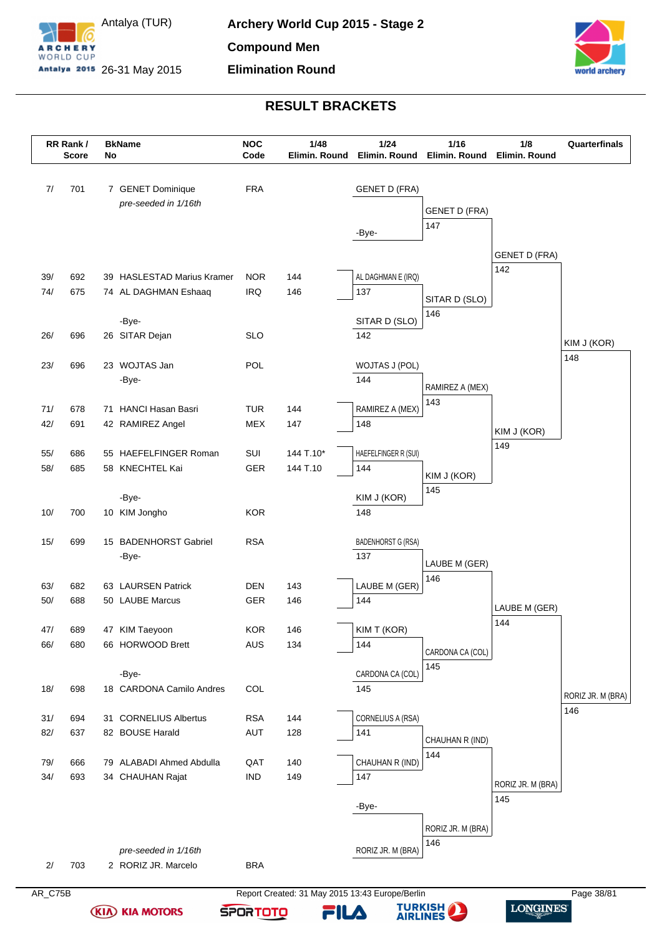



|     | RR Rank/<br><b>Score</b> | No | <b>BkName</b>                  | <b>NOC</b><br>Code | 1/48<br>Elimin. Round | 1/24<br>Elimin. Round            | 1/16<br>Elimin. Round | 1/8<br>Elimin. Round        | Quarterfinals     |
|-----|--------------------------|----|--------------------------------|--------------------|-----------------------|----------------------------------|-----------------------|-----------------------------|-------------------|
| 7/  | 701                      |    | 7 GENET Dominique              | <b>FRA</b>         |                       | <b>GENET D (FRA)</b>             |                       |                             |                   |
|     |                          |    | pre-seeded in 1/16th           |                    |                       |                                  |                       |                             |                   |
|     |                          |    |                                |                    |                       |                                  | <b>GENET D (FRA)</b>  |                             |                   |
|     |                          |    |                                |                    |                       | -Bye-                            | 147                   |                             |                   |
|     |                          |    |                                |                    |                       |                                  |                       |                             |                   |
|     |                          |    |                                |                    |                       |                                  |                       | <b>GENET D (FRA)</b><br>142 |                   |
| 39/ | 692                      |    | 39 HASLESTAD Marius Kramer     | <b>NOR</b>         | 144                   | AL DAGHMAN E (IRQ)               |                       |                             |                   |
| 74/ | 675                      |    | 74 AL DAGHMAN Eshaaq           | <b>IRQ</b>         | 146                   | 137                              | SITAR D (SLO)         |                             |                   |
|     |                          |    |                                |                    |                       |                                  | 146                   |                             |                   |
|     |                          |    | -Bye-                          |                    |                       | SITAR D (SLO)                    |                       |                             |                   |
| 26/ | 696                      |    | 26 SITAR Dejan                 | <b>SLO</b>         |                       | 142                              |                       |                             | KIM J (KOR)       |
| 23/ | 696                      |    | 23 WOJTAS Jan                  | POL                |                       | WOJTAS J (POL)                   |                       |                             | 148               |
|     |                          |    | -Bye-                          |                    |                       | 144                              |                       |                             |                   |
|     |                          |    |                                |                    |                       |                                  | RAMIREZ A (MEX)       |                             |                   |
| 71/ | 678                      |    | 71 HANCI Hasan Basri           | <b>TUR</b>         | 144                   | RAMIREZ A (MEX)                  | 143                   |                             |                   |
| 42/ | 691                      |    | 42 RAMIREZ Angel               | <b>MEX</b>         | 147                   | 148                              |                       |                             |                   |
|     |                          |    |                                |                    |                       |                                  |                       | KIM J (KOR)                 |                   |
| 55/ | 686                      |    | 55 HAEFELFINGER Roman          | SUI                | 144 T.10*             | HAEFELFINGER R (SUI)             |                       | 149                         |                   |
| 58/ | 685                      |    | 58 KNECHTEL Kai                | GER                | 144 T.10              | 144                              | KIM J (KOR)           |                             |                   |
|     |                          |    |                                |                    |                       |                                  | 145                   |                             |                   |
|     |                          |    | -Bye-                          |                    |                       | KIM J (KOR)                      |                       |                             |                   |
| 10/ | 700                      |    | 10 KIM Jongho                  | <b>KOR</b>         |                       | 148                              |                       |                             |                   |
|     |                          |    |                                |                    |                       |                                  |                       |                             |                   |
| 15/ | 699                      |    | 15 BADENHORST Gabriel<br>-Bye- | <b>RSA</b>         |                       | <b>BADENHORST G (RSA)</b><br>137 |                       |                             |                   |
|     |                          |    |                                |                    |                       |                                  | LAUBE M (GER)         |                             |                   |
| 63/ | 682                      |    | 63 LAURSEN Patrick             | <b>DEN</b>         | 143                   | LAUBE M (GER)                    | 146                   |                             |                   |
| 50/ | 688                      |    | 50 LAUBE Marcus                | GER                | 146                   | 144                              |                       |                             |                   |
|     |                          |    |                                |                    |                       |                                  |                       | LAUBE M (GER)               |                   |
| 47/ | 689                      |    | 47 KIM Taeyoon                 | KOR                | 146                   | KIM T (KOR)                      |                       | 144                         |                   |
| 66/ | 680                      |    | 66 HORWOOD Brett               | <b>AUS</b>         | 134                   | 144                              | CARDONA CA (COL)      |                             |                   |
|     |                          |    |                                |                    |                       |                                  | 145                   |                             |                   |
|     |                          |    | -Bye-                          |                    |                       | CARDONA CA (COL)                 |                       |                             |                   |
| 18/ | 698                      |    | 18 CARDONA Camilo Andres       | COL                |                       | 145                              |                       |                             | RORIZ JR. M (BRA) |
|     |                          |    |                                |                    |                       |                                  |                       |                             | 146               |
| 31/ | 694                      |    | 31 CORNELIUS Albertus          | <b>RSA</b>         | 144                   | CORNELIUS A (RSA)                |                       |                             |                   |
| 82/ | 637                      |    | 82 BOUSE Harald                | AUT                | 128                   | 141                              | CHAUHAN R (IND)       |                             |                   |
| 79/ | 666                      |    | 79 ALABADI Ahmed Abdulla       | QAT                | 140                   | CHAUHAN R (IND)                  | 144                   |                             |                   |
| 34/ | 693                      |    | 34 CHAUHAN Rajat               | $\mathsf{IND}$     | 149                   | 147                              |                       |                             |                   |
|     |                          |    |                                |                    |                       |                                  |                       | RORIZ JR. M (BRA)           |                   |
|     |                          |    |                                |                    |                       | -Bye-                            |                       | 145                         |                   |
|     |                          |    |                                |                    |                       |                                  |                       |                             |                   |
|     |                          |    |                                |                    |                       |                                  | RORIZ JR. M (BRA)     |                             |                   |
|     |                          |    | pre-seeded in 1/16th           |                    |                       | RORIZ JR. M (BRA)                | 146                   |                             |                   |
|     |                          |    |                                | <b>BRA</b>         |                       |                                  |                       |                             |                   |

**(KIA) KIA MOTORS** 



FILA



**TURKISH**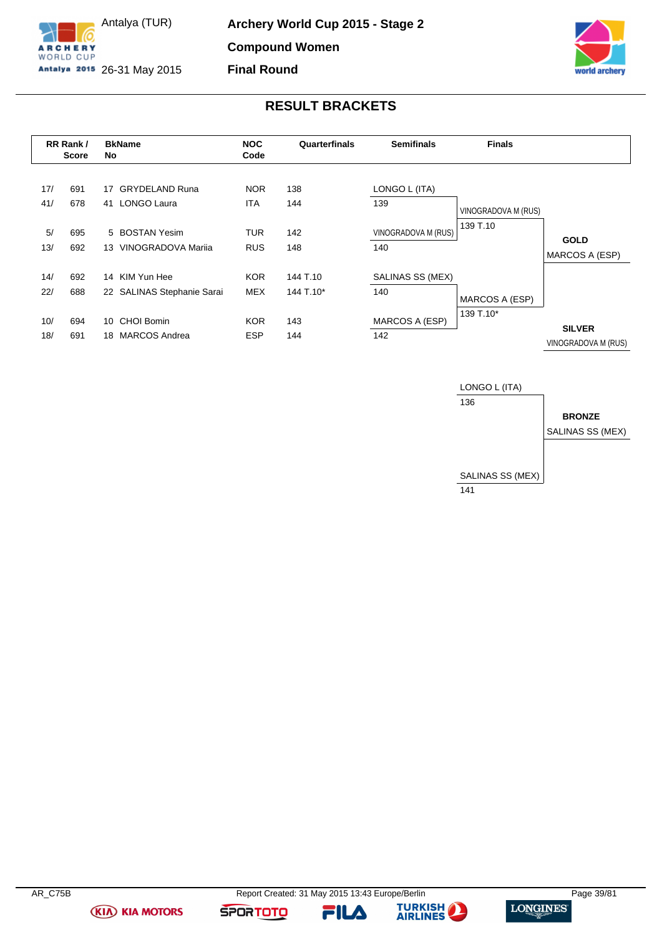

Antalya (TUR) Antalya 2015 26-31 May 2015



# **RESULT BRACKETS**

|            | RR Rank/<br><b>Score</b> | <b>BkName</b><br>No. |                                              | <b>NOC</b><br>Code       | Quarterfinals         | <b>Semifinals</b>              | <b>Finals</b>       |                                      |
|------------|--------------------------|----------------------|----------------------------------------------|--------------------------|-----------------------|--------------------------------|---------------------|--------------------------------------|
| 17/<br>41/ | 691<br>678               | 17<br>41             | <b>GRYDELAND Runa</b><br><b>LONGO Laura</b>  | <b>NOR</b><br><b>ITA</b> | 138<br>144            | LONGO L (ITA)<br>139           | VINOGRADOVA M (RUS) |                                      |
| 5/<br>13/  | 695<br>692               | 13                   | 5 BOSTAN Yesim<br>VINOGRADOVA Marija         | <b>TUR</b><br><b>RUS</b> | 142<br>148            | VINOGRADOVA M (RUS)<br>140     | 139 T.10            | <b>GOLD</b><br>MARCOS A (ESP)        |
| 14/<br>22/ | 692<br>688               |                      | 14 KIM Yun Hee<br>22 SALINAS Stephanie Sarai | <b>KOR</b><br><b>MEX</b> | 144 T.10<br>144 T.10* | <b>SALINAS SS (MEX)</b><br>140 | MARCOS A (ESP)      |                                      |
| 10/<br>18/ | 694<br>691               | 10<br>18             | <b>CHOI Bomin</b><br><b>MARCOS Andrea</b>    | <b>KOR</b><br><b>ESP</b> | 143<br>144            | MARCOS A (ESP)<br>142          | 139 T.10*           | <b>SILVER</b><br>VINOGRADOVA M (RUS) |



**(KIA) KIA MOTORS** 

FILA

**SPORTOTO**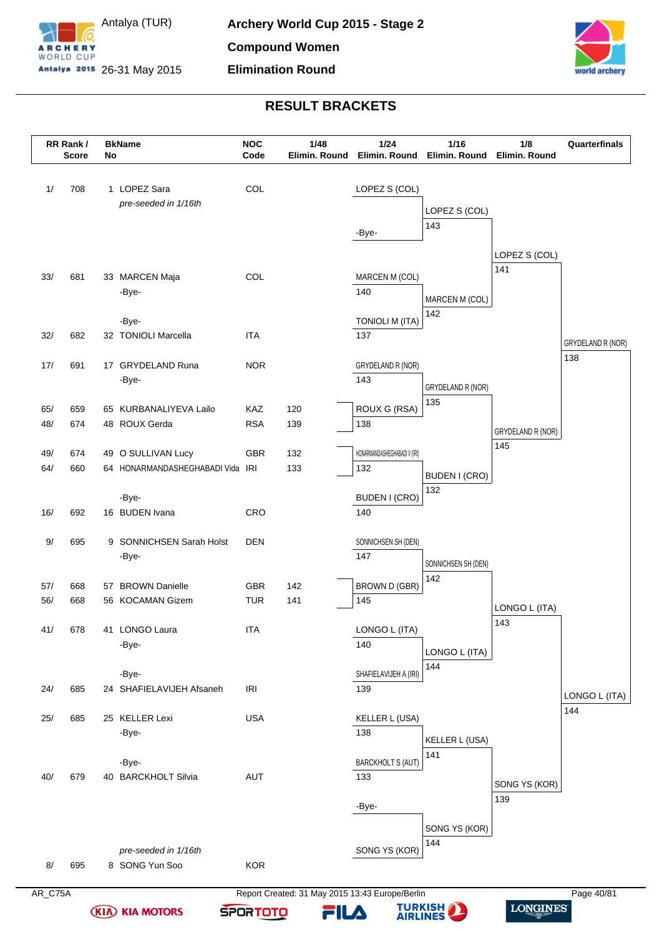



|            | RR Rank/<br><b>Score</b> | No | <b>BkName</b>                           | <b>NOC</b><br>Code | 1/48<br>Elimin. Round | 1/24<br>Elimin. Round        | $1/16$<br>Elimin. Round | 1/8<br>Elimin. Round     | Quarterfinals     |
|------------|--------------------------|----|-----------------------------------------|--------------------|-----------------------|------------------------------|-------------------------|--------------------------|-------------------|
| 1/         | 708                      |    | 1 LOPEZ Sara                            | COL                |                       | LOPEZ S (COL)                |                         |                          |                   |
|            |                          |    | pre-seeded in 1/16th                    |                    |                       |                              | LOPEZ S (COL)           |                          |                   |
|            |                          |    |                                         |                    |                       | -Bye-                        | 143                     |                          |                   |
|            |                          |    |                                         |                    |                       |                              |                         | LOPEZ S (COL)            |                   |
| 33/        | 681                      |    | 33 MARCEN Maja                          | COL                |                       | MARCEN M (COL)               |                         | 141                      |                   |
|            |                          |    | -Bye-                                   |                    |                       | 140                          |                         |                          |                   |
|            |                          |    |                                         |                    |                       |                              | MARCEN M (COL)<br>142   |                          |                   |
|            |                          |    | -Bye-                                   |                    |                       | <b>TONIOLI M (ITA)</b>       |                         |                          |                   |
| 32/        | 682                      |    | 32 TONIOLI Marcella                     | <b>ITA</b>         |                       | 137                          |                         |                          | GRYDELAND R (NOR) |
| 17/        | 691                      |    | 17 GRYDELAND Runa                       | <b>NOR</b>         |                       | GRYDELAND R (NOR)            |                         |                          | 138               |
|            |                          |    | -Bye-                                   |                    |                       | 143                          | GRYDELAND R (NOR)       |                          |                   |
|            |                          |    |                                         | KAZ                |                       | ROUX G (RSA)                 | 135                     |                          |                   |
| 65/<br>48/ | 659<br>674               |    | 65 KURBANALIYEVA Lailo<br>48 ROUX Gerda | <b>RSA</b>         | 120<br>139            | 138                          |                         |                          |                   |
|            |                          |    |                                         |                    |                       |                              |                         | GRYDELAND R (NOR)<br>145 |                   |
| 49/        | 674                      |    | 49 O SULLIVAN Lucy                      | <b>GBR</b>         | 132                   | HONARMANDASHEGHABADI V (IRI) |                         |                          |                   |
| 64/        | 660                      |    | 64 HONARMANDASHEGHABADI Vida            | IRI                | 133                   | 132                          | BUDEN I (CRO)           |                          |                   |
|            |                          |    | -Bye-                                   |                    |                       | <b>BUDEN I (CRO)</b>         | 132                     |                          |                   |
| 16/        | 692                      |    | 16 BUDEN Ivana                          | CRO                |                       | 140                          |                         |                          |                   |
|            |                          |    |                                         |                    |                       |                              |                         |                          |                   |
| 9/         | 695                      |    | 9 SONNICHSEN Sarah Holst<br>-Bye-       | DEN                |                       | SONNICHSEN SH (DEN)<br>147   |                         |                          |                   |
|            |                          |    |                                         |                    |                       |                              | SONNICHSEN SH (DEN)     |                          |                   |
| 57/        | 668                      |    | 57 BROWN Danielle                       | GBR                | 142                   | <b>BROWN D (GBR)</b>         | 142                     |                          |                   |
| 56/        | 668                      |    | 56 KOCAMAN Gizem                        | <b>TUR</b>         | 141                   | 145                          |                         | LONGO L (ITA)            |                   |
| 41/        | 678                      |    | 41 LONGO Laura                          | <b>ITA</b>         |                       | LONGO L (ITA)                |                         | 143                      |                   |
|            |                          |    | -Bye-                                   |                    |                       | 140                          |                         |                          |                   |
|            |                          |    |                                         |                    |                       |                              | LONGO L (ITA)<br>144    |                          |                   |
|            |                          |    | -Bye-                                   |                    |                       | SHAFIELAVIJEH A (IRI)        |                         |                          |                   |
| 24/        | 685                      |    | 24 SHAFIELAVIJEH Afsaneh                | <b>IRI</b>         |                       | 139                          |                         |                          | LONGO L (ITA)     |
| 25/        | 685                      |    | 25 KELLER Lexi                          | <b>USA</b>         |                       | KELLER L (USA)               |                         |                          | 144               |
|            |                          |    | -Bye-                                   |                    |                       | 138                          | KELLER L (USA)          |                          |                   |
|            |                          |    | -Bye-                                   |                    |                       | <b>BARCKHOLT S (AUT)</b>     | 141                     |                          |                   |
| 40/        | 679                      |    | 40 BARCKHOLT Silvia                     | AUT                |                       | 133                          |                         |                          |                   |
|            |                          |    |                                         |                    |                       |                              |                         | SONG YS (KOR)<br>139     |                   |
|            |                          |    |                                         |                    |                       | -Bye-                        |                         |                          |                   |
|            |                          |    |                                         |                    |                       |                              | SONG YS (KOR)           |                          |                   |
|            |                          |    | pre-seeded in 1/16th                    |                    |                       | SONG YS (KOR)                | 144                     |                          |                   |
| 8/         | 695                      |    | 8 SONG Yun Soo                          | <b>KOR</b>         |                       |                              |                         |                          |                   |
|            |                          |    |                                         |                    |                       |                              |                         |                          |                   |

**(KIA) KIA MOTORS** 

AR\_C75A Report Created: 31 May 2015 13:43 Europe/Berlin Page 40/81 **TURKISH** 

**SPORTOTO** 

FILA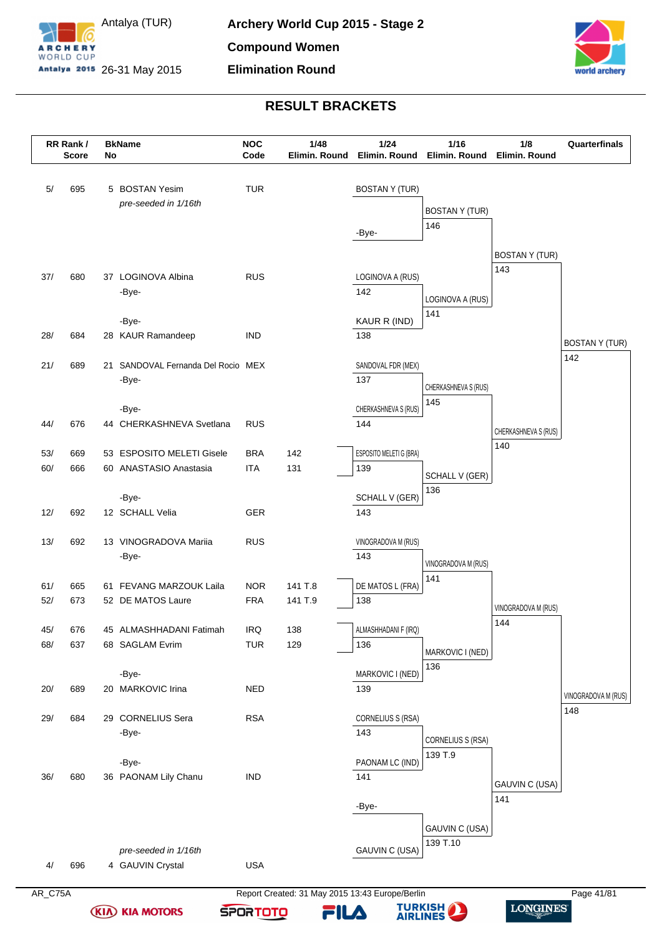



|            | RR Rank/<br><b>Score</b> | No | <b>BkName</b>                                       | <b>NOC</b><br>Code       | 1/48<br>Elimin. Round | 1/24                           | 1/16<br>Elimin. Round Elimin. Round Elimin. Round | 1/8                   | Quarterfinals               |
|------------|--------------------------|----|-----------------------------------------------------|--------------------------|-----------------------|--------------------------------|---------------------------------------------------|-----------------------|-----------------------------|
| 5/         | 695                      |    | 5 BOSTAN Yesim                                      | <b>TUR</b>               |                       | <b>BOSTAN Y (TUR)</b>          |                                                   |                       |                             |
|            |                          |    | pre-seeded in 1/16th                                |                          |                       |                                | <b>BOSTAN Y (TUR)</b>                             |                       |                             |
|            |                          |    |                                                     |                          |                       |                                | 146                                               |                       |                             |
|            |                          |    |                                                     |                          |                       | -Bye-                          |                                                   |                       |                             |
|            |                          |    |                                                     |                          |                       |                                |                                                   | <b>BOSTAN Y (TUR)</b> |                             |
| 37/        | 680                      |    | 37 LOGINOVA Albina                                  | <b>RUS</b>               |                       | LOGINOVA A (RUS)               |                                                   | 143                   |                             |
|            |                          |    | -Bye-                                               |                          |                       | 142                            | LOGINOVA A (RUS)                                  |                       |                             |
|            |                          |    | -Bye-                                               |                          |                       | KAUR R (IND)                   | 141                                               |                       |                             |
| 28/        | 684                      |    | 28 KAUR Ramandeep                                   | <b>IND</b>               |                       | 138                            |                                                   |                       |                             |
|            |                          |    |                                                     |                          |                       |                                |                                                   |                       | <b>BOSTANY (TUR)</b><br>142 |
| 21/        | 689                      |    | 21 SANDOVAL Fernanda Del Rocio MEX                  |                          |                       | SANDOVAL FDR (MEX)             |                                                   |                       |                             |
|            |                          |    | -Bye-                                               |                          |                       | 137                            | CHERKASHNEVA S (RUS)                              |                       |                             |
|            |                          |    | -Bye-                                               |                          |                       | CHERKASHNEVA S (RUS)           | 145                                               |                       |                             |
| 44/        | 676                      |    | 44 CHERKASHNEVA Svetlana                            | <b>RUS</b>               |                       | 144                            |                                                   | CHERKASHNEVA S (RUS)  |                             |
|            |                          |    |                                                     |                          |                       |                                |                                                   | 140                   |                             |
| 53/<br>60/ | 669<br>666               |    | 53 ESPOSITO MELETI Gisele<br>60 ANASTASIO Anastasia | <b>BRA</b><br><b>ITA</b> | 142<br>131            | ESPOSITO MELETI G (BRA)<br>139 |                                                   |                       |                             |
|            |                          |    |                                                     |                          |                       |                                | SCHALL V (GER)                                    |                       |                             |
|            |                          |    | -Bye-                                               |                          |                       | <b>SCHALL V (GER)</b>          | 136                                               |                       |                             |
| 12/        | 692                      |    | 12 SCHALL Velia                                     | <b>GER</b>               |                       | 143                            |                                                   |                       |                             |
| 13/        | 692                      |    | 13 VINOGRADOVA Mariia                               | <b>RUS</b>               |                       | VINOGRADOVA M (RUS)            |                                                   |                       |                             |
|            |                          |    | -Bye-                                               |                          |                       | 143                            |                                                   |                       |                             |
|            |                          |    |                                                     |                          |                       |                                | VINOGRADOVA M (RUS)<br>141                        |                       |                             |
| 61/        | 665                      |    | 61 FEVANG MARZOUK Laila                             | <b>NOR</b>               | 141 T.8               | DE MATOS L (FRA)               |                                                   |                       |                             |
| 52/        | 673                      |    | 52 DE MATOS Laure                                   | <b>FRA</b>               | 141 T.9               | 138                            |                                                   | VINOGRADOVA M (RUS)   |                             |
| 45/        | 676                      |    | 45 ALMASHHADANI Fatimah                             | IRQ                      | 138                   | ALMASHHADANI F (IRQ)           |                                                   | 144                   |                             |
| 68/        | 637                      |    | 68 SAGLAM Evrim                                     | <b>TUR</b>               | 129                   | 136                            | MARKOVIC I (NED)                                  |                       |                             |
|            |                          |    |                                                     |                          |                       |                                | 136                                               |                       |                             |
| 20/        | 689                      |    | -Bye-<br>20 MARKOVIC Irina                          | <b>NED</b>               |                       | MARKOVIC I (NED)<br>139        |                                                   |                       |                             |
|            |                          |    |                                                     |                          |                       |                                |                                                   |                       | VINOGRADOVA M (RUS)         |
| 29/        | 684                      |    | 29 CORNELIUS Sera                                   | <b>RSA</b>               |                       | CORNELIUS S (RSA)              |                                                   |                       | 148                         |
|            |                          |    | -Bye-                                               |                          |                       | 143                            | CORNELIUS S (RSA)                                 |                       |                             |
|            |                          |    | -Bye-                                               |                          |                       | PAONAM LC (IND)                | 139 T.9                                           |                       |                             |
| 36/        | 680                      |    | 36 PAONAM Lily Chanu                                | <b>IND</b>               |                       | 141                            |                                                   |                       |                             |
|            |                          |    |                                                     |                          |                       |                                |                                                   | GAUVIN C (USA)        |                             |
|            |                          |    |                                                     |                          |                       | -Bye-                          |                                                   | 141                   |                             |
|            |                          |    |                                                     |                          |                       |                                | GAUVIN C (USA)                                    |                       |                             |
|            |                          |    | pre-seeded in 1/16th                                |                          |                       | GAUVIN C (USA)                 | 139 T.10                                          |                       |                             |
| 4/         | 696                      |    | 4 GAUVIN Crystal                                    | <b>USA</b>               |                       |                                |                                                   |                       |                             |
|            |                          |    |                                                     |                          |                       |                                |                                                   |                       |                             |

**(KIA) KIA MOTORS** 

AR\_C75A Report Created: 31 May 2015 13:43 Europe/Berlin Page 41/81 **TURKISH** 

**SPORTOTO** 

FILA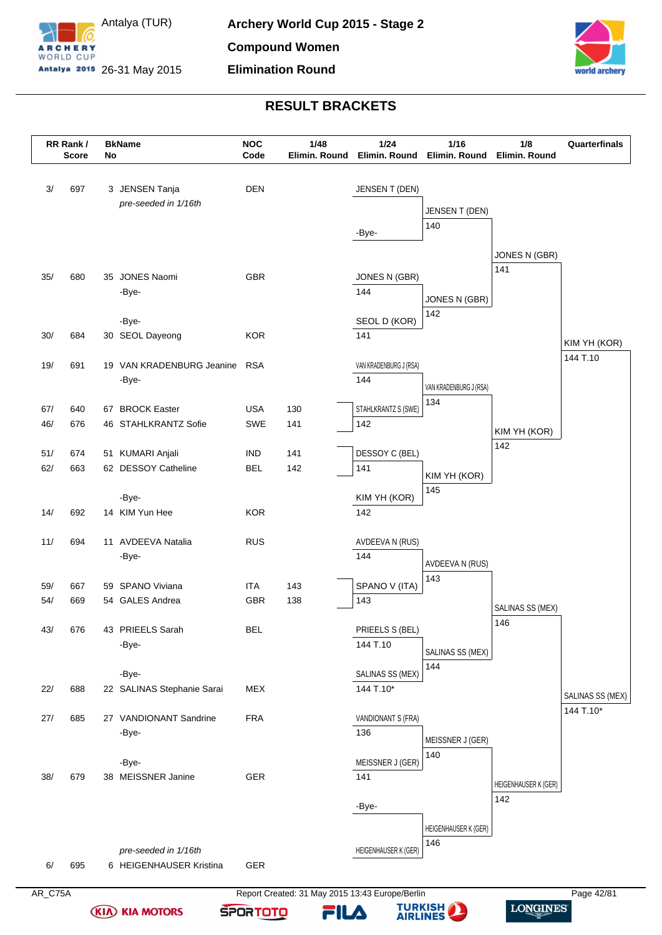



|     | RR Rank /<br><b>Score</b> | No | <b>BkName</b>                      | <b>NOC</b><br>Code | 1/48<br>Elimin. Round | 1/24<br>Elimin. Round         | 1/16<br>Elimin. Round  | 1/8<br>Elimin. Round | Quarterfinals    |
|-----|---------------------------|----|------------------------------------|--------------------|-----------------------|-------------------------------|------------------------|----------------------|------------------|
| 3/  | 697                       |    | 3 JENSEN Tanja                     | <b>DEN</b>         |                       | JENSEN T (DEN)                |                        |                      |                  |
|     |                           |    | pre-seeded in 1/16th               |                    |                       |                               | <b>JENSEN T (DEN)</b>  |                      |                  |
|     |                           |    |                                    |                    |                       |                               | 140                    |                      |                  |
|     |                           |    |                                    |                    |                       | -Bye-                         |                        |                      |                  |
|     |                           |    |                                    |                    |                       |                               |                        | JONES N (GBR)        |                  |
| 35/ | 680                       |    | 35 JONES Naomi                     | <b>GBR</b>         |                       | JONES N (GBR)                 |                        | 141                  |                  |
|     |                           |    | -Bye-                              |                    |                       | 144                           |                        |                      |                  |
|     |                           |    |                                    |                    |                       |                               | JONES N (GBR)<br>142   |                      |                  |
|     |                           |    | -Bye-                              |                    |                       | SEOL D (KOR)                  |                        |                      |                  |
| 30/ | 684                       |    | 30 SEOL Dayeong                    | <b>KOR</b>         |                       | 141                           |                        |                      | KIM YH (KOR)     |
|     |                           |    |                                    |                    |                       |                               |                        |                      | 144 T.10         |
| 19/ | 691                       |    | 19 VAN KRADENBURG Jeanine<br>-Bye- | <b>RSA</b>         |                       | VAN KRADENBURG J (RSA)<br>144 |                        |                      |                  |
|     |                           |    |                                    |                    |                       |                               | VAN KRADENBURG J (RSA) |                      |                  |
| 67/ | 640                       |    | 67 BROCK Easter                    | <b>USA</b>         | 130                   | STAHLKRANTZ S (SWE)           | 134                    |                      |                  |
| 46/ | 676                       |    | 46 STAHLKRANTZ Sofie               | SWE                | 141                   | 142                           |                        |                      |                  |
|     |                           |    |                                    |                    |                       |                               |                        | KIM YH (KOR)<br>142  |                  |
| 51/ | 674                       |    | 51 KUMARI Anjali                   | <b>IND</b>         | 141                   | DESSOY C (BEL)                |                        |                      |                  |
| 62/ | 663                       |    | 62 DESSOY Catheline                | <b>BEL</b>         | 142                   | 141                           | KIM YH (KOR)           |                      |                  |
|     |                           |    |                                    |                    |                       |                               | 145                    |                      |                  |
| 14/ | 692                       |    | -Bye-<br>14 KIM Yun Hee            | <b>KOR</b>         |                       | KIM YH (KOR)<br>142           |                        |                      |                  |
|     |                           |    |                                    |                    |                       |                               |                        |                      |                  |
| 11/ | 694                       |    | 11 AVDEEVA Natalia                 | <b>RUS</b>         |                       | AVDEEVA N (RUS)               |                        |                      |                  |
|     |                           |    | -Bye-                              |                    |                       | 144                           | AVDEEVA N (RUS)        |                      |                  |
|     |                           |    |                                    |                    |                       |                               | 143                    |                      |                  |
| 59/ | 667                       |    | 59 SPANO Viviana                   | <b>ITA</b>         | 143                   | SPANO V (ITA)                 |                        |                      |                  |
| 54/ | 669                       |    | 54 GALES Andrea                    | GBR                | 138                   | 143                           |                        | SALINAS SS (MEX)     |                  |
| 43/ | 676                       |    | 43 PRIEELS Sarah                   | <b>BEL</b>         |                       | PRIEELS S (BEL)               |                        | 146                  |                  |
|     |                           |    | -Bye-                              |                    |                       | 144 T.10                      |                        |                      |                  |
|     |                           |    |                                    |                    |                       |                               | SALINAS SS (MEX)       |                      |                  |
|     |                           |    | -Bye-                              |                    |                       | SALINAS SS (MEX)              | 144                    |                      |                  |
| 22/ | 688                       |    | 22 SALINAS Stephanie Sarai         | <b>MEX</b>         |                       | 144 T.10*                     |                        |                      | SALINAS SS (MEX) |
|     |                           |    |                                    |                    |                       |                               |                        |                      | 144 T.10*        |
| 27/ | 685                       |    | 27 VANDIONANT Sandrine             | <b>FRA</b>         |                       | VANDIONANT S (FRA)            |                        |                      |                  |
|     |                           |    | -Bye-                              |                    |                       | 136                           | MEISSNER J (GER)       |                      |                  |
|     |                           |    | -Bye-                              |                    |                       | MEISSNER J (GER)              | 140                    |                      |                  |
| 38/ | 679                       |    | 38 MEISSNER Janine                 | GER                |                       | 141                           |                        |                      |                  |
|     |                           |    |                                    |                    |                       |                               |                        | HEIGENHAUSER K (GER) |                  |
|     |                           |    |                                    |                    |                       | -Bye-                         |                        | 142                  |                  |
|     |                           |    |                                    |                    |                       |                               | HEIGENHAUSER K (GER)   |                      |                  |
|     |                           |    |                                    |                    |                       |                               | 146                    |                      |                  |
|     |                           |    | pre-seeded in 1/16th               |                    |                       | HEIGENHAUSER K (GER)          |                        |                      |                  |
| 6/  | 695                       |    | 6 HEIGENHAUSER Kristina            | GER                |                       |                               |                        |                      |                  |

**(KIA) KIA MOTORS** 

AR\_C75A Report Created: 31 May 2015 13:43 Europe/Berlin Page 42/81 **TURKISH** 

**SPORTOTO** 

FILA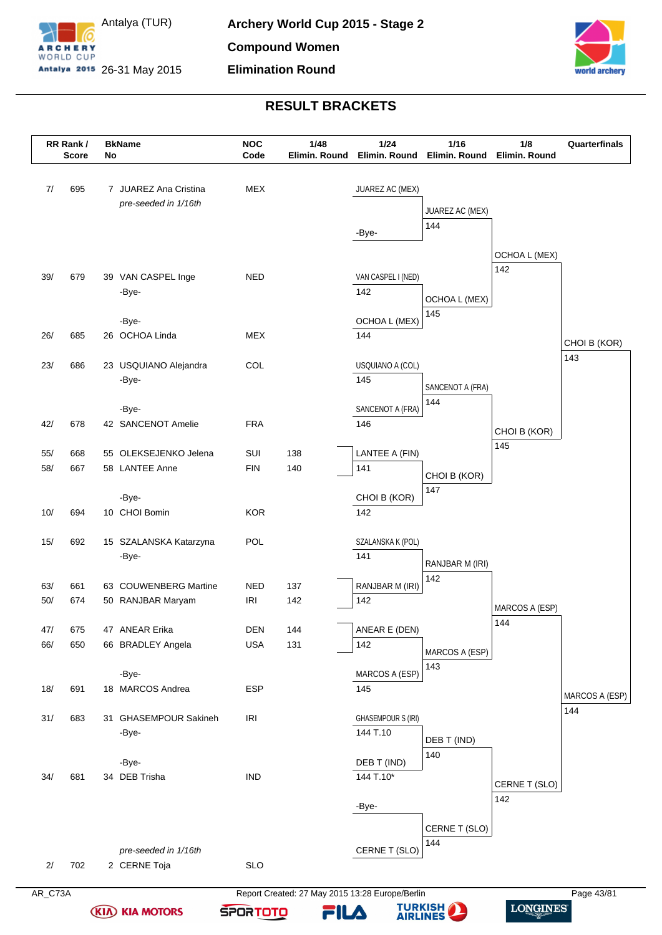



|            | RR Rank/<br><b>Score</b> | No | <b>BkName</b>                                 | <b>NOC</b><br>Code | 1/48<br>Elimin. Round                           | 1/24<br>Elimin. Round     | 1/16<br>Elimin. Round | 1/8<br>Elimin. Round | Quarterfinals  |
|------------|--------------------------|----|-----------------------------------------------|--------------------|-------------------------------------------------|---------------------------|-----------------------|----------------------|----------------|
| 7/         | 695                      |    | 7 JUAREZ Ana Cristina<br>pre-seeded in 1/16th | <b>MEX</b>         |                                                 | JUAREZ AC (MEX)           |                       |                      |                |
|            |                          |    |                                               |                    |                                                 |                           | JUAREZ AC (MEX)       |                      |                |
|            |                          |    |                                               |                    |                                                 | -Bye-                     | 144                   |                      |                |
|            |                          |    |                                               |                    |                                                 |                           |                       | OCHOA L (MEX)        |                |
| 39/        | 679                      |    | 39 VAN CASPEL Inge                            | <b>NED</b>         |                                                 | VAN CASPEL I (NED)        |                       | 142                  |                |
|            |                          |    | -Bye-                                         |                    |                                                 | 142                       |                       |                      |                |
|            |                          |    |                                               |                    |                                                 |                           | OCHOA L (MEX)<br>145  |                      |                |
|            |                          |    | -Bye-                                         |                    |                                                 | OCHOA L (MEX)             |                       |                      |                |
| 26/        | 685                      |    | 26 OCHOA Linda                                | <b>MEX</b>         |                                                 | 144                       |                       |                      | CHOI B (KOR)   |
| 23/        | 686                      |    | 23 USQUIANO Alejandra                         | COL                |                                                 | USQUIANO A (COL)          |                       |                      | 143            |
|            |                          |    | -Bye-                                         |                    |                                                 | 145                       | SANCENOT A (FRA)      |                      |                |
|            |                          |    |                                               |                    |                                                 |                           | 144                   |                      |                |
| 42/        | 678                      |    | -Bye-<br>42 SANCENOT Amelie                   | <b>FRA</b>         |                                                 | SANCENOT A (FRA)<br>146   |                       |                      |                |
|            |                          |    |                                               |                    |                                                 |                           |                       | CHOI B (KOR)         |                |
| 55/        | 668                      |    | 55 OLEKSEJENKO Jelena                         | SUI                | 138                                             | LANTEE A (FIN)            |                       | 145                  |                |
| 58/        | 667                      |    | 58 LANTEE Anne                                | <b>FIN</b>         | 140                                             | 141                       | CHOI B (KOR)          |                      |                |
|            |                          |    | -Bye-                                         |                    |                                                 | CHOI B (KOR)              | 147                   |                      |                |
| 10/        | 694                      |    | 10 CHOI Bomin                                 | <b>KOR</b>         |                                                 | 142                       |                       |                      |                |
|            |                          |    |                                               |                    |                                                 |                           |                       |                      |                |
| 15/        | 692                      |    | 15 SZALANSKA Katarzyna                        | POL                |                                                 | SZALANSKA K (POL)<br>141  |                       |                      |                |
|            |                          |    | -Bye-                                         |                    |                                                 |                           | RANJBAR M (IRI)       |                      |                |
| 63/        | 661                      |    | 63 COUWENBERG Martine                         | <b>NED</b>         | 137                                             | RANJBAR M (IRI)           | 142                   |                      |                |
| 50/        | 674                      |    | 50 RANJBAR Maryam                             | <b>IRI</b>         | 142                                             | 142                       |                       | MARCOS A (ESP)       |                |
|            |                          |    |                                               | DEN                |                                                 |                           |                       | 144                  |                |
| 47/<br>66/ | 675<br>650               |    | 47 ANEAR Erika<br>66 BRADLEY Angela           | <b>USA</b>         | 144<br>131                                      | ANEAR E (DEN)<br>142      |                       |                      |                |
|            |                          |    |                                               |                    |                                                 |                           | MARCOS A (ESP)        |                      |                |
|            |                          |    | -Bye-                                         |                    |                                                 | MARCOS A (ESP)            | 143                   |                      |                |
| 18/        | 691                      |    | 18 MARCOS Andrea                              | <b>ESP</b>         |                                                 | 145                       |                       |                      | MARCOS A (ESP) |
| 31/        | 683                      |    | 31 GHASEMPOUR Sakineh                         | <b>IRI</b>         |                                                 | <b>GHASEMPOUR S (IRI)</b> |                       |                      | 144            |
|            |                          |    | -Bye-                                         |                    |                                                 | 144 T.10                  |                       |                      |                |
|            |                          |    |                                               |                    |                                                 |                           | DEB T (IND)<br>140    |                      |                |
|            |                          |    | -Bye-                                         |                    |                                                 | DEB T (IND)               |                       |                      |                |
| 34/        | 681                      |    | 34 DEB Trisha                                 | <b>IND</b>         |                                                 | 144 T.10*                 |                       | CERNE T (SLO)        |                |
|            |                          |    |                                               |                    |                                                 | -Bye-                     |                       | 142                  |                |
|            |                          |    |                                               |                    |                                                 |                           | CERNE T (SLO)         |                      |                |
|            |                          |    |                                               |                    |                                                 |                           | 144                   |                      |                |
| 2/         | 702                      |    | pre-seeded in 1/16th<br>2 CERNE Toja          | <b>SLO</b>         |                                                 | CERNE T (SLO)             |                       |                      |                |
|            |                          |    |                                               |                    |                                                 |                           |                       |                      |                |
| AR_C73A    |                          |    |                                               |                    | Report Created: 27 May 2015 13:28 Europe/Berlin |                           |                       |                      | Page 43/81     |

**(KIA) KIA MOTORS** 

**TURKISH** 

**SPORTOTO** 

FILA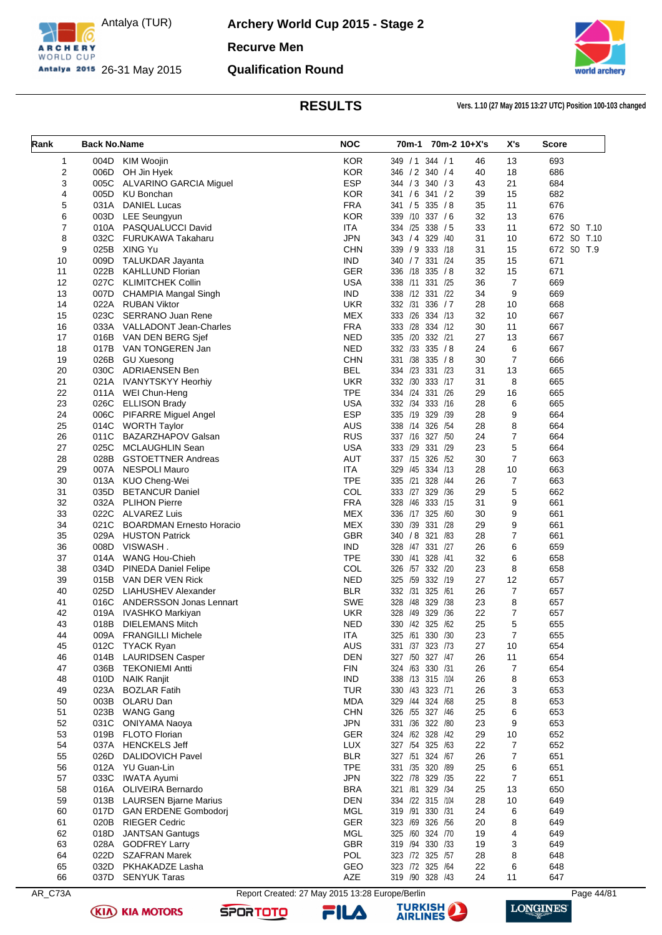

**Archery World Cup 2015 - Stage 2 Recurve Men Qualification Round**



**RESULTS Vers. 1.10 (27 May 2015 13:27 UTC) Position 100-103 changed**

| Rank | <b>Back No.Name</b> |                                 | <b>NOC</b> |                  |             | 70m-1 70m-2 10+X's | X's              | Score       |
|------|---------------------|---------------------------------|------------|------------------|-------------|--------------------|------------------|-------------|
| 1    | 004D                | <b>KIM Woojin</b>               | <b>KOR</b> | 349 / 1 344 / 1  |             | 46                 | 13               | 693         |
| 2    | 006D                | OH Jin Hyek                     | <b>KOR</b> | 346 / 2 340 / 4  |             | 40                 | 18               | 686         |
| 3    | 005C                | ALVARINO GARCIA Miguel          | <b>ESP</b> | 344 / 3          | 340 / 3     | 43                 | 21               | 684         |
| 4    | 005D                | <b>KU Bonchan</b>               | <b>KOR</b> | 341 / 6 341 / 2  |             | 39                 | 15               | 682         |
| 5    | 031A                | <b>DANIEL Lucas</b>             | <b>FRA</b> | 341 / 5 335 / 8  |             | 35                 | 11               | 676         |
| 6    | 003D                | <b>LEE Seungyun</b>             | <b>KOR</b> | 339 /10 337 /6   |             | 32                 | 13               | 676         |
| 7    | 010A                | PASQUALUCCI David               | <b>ITA</b> | 334 /25 338 / 5  |             | 33                 | 11               | 672 SO T.10 |
| 8    | 032C                | <b>FURUKAWA Takaharu</b>        | <b>JPN</b> | 343 / 4 329 / 40 |             | 31                 | 10               | 672 SO T.10 |
| 9    | 025B                | XING Yu                         | <b>CHN</b> | 339 / 9          | 333 /18     | 31                 | 15               | 672 SO T.9  |
| 10   | 009D                | <b>TALUKDAR Jayanta</b>         | <b>IND</b> | 340 / 7 331 / 24 |             | 35                 | 15               | 671         |
| 11   | 022B                | <b>KAHLLUND Florian</b>         | <b>GER</b> | 336 /18 335 /8   |             | 32                 | 15               | 671         |
| 12   | 027C                | <b>KLIMITCHEK Collin</b>        | <b>USA</b> | 338 /11          | 331 /25     | 36                 | $\overline{7}$   | 669         |
| 13   | 007D                | CHAMPIA Mangal Singh            | <b>IND</b> | 338 /12 331 /22  |             | 34                 | 9                | 669         |
| 14   | 022A                | <b>RUBAN Viktor</b>             | <b>UKR</b> | 332 /31          | 336 / 7     | 28                 | 10               | 668         |
| 15   | 023C                | <b>SERRANO Juan Rene</b>        | <b>MEX</b> | 333 /26 334 /13  |             | 32                 | 10               | 667         |
| 16   | 033A                | VALLADONT Jean-Charles          | <b>FRA</b> | 333 /28 334 /12  |             | 30                 | 11               | 667         |
| 17   | 016B                | VAN DEN BERG Sjef               | <b>NED</b> | 335              | /20 332 /21 | 27                 | 13               | 667         |
| 18   | 017B                | VAN TONGEREN Jan                | <b>NED</b> | 332 /33 335 / 8  |             | 24                 | 6                | 667         |
| 19   | 026B                | <b>GU Xuesong</b>               | <b>CHN</b> | 331 /38 335 / 8  |             | 30                 | $\overline{7}$   | 666         |
| 20   | 030C                | <b>ADRIAENSEN Ben</b>           | <b>BEL</b> | 334 /23 331 /23  |             | 31                 | 13               | 665         |
| 21   | 021A                | <b>IVANYTSKYY Heorhiy</b>       | <b>UKR</b> | 332 /30 333 /17  |             | 31                 | 8                | 665         |
| 22   | 011A                | WEI Chun-Heng                   | <b>TPE</b> | 334 /24 331 /26  |             | 29                 | 16               | 665         |
| 23   | 026C                | <b>ELLISON Brady</b>            | <b>USA</b> | 332 /34 333 /16  |             | 28                 | 6                | 665         |
| 24   | 006C                | PIFARRE Miguel Angel            | <b>ESP</b> | 335              | /19 329 /39 | 28                 | 9                | 664         |
| 25   | 014C                | <b>WORTH Taylor</b>             | <b>AUS</b> | 338 /14 326 /54  |             | 28                 | 8                | 664         |
| 26   | 011C                | BAZARZHAPOV Galsan              | <b>RUS</b> | 337 /16 327 /50  |             | 24                 | $\boldsymbol{7}$ | 664         |
| 27   | 025C                | MCLAUGHLIN Sean                 | <b>USA</b> | 333 /29 331 /29  |             | 23                 | 5                | 664         |
| 28   | 028B                | <b>GSTOETTNER Andreas</b>       | <b>AUT</b> | 337 /15 326 /52  |             | 30                 | $\overline{7}$   | 663         |
| 29   | 007A                | <b>NESPOLI Mauro</b>            | <b>ITA</b> | 329<br>/45       | 334 /13     | 28                 | 10               | 663         |
| 30   | 013A                | KUO Cheng-Wei                   | <b>TPE</b> | 335              | /21 328 /44 | 26                 | $\boldsymbol{7}$ | 663         |
| 31   | 035D                | <b>BETANCUR Daniel</b>          | COL        | 333 /27 329 /36  |             | 29                 | 5                | 662         |
| 32   | 032A                | <b>PLIHON Pierre</b>            | <b>FRA</b> | 328              | /46 333 /15 | 31                 | 9                | 661         |
| 33   | 022C                | <b>ALVAREZ Luis</b>             | <b>MEX</b> | 336 /17 325 /60  |             | 30                 | 9                | 661         |
| 34   | 021C                | <b>BOARDMAN Ernesto Horacio</b> | <b>MEX</b> | 330              | /39 331 /28 | 29                 | 9                | 661         |
| 35   | 029A                | <b>HUSTON Patrick</b>           | <b>GBR</b> | 340 / 8 321 / 83 |             | 28                 | $\overline{7}$   | 661         |
| 36   | 008D                | VISWASH.                        | <b>IND</b> | 328 /47 331 /27  |             | 26                 | 6                | 659         |
| 37   | 014A                | <b>WANG Hou-Chieh</b>           | <b>TPE</b> | 330              | /41 328 /41 | 32                 | 6                | 658         |
| 38   | 034D                | <b>PINEDA Daniel Felipe</b>     | COL        | 326              | /57 332 /20 | 23                 | 8                | 658         |
| 39   | 015B                | VAN DER VEN Rick                | <b>NED</b> | 325              | /59 332 /19 | 27                 | 12               | 657         |
| 40   | 025D                | LIAHUSHEV Alexander             | <b>BLR</b> | 332 /31 325 /61  |             | 26                 | $\boldsymbol{7}$ | 657         |
| 41   | 016C                | <b>ANDERSSON Jonas Lennart</b>  | <b>SWE</b> | 328              | /48 329 /38 | 23                 | 8                | 657         |
| 42   | 019A                | <b>IVASHKO Markiyan</b>         | UKR        | 328              | /49 329 /36 | 22                 | 7                | 657         |
| 43   | 018B                | <b>DIELEMANS Mitch</b>          | <b>NED</b> | 330 /42 325 /62  |             | 25                 | 5                | 655         |
| 44   | 009A                | <b>FRANGILLI Michele</b>        | <b>ITA</b> | 325              | /61 330 /30 | 23                 | $\overline{7}$   | 655         |
| 45   | 012C                | <b>TYACK Ryan</b>               | <b>AUS</b> | 331 /37 323 /73  |             | 27                 | 10               | 654         |
| 46   | 014B                | <b>LAURIDSEN Casper</b>         | <b>DEN</b> | 327 /50 327 /47  |             | 26                 | 11               | 654         |
| 47   | 036B                | <b>TEKONIEMI Antti</b>          | <b>FIN</b> | 324 /63 330 /31  |             | 26                 | $\overline{7}$   | 654         |
| 48   | 010D                | <b>NAIK Ranjit</b>              | <b>IND</b> | 338 /13 315 /104 |             | 26                 | 8                | 653         |
| 49   | 023A                | <b>BOZLAR Fatih</b>             | <b>TUR</b> | 330 /43 323 /71  |             | 26                 | 3                | 653         |
| 50   | 003B                | OLARU Dan                       | <b>MDA</b> | 329 /44 324 /68  |             | 25                 | 8                | 653         |
| 51   | 023B                | <b>WANG Gang</b>                | <b>CHN</b> | 326 /55 327 /46  |             | 25                 | 6                | 653         |
| 52   | 031C                | <b>ONIYAMA Naoya</b>            | <b>JPN</b> | 331 /36 322 /80  |             | 23                 | 9                | 653         |
| 53   | 019B                | FLOTO Florian                   | GER        | 324 /62 328 /42  |             | 29                 | 10               | 652         |
| 54   | 037A                | <b>HENCKELS Jeff</b>            | LUX        | 327 /54 325 /63  |             | 22                 | $\overline{7}$   | 652         |
| 55   | 026D                | <b>DALIDOVICH Pavel</b>         | <b>BLR</b> | 327 /51 324 /67  |             | 26                 | 7                | 651         |
| 56   | 012A                | YU Guan-Lin                     | <b>TPE</b> | 331 /35 320 /89  |             | 25                 | 6                | 651         |
| 57   | 033C                | <b>IWATA Ayumi</b>              | <b>JPN</b> | 322 /78 329 /35  |             | 22                 | $\overline{7}$   | 651         |
| 58   | 016A                | <b>OLIVEIRA Bernardo</b>        | <b>BRA</b> | 321 /81 329 /34  |             | 25                 | 13               | 650         |
| 59   | 013B                | <b>LAURSEN Bjarne Marius</b>    | <b>DEN</b> | 334 /22 315 /104 |             | 28                 | 10               | 649         |
| 60   | 017D                | <b>GAN ERDENE Gombodori</b>     | <b>MGL</b> | 319 /91 330 /31  |             | 24                 | 6                | 649         |
| 61   | 020B                | <b>RIEGER Cedric</b>            | GER        | 323 /69 326 /56  |             | 20                 | 8                | 649         |
| 62   | 018D                | <b>JANTSAN Gantugs</b>          | MGL        | 325 /60 324 /70  |             | 19                 | 4                | 649         |
| 63   | 028A                | <b>GODFREY Larry</b>            | <b>GBR</b> | 319 /94 330 /33  |             | 19                 | 3                | 649         |
| 64   | 022D                | <b>SZAFRAN Marek</b>            | POL        | 323 /72 325 /57  |             | 28                 | 8                | 648         |
| 65   | 032D                | PKHAKADZE Lasha                 | GEO        | 323 /72 325 /64  |             | 22                 | 6                | 648         |
| 66   |                     | 037D SENYUK Taras               | AZE        | 319 /90 328 /43  |             | 24                 | 11               | 647         |

AR\_C73A Report Created: 27 May 2015 13:28 Europe/Berlin Page 44/81

**SPORTOTO** 

**(KIA) KIA MOTORS** 





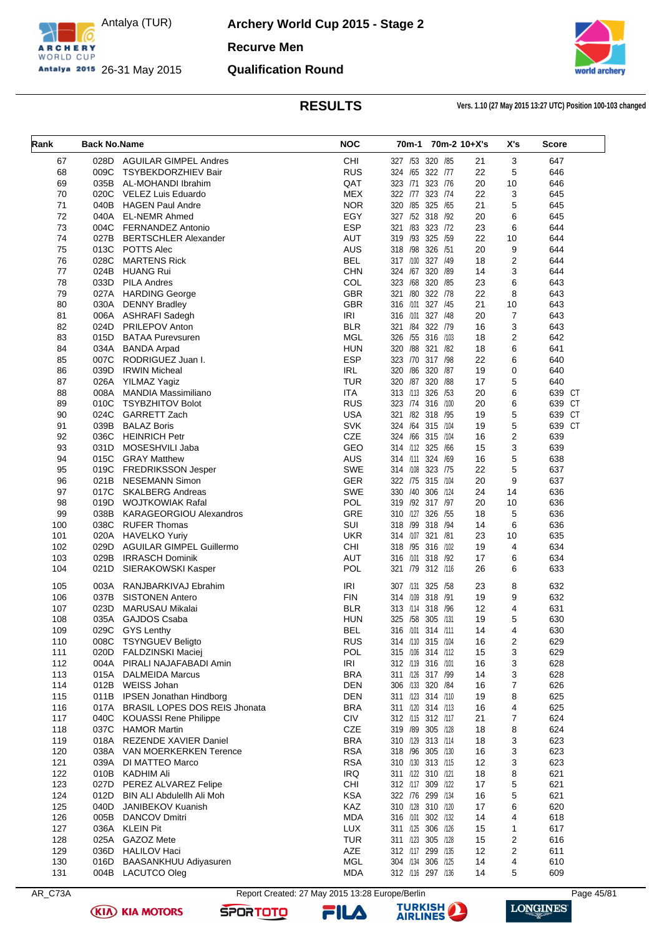

**Archery World Cup 2015 - Stage 2 Recurve Men Qualification Round**



**RESULTS Vers. 1.10 (27 May 2015 13:27 UTC) Position 100-103 changed**

| Rank       | <b>Back No.Name</b> |                                                  | <b>NOC</b>        | 70m-1                                  |              | 70m-2 10+X's | X's                     | <b>Score</b> |
|------------|---------------------|--------------------------------------------------|-------------------|----------------------------------------|--------------|--------------|-------------------------|--------------|
|            |                     |                                                  |                   |                                        |              |              |                         |              |
| 67         | 028D                | <b>AGUILAR GIMPEL Andres</b>                     | CHI               | 327 /53                                | 320 /85      | 21           | 3                       | 647          |
| 68         | 009C                | <b>TSYBEKDORZHIEV Bair</b>                       | <b>RUS</b>        | 324 /65 322 /77                        |              | 22           | 5                       | 646          |
| 69         | 035B                | AL-MOHANDI Ibrahim                               | QAT               | 323 /71                                | 323 /76      | 20           | 10                      | 646          |
| 70         | 020C                | VELEZ Luis Eduardo                               | <b>MEX</b>        | 322 /77 323 /74                        |              | 22           | 3                       | 645          |
| 71         | 040B                | <b>HAGEN Paul Andre</b>                          | <b>NOR</b>        | 320 /85 325 /65                        |              | 21           | 5                       | 645          |
| 72         | 040A                | <b>EL-NEMR Ahmed</b>                             | EGY               | 327 /52 318 /92                        |              | 20           | 6                       | 645          |
| 73         | 004C                | <b>FERNANDEZ Antonio</b>                         | <b>ESP</b>        | 321 /83 323 /72                        |              | 23           | 6                       | 644          |
| 74         | 027B                | <b>BERTSCHLER Alexander</b>                      | AUT               | 319 /93 325 /59                        |              | 22           | 10                      | 644          |
| 75         | 013C                | POTTS Alec                                       | <b>AUS</b>        | 318 /98                                | 326 /51      | 20           | 9                       | 644          |
| 76         | 028C                | <b>MARTENS Rick</b>                              | <b>BEL</b>        | 317 /100                               | 327 /49      | 18           | $\overline{2}$          | 644          |
| 77<br>78   | 024B<br>033D        | <b>HUANG Rui</b><br><b>PILA Andres</b>           | <b>CHN</b><br>COL | 324 /67 320 /89<br>323 /68 320 /85     |              | 14<br>23     | 3<br>6                  | 644<br>643   |
| 79         | 027A                | <b>HARDING George</b>                            | <b>GBR</b>        | /80<br>321                             | 322 /78      | 22           | 8                       | 643          |
| 80         | 030A                | <b>DENNY Bradley</b>                             | <b>GBR</b>        | 316 /101 327 /45                       |              | 21           | 10                      | 643          |
| 81         | 006A                | ASHRAFI Sadegh                                   | IRI               | 316 /101                               | 327 /48      | 20           | 7                       | 643          |
| 82         | 024D                | <b>PRILEPOV Anton</b>                            | <b>BLR</b>        | 321 /84 322 /79                        |              | 16           | 3                       | 643          |
| 83         | 015D                | <b>BATAA Purevsuren</b>                          | <b>MGL</b>        | 326 /55 316 /103                       |              | 18           | 2                       | 642          |
| 84         | 034A                | <b>BANDA Arpad</b>                               | <b>HUN</b>        | 320 / 88 321 / 82                      |              | 18           | 6                       | 641          |
| 85         | 007C                | RODRIGUEZ Juan I.                                | <b>ESP</b>        | 323 /70 317 /98                        |              | 22           | 6                       | 640          |
| 86         | 039D                | <b>IRWIN Micheal</b>                             | IRL               | 320 /86 320 /87                        |              | 19           | 0                       | 640          |
| 87         | 026A                | YILMAZ Yagiz                                     | <b>TUR</b>        | 320 /87                                | 320<br>/88   | 17           | 5                       | 640          |
| 88         | 008A                | <b>MANDIA Massimiliano</b>                       | <b>ITA</b>        | 313 /113 326 /53                       |              | 20           | 6                       | 639 CT       |
| 89         | 010C                | <b>TSYBZHITOV Bolot</b>                          | <b>RUS</b>        | 323 /74 316 /100                       |              | 20           | 6                       | 639 CT       |
| 90         | 024C                | <b>GARRETT Zach</b>                              | <b>USA</b>        | 321 /82 318 /95                        |              | 19           | 5                       | 639 CT       |
| 91         | 039B                | <b>BALAZ Boris</b>                               | <b>SVK</b>        | 324 /64 315 /104                       |              | 19           | 5                       | 639 CT       |
| 92         | 036C                | <b>HEINRICH Petr</b>                             | <b>CZE</b>        | 324 /66 315 /104                       |              | 16           | $\overline{\mathbf{c}}$ | 639          |
| 93         | 031D                | MOSESHVILI Jaba                                  | GEO               | 314 /112 325 /66                       |              | 15           | 3                       | 639          |
| 94         | 015C                | <b>GRAY Matthew</b>                              | <b>AUS</b>        | 314 /11 324 /69                        |              | 16           | 5                       | 638          |
| 95         | 019C                | <b>FREDRIKSSON Jesper</b>                        | <b>SWE</b>        | 314 /108 323 /75                       |              | 22           | 5                       | 637          |
| 96         | 021B                | NESEMANN Simon                                   | <b>GER</b>        | 322 /75 315 /104                       |              | 20           | 9                       | 637          |
| 97         | 017C                | <b>SKALBERG Andreas</b>                          | <b>SWE</b>        | 330 /40 306 /124                       |              | 24           | 14                      | 636          |
| 98         | 019D                | WOJTKOWIAK Rafal                                 | <b>POL</b>        | 319 /92 317 /97                        |              | 20           | 10                      | 636          |
| 99         | 038B                | <b>KARAGEORGIOU Alexandros</b>                   | GRE               | 310 /127                               | 326 /55      | 18           | 5                       | 636          |
| 100        | 038C                | <b>RUFER Thomas</b>                              | <b>SUI</b>        | 318 /99 318 /94                        |              | 14           | 6                       | 636          |
| 101        | 020A                | <b>HAVELKO Yuriy</b>                             | <b>UKR</b>        | 314 /107 321 /81                       |              | 23           | 10                      | 635          |
| 102        | 029D                | <b>AGUILAR GIMPEL Guillermo</b>                  | <b>CHI</b>        | 318 /95 316 /102                       |              | 19           | $\overline{4}$          | 634          |
| 103        | 029B                | <b>IRRASCH Dominik</b>                           | AUT               | 316 /101 318 /92                       |              | 17           | 6                       | 634          |
| 104        | 021D                | SIERAKOWSKI Kasper                               | POL               | 321                                    | /79 312 /116 | 26           | 6                       | 633          |
|            |                     |                                                  | <b>IRI</b>        | 307 /131 325 /58                       |              |              |                         |              |
| 105        | 003A                | RANJBARKIVAJ Ebrahim                             | <b>FIN</b>        |                                        |              | 23           | 8                       | 632          |
| 106<br>107 | 037B<br>023D        | <b>SISTONEN Antero</b><br><b>MARUSAU Mikalai</b> | <b>BLR</b>        | 314 /109 318 /91<br>313 /114           | 318<br>/96   | 19<br>12     | 9<br>4                  | 632<br>631   |
| 108        | 035A                | <b>GAJDOS Csaba</b>                              | <b>HUN</b>        | 325 /58 305 /131                       |              | 19           | 5                       | 630          |
|            |                     |                                                  |                   |                                        |              | 14           |                         |              |
| 109<br>110 | 008C                | 029C GYS Lenthy<br>TSYNGUEV Beligto              | BEL<br><b>RUS</b> | 316 /101 314 /111<br>314 /110 315 /104 |              | 16           | 4<br>2                  | 630<br>629   |
| 111        | 020D                | <b>FALDZINSKI Maciej</b>                         | <b>POL</b>        | 315 /106 314 /112                      |              | 15           | 3                       | 629          |
| 112        | 004A                | PIRALI NAJAFABADI Amin                           | IRI               | 312 /119 316 /101                      |              | 16           | 3                       | 628          |
| 113        |                     | 015A DALMEIDA Marcus                             | <b>BRA</b>        | 311 /126 317 /99                       |              | 14           | 3                       | 628          |
| 114        |                     | 012B WEISS Johan                                 | <b>DEN</b>        | 306 /133 320 /84                       |              | 16           | 7                       | 626          |
| 115        |                     | 011B IPSEN Jonathan Hindborg                     | <b>DEN</b>        | 311 /123 314 /110                      |              | 19           | 8                       | 625          |
| 116        | 017A                | <b>BRASIL LOPES DOS REIS Jhonata</b>             | <b>BRA</b>        | 311 /120 314 /113                      |              | 16           | 4                       | 625          |
| 117        | 040C                | <b>KOUASSI Rene Philippe</b>                     | <b>CIV</b>        | 312 /115 312 /117                      |              | 21           | 7                       | 624          |
| 118        |                     | 037C HAMOR Martin                                | CZE               | 319 /89 305 /128                       |              | 18           | 8                       | 624          |
| 119        |                     | 018A REZENDE XAVIER Daniel                       | <b>BRA</b>        | 310 /129 313 /114                      |              | 18           | 3                       | 623          |
| 120        |                     | 038A VAN MOERKERKEN Terence                      | <b>RSA</b>        | 318 /96 305 /130                       |              | 16           | 3                       | 623          |
| 121        | 039A                | DI MATTEO Marco                                  | <b>RSA</b>        | 310 /130 313 /115                      |              | 12           | 3                       | 623          |
| 122        |                     | 010B KADHIM Ali                                  | IRQ               | 311 /122 310 /121                      |              | 18           | 8                       | 621          |
| 123        | 027D                | PEREZ ALVAREZ Felipe                             | CHI               | 312 /117 309 /122                      |              | 17           | 5                       | 621          |
| 124        | 012D                | BIN ALI Abdulellh Ali Moh                        | <b>KSA</b>        | 322 /76 299 /134                       |              | 16           | 5                       | 621          |
| 125        | 040D                | JANIBEKOV Kuanish                                | KAZ               | 310 /128 310 /120                      |              | 17           | 6                       | 620          |
| 126        | 005B                | <b>DANCOV Dmitri</b>                             | <b>MDA</b>        | 316 /101 302 /132                      |              | 14           | 4                       | 618          |
| 127        |                     | 036A KLEIN Pit                                   | <b>LUX</b>        | 311 /125 306 /126                      |              | 15           | 1                       | 617          |
| 128        | 025A                | GAZOZ Mete                                       | <b>TUR</b>        | 311 /123 305 /128                      |              | 15           | 2                       | 616          |
| 129        | 036D                | <b>HALILOV Haci</b>                              | AZE               | 312 /117 299 /135                      |              | 12           | 2                       | 611          |
| 130        | 016D                | <b>BAASANKHUU Adiyasuren</b>                     | <b>MGL</b>        | 304 /134 306 /125                      |              | 14           | 4                       | 610          |
| 131        | 004B                | <b>LACUTCO Oleg</b>                              | <b>MDA</b>        | 312 /116 297 /136                      |              | 14           | 5                       | 609          |

AR\_C73A Report Created: 27 May 2015 13:28 Europe/Berlin Page 45/81

**SPORTOTO** 

**(KIA) KIA MOTORS** 



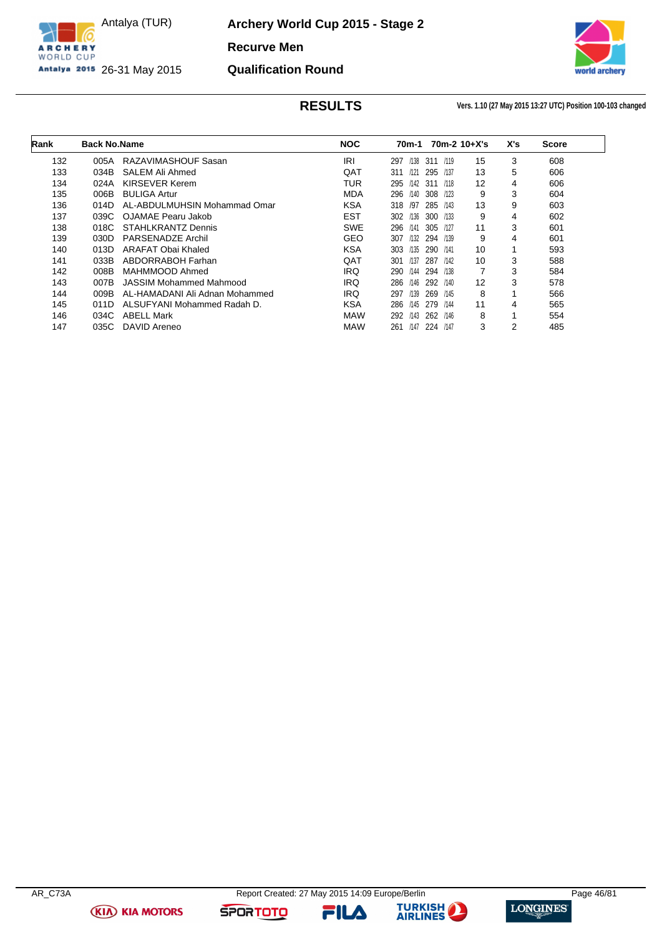

**Archery World Cup 2015 - Stage 2**

**Recurve Men**

**Qualification Round**

Antalya 2015 26-31 May 2015



**RESULTS Vers. 1.10 (27 May 2015 13:27 UTC) Position 100-103 changed**

| Rank | <b>Back No.Name</b> |                                | <b>NOC</b> | 70m-1       |          |      | $70m-2$ 10+X's | X's | <b>Score</b> |
|------|---------------------|--------------------------------|------------|-------------|----------|------|----------------|-----|--------------|
| 132  | 005A                | RAZAVIMASHOUF Sasan            | IRI        | /138<br>297 | 311      | /119 | 15             | 3   | 608          |
| 133  | 034B                | SALEM Ali Ahmed                | QAT        | /121<br>311 | 295 /137 |      | 13             | 5   | 606          |
| 134  | 024A                | KIRSEVER Kerem                 | TUR        | 295         | /142 311 | /118 | 12             | 4   | 606          |
| 135  | 006B                | <b>BULIGA Artur</b>            | <b>MDA</b> | 296<br>/140 | 308 /123 |      | 9              | 3   | 604          |
| 136  | 014D                | AL-ABDULMUHSIN Mohammad Omar   | <b>KSA</b> | 318<br>/97  | 285 /143 |      | 13             | 9   | 603          |
| 137  | 039C                | OJAMAE Pearu Jakob             | <b>EST</b> | 302<br>/136 | 300 /133 |      | 9              | 4   | 602          |
| 138  | 018C                | STAHLKRANTZ Dennis             | <b>SWE</b> | 296<br>/141 | 305 /127 |      | 11             | 3   | 601          |
| 139  | 030D                | <b>PARSENADZE Archil</b>       | GEO        | 307<br>/132 | 294 /139 |      | 9              | 4   | 601          |
| 140  | 013D                | ARAFAT Obai Khaled             | <b>KSA</b> | /135<br>303 | 290 /141 |      | 10             |     | 593          |
| 141  | 033B                | ABDORRABOH Farhan              | QAT        | /137<br>301 | 287      | /142 | 10             | 3   | 588          |
| 142  | 008B                | MAHMMOOD Ahmed                 | IRQ        | 290<br>/144 | 294      | /138 | 7              | 3   | 584          |
| 143  | 007B                | <b>JASSIM Mohammed Mahmood</b> | IRQ        | /146<br>286 | 292      | /140 | 12             | 3   | 578          |
| 144  | 009B                | AL-HAMADANI Ali Adnan Mohammed | IRQ        | 297<br>/139 | 269      | /145 | 8              |     | 566          |
| 145  | 011D                | ALSUFYANI Mohammed Radah D.    | <b>KSA</b> | /145<br>286 | 279 /144 |      | 11             | 4   | 565          |
| 146  | 034C                | <b>ABELL Mark</b>              | <b>MAW</b> | /143<br>292 | 262 /146 |      | 8              |     | 554          |
| 147  | 035C                | DAVID Areneo                   | MAW        | 261<br>/147 | 224 /147 |      | 3              | 2   | 485          |

**(KIA) KIA MOTORS** 

**SPORTOTO** 

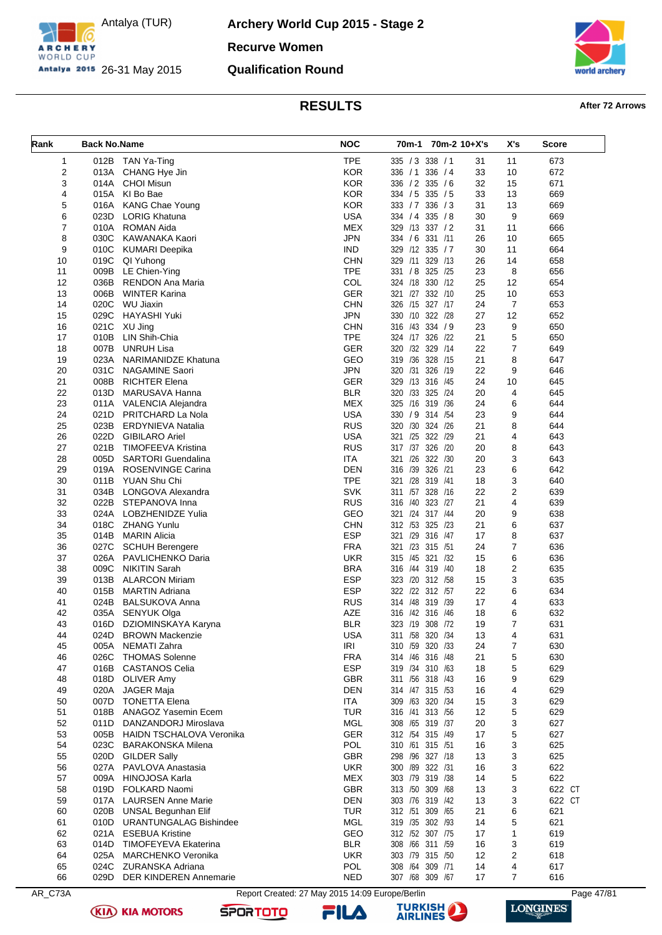

**Archery World Cup 2015 - Stage 2 Recurve Women Qualification Round**



### **RESULTS After 72 Arrows**

| Rank                         | <b>Back No.Name</b> |                                                             | <b>NOC</b>               | 70m-1           |                                    | 70m-2 10+X's | X's            | <b>Score</b> |
|------------------------------|---------------------|-------------------------------------------------------------|--------------------------|-----------------|------------------------------------|--------------|----------------|--------------|
|                              |                     |                                                             |                          |                 |                                    |              |                |              |
| 1                            |                     | 012B TAN Ya-Ting                                            | <b>TPE</b>               |                 | 335 / 3 338 / 1                    | 31           | 11             | 673          |
| $\overline{\mathbf{c}}$<br>3 | 013A<br>014A        | CHANG Hye Jin<br><b>CHOI Misun</b>                          | <b>KOR</b><br><b>KOR</b> |                 | 336 / 1 336 / 4<br>336 / 2 335 / 6 | 33<br>32     | 10<br>15       | 672<br>671   |
| 4                            | 015A                | KI Bo Bae                                                   | <b>KOR</b>               |                 | 334 / 5 335 / 5                    | 33           | 13             | 669          |
| 5                            | 016A                | <b>KANG Chae Young</b>                                      | <b>KOR</b>               |                 | 333 / 7 336 / 3                    | 31           | 13             | 669          |
| 6                            | 023D                | <b>LORIG Khatuna</b>                                        | <b>USA</b>               |                 | 334 / 4 335 / 8                    | 30           | 9              | 669          |
| 7                            |                     | 010A ROMAN Aida                                             | <b>MEX</b>               |                 | 329 /13 337 / 2                    | 31           | 11             | 666          |
| 8                            | 030C                | KAWANAKA Kaori                                              | <b>JPN</b>               | 334 / 6 331 /11 |                                    | 26           | 10             | 665          |
| 9                            | 010C                | <b>KUMARI Deepika</b>                                       | <b>IND</b>               |                 | 329 /12 335 / 7                    | 30           | 11             | 664          |
| 10                           | 019C                | QI Yuhong                                                   | CHN                      |                 | 329 /11 329 /13                    | 26           | 14             | 658          |
| 11                           | 009B                | LE Chien-Ying                                               | <b>TPE</b>               |                 | 331 / 8 325 / 25                   | 23           | 8              | 656          |
| 12                           | 036B                | <b>RENDON Ana Maria</b>                                     | COL                      |                 | 324 /18 330 /12                    | 25           | 12             | 654          |
| 13                           | 006B                | <b>WINTER Karina</b>                                        | <b>GER</b>               |                 | 321 /27 332 /10                    | 25           | 10             | 653          |
| 14                           | 020C                | WU Jiaxin                                                   | <b>CHN</b>               |                 | 326 /15 327 /17                    | 24           | $\overline{7}$ | 653          |
| 15                           | 029C                | HAYASHI Yuki                                                | <b>JPN</b>               |                 | 330 /10 322 /28                    | 27           | 12             | 652          |
| 16                           | 021C                | XU Jing                                                     | <b>CHN</b>               |                 | 316 /43 334 / 9                    | 23           | 9              | 650          |
| 17                           | 010B                | LIN Shih-Chia                                               | <b>TPE</b>               |                 | 324 /17 326 /22                    | 21           | 5              | 650          |
| 18                           | 007B                | <b>UNRUH Lisa</b>                                           | <b>GER</b>               |                 | 320 /32 329 /14                    | 22           | $\overline{7}$ | 649          |
| 19                           | 023A                | NARIMANIDZE Khatuna                                         | GEO                      |                 | 319 /36 328 /15                    | 21           | 8              | 647          |
| 20                           | 031C                | <b>NAGAMINE Saori</b>                                       | <b>JPN</b>               |                 | 320 /31 326 /19                    | 22           | 9              | 646          |
| 21                           | 008B                | <b>RICHTER Elena</b>                                        | <b>GER</b>               |                 | 329 /13 316 /45                    | 24           | 10             | 645          |
| 22                           | 013D                | MARUSAVA Hanna                                              | <b>BLR</b>               |                 | 320 /33 325 /24                    | 20           | 4              | 645          |
| 23                           |                     | 011A VALENCIA Alejandra                                     | <b>MEX</b>               |                 | 325 /16 319 /36                    | 24           | 6              | 644          |
| 24                           | 021D                | PRITCHARD La Nola                                           | <b>USA</b>               | 330 / 9         | 314 / 54                           | 23           | 9              | 644          |
| 25                           | 023B                | <b>ERDYNIEVA Natalia</b>                                    | <b>RUS</b>               |                 | 320 /30 324 /26                    | 21           | 8              | 644          |
| 26                           | 022D                | <b>GIBILARO Ariel</b>                                       | <b>USA</b>               |                 | 321 /25 322 /29                    | 21           | 4              | 643          |
| 27                           | 021B                | TIMOFEEVA Kristina                                          | <b>RUS</b>               | 317 /37         | 326 /20                            | 20           | 8              | 643          |
| 28                           | 005D                | <b>SARTORI</b> Guendalina                                   | ITA                      |                 | 321 /26 322 /30                    | 20           | 3              | 643          |
| 29                           | 019A                | <b>ROSENVINGE Carina</b>                                    | <b>DEN</b>               | 316 /39 326 /21 |                                    | 23           | 6              | 642          |
| 30                           | 011B                | YUAN Shu Chi                                                | <b>TPE</b>               | 321 /28         | 319 /41                            | 18<br>22     | 3<br>2         | 640          |
| 31<br>32                     | 034B<br>022B        | LONGOVA Alexandra<br>STEPANOVA Inna                         | <b>SVK</b><br><b>RUS</b> | 316 /40 323 /27 | 311 /57 328 /16                    | 21           | 4              | 639<br>639   |
| 33                           | 024A                | LOBZHENIDZE Yulia                                           | GEO                      | 321 /24 317 /44 |                                    | 20           | 9              | 638          |
| 34                           | 018C                | <b>ZHANG Yunlu</b>                                          | CHN                      |                 | 312 /53 325 /23                    | 21           | 6              | 637          |
| 35                           | 014B                | MARIN Alicia                                                | <b>ESP</b>               |                 | 321 /29 316 /47                    | 17           | 8              | 637          |
| 36                           | 027C                | <b>SCHUH Berengere</b>                                      | <b>FRA</b>               | 321 /23 315 /51 |                                    | 24           | $\overline{7}$ | 636          |
| 37                           |                     | 026A PAVLICHENKO Daria                                      | UKR                      |                 | 315 /45 321 /32                    | 15           | 6              | 636          |
| 38                           | 009C                | <b>NIKITIN Sarah</b>                                        | <b>BRA</b>               |                 | 316 /44 319 /40                    | 18           | $\overline{2}$ | 635          |
| 39                           | 013B                | <b>ALARCON Miriam</b>                                       | <b>ESP</b>               |                 | 323 /20 312 /58                    | 15           | 3              | 635          |
| 40                           | 015B                | <b>MARTIN Adriana</b>                                       | <b>ESP</b>               |                 | 322 /22 312 /57                    | 22           | 6              | 634          |
| 41                           | 024B                | <b>BALSUKOVA Anna</b>                                       | <b>RUS</b>               |                 | 314 /48 319 /39                    | 17           | 4              | 633          |
| 42                           | 035A                | SENYUK Olga                                                 | <b>AZE</b>               |                 | 316 /42 316 /46                    | 18           | 6              | 632          |
| 43                           | 016D                | DZIOMINSKAYA Karyna                                         | <b>BLR</b>               |                 | 323 /19 308 /72                    | 19           | $\overline{7}$ | 631          |
| 44                           | 024D                | <b>BROWN Mackenzie</b>                                      | <b>USA</b>               |                 | 311 /58 320 /34                    | 13           | 4              | 631          |
| 45                           | 005A                | NEMATI Zahra                                                | <b>IRI</b>               |                 | 310 /59 320 /33                    | 24           | 7              | 630          |
| 46                           | 026C                | <b>THOMAS Solenne</b>                                       | <b>FRA</b>               |                 | 314 /46 316 /48                    | 21           | 5              | 630          |
| 47                           | 016B                | <b>CASTANOS Celia</b>                                       | <b>ESP</b>               |                 | 319 /34 310 /63                    | 18           | 5              | 629          |
| 48                           |                     | 018D OLIVER Amy                                             | <b>GBR</b>               |                 | 311 /56 318 /43                    | 16           | 9              | 629          |
| 49                           | 020A                | <b>JAGER Maja</b>                                           | <b>DEN</b>               |                 | 314 /47 315 /53                    | 16           | 4              | 629          |
| 50                           | 007D                | <b>TONETTA Elena</b>                                        | <b>ITA</b>               |                 | 309 /63 320 /34                    | 15           | 3              | 629          |
| 51                           | 018B                | ANAGOZ Yasemin Ecem                                         | <b>TUR</b>               |                 | 316 /41 313 /56                    | 12           | 5              | 629          |
| 52                           | 011D                | DANZANDORJ Miroslava                                        | MGL<br><b>GER</b>        |                 | 308 /65 319 /37                    | 20           | 3              | 627          |
| 53                           | 005B<br>023C        | <b>HAIDN TSCHALOVA Veronika</b><br><b>BARAKONSKA Milena</b> | <b>POL</b>               |                 | 312 /54 315 /49<br>310 /61 315 /51 | 17<br>16     | 5<br>3         | 627<br>625   |
| 54<br>55                     | 020D                | <b>GILDER Sally</b>                                         | <b>GBR</b>               |                 | 298 /96 327 /18                    | 13           | 3              | 625          |
| 56                           | 027A                | PAVLOVA Anastasia                                           | <b>UKR</b>               | 300 /89 322 /31 |                                    | 16           | 3              | 622          |
| 57                           | 009A                | <b>HINOJOSA Karla</b>                                       | <b>MEX</b>               |                 | 303 /79 319 /38                    | 14           | 5              | 622          |
| 58                           | 019D                | <b>FOLKARD Naomi</b>                                        | <b>GBR</b>               |                 | 313 /50 309 /68                    | 13           | 3              | 622 CT       |
| 59                           | 017A                | <b>LAURSEN Anne Marie</b>                                   | <b>DEN</b>               |                 | 303 /76 319 /42                    | 13           | 3              | 622 CT       |
| 60                           | 020B                | <b>UNSAL Begunhan Elif</b>                                  | TUR                      |                 | 312 /51 309 /65                    | 21           | 6              | 621          |
| 61                           | 010D                | <b>URANTUNGALAG Bishindee</b>                               | MGL                      |                 | 319 /35 302 /93                    | 14           | 5              | 621          |
| 62                           |                     | 021A ESEBUA Kristine                                        | GEO                      |                 | 312 /52 307 /75                    | 17           | 1              | 619          |
| 63                           | 014D                | TIMOFEYEVA Ekaterina                                        | <b>BLR</b>               |                 | 308 /66 311 /59                    | 16           | 3              | 619          |
| 64                           | 025A                | <b>MARCHENKO Veronika</b>                                   | <b>UKR</b>               |                 | 303 /79 315 /50                    | 12           | 2              | 618          |
| 65                           | 024C                | ZURANSKA Adriana                                            | <b>POL</b>               |                 | 308 /64 309 /71                    | 14           | 4              | 617          |
| 66                           | 029D                | <b>DER KINDEREN Annemarie</b>                               | NED                      |                 | 307 /68 309 /67                    | 17           | $\overline{7}$ | 616          |

AR\_C73A Report Created: 27 May 2015 14:09 Europe/Berlin Page 47/81

**SPORTOTO** 





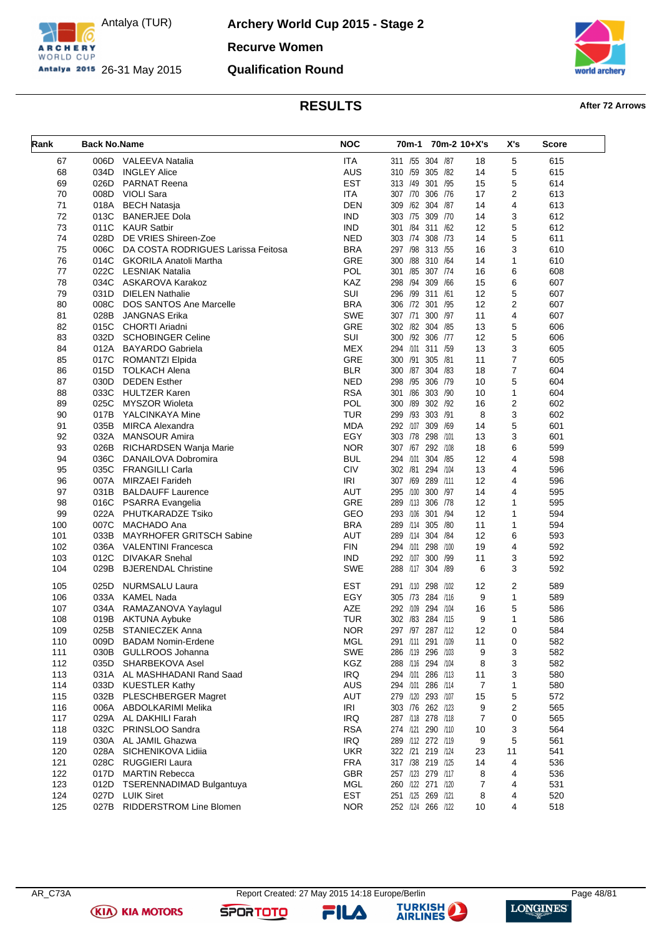

**Archery World Cup 2015 - Stage 2 Recurve Women Qualification Round**



# **RESULTS After 72 Arrows**

| Rank | <b>Back No.Name</b> |                                    | <b>NOC</b> | 70m-1             | 70m-2 10+X's |    | X's            | <b>Score</b> |
|------|---------------------|------------------------------------|------------|-------------------|--------------|----|----------------|--------------|
| 67   | 006D                | <b>VALEEVA Natalia</b>             | <b>ITA</b> | 311 /55 304 /87   |              | 18 | 5              | 615          |
| 68   | 034D                | <b>INGLEY Alice</b>                | <b>AUS</b> | 310 /59 305 /82   |              | 14 | 5              | 615          |
| 69   | 026D                | <b>PARNAT Reena</b>                | <b>EST</b> | 313 /49           | 301 /95      | 15 | 5              | 614          |
| 70   | 008D                | <b>VIOLI Sara</b>                  | <b>ITA</b> | 307 /70           | 306<br>/76   | 17 | 2              | 613          |
| 71   | 018A                | <b>BECH Natasja</b>                | <b>DEN</b> | 309 /62 304 /87   |              | 14 | 4              | 613          |
| 72   | 013C                | <b>BANERJEE Dola</b>               | <b>IND</b> | 303 /75 309 /70   |              | 14 | 3              | 612          |
| 73   | 011C                | <b>KAUR Satbir</b>                 | <b>IND</b> | 301 /84 311 /62   |              | 12 | 5              | 612          |
| 74   | 028D                | DE VRIES Shireen-Zoe               | <b>NED</b> | 303 /74 308 /73   |              | 14 | 5              | 611          |
| 75   | 006C                | DA COSTA RODRIGUES Larissa Feitosa | <b>BRA</b> | 297 /98           | 313 /55      | 16 | 3              | 610          |
| 76   | 014C                | <b>GKORILA Anatoli Martha</b>      | GRE        | 300 /88 310 /64   |              | 14 | 1              | 610          |
| 77   | 022C                | LESNIAK Natalia                    | POL        | 301 /85 307 /74   |              | 16 | 6              | 608          |
| 78   | 034C                | ASKAROVA Karakoz                   | KAZ        | 298 /94 309 /66   |              | 15 | 6              | 607          |
| 79   | 031D                | <b>DIELEN Nathalie</b>             | SUI        | 296 /99 311 /61   |              | 12 | 5              | 607          |
| 80   | 008C                | <b>DOS SANTOS Ane Marcelle</b>     | <b>BRA</b> | 306 /72 301 /95   |              | 12 | $\overline{2}$ | 607          |
| 81   | 028B                | <b>JANGNAS Erika</b>               | <b>SWE</b> | 307 /71           | 300 /97      | 11 | 4              | 607          |
| 82   | 015C                | <b>CHORTI Ariadni</b>              | <b>GRE</b> | 302 /82 304 /85   |              | 13 | 5              | 606          |
| 83   | 032D                | <b>SCHOBINGER Celine</b>           | SUI        | 300 /92 306 /77   |              | 12 | 5              | 606          |
| 84   |                     | 012A BAYARDO Gabriela              | <b>MEX</b> | 294 /101 311 /59  |              | 13 | 3              | 605          |
| 85   | 017C                | ROMANTZI Elpida                    | GRE        | 300 /91 305 /81   |              | 11 | 7              | 605          |
| 86   | 015D                | <b>TOLKACH Alena</b>               | <b>BLR</b> | 300 /87 304 /83   |              | 18 | $\overline{7}$ | 604          |
| 87   | 030D                | <b>DEDEN</b> Esther                | <b>NED</b> | 298 /95 306 /79   |              | 10 | 5              | 604          |
| 88   | 033C                | <b>HULTZER Karen</b>               | <b>RSA</b> | 301 /86           | 303 /90      | 10 | 1              | 604          |
| 89   | 025C                | <b>MYSZOR Wioleta</b>              | POL        | 300 /89 302 /92   |              | 16 | 2              | 602          |
| 90   | 017B                | YALCINKAYA Mine                    | <b>TUR</b> | 299 /93           | 303 /91      | 8  | 3              | 602          |
| 91   | 035B                | <b>MIRCA Alexandra</b>             | <b>MDA</b> | 292 /107 309      | /69          | 14 | 5              | 601          |
| 92   | 032A                | <b>MANSOUR Amira</b>               | EGY        | 303 /78           | 298<br>/101  | 13 | 3              | 601          |
| 93   | 026B                | RICHARDSEN Wanja Marie             | <b>NOR</b> | 307 /67 292 /108  |              | 18 | 6              | 599          |
| 94   | 036C                | DANAILOVA Dobromira                | <b>BUL</b> | 294 /101 304 /85  |              | 12 | 4              | 598          |
| 95   | 035C                | <b>FRANGILLI Carla</b>             | <b>CIV</b> | 302 /81           | 294 /104     | 13 | 4              | 596          |
| 96   |                     | 007A MIRZAEI Farideh               | <b>IRI</b> | 307 /69           | 289 /111     | 12 | 4              | 596          |
| 97   | 031B                | <b>BALDAUFF Laurence</b>           | AUT        | 295 /100 300 /97  |              | 14 | 4              | 595          |
| 98   |                     | 016C PSARRA Evangelia              | GRE        | 289 /113          | 306<br>/78   | 12 | $\mathbf{1}$   | 595          |
| 99   | 022A                | PHUTKARADZE Tsiko                  | GEO        | 293 /106 301 /94  |              | 12 | 1              | 594          |
| 100  | 007C                | MACHADO Ana                        | <b>BRA</b> | 289 /114 305 /80  |              | 11 | $\mathbf{1}$   | 594          |
| 101  | 033B                | MAYRHOFER GRITSCH Sabine           | AUT        | 289 /114          | 304 /84      | 12 | 6              | 593          |
| 102  | 036A                | <b>VALENTINI Francesca</b>         | <b>FIN</b> | 294 /101 298      | /100         | 19 | 4              | 592          |
| 103  | 012C                | <b>DIVAKAR Snehal</b>              | <b>IND</b> | 292 /107          | 300 /99      | 11 | 3              | 592          |
| 104  | 029B                | <b>BJERENDAL Christine</b>         | <b>SWE</b> | 288 /117 304 /89  |              | 6  | 3              | 592          |
| 105  | 025D                | <b>NURMSALU Laura</b>              | EST        | 291 /110 298      | /102         | 12 | 2              | 589          |
| 106  | 033A                | KAMEL Nada                         | EGY        | 305 /73 284 /116  |              | 9  | $\mathbf{1}$   | 589          |
| 107  | 034A                | RAMAZANOVA Yaylagul                | <b>AZE</b> | 292 /109          | 294 /104     | 16 | 5              | 586          |
| 108  | 019B                | AKTUNA Aybuke                      | TUR        | 302 /83 284 /115  |              | 9  | 1              | 586          |
| 109  |                     | 025B STANIECZEK Anna               | <b>NOR</b> | 297 /97 287 /112  |              | 12 | $\mathsf 0$    | 584          |
| 110  | 009D                | <b>BADAM Nomin-Erdene</b>          | <b>MGL</b> | 291 /111 291 /109 |              | 11 | 0              | 582          |
| 111  | 030B                | GULLROOS Johanna                   | SWE        | 286 /119 296 /103 |              | 9  | 3              | 582          |
| 112  | 035D                | SHARBEKOVA Asel                    | KGZ        | 288 /116 294 /104 |              | 8  | 3              | 582          |
| 113  |                     | 031A AL MASHHADANI Rand Saad       | IRQ        | 294 /101 286 /113 |              | 11 | 3              | 580          |
| 114  | 033D                | KUESTLER Kathy                     | <b>AUS</b> | 294 /101 286 /114 |              | 7  | 1              | 580          |
| 115  |                     | 032B PLESCHBERGER Magret           | <b>AUT</b> | 279 /120 293 /107 |              | 15 | 5              | 572          |
| 116  | 006A                | ABDOLKARIMI Melika                 | IRI        | 303 /76 262 /123  |              | 9  | 2              | 565          |
| 117  | 029A                | AL DAKHILI Farah                   | <b>IRQ</b> | 287 /118 278 /118 |              | 7  | 0              | 565          |
| 118  | 032C                | PRINSLOO Sandra                    | <b>RSA</b> | 274 /121 290 /110 |              | 10 | 3              | 564          |
| 119  |                     | 030A AL JAMIL Ghazwa               | IRQ        | 289 /112 272 /119 |              | 9  | 5              | 561          |
| 120  | 028A                | SICHENIKOVA Lidija                 | <b>UKR</b> | 322 /21 219 /124  |              | 23 | 11             | 541          |
| 121  | 028C                | <b>RUGGIERI Laura</b>              | <b>FRA</b> | 317 /38 219 /125  |              | 14 | 4              | 536          |
| 122  | 017D                | <b>MARTIN Rebecca</b>              | <b>GBR</b> | 257 /123 279 /117 |              | 8  | 4              | 536          |
| 123  | 012D                | TSERENNADIMAD Bulgantuya           | <b>MGL</b> | 260 /122 271 /120 |              | 7  | 4              | 531          |
| 124  |                     | 027D LUIK Siret                    | <b>EST</b> | 251 /125 269 /121 |              | 8  | 4              | 520          |
| 125  | 027B                | RIDDERSTROM Line Blomen            | <b>NOR</b> | 252 /124 266 /122 |              | 10 | 4              | 518          |

**(KIA) KIA MOTORS** 

**SPORTOTO** 

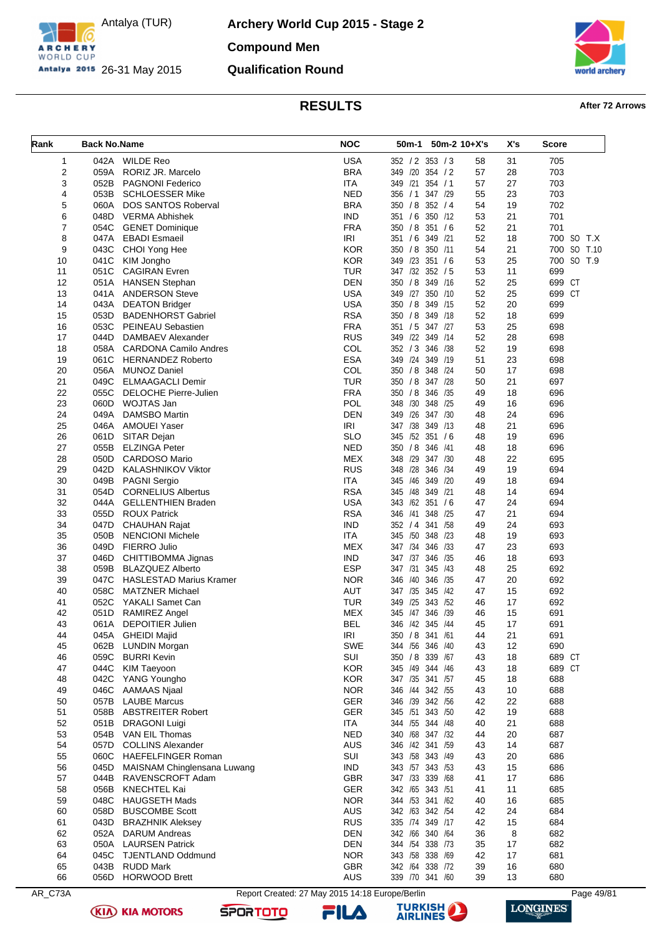

**Archery World Cup 2015 - Stage 2 Compound Men Qualification Round**



## **RESULTS After 72 Arrows**

| <b>WILDE Reo</b><br><b>USA</b><br>1<br>042A<br>352 / 2 353 / 3<br>58<br>31<br>705<br>2<br><b>BRA</b><br>28<br>703<br>059A<br>RORIZ JR. Marcelo<br>349 /20<br>354 / 2<br>57<br><b>ITA</b><br>703<br>3<br>052B<br>PAGNONI Federico<br>349<br>/21<br>354 / 1<br>57<br>27<br><b>NED</b><br>703<br>4<br>053B<br><b>SCHLOESSER Mike</b><br>356 / 1<br>347 /29<br>55<br>23<br>5<br><b>BRA</b><br>702<br>060A<br>350 / 8 352 / 4<br>54<br>19<br><b>DOS SANTOS Roberval</b><br>6<br><b>IND</b><br>21<br>701<br>048D<br><b>VERMA Abhishek</b><br>351 / 6<br>350 /12<br>53<br>7<br><b>FRA</b><br>701<br>054C<br><b>GENET Dominique</b><br>350 / 8<br>351 / 6<br>52<br>21<br>8<br><b>IRI</b><br>047A<br><b>EBADI</b> Esmaeil<br>351 / 6 349 /21<br>52<br>18<br>700 SO T.X<br>9<br><b>KOR</b><br>54<br>700 SO T.10<br>043C<br>CHOI Yong Hee<br>350 / 8<br>350 /11<br>21<br><b>KOR</b><br>349 /23<br>700 SO T.9<br>10<br>041C<br>351 / 6<br>53<br>25<br>KIM Jongho<br><b>TUR</b><br>347 /32 352 / 5<br>11<br>699<br>11<br>051C<br><b>CAGIRAN</b> Evren<br>53<br><b>DEN</b><br>350 / 8<br>349 /16<br>699 CT<br>12<br>051A<br><b>HANSEN Stephan</b><br>52<br>25<br>13<br><b>USA</b><br>349 /27<br>350 /10<br>52<br>25<br>699<br><b>CT</b><br>041A<br><b>ANDERSON Steve</b><br><b>USA</b><br>699<br>14<br>043A<br><b>DEATON Bridger</b><br>350 / 8<br>349 /15<br>52<br>20<br>053D<br><b>RSA</b><br>52<br>699<br>15<br><b>BADENHORST Gabriel</b><br>350 / 8<br>349 /18<br>18<br>053C<br><b>FRA</b><br>351 / 5<br>53<br>25<br>698<br>16<br>PEINEAU Sebastien<br>347 /27<br><b>RUS</b><br>52<br>698<br>17<br>044D<br>DAMBAEV Alexander<br>349 /22 349 /14<br>28<br>COL<br>352 / 3 346 / 38<br>52<br>698<br>18<br>058A<br><b>CARDONA Camilo Andres</b><br>19<br><b>ESA</b><br>349 /24 349 /19<br>23<br>698<br>19<br>061C<br><b>HERNANDEZ Roberto</b><br>51<br>COL<br>20<br>350 / 8 348 / 24<br>17<br>698<br>056A<br><b>MUNOZ Daniel</b><br>50<br>049C<br><b>TUR</b><br>21<br>697<br>21<br><b>ELMAAGACLI Demir</b><br>350 / 8<br>347 /28<br>50<br><b>FRA</b><br>350 / 8<br>346<br>696<br>22<br>055C<br>DELOCHE Pierre-Julien<br>/35<br>49<br>18<br><b>POL</b><br>23<br>060D<br>WOJTAS Jan<br>348 /30 348 /25<br>16<br>696<br>49<br><b>DEN</b><br>696<br>24<br>049A<br><b>DAMSBO Martin</b><br>349<br>/26<br>347 /30<br>48<br>24<br><b>IRI</b><br>347 /38<br>25<br>046A<br><b>AMOUEI Yaser</b><br>349 /13<br>21<br>696<br>48<br>26<br><b>SLO</b><br>345 /52 351 / 6<br>19<br>696<br>061D<br>SITAR Dejan<br>48<br><b>NED</b><br>696<br>27<br>055B<br><b>ELZINGA Peter</b><br>350 / 8<br>346<br>/41<br>48<br>18<br>050D<br><b>MEX</b><br>348 /29 347 /30<br>28<br><b>CARDOSO Mario</b><br>48<br>22<br>695<br>042D<br><b>RUS</b><br>348 /28 346 /34<br>694<br>29<br>KALASHNIKOV Viktor<br>49<br>19<br><b>ITA</b><br>/46<br>349<br>694<br>30<br>049B<br><b>PAGNI Sergio</b><br>345<br>/20<br>49<br>18<br><b>RSA</b><br>345 /48 349 /21<br>694<br>31<br>054D<br><b>CORNELIUS Albertus</b><br>48<br>14<br>32<br><b>USA</b><br>343 /62 351 / 6<br>694<br>044A<br><b>GELLENTHIEN Braden</b><br>47<br>24<br><b>RSA</b><br>/41<br>21<br>694<br>33<br>055D<br>346<br>348 /25<br>47<br><b>ROUX Patrick</b><br><b>IND</b><br>352 / 4 341 / 58<br>693<br>34<br>047D<br><b>CHAUHAN Rajat</b><br>49<br>24<br>050B<br><b>ITA</b><br>693<br>35<br><b>NENCIONI Michele</b><br>345<br>/50 348 /23<br>19<br>48<br><b>MEX</b><br>347 /34 346 /33<br>36<br>049D<br>FIERRO Julio<br>47<br>23<br>693<br><b>IND</b><br>347 /37 346<br>37<br>046D<br>/35<br>46<br>18<br>693<br>CHITTIBOMMA Jignas<br><b>ESP</b><br>692<br>38<br>059B<br><b>BLAZQUEZ Alberto</b><br>347 /31<br>345<br>/43<br>48<br>25<br><b>NOR</b><br>/40<br>346 /35<br>20<br>692<br>39<br>047C<br><b>HASLESTAD Marius Kramer</b><br>346<br>47<br>AUT<br>40<br>058C<br><b>MATZNER Michael</b><br>347 /35<br>345 /42<br>47<br>15<br>692<br><b>TUR</b><br>692<br>41<br>052C<br>YAKALI Samet Can<br>/25<br>343 / 52<br>17<br>349<br>46<br><b>MEX</b><br>691<br>42<br>051D<br><b>RAMIREZ Angel</b><br>/47 346 /39<br>46<br>15<br>345<br>43<br><b>DEPOITIER Julien</b><br><b>BEL</b><br>346 /42 345 /44<br>45<br>17<br>691<br>061A<br>045A GHEIDI Majid<br><b>IRI</b><br>21<br>44<br>350 / 8 341 /61<br>44<br>691<br><b>LUNDIN Morgan</b><br><b>SWE</b><br>344 /56<br>346 /40<br>12<br>690<br>45<br>062B<br>43<br>059C<br><b>BURRI Kevin</b><br>SUI<br>350 / 8 339 / 67<br>18<br>689 CT<br>46<br>43<br>47<br>044C<br><b>KOR</b><br>345 /49<br>344 /46<br>689 CT<br><b>KIM Taeyoon</b><br>43<br>18<br>042C<br><b>KOR</b><br>347 /35 341 /57<br>48<br>YANG Youngho<br>45<br>18<br>688<br><b>NOR</b><br>046C<br><b>AAMAAS Njaal</b><br>346 /44 342 /55<br>43<br>10<br>688<br>49<br>057B<br><b>LAUBE Marcus</b><br>GER<br>22<br>688<br>50<br>346 /39 342 /56<br>42<br><b>GER</b><br>345 /51 343 /50<br>51<br>058B<br><b>ABSTREITER Robert</b><br>42<br>19<br>688<br>52<br>051B<br><b>DRAGONI Luigi</b><br><b>ITA</b><br>344 /55 344 /48<br>21<br>688<br>40<br><b>NED</b><br>/68<br>687<br>53<br>054B<br>VAN EIL Thomas<br>340<br>347 /32<br>44<br>20<br><b>COLLINS Alexander</b><br><b>AUS</b><br>346 /42 341 /59<br>54<br>057D<br>14<br>687<br>43<br>SUI<br>55<br>060C<br><b>HAEFELFINGER Roman</b><br>343 /58 343 /49<br>43<br>20<br>686<br><b>IND</b><br>56<br>045D<br>MAISNAM Chinglensana Luwang<br>343 /57 343 /53<br>43<br>15<br>686<br>347 /33 339 /68<br>57<br>044B<br>RAVENSCROFT Adam<br><b>GBR</b><br>17<br>686<br>41<br>GER<br>58<br>056B<br><b>KNECHTEL Kai</b><br>342 /65 343 /51<br>41<br>11<br>685<br>048C<br><b>HAUGSETH Mads</b><br><b>NOR</b><br>344 /53 341 /62<br>40<br>16<br>685<br>59<br>AUS<br>342 /63 342 /54<br>60<br>058D<br><b>BUSCOMBE Scott</b><br>42<br>24<br>684<br><b>RUS</b><br>335 /74 349 /17<br>684<br>61<br>043D<br><b>BRAZHNIK Aleksey</b><br>42<br>15<br><b>DEN</b><br>342 /66 340 /64<br>8<br>62<br>052A<br><b>DARUM Andreas</b><br>36<br>682<br><b>DEN</b><br>63<br>050A<br><b>LAURSEN Patrick</b><br>344 /54 338 /73<br>35<br>17<br>682<br><b>NOR</b><br>343 /58 338 /69<br>17<br>681<br>64<br>045C<br><b>TJENTLAND Oddmund</b><br>42<br>GBR<br>342 /64 338 /72<br>65<br>043B<br><b>RUDD Mark</b><br>39<br>16<br>680<br><b>HORWOOD Brett</b><br>AUS<br>66<br>056D<br>339 /70 341 /60<br>39<br>13<br>680<br>AR_C73A<br>Report Created: 27 May 2015 14:18 Europe/Berlin<br>Page 49/81 | Rank | <b>Back No.Name</b> | <b>NOC</b> | 50m-1 50m-2 10+X's | X's | <b>Score</b> |
|--------------------------------------------------------------------------------------------------------------------------------------------------------------------------------------------------------------------------------------------------------------------------------------------------------------------------------------------------------------------------------------------------------------------------------------------------------------------------------------------------------------------------------------------------------------------------------------------------------------------------------------------------------------------------------------------------------------------------------------------------------------------------------------------------------------------------------------------------------------------------------------------------------------------------------------------------------------------------------------------------------------------------------------------------------------------------------------------------------------------------------------------------------------------------------------------------------------------------------------------------------------------------------------------------------------------------------------------------------------------------------------------------------------------------------------------------------------------------------------------------------------------------------------------------------------------------------------------------------------------------------------------------------------------------------------------------------------------------------------------------------------------------------------------------------------------------------------------------------------------------------------------------------------------------------------------------------------------------------------------------------------------------------------------------------------------------------------------------------------------------------------------------------------------------------------------------------------------------------------------------------------------------------------------------------------------------------------------------------------------------------------------------------------------------------------------------------------------------------------------------------------------------------------------------------------------------------------------------------------------------------------------------------------------------------------------------------------------------------------------------------------------------------------------------------------------------------------------------------------------------------------------------------------------------------------------------------------------------------------------------------------------------------------------------------------------------------------------------------------------------------------------------------------------------------------------------------------------------------------------------------------------------------------------------------------------------------------------------------------------------------------------------------------------------------------------------------------------------------------------------------------------------------------------------------------------------------------------------------------------------------------------------------------------------------------------------------------------------------------------------------------------------------------------------------------------------------------------------------------------------------------------------------------------------------------------------------------------------------------------------------------------------------------------------------------------------------------------------------------------------------------------------------------------------------------------------------------------------------------------------------------------------------------------------------------------------------------------------------------------------------------------------------------------------------------------------------------------------------------------------------------------------------------------------------------------------------------------------------------------------------------------------------------------------------------------------------------------------------------------------------------------------------------------------------------------------------------------------------------------------------------------------------------------------------------------------------------------------------------------------------------------------------------------------------------------------------------------------------------------------------------------------------------------------------------------------------------------------------------------------------------------------------------------------------------------------------------------------------------------------------------------------------------------------------------------------------------------------------------------------------------------------------------------------------------------------------------------------------------------------------------------------------------------------------------------------------------------------------------------------------------------------------------------------------------------------------------------------------------------------------------------------------------------------------------------------------------------------------------------------------------------------------------------------------------------------------------------------------------------------------------------------------------------------------------------------------------------------------------------------------------------------------------------------------------------------------------|------|---------------------|------------|--------------------|-----|--------------|
|                                                                                                                                                                                                                                                                                                                                                                                                                                                                                                                                                                                                                                                                                                                                                                                                                                                                                                                                                                                                                                                                                                                                                                                                                                                                                                                                                                                                                                                                                                                                                                                                                                                                                                                                                                                                                                                                                                                                                                                                                                                                                                                                                                                                                                                                                                                                                                                                                                                                                                                                                                                                                                                                                                                                                                                                                                                                                                                                                                                                                                                                                                                                                                                                                                                                                                                                                                                                                                                                                                                                                                                                                                                                                                                                                                                                                                                                                                                                                                                                                                                                                                                                                                                                                                                                                                                                                                                                                                                                                                                                                                                                                                                                                                                                                                                                                                                                                                                                                                                                                                                                                                                                                                                                                                                                                                                                                                                                                                                                                                                                                                                                                                                                                                                                                                                                                                                                                                                                                                                                                                                                                                                                                                                                                                                                                                                                      |      |                     |            |                    |     |              |
|                                                                                                                                                                                                                                                                                                                                                                                                                                                                                                                                                                                                                                                                                                                                                                                                                                                                                                                                                                                                                                                                                                                                                                                                                                                                                                                                                                                                                                                                                                                                                                                                                                                                                                                                                                                                                                                                                                                                                                                                                                                                                                                                                                                                                                                                                                                                                                                                                                                                                                                                                                                                                                                                                                                                                                                                                                                                                                                                                                                                                                                                                                                                                                                                                                                                                                                                                                                                                                                                                                                                                                                                                                                                                                                                                                                                                                                                                                                                                                                                                                                                                                                                                                                                                                                                                                                                                                                                                                                                                                                                                                                                                                                                                                                                                                                                                                                                                                                                                                                                                                                                                                                                                                                                                                                                                                                                                                                                                                                                                                                                                                                                                                                                                                                                                                                                                                                                                                                                                                                                                                                                                                                                                                                                                                                                                                                                      |      |                     |            |                    |     |              |
|                                                                                                                                                                                                                                                                                                                                                                                                                                                                                                                                                                                                                                                                                                                                                                                                                                                                                                                                                                                                                                                                                                                                                                                                                                                                                                                                                                                                                                                                                                                                                                                                                                                                                                                                                                                                                                                                                                                                                                                                                                                                                                                                                                                                                                                                                                                                                                                                                                                                                                                                                                                                                                                                                                                                                                                                                                                                                                                                                                                                                                                                                                                                                                                                                                                                                                                                                                                                                                                                                                                                                                                                                                                                                                                                                                                                                                                                                                                                                                                                                                                                                                                                                                                                                                                                                                                                                                                                                                                                                                                                                                                                                                                                                                                                                                                                                                                                                                                                                                                                                                                                                                                                                                                                                                                                                                                                                                                                                                                                                                                                                                                                                                                                                                                                                                                                                                                                                                                                                                                                                                                                                                                                                                                                                                                                                                                                      |      |                     |            |                    |     |              |
|                                                                                                                                                                                                                                                                                                                                                                                                                                                                                                                                                                                                                                                                                                                                                                                                                                                                                                                                                                                                                                                                                                                                                                                                                                                                                                                                                                                                                                                                                                                                                                                                                                                                                                                                                                                                                                                                                                                                                                                                                                                                                                                                                                                                                                                                                                                                                                                                                                                                                                                                                                                                                                                                                                                                                                                                                                                                                                                                                                                                                                                                                                                                                                                                                                                                                                                                                                                                                                                                                                                                                                                                                                                                                                                                                                                                                                                                                                                                                                                                                                                                                                                                                                                                                                                                                                                                                                                                                                                                                                                                                                                                                                                                                                                                                                                                                                                                                                                                                                                                                                                                                                                                                                                                                                                                                                                                                                                                                                                                                                                                                                                                                                                                                                                                                                                                                                                                                                                                                                                                                                                                                                                                                                                                                                                                                                                                      |      |                     |            |                    |     |              |
|                                                                                                                                                                                                                                                                                                                                                                                                                                                                                                                                                                                                                                                                                                                                                                                                                                                                                                                                                                                                                                                                                                                                                                                                                                                                                                                                                                                                                                                                                                                                                                                                                                                                                                                                                                                                                                                                                                                                                                                                                                                                                                                                                                                                                                                                                                                                                                                                                                                                                                                                                                                                                                                                                                                                                                                                                                                                                                                                                                                                                                                                                                                                                                                                                                                                                                                                                                                                                                                                                                                                                                                                                                                                                                                                                                                                                                                                                                                                                                                                                                                                                                                                                                                                                                                                                                                                                                                                                                                                                                                                                                                                                                                                                                                                                                                                                                                                                                                                                                                                                                                                                                                                                                                                                                                                                                                                                                                                                                                                                                                                                                                                                                                                                                                                                                                                                                                                                                                                                                                                                                                                                                                                                                                                                                                                                                                                      |      |                     |            |                    |     |              |
|                                                                                                                                                                                                                                                                                                                                                                                                                                                                                                                                                                                                                                                                                                                                                                                                                                                                                                                                                                                                                                                                                                                                                                                                                                                                                                                                                                                                                                                                                                                                                                                                                                                                                                                                                                                                                                                                                                                                                                                                                                                                                                                                                                                                                                                                                                                                                                                                                                                                                                                                                                                                                                                                                                                                                                                                                                                                                                                                                                                                                                                                                                                                                                                                                                                                                                                                                                                                                                                                                                                                                                                                                                                                                                                                                                                                                                                                                                                                                                                                                                                                                                                                                                                                                                                                                                                                                                                                                                                                                                                                                                                                                                                                                                                                                                                                                                                                                                                                                                                                                                                                                                                                                                                                                                                                                                                                                                                                                                                                                                                                                                                                                                                                                                                                                                                                                                                                                                                                                                                                                                                                                                                                                                                                                                                                                                                                      |      |                     |            |                    |     |              |
|                                                                                                                                                                                                                                                                                                                                                                                                                                                                                                                                                                                                                                                                                                                                                                                                                                                                                                                                                                                                                                                                                                                                                                                                                                                                                                                                                                                                                                                                                                                                                                                                                                                                                                                                                                                                                                                                                                                                                                                                                                                                                                                                                                                                                                                                                                                                                                                                                                                                                                                                                                                                                                                                                                                                                                                                                                                                                                                                                                                                                                                                                                                                                                                                                                                                                                                                                                                                                                                                                                                                                                                                                                                                                                                                                                                                                                                                                                                                                                                                                                                                                                                                                                                                                                                                                                                                                                                                                                                                                                                                                                                                                                                                                                                                                                                                                                                                                                                                                                                                                                                                                                                                                                                                                                                                                                                                                                                                                                                                                                                                                                                                                                                                                                                                                                                                                                                                                                                                                                                                                                                                                                                                                                                                                                                                                                                                      |      |                     |            |                    |     |              |
|                                                                                                                                                                                                                                                                                                                                                                                                                                                                                                                                                                                                                                                                                                                                                                                                                                                                                                                                                                                                                                                                                                                                                                                                                                                                                                                                                                                                                                                                                                                                                                                                                                                                                                                                                                                                                                                                                                                                                                                                                                                                                                                                                                                                                                                                                                                                                                                                                                                                                                                                                                                                                                                                                                                                                                                                                                                                                                                                                                                                                                                                                                                                                                                                                                                                                                                                                                                                                                                                                                                                                                                                                                                                                                                                                                                                                                                                                                                                                                                                                                                                                                                                                                                                                                                                                                                                                                                                                                                                                                                                                                                                                                                                                                                                                                                                                                                                                                                                                                                                                                                                                                                                                                                                                                                                                                                                                                                                                                                                                                                                                                                                                                                                                                                                                                                                                                                                                                                                                                                                                                                                                                                                                                                                                                                                                                                                      |      |                     |            |                    |     |              |
|                                                                                                                                                                                                                                                                                                                                                                                                                                                                                                                                                                                                                                                                                                                                                                                                                                                                                                                                                                                                                                                                                                                                                                                                                                                                                                                                                                                                                                                                                                                                                                                                                                                                                                                                                                                                                                                                                                                                                                                                                                                                                                                                                                                                                                                                                                                                                                                                                                                                                                                                                                                                                                                                                                                                                                                                                                                                                                                                                                                                                                                                                                                                                                                                                                                                                                                                                                                                                                                                                                                                                                                                                                                                                                                                                                                                                                                                                                                                                                                                                                                                                                                                                                                                                                                                                                                                                                                                                                                                                                                                                                                                                                                                                                                                                                                                                                                                                                                                                                                                                                                                                                                                                                                                                                                                                                                                                                                                                                                                                                                                                                                                                                                                                                                                                                                                                                                                                                                                                                                                                                                                                                                                                                                                                                                                                                                                      |      |                     |            |                    |     |              |
|                                                                                                                                                                                                                                                                                                                                                                                                                                                                                                                                                                                                                                                                                                                                                                                                                                                                                                                                                                                                                                                                                                                                                                                                                                                                                                                                                                                                                                                                                                                                                                                                                                                                                                                                                                                                                                                                                                                                                                                                                                                                                                                                                                                                                                                                                                                                                                                                                                                                                                                                                                                                                                                                                                                                                                                                                                                                                                                                                                                                                                                                                                                                                                                                                                                                                                                                                                                                                                                                                                                                                                                                                                                                                                                                                                                                                                                                                                                                                                                                                                                                                                                                                                                                                                                                                                                                                                                                                                                                                                                                                                                                                                                                                                                                                                                                                                                                                                                                                                                                                                                                                                                                                                                                                                                                                                                                                                                                                                                                                                                                                                                                                                                                                                                                                                                                                                                                                                                                                                                                                                                                                                                                                                                                                                                                                                                                      |      |                     |            |                    |     |              |
|                                                                                                                                                                                                                                                                                                                                                                                                                                                                                                                                                                                                                                                                                                                                                                                                                                                                                                                                                                                                                                                                                                                                                                                                                                                                                                                                                                                                                                                                                                                                                                                                                                                                                                                                                                                                                                                                                                                                                                                                                                                                                                                                                                                                                                                                                                                                                                                                                                                                                                                                                                                                                                                                                                                                                                                                                                                                                                                                                                                                                                                                                                                                                                                                                                                                                                                                                                                                                                                                                                                                                                                                                                                                                                                                                                                                                                                                                                                                                                                                                                                                                                                                                                                                                                                                                                                                                                                                                                                                                                                                                                                                                                                                                                                                                                                                                                                                                                                                                                                                                                                                                                                                                                                                                                                                                                                                                                                                                                                                                                                                                                                                                                                                                                                                                                                                                                                                                                                                                                                                                                                                                                                                                                                                                                                                                                                                      |      |                     |            |                    |     |              |
|                                                                                                                                                                                                                                                                                                                                                                                                                                                                                                                                                                                                                                                                                                                                                                                                                                                                                                                                                                                                                                                                                                                                                                                                                                                                                                                                                                                                                                                                                                                                                                                                                                                                                                                                                                                                                                                                                                                                                                                                                                                                                                                                                                                                                                                                                                                                                                                                                                                                                                                                                                                                                                                                                                                                                                                                                                                                                                                                                                                                                                                                                                                                                                                                                                                                                                                                                                                                                                                                                                                                                                                                                                                                                                                                                                                                                                                                                                                                                                                                                                                                                                                                                                                                                                                                                                                                                                                                                                                                                                                                                                                                                                                                                                                                                                                                                                                                                                                                                                                                                                                                                                                                                                                                                                                                                                                                                                                                                                                                                                                                                                                                                                                                                                                                                                                                                                                                                                                                                                                                                                                                                                                                                                                                                                                                                                                                      |      |                     |            |                    |     |              |
|                                                                                                                                                                                                                                                                                                                                                                                                                                                                                                                                                                                                                                                                                                                                                                                                                                                                                                                                                                                                                                                                                                                                                                                                                                                                                                                                                                                                                                                                                                                                                                                                                                                                                                                                                                                                                                                                                                                                                                                                                                                                                                                                                                                                                                                                                                                                                                                                                                                                                                                                                                                                                                                                                                                                                                                                                                                                                                                                                                                                                                                                                                                                                                                                                                                                                                                                                                                                                                                                                                                                                                                                                                                                                                                                                                                                                                                                                                                                                                                                                                                                                                                                                                                                                                                                                                                                                                                                                                                                                                                                                                                                                                                                                                                                                                                                                                                                                                                                                                                                                                                                                                                                                                                                                                                                                                                                                                                                                                                                                                                                                                                                                                                                                                                                                                                                                                                                                                                                                                                                                                                                                                                                                                                                                                                                                                                                      |      |                     |            |                    |     |              |
|                                                                                                                                                                                                                                                                                                                                                                                                                                                                                                                                                                                                                                                                                                                                                                                                                                                                                                                                                                                                                                                                                                                                                                                                                                                                                                                                                                                                                                                                                                                                                                                                                                                                                                                                                                                                                                                                                                                                                                                                                                                                                                                                                                                                                                                                                                                                                                                                                                                                                                                                                                                                                                                                                                                                                                                                                                                                                                                                                                                                                                                                                                                                                                                                                                                                                                                                                                                                                                                                                                                                                                                                                                                                                                                                                                                                                                                                                                                                                                                                                                                                                                                                                                                                                                                                                                                                                                                                                                                                                                                                                                                                                                                                                                                                                                                                                                                                                                                                                                                                                                                                                                                                                                                                                                                                                                                                                                                                                                                                                                                                                                                                                                                                                                                                                                                                                                                                                                                                                                                                                                                                                                                                                                                                                                                                                                                                      |      |                     |            |                    |     |              |
|                                                                                                                                                                                                                                                                                                                                                                                                                                                                                                                                                                                                                                                                                                                                                                                                                                                                                                                                                                                                                                                                                                                                                                                                                                                                                                                                                                                                                                                                                                                                                                                                                                                                                                                                                                                                                                                                                                                                                                                                                                                                                                                                                                                                                                                                                                                                                                                                                                                                                                                                                                                                                                                                                                                                                                                                                                                                                                                                                                                                                                                                                                                                                                                                                                                                                                                                                                                                                                                                                                                                                                                                                                                                                                                                                                                                                                                                                                                                                                                                                                                                                                                                                                                                                                                                                                                                                                                                                                                                                                                                                                                                                                                                                                                                                                                                                                                                                                                                                                                                                                                                                                                                                                                                                                                                                                                                                                                                                                                                                                                                                                                                                                                                                                                                                                                                                                                                                                                                                                                                                                                                                                                                                                                                                                                                                                                                      |      |                     |            |                    |     |              |
|                                                                                                                                                                                                                                                                                                                                                                                                                                                                                                                                                                                                                                                                                                                                                                                                                                                                                                                                                                                                                                                                                                                                                                                                                                                                                                                                                                                                                                                                                                                                                                                                                                                                                                                                                                                                                                                                                                                                                                                                                                                                                                                                                                                                                                                                                                                                                                                                                                                                                                                                                                                                                                                                                                                                                                                                                                                                                                                                                                                                                                                                                                                                                                                                                                                                                                                                                                                                                                                                                                                                                                                                                                                                                                                                                                                                                                                                                                                                                                                                                                                                                                                                                                                                                                                                                                                                                                                                                                                                                                                                                                                                                                                                                                                                                                                                                                                                                                                                                                                                                                                                                                                                                                                                                                                                                                                                                                                                                                                                                                                                                                                                                                                                                                                                                                                                                                                                                                                                                                                                                                                                                                                                                                                                                                                                                                                                      |      |                     |            |                    |     |              |
|                                                                                                                                                                                                                                                                                                                                                                                                                                                                                                                                                                                                                                                                                                                                                                                                                                                                                                                                                                                                                                                                                                                                                                                                                                                                                                                                                                                                                                                                                                                                                                                                                                                                                                                                                                                                                                                                                                                                                                                                                                                                                                                                                                                                                                                                                                                                                                                                                                                                                                                                                                                                                                                                                                                                                                                                                                                                                                                                                                                                                                                                                                                                                                                                                                                                                                                                                                                                                                                                                                                                                                                                                                                                                                                                                                                                                                                                                                                                                                                                                                                                                                                                                                                                                                                                                                                                                                                                                                                                                                                                                                                                                                                                                                                                                                                                                                                                                                                                                                                                                                                                                                                                                                                                                                                                                                                                                                                                                                                                                                                                                                                                                                                                                                                                                                                                                                                                                                                                                                                                                                                                                                                                                                                                                                                                                                                                      |      |                     |            |                    |     |              |
|                                                                                                                                                                                                                                                                                                                                                                                                                                                                                                                                                                                                                                                                                                                                                                                                                                                                                                                                                                                                                                                                                                                                                                                                                                                                                                                                                                                                                                                                                                                                                                                                                                                                                                                                                                                                                                                                                                                                                                                                                                                                                                                                                                                                                                                                                                                                                                                                                                                                                                                                                                                                                                                                                                                                                                                                                                                                                                                                                                                                                                                                                                                                                                                                                                                                                                                                                                                                                                                                                                                                                                                                                                                                                                                                                                                                                                                                                                                                                                                                                                                                                                                                                                                                                                                                                                                                                                                                                                                                                                                                                                                                                                                                                                                                                                                                                                                                                                                                                                                                                                                                                                                                                                                                                                                                                                                                                                                                                                                                                                                                                                                                                                                                                                                                                                                                                                                                                                                                                                                                                                                                                                                                                                                                                                                                                                                                      |      |                     |            |                    |     |              |
|                                                                                                                                                                                                                                                                                                                                                                                                                                                                                                                                                                                                                                                                                                                                                                                                                                                                                                                                                                                                                                                                                                                                                                                                                                                                                                                                                                                                                                                                                                                                                                                                                                                                                                                                                                                                                                                                                                                                                                                                                                                                                                                                                                                                                                                                                                                                                                                                                                                                                                                                                                                                                                                                                                                                                                                                                                                                                                                                                                                                                                                                                                                                                                                                                                                                                                                                                                                                                                                                                                                                                                                                                                                                                                                                                                                                                                                                                                                                                                                                                                                                                                                                                                                                                                                                                                                                                                                                                                                                                                                                                                                                                                                                                                                                                                                                                                                                                                                                                                                                                                                                                                                                                                                                                                                                                                                                                                                                                                                                                                                                                                                                                                                                                                                                                                                                                                                                                                                                                                                                                                                                                                                                                                                                                                                                                                                                      |      |                     |            |                    |     |              |
|                                                                                                                                                                                                                                                                                                                                                                                                                                                                                                                                                                                                                                                                                                                                                                                                                                                                                                                                                                                                                                                                                                                                                                                                                                                                                                                                                                                                                                                                                                                                                                                                                                                                                                                                                                                                                                                                                                                                                                                                                                                                                                                                                                                                                                                                                                                                                                                                                                                                                                                                                                                                                                                                                                                                                                                                                                                                                                                                                                                                                                                                                                                                                                                                                                                                                                                                                                                                                                                                                                                                                                                                                                                                                                                                                                                                                                                                                                                                                                                                                                                                                                                                                                                                                                                                                                                                                                                                                                                                                                                                                                                                                                                                                                                                                                                                                                                                                                                                                                                                                                                                                                                                                                                                                                                                                                                                                                                                                                                                                                                                                                                                                                                                                                                                                                                                                                                                                                                                                                                                                                                                                                                                                                                                                                                                                                                                      |      |                     |            |                    |     |              |
|                                                                                                                                                                                                                                                                                                                                                                                                                                                                                                                                                                                                                                                                                                                                                                                                                                                                                                                                                                                                                                                                                                                                                                                                                                                                                                                                                                                                                                                                                                                                                                                                                                                                                                                                                                                                                                                                                                                                                                                                                                                                                                                                                                                                                                                                                                                                                                                                                                                                                                                                                                                                                                                                                                                                                                                                                                                                                                                                                                                                                                                                                                                                                                                                                                                                                                                                                                                                                                                                                                                                                                                                                                                                                                                                                                                                                                                                                                                                                                                                                                                                                                                                                                                                                                                                                                                                                                                                                                                                                                                                                                                                                                                                                                                                                                                                                                                                                                                                                                                                                                                                                                                                                                                                                                                                                                                                                                                                                                                                                                                                                                                                                                                                                                                                                                                                                                                                                                                                                                                                                                                                                                                                                                                                                                                                                                                                      |      |                     |            |                    |     |              |
|                                                                                                                                                                                                                                                                                                                                                                                                                                                                                                                                                                                                                                                                                                                                                                                                                                                                                                                                                                                                                                                                                                                                                                                                                                                                                                                                                                                                                                                                                                                                                                                                                                                                                                                                                                                                                                                                                                                                                                                                                                                                                                                                                                                                                                                                                                                                                                                                                                                                                                                                                                                                                                                                                                                                                                                                                                                                                                                                                                                                                                                                                                                                                                                                                                                                                                                                                                                                                                                                                                                                                                                                                                                                                                                                                                                                                                                                                                                                                                                                                                                                                                                                                                                                                                                                                                                                                                                                                                                                                                                                                                                                                                                                                                                                                                                                                                                                                                                                                                                                                                                                                                                                                                                                                                                                                                                                                                                                                                                                                                                                                                                                                                                                                                                                                                                                                                                                                                                                                                                                                                                                                                                                                                                                                                                                                                                                      |      |                     |            |                    |     |              |
|                                                                                                                                                                                                                                                                                                                                                                                                                                                                                                                                                                                                                                                                                                                                                                                                                                                                                                                                                                                                                                                                                                                                                                                                                                                                                                                                                                                                                                                                                                                                                                                                                                                                                                                                                                                                                                                                                                                                                                                                                                                                                                                                                                                                                                                                                                                                                                                                                                                                                                                                                                                                                                                                                                                                                                                                                                                                                                                                                                                                                                                                                                                                                                                                                                                                                                                                                                                                                                                                                                                                                                                                                                                                                                                                                                                                                                                                                                                                                                                                                                                                                                                                                                                                                                                                                                                                                                                                                                                                                                                                                                                                                                                                                                                                                                                                                                                                                                                                                                                                                                                                                                                                                                                                                                                                                                                                                                                                                                                                                                                                                                                                                                                                                                                                                                                                                                                                                                                                                                                                                                                                                                                                                                                                                                                                                                                                      |      |                     |            |                    |     |              |
|                                                                                                                                                                                                                                                                                                                                                                                                                                                                                                                                                                                                                                                                                                                                                                                                                                                                                                                                                                                                                                                                                                                                                                                                                                                                                                                                                                                                                                                                                                                                                                                                                                                                                                                                                                                                                                                                                                                                                                                                                                                                                                                                                                                                                                                                                                                                                                                                                                                                                                                                                                                                                                                                                                                                                                                                                                                                                                                                                                                                                                                                                                                                                                                                                                                                                                                                                                                                                                                                                                                                                                                                                                                                                                                                                                                                                                                                                                                                                                                                                                                                                                                                                                                                                                                                                                                                                                                                                                                                                                                                                                                                                                                                                                                                                                                                                                                                                                                                                                                                                                                                                                                                                                                                                                                                                                                                                                                                                                                                                                                                                                                                                                                                                                                                                                                                                                                                                                                                                                                                                                                                                                                                                                                                                                                                                                                                      |      |                     |            |                    |     |              |
|                                                                                                                                                                                                                                                                                                                                                                                                                                                                                                                                                                                                                                                                                                                                                                                                                                                                                                                                                                                                                                                                                                                                                                                                                                                                                                                                                                                                                                                                                                                                                                                                                                                                                                                                                                                                                                                                                                                                                                                                                                                                                                                                                                                                                                                                                                                                                                                                                                                                                                                                                                                                                                                                                                                                                                                                                                                                                                                                                                                                                                                                                                                                                                                                                                                                                                                                                                                                                                                                                                                                                                                                                                                                                                                                                                                                                                                                                                                                                                                                                                                                                                                                                                                                                                                                                                                                                                                                                                                                                                                                                                                                                                                                                                                                                                                                                                                                                                                                                                                                                                                                                                                                                                                                                                                                                                                                                                                                                                                                                                                                                                                                                                                                                                                                                                                                                                                                                                                                                                                                                                                                                                                                                                                                                                                                                                                                      |      |                     |            |                    |     |              |
|                                                                                                                                                                                                                                                                                                                                                                                                                                                                                                                                                                                                                                                                                                                                                                                                                                                                                                                                                                                                                                                                                                                                                                                                                                                                                                                                                                                                                                                                                                                                                                                                                                                                                                                                                                                                                                                                                                                                                                                                                                                                                                                                                                                                                                                                                                                                                                                                                                                                                                                                                                                                                                                                                                                                                                                                                                                                                                                                                                                                                                                                                                                                                                                                                                                                                                                                                                                                                                                                                                                                                                                                                                                                                                                                                                                                                                                                                                                                                                                                                                                                                                                                                                                                                                                                                                                                                                                                                                                                                                                                                                                                                                                                                                                                                                                                                                                                                                                                                                                                                                                                                                                                                                                                                                                                                                                                                                                                                                                                                                                                                                                                                                                                                                                                                                                                                                                                                                                                                                                                                                                                                                                                                                                                                                                                                                                                      |      |                     |            |                    |     |              |
|                                                                                                                                                                                                                                                                                                                                                                                                                                                                                                                                                                                                                                                                                                                                                                                                                                                                                                                                                                                                                                                                                                                                                                                                                                                                                                                                                                                                                                                                                                                                                                                                                                                                                                                                                                                                                                                                                                                                                                                                                                                                                                                                                                                                                                                                                                                                                                                                                                                                                                                                                                                                                                                                                                                                                                                                                                                                                                                                                                                                                                                                                                                                                                                                                                                                                                                                                                                                                                                                                                                                                                                                                                                                                                                                                                                                                                                                                                                                                                                                                                                                                                                                                                                                                                                                                                                                                                                                                                                                                                                                                                                                                                                                                                                                                                                                                                                                                                                                                                                                                                                                                                                                                                                                                                                                                                                                                                                                                                                                                                                                                                                                                                                                                                                                                                                                                                                                                                                                                                                                                                                                                                                                                                                                                                                                                                                                      |      |                     |            |                    |     |              |
|                                                                                                                                                                                                                                                                                                                                                                                                                                                                                                                                                                                                                                                                                                                                                                                                                                                                                                                                                                                                                                                                                                                                                                                                                                                                                                                                                                                                                                                                                                                                                                                                                                                                                                                                                                                                                                                                                                                                                                                                                                                                                                                                                                                                                                                                                                                                                                                                                                                                                                                                                                                                                                                                                                                                                                                                                                                                                                                                                                                                                                                                                                                                                                                                                                                                                                                                                                                                                                                                                                                                                                                                                                                                                                                                                                                                                                                                                                                                                                                                                                                                                                                                                                                                                                                                                                                                                                                                                                                                                                                                                                                                                                                                                                                                                                                                                                                                                                                                                                                                                                                                                                                                                                                                                                                                                                                                                                                                                                                                                                                                                                                                                                                                                                                                                                                                                                                                                                                                                                                                                                                                                                                                                                                                                                                                                                                                      |      |                     |            |                    |     |              |
|                                                                                                                                                                                                                                                                                                                                                                                                                                                                                                                                                                                                                                                                                                                                                                                                                                                                                                                                                                                                                                                                                                                                                                                                                                                                                                                                                                                                                                                                                                                                                                                                                                                                                                                                                                                                                                                                                                                                                                                                                                                                                                                                                                                                                                                                                                                                                                                                                                                                                                                                                                                                                                                                                                                                                                                                                                                                                                                                                                                                                                                                                                                                                                                                                                                                                                                                                                                                                                                                                                                                                                                                                                                                                                                                                                                                                                                                                                                                                                                                                                                                                                                                                                                                                                                                                                                                                                                                                                                                                                                                                                                                                                                                                                                                                                                                                                                                                                                                                                                                                                                                                                                                                                                                                                                                                                                                                                                                                                                                                                                                                                                                                                                                                                                                                                                                                                                                                                                                                                                                                                                                                                                                                                                                                                                                                                                                      |      |                     |            |                    |     |              |
|                                                                                                                                                                                                                                                                                                                                                                                                                                                                                                                                                                                                                                                                                                                                                                                                                                                                                                                                                                                                                                                                                                                                                                                                                                                                                                                                                                                                                                                                                                                                                                                                                                                                                                                                                                                                                                                                                                                                                                                                                                                                                                                                                                                                                                                                                                                                                                                                                                                                                                                                                                                                                                                                                                                                                                                                                                                                                                                                                                                                                                                                                                                                                                                                                                                                                                                                                                                                                                                                                                                                                                                                                                                                                                                                                                                                                                                                                                                                                                                                                                                                                                                                                                                                                                                                                                                                                                                                                                                                                                                                                                                                                                                                                                                                                                                                                                                                                                                                                                                                                                                                                                                                                                                                                                                                                                                                                                                                                                                                                                                                                                                                                                                                                                                                                                                                                                                                                                                                                                                                                                                                                                                                                                                                                                                                                                                                      |      |                     |            |                    |     |              |
|                                                                                                                                                                                                                                                                                                                                                                                                                                                                                                                                                                                                                                                                                                                                                                                                                                                                                                                                                                                                                                                                                                                                                                                                                                                                                                                                                                                                                                                                                                                                                                                                                                                                                                                                                                                                                                                                                                                                                                                                                                                                                                                                                                                                                                                                                                                                                                                                                                                                                                                                                                                                                                                                                                                                                                                                                                                                                                                                                                                                                                                                                                                                                                                                                                                                                                                                                                                                                                                                                                                                                                                                                                                                                                                                                                                                                                                                                                                                                                                                                                                                                                                                                                                                                                                                                                                                                                                                                                                                                                                                                                                                                                                                                                                                                                                                                                                                                                                                                                                                                                                                                                                                                                                                                                                                                                                                                                                                                                                                                                                                                                                                                                                                                                                                                                                                                                                                                                                                                                                                                                                                                                                                                                                                                                                                                                                                      |      |                     |            |                    |     |              |
|                                                                                                                                                                                                                                                                                                                                                                                                                                                                                                                                                                                                                                                                                                                                                                                                                                                                                                                                                                                                                                                                                                                                                                                                                                                                                                                                                                                                                                                                                                                                                                                                                                                                                                                                                                                                                                                                                                                                                                                                                                                                                                                                                                                                                                                                                                                                                                                                                                                                                                                                                                                                                                                                                                                                                                                                                                                                                                                                                                                                                                                                                                                                                                                                                                                                                                                                                                                                                                                                                                                                                                                                                                                                                                                                                                                                                                                                                                                                                                                                                                                                                                                                                                                                                                                                                                                                                                                                                                                                                                                                                                                                                                                                                                                                                                                                                                                                                                                                                                                                                                                                                                                                                                                                                                                                                                                                                                                                                                                                                                                                                                                                                                                                                                                                                                                                                                                                                                                                                                                                                                                                                                                                                                                                                                                                                                                                      |      |                     |            |                    |     |              |
|                                                                                                                                                                                                                                                                                                                                                                                                                                                                                                                                                                                                                                                                                                                                                                                                                                                                                                                                                                                                                                                                                                                                                                                                                                                                                                                                                                                                                                                                                                                                                                                                                                                                                                                                                                                                                                                                                                                                                                                                                                                                                                                                                                                                                                                                                                                                                                                                                                                                                                                                                                                                                                                                                                                                                                                                                                                                                                                                                                                                                                                                                                                                                                                                                                                                                                                                                                                                                                                                                                                                                                                                                                                                                                                                                                                                                                                                                                                                                                                                                                                                                                                                                                                                                                                                                                                                                                                                                                                                                                                                                                                                                                                                                                                                                                                                                                                                                                                                                                                                                                                                                                                                                                                                                                                                                                                                                                                                                                                                                                                                                                                                                                                                                                                                                                                                                                                                                                                                                                                                                                                                                                                                                                                                                                                                                                                                      |      |                     |            |                    |     |              |
|                                                                                                                                                                                                                                                                                                                                                                                                                                                                                                                                                                                                                                                                                                                                                                                                                                                                                                                                                                                                                                                                                                                                                                                                                                                                                                                                                                                                                                                                                                                                                                                                                                                                                                                                                                                                                                                                                                                                                                                                                                                                                                                                                                                                                                                                                                                                                                                                                                                                                                                                                                                                                                                                                                                                                                                                                                                                                                                                                                                                                                                                                                                                                                                                                                                                                                                                                                                                                                                                                                                                                                                                                                                                                                                                                                                                                                                                                                                                                                                                                                                                                                                                                                                                                                                                                                                                                                                                                                                                                                                                                                                                                                                                                                                                                                                                                                                                                                                                                                                                                                                                                                                                                                                                                                                                                                                                                                                                                                                                                                                                                                                                                                                                                                                                                                                                                                                                                                                                                                                                                                                                                                                                                                                                                                                                                                                                      |      |                     |            |                    |     |              |
|                                                                                                                                                                                                                                                                                                                                                                                                                                                                                                                                                                                                                                                                                                                                                                                                                                                                                                                                                                                                                                                                                                                                                                                                                                                                                                                                                                                                                                                                                                                                                                                                                                                                                                                                                                                                                                                                                                                                                                                                                                                                                                                                                                                                                                                                                                                                                                                                                                                                                                                                                                                                                                                                                                                                                                                                                                                                                                                                                                                                                                                                                                                                                                                                                                                                                                                                                                                                                                                                                                                                                                                                                                                                                                                                                                                                                                                                                                                                                                                                                                                                                                                                                                                                                                                                                                                                                                                                                                                                                                                                                                                                                                                                                                                                                                                                                                                                                                                                                                                                                                                                                                                                                                                                                                                                                                                                                                                                                                                                                                                                                                                                                                                                                                                                                                                                                                                                                                                                                                                                                                                                                                                                                                                                                                                                                                                                      |      |                     |            |                    |     |              |
|                                                                                                                                                                                                                                                                                                                                                                                                                                                                                                                                                                                                                                                                                                                                                                                                                                                                                                                                                                                                                                                                                                                                                                                                                                                                                                                                                                                                                                                                                                                                                                                                                                                                                                                                                                                                                                                                                                                                                                                                                                                                                                                                                                                                                                                                                                                                                                                                                                                                                                                                                                                                                                                                                                                                                                                                                                                                                                                                                                                                                                                                                                                                                                                                                                                                                                                                                                                                                                                                                                                                                                                                                                                                                                                                                                                                                                                                                                                                                                                                                                                                                                                                                                                                                                                                                                                                                                                                                                                                                                                                                                                                                                                                                                                                                                                                                                                                                                                                                                                                                                                                                                                                                                                                                                                                                                                                                                                                                                                                                                                                                                                                                                                                                                                                                                                                                                                                                                                                                                                                                                                                                                                                                                                                                                                                                                                                      |      |                     |            |                    |     |              |
|                                                                                                                                                                                                                                                                                                                                                                                                                                                                                                                                                                                                                                                                                                                                                                                                                                                                                                                                                                                                                                                                                                                                                                                                                                                                                                                                                                                                                                                                                                                                                                                                                                                                                                                                                                                                                                                                                                                                                                                                                                                                                                                                                                                                                                                                                                                                                                                                                                                                                                                                                                                                                                                                                                                                                                                                                                                                                                                                                                                                                                                                                                                                                                                                                                                                                                                                                                                                                                                                                                                                                                                                                                                                                                                                                                                                                                                                                                                                                                                                                                                                                                                                                                                                                                                                                                                                                                                                                                                                                                                                                                                                                                                                                                                                                                                                                                                                                                                                                                                                                                                                                                                                                                                                                                                                                                                                                                                                                                                                                                                                                                                                                                                                                                                                                                                                                                                                                                                                                                                                                                                                                                                                                                                                                                                                                                                                      |      |                     |            |                    |     |              |
|                                                                                                                                                                                                                                                                                                                                                                                                                                                                                                                                                                                                                                                                                                                                                                                                                                                                                                                                                                                                                                                                                                                                                                                                                                                                                                                                                                                                                                                                                                                                                                                                                                                                                                                                                                                                                                                                                                                                                                                                                                                                                                                                                                                                                                                                                                                                                                                                                                                                                                                                                                                                                                                                                                                                                                                                                                                                                                                                                                                                                                                                                                                                                                                                                                                                                                                                                                                                                                                                                                                                                                                                                                                                                                                                                                                                                                                                                                                                                                                                                                                                                                                                                                                                                                                                                                                                                                                                                                                                                                                                                                                                                                                                                                                                                                                                                                                                                                                                                                                                                                                                                                                                                                                                                                                                                                                                                                                                                                                                                                                                                                                                                                                                                                                                                                                                                                                                                                                                                                                                                                                                                                                                                                                                                                                                                                                                      |      |                     |            |                    |     |              |
|                                                                                                                                                                                                                                                                                                                                                                                                                                                                                                                                                                                                                                                                                                                                                                                                                                                                                                                                                                                                                                                                                                                                                                                                                                                                                                                                                                                                                                                                                                                                                                                                                                                                                                                                                                                                                                                                                                                                                                                                                                                                                                                                                                                                                                                                                                                                                                                                                                                                                                                                                                                                                                                                                                                                                                                                                                                                                                                                                                                                                                                                                                                                                                                                                                                                                                                                                                                                                                                                                                                                                                                                                                                                                                                                                                                                                                                                                                                                                                                                                                                                                                                                                                                                                                                                                                                                                                                                                                                                                                                                                                                                                                                                                                                                                                                                                                                                                                                                                                                                                                                                                                                                                                                                                                                                                                                                                                                                                                                                                                                                                                                                                                                                                                                                                                                                                                                                                                                                                                                                                                                                                                                                                                                                                                                                                                                                      |      |                     |            |                    |     |              |
|                                                                                                                                                                                                                                                                                                                                                                                                                                                                                                                                                                                                                                                                                                                                                                                                                                                                                                                                                                                                                                                                                                                                                                                                                                                                                                                                                                                                                                                                                                                                                                                                                                                                                                                                                                                                                                                                                                                                                                                                                                                                                                                                                                                                                                                                                                                                                                                                                                                                                                                                                                                                                                                                                                                                                                                                                                                                                                                                                                                                                                                                                                                                                                                                                                                                                                                                                                                                                                                                                                                                                                                                                                                                                                                                                                                                                                                                                                                                                                                                                                                                                                                                                                                                                                                                                                                                                                                                                                                                                                                                                                                                                                                                                                                                                                                                                                                                                                                                                                                                                                                                                                                                                                                                                                                                                                                                                                                                                                                                                                                                                                                                                                                                                                                                                                                                                                                                                                                                                                                                                                                                                                                                                                                                                                                                                                                                      |      |                     |            |                    |     |              |
|                                                                                                                                                                                                                                                                                                                                                                                                                                                                                                                                                                                                                                                                                                                                                                                                                                                                                                                                                                                                                                                                                                                                                                                                                                                                                                                                                                                                                                                                                                                                                                                                                                                                                                                                                                                                                                                                                                                                                                                                                                                                                                                                                                                                                                                                                                                                                                                                                                                                                                                                                                                                                                                                                                                                                                                                                                                                                                                                                                                                                                                                                                                                                                                                                                                                                                                                                                                                                                                                                                                                                                                                                                                                                                                                                                                                                                                                                                                                                                                                                                                                                                                                                                                                                                                                                                                                                                                                                                                                                                                                                                                                                                                                                                                                                                                                                                                                                                                                                                                                                                                                                                                                                                                                                                                                                                                                                                                                                                                                                                                                                                                                                                                                                                                                                                                                                                                                                                                                                                                                                                                                                                                                                                                                                                                                                                                                      |      |                     |            |                    |     |              |
|                                                                                                                                                                                                                                                                                                                                                                                                                                                                                                                                                                                                                                                                                                                                                                                                                                                                                                                                                                                                                                                                                                                                                                                                                                                                                                                                                                                                                                                                                                                                                                                                                                                                                                                                                                                                                                                                                                                                                                                                                                                                                                                                                                                                                                                                                                                                                                                                                                                                                                                                                                                                                                                                                                                                                                                                                                                                                                                                                                                                                                                                                                                                                                                                                                                                                                                                                                                                                                                                                                                                                                                                                                                                                                                                                                                                                                                                                                                                                                                                                                                                                                                                                                                                                                                                                                                                                                                                                                                                                                                                                                                                                                                                                                                                                                                                                                                                                                                                                                                                                                                                                                                                                                                                                                                                                                                                                                                                                                                                                                                                                                                                                                                                                                                                                                                                                                                                                                                                                                                                                                                                                                                                                                                                                                                                                                                                      |      |                     |            |                    |     |              |
|                                                                                                                                                                                                                                                                                                                                                                                                                                                                                                                                                                                                                                                                                                                                                                                                                                                                                                                                                                                                                                                                                                                                                                                                                                                                                                                                                                                                                                                                                                                                                                                                                                                                                                                                                                                                                                                                                                                                                                                                                                                                                                                                                                                                                                                                                                                                                                                                                                                                                                                                                                                                                                                                                                                                                                                                                                                                                                                                                                                                                                                                                                                                                                                                                                                                                                                                                                                                                                                                                                                                                                                                                                                                                                                                                                                                                                                                                                                                                                                                                                                                                                                                                                                                                                                                                                                                                                                                                                                                                                                                                                                                                                                                                                                                                                                                                                                                                                                                                                                                                                                                                                                                                                                                                                                                                                                                                                                                                                                                                                                                                                                                                                                                                                                                                                                                                                                                                                                                                                                                                                                                                                                                                                                                                                                                                                                                      |      |                     |            |                    |     |              |
|                                                                                                                                                                                                                                                                                                                                                                                                                                                                                                                                                                                                                                                                                                                                                                                                                                                                                                                                                                                                                                                                                                                                                                                                                                                                                                                                                                                                                                                                                                                                                                                                                                                                                                                                                                                                                                                                                                                                                                                                                                                                                                                                                                                                                                                                                                                                                                                                                                                                                                                                                                                                                                                                                                                                                                                                                                                                                                                                                                                                                                                                                                                                                                                                                                                                                                                                                                                                                                                                                                                                                                                                                                                                                                                                                                                                                                                                                                                                                                                                                                                                                                                                                                                                                                                                                                                                                                                                                                                                                                                                                                                                                                                                                                                                                                                                                                                                                                                                                                                                                                                                                                                                                                                                                                                                                                                                                                                                                                                                                                                                                                                                                                                                                                                                                                                                                                                                                                                                                                                                                                                                                                                                                                                                                                                                                                                                      |      |                     |            |                    |     |              |
|                                                                                                                                                                                                                                                                                                                                                                                                                                                                                                                                                                                                                                                                                                                                                                                                                                                                                                                                                                                                                                                                                                                                                                                                                                                                                                                                                                                                                                                                                                                                                                                                                                                                                                                                                                                                                                                                                                                                                                                                                                                                                                                                                                                                                                                                                                                                                                                                                                                                                                                                                                                                                                                                                                                                                                                                                                                                                                                                                                                                                                                                                                                                                                                                                                                                                                                                                                                                                                                                                                                                                                                                                                                                                                                                                                                                                                                                                                                                                                                                                                                                                                                                                                                                                                                                                                                                                                                                                                                                                                                                                                                                                                                                                                                                                                                                                                                                                                                                                                                                                                                                                                                                                                                                                                                                                                                                                                                                                                                                                                                                                                                                                                                                                                                                                                                                                                                                                                                                                                                                                                                                                                                                                                                                                                                                                                                                      |      |                     |            |                    |     |              |
|                                                                                                                                                                                                                                                                                                                                                                                                                                                                                                                                                                                                                                                                                                                                                                                                                                                                                                                                                                                                                                                                                                                                                                                                                                                                                                                                                                                                                                                                                                                                                                                                                                                                                                                                                                                                                                                                                                                                                                                                                                                                                                                                                                                                                                                                                                                                                                                                                                                                                                                                                                                                                                                                                                                                                                                                                                                                                                                                                                                                                                                                                                                                                                                                                                                                                                                                                                                                                                                                                                                                                                                                                                                                                                                                                                                                                                                                                                                                                                                                                                                                                                                                                                                                                                                                                                                                                                                                                                                                                                                                                                                                                                                                                                                                                                                                                                                                                                                                                                                                                                                                                                                                                                                                                                                                                                                                                                                                                                                                                                                                                                                                                                                                                                                                                                                                                                                                                                                                                                                                                                                                                                                                                                                                                                                                                                                                      |      |                     |            |                    |     |              |
|                                                                                                                                                                                                                                                                                                                                                                                                                                                                                                                                                                                                                                                                                                                                                                                                                                                                                                                                                                                                                                                                                                                                                                                                                                                                                                                                                                                                                                                                                                                                                                                                                                                                                                                                                                                                                                                                                                                                                                                                                                                                                                                                                                                                                                                                                                                                                                                                                                                                                                                                                                                                                                                                                                                                                                                                                                                                                                                                                                                                                                                                                                                                                                                                                                                                                                                                                                                                                                                                                                                                                                                                                                                                                                                                                                                                                                                                                                                                                                                                                                                                                                                                                                                                                                                                                                                                                                                                                                                                                                                                                                                                                                                                                                                                                                                                                                                                                                                                                                                                                                                                                                                                                                                                                                                                                                                                                                                                                                                                                                                                                                                                                                                                                                                                                                                                                                                                                                                                                                                                                                                                                                                                                                                                                                                                                                                                      |      |                     |            |                    |     |              |
|                                                                                                                                                                                                                                                                                                                                                                                                                                                                                                                                                                                                                                                                                                                                                                                                                                                                                                                                                                                                                                                                                                                                                                                                                                                                                                                                                                                                                                                                                                                                                                                                                                                                                                                                                                                                                                                                                                                                                                                                                                                                                                                                                                                                                                                                                                                                                                                                                                                                                                                                                                                                                                                                                                                                                                                                                                                                                                                                                                                                                                                                                                                                                                                                                                                                                                                                                                                                                                                                                                                                                                                                                                                                                                                                                                                                                                                                                                                                                                                                                                                                                                                                                                                                                                                                                                                                                                                                                                                                                                                                                                                                                                                                                                                                                                                                                                                                                                                                                                                                                                                                                                                                                                                                                                                                                                                                                                                                                                                                                                                                                                                                                                                                                                                                                                                                                                                                                                                                                                                                                                                                                                                                                                                                                                                                                                                                      |      |                     |            |                    |     |              |
|                                                                                                                                                                                                                                                                                                                                                                                                                                                                                                                                                                                                                                                                                                                                                                                                                                                                                                                                                                                                                                                                                                                                                                                                                                                                                                                                                                                                                                                                                                                                                                                                                                                                                                                                                                                                                                                                                                                                                                                                                                                                                                                                                                                                                                                                                                                                                                                                                                                                                                                                                                                                                                                                                                                                                                                                                                                                                                                                                                                                                                                                                                                                                                                                                                                                                                                                                                                                                                                                                                                                                                                                                                                                                                                                                                                                                                                                                                                                                                                                                                                                                                                                                                                                                                                                                                                                                                                                                                                                                                                                                                                                                                                                                                                                                                                                                                                                                                                                                                                                                                                                                                                                                                                                                                                                                                                                                                                                                                                                                                                                                                                                                                                                                                                                                                                                                                                                                                                                                                                                                                                                                                                                                                                                                                                                                                                                      |      |                     |            |                    |     |              |
|                                                                                                                                                                                                                                                                                                                                                                                                                                                                                                                                                                                                                                                                                                                                                                                                                                                                                                                                                                                                                                                                                                                                                                                                                                                                                                                                                                                                                                                                                                                                                                                                                                                                                                                                                                                                                                                                                                                                                                                                                                                                                                                                                                                                                                                                                                                                                                                                                                                                                                                                                                                                                                                                                                                                                                                                                                                                                                                                                                                                                                                                                                                                                                                                                                                                                                                                                                                                                                                                                                                                                                                                                                                                                                                                                                                                                                                                                                                                                                                                                                                                                                                                                                                                                                                                                                                                                                                                                                                                                                                                                                                                                                                                                                                                                                                                                                                                                                                                                                                                                                                                                                                                                                                                                                                                                                                                                                                                                                                                                                                                                                                                                                                                                                                                                                                                                                                                                                                                                                                                                                                                                                                                                                                                                                                                                                                                      |      |                     |            |                    |     |              |
|                                                                                                                                                                                                                                                                                                                                                                                                                                                                                                                                                                                                                                                                                                                                                                                                                                                                                                                                                                                                                                                                                                                                                                                                                                                                                                                                                                                                                                                                                                                                                                                                                                                                                                                                                                                                                                                                                                                                                                                                                                                                                                                                                                                                                                                                                                                                                                                                                                                                                                                                                                                                                                                                                                                                                                                                                                                                                                                                                                                                                                                                                                                                                                                                                                                                                                                                                                                                                                                                                                                                                                                                                                                                                                                                                                                                                                                                                                                                                                                                                                                                                                                                                                                                                                                                                                                                                                                                                                                                                                                                                                                                                                                                                                                                                                                                                                                                                                                                                                                                                                                                                                                                                                                                                                                                                                                                                                                                                                                                                                                                                                                                                                                                                                                                                                                                                                                                                                                                                                                                                                                                                                                                                                                                                                                                                                                                      |      |                     |            |                    |     |              |
|                                                                                                                                                                                                                                                                                                                                                                                                                                                                                                                                                                                                                                                                                                                                                                                                                                                                                                                                                                                                                                                                                                                                                                                                                                                                                                                                                                                                                                                                                                                                                                                                                                                                                                                                                                                                                                                                                                                                                                                                                                                                                                                                                                                                                                                                                                                                                                                                                                                                                                                                                                                                                                                                                                                                                                                                                                                                                                                                                                                                                                                                                                                                                                                                                                                                                                                                                                                                                                                                                                                                                                                                                                                                                                                                                                                                                                                                                                                                                                                                                                                                                                                                                                                                                                                                                                                                                                                                                                                                                                                                                                                                                                                                                                                                                                                                                                                                                                                                                                                                                                                                                                                                                                                                                                                                                                                                                                                                                                                                                                                                                                                                                                                                                                                                                                                                                                                                                                                                                                                                                                                                                                                                                                                                                                                                                                                                      |      |                     |            |                    |     |              |
|                                                                                                                                                                                                                                                                                                                                                                                                                                                                                                                                                                                                                                                                                                                                                                                                                                                                                                                                                                                                                                                                                                                                                                                                                                                                                                                                                                                                                                                                                                                                                                                                                                                                                                                                                                                                                                                                                                                                                                                                                                                                                                                                                                                                                                                                                                                                                                                                                                                                                                                                                                                                                                                                                                                                                                                                                                                                                                                                                                                                                                                                                                                                                                                                                                                                                                                                                                                                                                                                                                                                                                                                                                                                                                                                                                                                                                                                                                                                                                                                                                                                                                                                                                                                                                                                                                                                                                                                                                                                                                                                                                                                                                                                                                                                                                                                                                                                                                                                                                                                                                                                                                                                                                                                                                                                                                                                                                                                                                                                                                                                                                                                                                                                                                                                                                                                                                                                                                                                                                                                                                                                                                                                                                                                                                                                                                                                      |      |                     |            |                    |     |              |
|                                                                                                                                                                                                                                                                                                                                                                                                                                                                                                                                                                                                                                                                                                                                                                                                                                                                                                                                                                                                                                                                                                                                                                                                                                                                                                                                                                                                                                                                                                                                                                                                                                                                                                                                                                                                                                                                                                                                                                                                                                                                                                                                                                                                                                                                                                                                                                                                                                                                                                                                                                                                                                                                                                                                                                                                                                                                                                                                                                                                                                                                                                                                                                                                                                                                                                                                                                                                                                                                                                                                                                                                                                                                                                                                                                                                                                                                                                                                                                                                                                                                                                                                                                                                                                                                                                                                                                                                                                                                                                                                                                                                                                                                                                                                                                                                                                                                                                                                                                                                                                                                                                                                                                                                                                                                                                                                                                                                                                                                                                                                                                                                                                                                                                                                                                                                                                                                                                                                                                                                                                                                                                                                                                                                                                                                                                                                      |      |                     |            |                    |     |              |
|                                                                                                                                                                                                                                                                                                                                                                                                                                                                                                                                                                                                                                                                                                                                                                                                                                                                                                                                                                                                                                                                                                                                                                                                                                                                                                                                                                                                                                                                                                                                                                                                                                                                                                                                                                                                                                                                                                                                                                                                                                                                                                                                                                                                                                                                                                                                                                                                                                                                                                                                                                                                                                                                                                                                                                                                                                                                                                                                                                                                                                                                                                                                                                                                                                                                                                                                                                                                                                                                                                                                                                                                                                                                                                                                                                                                                                                                                                                                                                                                                                                                                                                                                                                                                                                                                                                                                                                                                                                                                                                                                                                                                                                                                                                                                                                                                                                                                                                                                                                                                                                                                                                                                                                                                                                                                                                                                                                                                                                                                                                                                                                                                                                                                                                                                                                                                                                                                                                                                                                                                                                                                                                                                                                                                                                                                                                                      |      |                     |            |                    |     |              |
|                                                                                                                                                                                                                                                                                                                                                                                                                                                                                                                                                                                                                                                                                                                                                                                                                                                                                                                                                                                                                                                                                                                                                                                                                                                                                                                                                                                                                                                                                                                                                                                                                                                                                                                                                                                                                                                                                                                                                                                                                                                                                                                                                                                                                                                                                                                                                                                                                                                                                                                                                                                                                                                                                                                                                                                                                                                                                                                                                                                                                                                                                                                                                                                                                                                                                                                                                                                                                                                                                                                                                                                                                                                                                                                                                                                                                                                                                                                                                                                                                                                                                                                                                                                                                                                                                                                                                                                                                                                                                                                                                                                                                                                                                                                                                                                                                                                                                                                                                                                                                                                                                                                                                                                                                                                                                                                                                                                                                                                                                                                                                                                                                                                                                                                                                                                                                                                                                                                                                                                                                                                                                                                                                                                                                                                                                                                                      |      |                     |            |                    |     |              |
|                                                                                                                                                                                                                                                                                                                                                                                                                                                                                                                                                                                                                                                                                                                                                                                                                                                                                                                                                                                                                                                                                                                                                                                                                                                                                                                                                                                                                                                                                                                                                                                                                                                                                                                                                                                                                                                                                                                                                                                                                                                                                                                                                                                                                                                                                                                                                                                                                                                                                                                                                                                                                                                                                                                                                                                                                                                                                                                                                                                                                                                                                                                                                                                                                                                                                                                                                                                                                                                                                                                                                                                                                                                                                                                                                                                                                                                                                                                                                                                                                                                                                                                                                                                                                                                                                                                                                                                                                                                                                                                                                                                                                                                                                                                                                                                                                                                                                                                                                                                                                                                                                                                                                                                                                                                                                                                                                                                                                                                                                                                                                                                                                                                                                                                                                                                                                                                                                                                                                                                                                                                                                                                                                                                                                                                                                                                                      |      |                     |            |                    |     |              |
|                                                                                                                                                                                                                                                                                                                                                                                                                                                                                                                                                                                                                                                                                                                                                                                                                                                                                                                                                                                                                                                                                                                                                                                                                                                                                                                                                                                                                                                                                                                                                                                                                                                                                                                                                                                                                                                                                                                                                                                                                                                                                                                                                                                                                                                                                                                                                                                                                                                                                                                                                                                                                                                                                                                                                                                                                                                                                                                                                                                                                                                                                                                                                                                                                                                                                                                                                                                                                                                                                                                                                                                                                                                                                                                                                                                                                                                                                                                                                                                                                                                                                                                                                                                                                                                                                                                                                                                                                                                                                                                                                                                                                                                                                                                                                                                                                                                                                                                                                                                                                                                                                                                                                                                                                                                                                                                                                                                                                                                                                                                                                                                                                                                                                                                                                                                                                                                                                                                                                                                                                                                                                                                                                                                                                                                                                                                                      |      |                     |            |                    |     |              |
|                                                                                                                                                                                                                                                                                                                                                                                                                                                                                                                                                                                                                                                                                                                                                                                                                                                                                                                                                                                                                                                                                                                                                                                                                                                                                                                                                                                                                                                                                                                                                                                                                                                                                                                                                                                                                                                                                                                                                                                                                                                                                                                                                                                                                                                                                                                                                                                                                                                                                                                                                                                                                                                                                                                                                                                                                                                                                                                                                                                                                                                                                                                                                                                                                                                                                                                                                                                                                                                                                                                                                                                                                                                                                                                                                                                                                                                                                                                                                                                                                                                                                                                                                                                                                                                                                                                                                                                                                                                                                                                                                                                                                                                                                                                                                                                                                                                                                                                                                                                                                                                                                                                                                                                                                                                                                                                                                                                                                                                                                                                                                                                                                                                                                                                                                                                                                                                                                                                                                                                                                                                                                                                                                                                                                                                                                                                                      |      |                     |            |                    |     |              |
|                                                                                                                                                                                                                                                                                                                                                                                                                                                                                                                                                                                                                                                                                                                                                                                                                                                                                                                                                                                                                                                                                                                                                                                                                                                                                                                                                                                                                                                                                                                                                                                                                                                                                                                                                                                                                                                                                                                                                                                                                                                                                                                                                                                                                                                                                                                                                                                                                                                                                                                                                                                                                                                                                                                                                                                                                                                                                                                                                                                                                                                                                                                                                                                                                                                                                                                                                                                                                                                                                                                                                                                                                                                                                                                                                                                                                                                                                                                                                                                                                                                                                                                                                                                                                                                                                                                                                                                                                                                                                                                                                                                                                                                                                                                                                                                                                                                                                                                                                                                                                                                                                                                                                                                                                                                                                                                                                                                                                                                                                                                                                                                                                                                                                                                                                                                                                                                                                                                                                                                                                                                                                                                                                                                                                                                                                                                                      |      |                     |            |                    |     |              |
|                                                                                                                                                                                                                                                                                                                                                                                                                                                                                                                                                                                                                                                                                                                                                                                                                                                                                                                                                                                                                                                                                                                                                                                                                                                                                                                                                                                                                                                                                                                                                                                                                                                                                                                                                                                                                                                                                                                                                                                                                                                                                                                                                                                                                                                                                                                                                                                                                                                                                                                                                                                                                                                                                                                                                                                                                                                                                                                                                                                                                                                                                                                                                                                                                                                                                                                                                                                                                                                                                                                                                                                                                                                                                                                                                                                                                                                                                                                                                                                                                                                                                                                                                                                                                                                                                                                                                                                                                                                                                                                                                                                                                                                                                                                                                                                                                                                                                                                                                                                                                                                                                                                                                                                                                                                                                                                                                                                                                                                                                                                                                                                                                                                                                                                                                                                                                                                                                                                                                                                                                                                                                                                                                                                                                                                                                                                                      |      |                     |            |                    |     |              |
|                                                                                                                                                                                                                                                                                                                                                                                                                                                                                                                                                                                                                                                                                                                                                                                                                                                                                                                                                                                                                                                                                                                                                                                                                                                                                                                                                                                                                                                                                                                                                                                                                                                                                                                                                                                                                                                                                                                                                                                                                                                                                                                                                                                                                                                                                                                                                                                                                                                                                                                                                                                                                                                                                                                                                                                                                                                                                                                                                                                                                                                                                                                                                                                                                                                                                                                                                                                                                                                                                                                                                                                                                                                                                                                                                                                                                                                                                                                                                                                                                                                                                                                                                                                                                                                                                                                                                                                                                                                                                                                                                                                                                                                                                                                                                                                                                                                                                                                                                                                                                                                                                                                                                                                                                                                                                                                                                                                                                                                                                                                                                                                                                                                                                                                                                                                                                                                                                                                                                                                                                                                                                                                                                                                                                                                                                                                                      |      |                     |            |                    |     |              |
|                                                                                                                                                                                                                                                                                                                                                                                                                                                                                                                                                                                                                                                                                                                                                                                                                                                                                                                                                                                                                                                                                                                                                                                                                                                                                                                                                                                                                                                                                                                                                                                                                                                                                                                                                                                                                                                                                                                                                                                                                                                                                                                                                                                                                                                                                                                                                                                                                                                                                                                                                                                                                                                                                                                                                                                                                                                                                                                                                                                                                                                                                                                                                                                                                                                                                                                                                                                                                                                                                                                                                                                                                                                                                                                                                                                                                                                                                                                                                                                                                                                                                                                                                                                                                                                                                                                                                                                                                                                                                                                                                                                                                                                                                                                                                                                                                                                                                                                                                                                                                                                                                                                                                                                                                                                                                                                                                                                                                                                                                                                                                                                                                                                                                                                                                                                                                                                                                                                                                                                                                                                                                                                                                                                                                                                                                                                                      |      |                     |            |                    |     |              |
|                                                                                                                                                                                                                                                                                                                                                                                                                                                                                                                                                                                                                                                                                                                                                                                                                                                                                                                                                                                                                                                                                                                                                                                                                                                                                                                                                                                                                                                                                                                                                                                                                                                                                                                                                                                                                                                                                                                                                                                                                                                                                                                                                                                                                                                                                                                                                                                                                                                                                                                                                                                                                                                                                                                                                                                                                                                                                                                                                                                                                                                                                                                                                                                                                                                                                                                                                                                                                                                                                                                                                                                                                                                                                                                                                                                                                                                                                                                                                                                                                                                                                                                                                                                                                                                                                                                                                                                                                                                                                                                                                                                                                                                                                                                                                                                                                                                                                                                                                                                                                                                                                                                                                                                                                                                                                                                                                                                                                                                                                                                                                                                                                                                                                                                                                                                                                                                                                                                                                                                                                                                                                                                                                                                                                                                                                                                                      |      |                     |            |                    |     |              |
|                                                                                                                                                                                                                                                                                                                                                                                                                                                                                                                                                                                                                                                                                                                                                                                                                                                                                                                                                                                                                                                                                                                                                                                                                                                                                                                                                                                                                                                                                                                                                                                                                                                                                                                                                                                                                                                                                                                                                                                                                                                                                                                                                                                                                                                                                                                                                                                                                                                                                                                                                                                                                                                                                                                                                                                                                                                                                                                                                                                                                                                                                                                                                                                                                                                                                                                                                                                                                                                                                                                                                                                                                                                                                                                                                                                                                                                                                                                                                                                                                                                                                                                                                                                                                                                                                                                                                                                                                                                                                                                                                                                                                                                                                                                                                                                                                                                                                                                                                                                                                                                                                                                                                                                                                                                                                                                                                                                                                                                                                                                                                                                                                                                                                                                                                                                                                                                                                                                                                                                                                                                                                                                                                                                                                                                                                                                                      |      |                     |            |                    |     |              |
|                                                                                                                                                                                                                                                                                                                                                                                                                                                                                                                                                                                                                                                                                                                                                                                                                                                                                                                                                                                                                                                                                                                                                                                                                                                                                                                                                                                                                                                                                                                                                                                                                                                                                                                                                                                                                                                                                                                                                                                                                                                                                                                                                                                                                                                                                                                                                                                                                                                                                                                                                                                                                                                                                                                                                                                                                                                                                                                                                                                                                                                                                                                                                                                                                                                                                                                                                                                                                                                                                                                                                                                                                                                                                                                                                                                                                                                                                                                                                                                                                                                                                                                                                                                                                                                                                                                                                                                                                                                                                                                                                                                                                                                                                                                                                                                                                                                                                                                                                                                                                                                                                                                                                                                                                                                                                                                                                                                                                                                                                                                                                                                                                                                                                                                                                                                                                                                                                                                                                                                                                                                                                                                                                                                                                                                                                                                                      |      |                     |            |                    |     |              |
|                                                                                                                                                                                                                                                                                                                                                                                                                                                                                                                                                                                                                                                                                                                                                                                                                                                                                                                                                                                                                                                                                                                                                                                                                                                                                                                                                                                                                                                                                                                                                                                                                                                                                                                                                                                                                                                                                                                                                                                                                                                                                                                                                                                                                                                                                                                                                                                                                                                                                                                                                                                                                                                                                                                                                                                                                                                                                                                                                                                                                                                                                                                                                                                                                                                                                                                                                                                                                                                                                                                                                                                                                                                                                                                                                                                                                                                                                                                                                                                                                                                                                                                                                                                                                                                                                                                                                                                                                                                                                                                                                                                                                                                                                                                                                                                                                                                                                                                                                                                                                                                                                                                                                                                                                                                                                                                                                                                                                                                                                                                                                                                                                                                                                                                                                                                                                                                                                                                                                                                                                                                                                                                                                                                                                                                                                                                                      |      |                     |            |                    |     |              |
|                                                                                                                                                                                                                                                                                                                                                                                                                                                                                                                                                                                                                                                                                                                                                                                                                                                                                                                                                                                                                                                                                                                                                                                                                                                                                                                                                                                                                                                                                                                                                                                                                                                                                                                                                                                                                                                                                                                                                                                                                                                                                                                                                                                                                                                                                                                                                                                                                                                                                                                                                                                                                                                                                                                                                                                                                                                                                                                                                                                                                                                                                                                                                                                                                                                                                                                                                                                                                                                                                                                                                                                                                                                                                                                                                                                                                                                                                                                                                                                                                                                                                                                                                                                                                                                                                                                                                                                                                                                                                                                                                                                                                                                                                                                                                                                                                                                                                                                                                                                                                                                                                                                                                                                                                                                                                                                                                                                                                                                                                                                                                                                                                                                                                                                                                                                                                                                                                                                                                                                                                                                                                                                                                                                                                                                                                                                                      |      |                     |            |                    |     |              |
|                                                                                                                                                                                                                                                                                                                                                                                                                                                                                                                                                                                                                                                                                                                                                                                                                                                                                                                                                                                                                                                                                                                                                                                                                                                                                                                                                                                                                                                                                                                                                                                                                                                                                                                                                                                                                                                                                                                                                                                                                                                                                                                                                                                                                                                                                                                                                                                                                                                                                                                                                                                                                                                                                                                                                                                                                                                                                                                                                                                                                                                                                                                                                                                                                                                                                                                                                                                                                                                                                                                                                                                                                                                                                                                                                                                                                                                                                                                                                                                                                                                                                                                                                                                                                                                                                                                                                                                                                                                                                                                                                                                                                                                                                                                                                                                                                                                                                                                                                                                                                                                                                                                                                                                                                                                                                                                                                                                                                                                                                                                                                                                                                                                                                                                                                                                                                                                                                                                                                                                                                                                                                                                                                                                                                                                                                                                                      |      |                     |            |                    |     |              |
|                                                                                                                                                                                                                                                                                                                                                                                                                                                                                                                                                                                                                                                                                                                                                                                                                                                                                                                                                                                                                                                                                                                                                                                                                                                                                                                                                                                                                                                                                                                                                                                                                                                                                                                                                                                                                                                                                                                                                                                                                                                                                                                                                                                                                                                                                                                                                                                                                                                                                                                                                                                                                                                                                                                                                                                                                                                                                                                                                                                                                                                                                                                                                                                                                                                                                                                                                                                                                                                                                                                                                                                                                                                                                                                                                                                                                                                                                                                                                                                                                                                                                                                                                                                                                                                                                                                                                                                                                                                                                                                                                                                                                                                                                                                                                                                                                                                                                                                                                                                                                                                                                                                                                                                                                                                                                                                                                                                                                                                                                                                                                                                                                                                                                                                                                                                                                                                                                                                                                                                                                                                                                                                                                                                                                                                                                                                                      |      |                     |            |                    |     |              |



**SPORTOTO** 



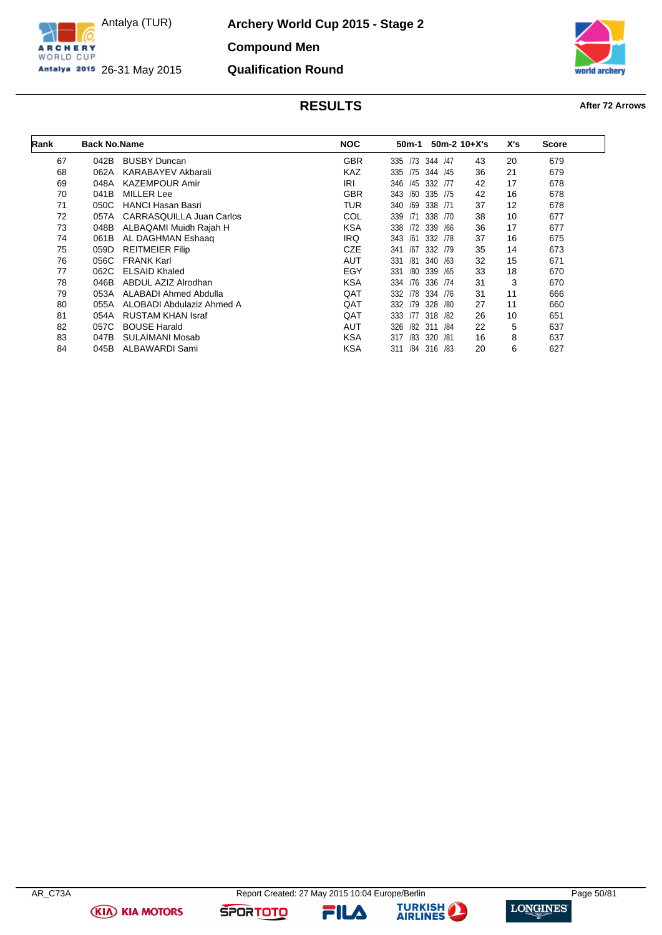

**Archery World Cup 2015 - Stage 2 Compound Men Qualification Round**



# **RESULTS After 72 Arrows**

| Rank | <b>Back No.Name</b> |                           | <b>NOC</b> | 50m-1      |            | $50m-2$ 10+X's | X's | <b>Score</b> |
|------|---------------------|---------------------------|------------|------------|------------|----------------|-----|--------------|
| 67   |                     | <b>BUSBY Duncan</b>       | <b>GBR</b> |            | /47        |                | 20  |              |
|      | 042B                |                           |            | 335<br>/73 | 344        | 43             |     | 679          |
| 68   | 062A                | <b>KARABAYEV Akbarali</b> | <b>KAZ</b> | 335<br>/75 | 344<br>/45 | 36             | 21  | 679          |
| 69   | 048A                | <b>KAZEMPOUR Amir</b>     | IRI        | 346<br>/45 | 332<br>/77 | 42             | 17  | 678          |
| 70   | 041B                | MILLER Lee                | <b>GBR</b> | 343<br>/60 | 335<br>/75 | 42             | 16  | 678          |
| 71   | 050C                | <b>HANCI Hasan Basri</b>  | TUR        | 340<br>/69 | 338<br>/71 | 37             | 12  | 678          |
| 72   | 057A                | CARRASQUILLA Juan Carlos  | COL        | 339<br>/71 | 338<br>/70 | 38             | 10  | 677          |
| 73   | 048B                | ALBAQAMI Muidh Rajah H    | <b>KSA</b> | 338<br>172 | 339<br>/66 | 36             | 17  | 677          |
| 74   | 061B                | AL DAGHMAN Eshaag         | <b>IRQ</b> | 343<br>/61 | 332<br>/78 | 37             | 16  | 675          |
| 75   | 059D                | <b>REITMEIER Filip</b>    | <b>CZE</b> | 341<br>/67 | 332 /79    | 35             | 14  | 673          |
| 76   | 056C                | <b>FRANK Karl</b>         | <b>AUT</b> | 331<br>/81 | 340<br>/63 | 32             | 15  | 671          |
| 77   | 062C                | <b>ELSAID Khaled</b>      | EGY        | 331<br>/80 | 339<br>/65 | 33             | 18  | 670          |
| 78   | 046B                | ABDUL AZIZ Alrodhan       | <b>KSA</b> | /76<br>334 | 336<br>/74 | 31             | 3   | 670          |
| 79   | 053A                | ALABADI Ahmed Abdulla     | <b>QAT</b> | /78<br>332 | 334<br>/76 | 31             | 11  | 666          |
| 80   | 055A                | ALOBADI Abdulaziz Ahmed A | QAT        | /79<br>332 | 328<br>/80 | 27             | 11  | 660          |
| 81   | 054A                | <b>RUSTAM KHAN Israf</b>  | QAT        | 333<br>177 | 318<br>/82 | 26             | 10  | 651          |
| 82   | 057C                | <b>BOUSE Harald</b>       | <b>AUT</b> | 326<br>/82 | 311<br>/84 | 22             | 5   | 637          |
| 83   | 047B                | <b>SULAIMANI Mosab</b>    | <b>KSA</b> | 317<br>/83 | 320<br>/81 | 16             | 8   | 637          |
| 84   | 045B                | ALBAWARDI Sami            | <b>KSA</b> | 311<br>/84 | 316<br>/83 | 20             | 6   | 627          |



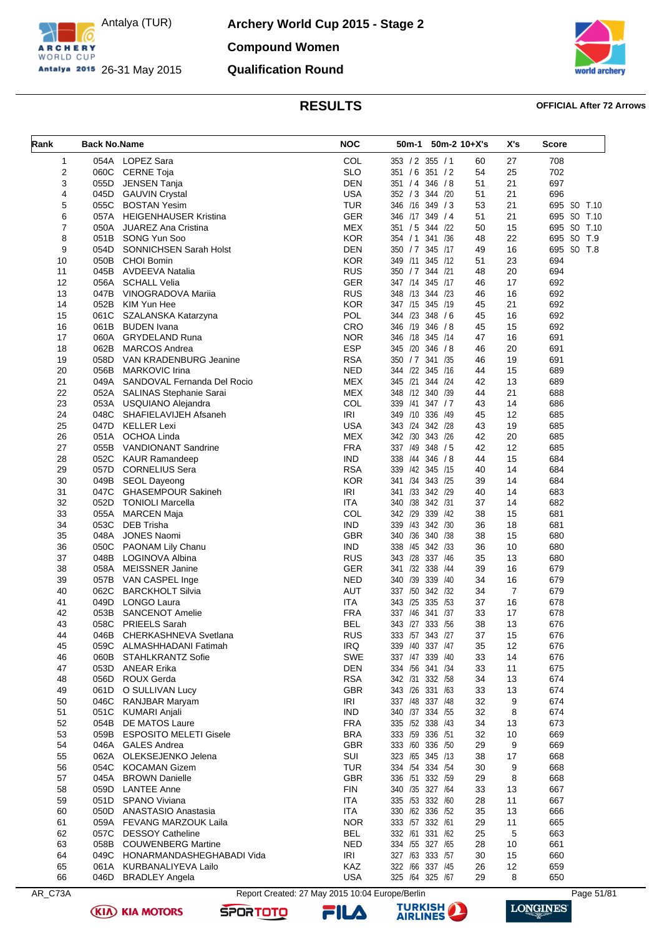

**Archery World Cup 2015 - Stage 2 Compound Women Qualification Round**



### **RESULTS OFFICIAL After 72 Arrows**

| COL<br>353 / 2 355 / 1<br>708<br>1<br>054A LOPEZ Sara<br>27<br>60<br><b>SLO</b><br>2<br>25<br>702<br>060C<br><b>CERNE Toja</b><br>351 / 6 351 / 2<br>54<br><b>DEN</b><br>3<br>51<br>21<br>JENSEN Tanja<br>346 / 8<br>697<br>055D<br>351 / 4<br><b>USA</b><br>21<br>4<br>045D<br><b>GAUVIN Crystal</b><br>352 / 3 344 / 20<br>51<br>696<br>5<br><b>TUR</b><br>21<br>055C<br><b>BOSTAN Yesim</b><br>346<br>/16 349 / 3<br>53<br>695 SO T.10<br><b>GER</b><br>695 SO T.10<br>6<br>51<br>21<br>057A HEIGENHAUSER Kristina<br>346 /17 349 / 4<br>7<br><b>MEX</b><br>695 SO T.10<br>050A<br><b>JUAREZ Ana Cristina</b><br>351 / 5 344 /22<br>50<br>15<br>8<br><b>KOR</b><br>22<br>695 SO T.9<br>051B SONG Yun Soo<br>354 / 1<br>341 /36<br>48<br><b>DEN</b><br>695 SO T.8<br>9<br>16<br>054D<br><b>SONNICHSEN Sarah Holst</b><br>350 / 7 345 /17<br>49<br>10<br>050B<br><b>CHOI Bomin</b><br>KOR<br>349 /11 345 /12<br>51<br>23<br>694<br><b>RUS</b><br>20<br>11<br>045B<br>AVDEEVA Natalia<br>350 / 7 344 / 21<br>48<br>694<br><b>GER</b><br>347 /14 345 /17<br>12<br>056A<br><b>SCHALL Velia</b><br>46<br>17<br>692<br>13<br>047B<br>VINOGRADOVA Marija<br>RUS<br>348 /13 344 /23<br>46<br>16<br>692<br><b>KOR</b><br>21<br>14<br>052B<br>KIM Yun Hee<br>347 /15 345 /19<br>45<br>692<br><b>POL</b><br>344 /23 348 /6<br>15<br>061C<br>SZALANSKA Katarzyna<br>45<br>16<br>692<br>CRO<br>346 /19 346 / 8<br>45<br>15<br>692<br>16<br>061B<br><b>BUDEN</b> Ivana<br><b>GRYDELAND Runa</b><br><b>NOR</b><br>17<br>060A<br>346<br>/18 345 /14<br>47<br>16<br>691<br><b>ESP</b><br>/20 346 / 8<br>18<br>062B<br>MARCOS Andrea<br>46<br>20<br>691<br>345<br><b>RSA</b><br>19<br>058D<br>VAN KRADENBURG Jeanine<br>350 / 7 341 / 35<br>19<br>691<br>46<br><b>NED</b><br>/22<br>20<br>056B<br><b>MARKOVIC Irina</b><br>345<br>/16<br>15<br>689<br>344<br>44<br><b>MEX</b><br>/21 344 /24<br>21<br>049A SANDOVAL Fernanda Del Rocio<br>345<br>42<br>13<br>689<br><b>MEX</b><br>21<br>22<br>052A<br>348 /12 340 /39<br>44<br>688<br>SALINAS Stephanie Sarai<br>COL<br>14<br>23<br>053A USQUIANO Alejandra<br>339<br>/41<br>347/7<br>43<br>686<br>24<br><b>IRI</b><br>/10 336 /49<br>048C SHAFIELAVIJEH Afsaneh<br>45<br>12<br>685<br>349<br><b>USA</b><br>25<br>047D KELLER Lexi<br>343 /24 342 /28<br>43<br>19<br>685<br><b>MEX</b><br>342 /30 343 /26<br>26<br>051A<br>OCHOA Linda<br>42<br>20<br>685<br>27<br><b>FRA</b><br>337 /49 348 / 5<br>055B<br><b>VANDIONANT Sandrine</b><br>42<br>12<br>685<br><b>IND</b><br>28<br>052C<br><b>KAUR Ramandeep</b><br>338<br>/44 346 / 8<br>44<br>15<br>684<br><b>RSA</b><br>/42 345 /15<br>14<br>29<br>057D CORNELIUS Sera<br>339<br>40<br>684<br><b>KOR</b><br>341 /34 343 /25<br>30<br>049B<br><b>SEOL Dayeong</b><br>39<br>14<br>684<br>31<br>047C<br><b>GHASEMPOUR Sakineh</b><br>IRI<br>341 /33 342 /29<br>40<br>14<br>683<br><b>ITA</b><br>340 /38<br>342 /31<br>32<br>052D TONIOLI Marcella<br>37<br>14<br>682<br>COL<br>342 /29 339 /42<br>33<br>055A<br>MARCEN Maja<br>38<br>15<br>681<br><b>IND</b><br>/43 342 /30<br>34<br>053C<br><b>DEB Trisha</b><br>339<br>36<br>18<br>681<br>35<br><b>GBR</b><br>340 /36 340 /38<br>38<br>15<br>048A<br>JONES Naomi<br>680<br><b>IND</b><br>36<br>050C<br>PAONAM Lily Chanu<br>338<br>/45 342 /33<br>36<br>10<br>680<br><b>RUS</b><br>337 /46<br>37<br>048B<br>LOGINOVA Albina<br>343<br>/28<br>35<br>13<br>680<br><b>GER</b><br>38<br>341 /32 338<br>39<br>058A<br><b>MEISSNER Janine</b><br>/44<br>16<br>679<br>39<br>NED<br>340 /39 339<br>/40<br>34<br>16<br>679<br>057B<br>VAN CASPEL Inge<br><b>AUT</b><br>337 /50 342 /32<br>$\overline{7}$<br>40<br>062C<br><b>BARCKHOLT Silvia</b><br>34<br>679<br>049D<br><b>LONGO Laura</b><br><b>ITA</b><br>/25<br>335 /53<br>41<br>343<br>37<br>16<br>678<br><b>SANCENOT Amelie</b><br><b>FRA</b><br>337 /46<br>341 /37<br>33<br>42<br>053B<br>17<br>678<br>058C<br><b>BEL</b><br>343 /27 333 /56<br>13<br>43<br><b>PRIEELS Sarah</b><br>38<br>676<br><b>RUS</b><br>CHERKASHNEVA Svetlana<br>44<br>333 /57 343 /27<br>676<br>046B<br>37<br>15<br>IRQ<br>45<br>339 /40 337 /47<br>676<br>059C<br>ALMASHHADANI Fatimah<br>35<br>12<br>SWE<br>46<br>060B<br>337 /47 339 /40<br>33<br>14<br>676<br><b>STAHLKRANTZ Sofie</b><br>47<br>053D ANEAR Erika<br>DEN<br>334 /56 341 /34<br>33<br>675<br>11<br><b>RSA</b><br>056D ROUX Gerda<br>342 /31 332 /58<br>674<br>48<br>34<br>13<br><b>GBR</b><br>343 /26 331 /63<br>49<br>061D O SULLIVAN Lucy<br>33<br>13<br>674<br>046C RANJBAR Maryam<br><b>IRI</b><br>337 /48 337 /48<br>9<br>674<br>50<br>32<br><b>IND</b><br>051C KUMARI Anjali<br>340 /37 334 /55<br>32<br>674<br>51<br>8<br>52<br>054B<br>DE MATOS Laure<br><b>FRA</b><br>335 /52 338 /43<br>34<br>673<br>13<br>53<br>059B ESPOSITO MELETI Gisele<br>BRA<br>333 /59 336 /51<br>669<br>32<br>10<br><b>GBR</b><br>046A<br><b>GALES Andrea</b><br>333 /60 336 /50<br>29<br>9<br>669<br>54<br>SUI<br>55<br>062A OLEKSEJENKO Jelena<br>323 /65 345 /13<br>38<br>17<br>668<br><b>TUR</b><br>054C KOCAMAN Gizem<br>334 /54 334 /54<br>9<br>668<br>56<br>30<br><b>GBR</b><br>57<br>045A BROWN Danielle<br>336 /51 332 /59<br>29<br>8<br>668<br>58<br>059D LANTEE Anne<br><b>FIN</b><br>340 / 35 327 / 64<br>33<br>13<br>667<br><b>SPANO Viviana</b><br>ITA<br>335 /53 332 /60<br>667<br>59<br>051D<br>28<br>11<br><b>ITA</b><br>330 /62 336 /52<br>60<br>050D ANASTASIO Anastasia<br>35<br>13<br>666<br><b>NOR</b><br>333 /57 332 /61<br>61<br>29<br>665<br>059A FEVANG MARZOUK Laila<br>11<br><b>BEL</b><br>62<br>057C<br><b>DESSOY Catheline</b><br>332 /61 331 /62<br>663<br>25<br>5<br>334 /55 327 /65<br>63<br>058B COUWENBERG Martine<br>NED<br>661<br>28<br>10<br>IRI<br>327 /63 333 /57<br>64<br>049C HONARMANDASHEGHABADI Vida<br>30<br>15<br>660<br>061A KURBANALIYEVA Lailo<br>KAZ<br>322 /66 337 /45<br>659<br>65<br>26<br>12<br><b>USA</b><br>325 /64 325 /67<br>046D BRADLEY Angela<br>29<br>8<br>650<br>66 | Rank | <b>Back No.Name</b> | <b>NOC</b> | 50m-2 10+X's<br>50m-1 | X's | Score |
|-------------------------------------------------------------------------------------------------------------------------------------------------------------------------------------------------------------------------------------------------------------------------------------------------------------------------------------------------------------------------------------------------------------------------------------------------------------------------------------------------------------------------------------------------------------------------------------------------------------------------------------------------------------------------------------------------------------------------------------------------------------------------------------------------------------------------------------------------------------------------------------------------------------------------------------------------------------------------------------------------------------------------------------------------------------------------------------------------------------------------------------------------------------------------------------------------------------------------------------------------------------------------------------------------------------------------------------------------------------------------------------------------------------------------------------------------------------------------------------------------------------------------------------------------------------------------------------------------------------------------------------------------------------------------------------------------------------------------------------------------------------------------------------------------------------------------------------------------------------------------------------------------------------------------------------------------------------------------------------------------------------------------------------------------------------------------------------------------------------------------------------------------------------------------------------------------------------------------------------------------------------------------------------------------------------------------------------------------------------------------------------------------------------------------------------------------------------------------------------------------------------------------------------------------------------------------------------------------------------------------------------------------------------------------------------------------------------------------------------------------------------------------------------------------------------------------------------------------------------------------------------------------------------------------------------------------------------------------------------------------------------------------------------------------------------------------------------------------------------------------------------------------------------------------------------------------------------------------------------------------------------------------------------------------------------------------------------------------------------------------------------------------------------------------------------------------------------------------------------------------------------------------------------------------------------------------------------------------------------------------------------------------------------------------------------------------------------------------------------------------------------------------------------------------------------------------------------------------------------------------------------------------------------------------------------------------------------------------------------------------------------------------------------------------------------------------------------------------------------------------------------------------------------------------------------------------------------------------------------------------------------------------------------------------------------------------------------------------------------------------------------------------------------------------------------------------------------------------------------------------------------------------------------------------------------------------------------------------------------------------------------------------------------------------------------------------------------------------------------------------------------------------------------------------------------------------------------------------------------------------------------------------------------------------------------------------------------------------------------------------------------------------------------------------------------------------------------------------------------------------------------------------------------------------------------------------------------------------------------------------------------------------------------------------------------------------------------------------------------------------------------------------------------------------------------------------------------------------------------------------------------------------------------------------------------------------------------------------------------------------------------------------------------------------------------------------------------------------------------------------------------------------------------------------------------------------------------------------------------------------------------------------------------------------------------------------|------|---------------------|------------|-----------------------|-----|-------|
|                                                                                                                                                                                                                                                                                                                                                                                                                                                                                                                                                                                                                                                                                                                                                                                                                                                                                                                                                                                                                                                                                                                                                                                                                                                                                                                                                                                                                                                                                                                                                                                                                                                                                                                                                                                                                                                                                                                                                                                                                                                                                                                                                                                                                                                                                                                                                                                                                                                                                                                                                                                                                                                                                                                                                                                                                                                                                                                                                                                                                                                                                                                                                                                                                                                                                                                                                                                                                                                                                                                                                                                                                                                                                                                                                                                                                                                                                                                                                                                                                                                                                                                                                                                                                                                                                                                                                                                                                                                                                                                                                                                                                                                                                                                                                                                                                                                                                                                                                                                                                                                                                                                                                                                                                                                                                                                                                                                                                                                                                                                                                                                                                                                                                                                                                                                                                                                                                                                                                 |      |                     |            |                       |     |       |
|                                                                                                                                                                                                                                                                                                                                                                                                                                                                                                                                                                                                                                                                                                                                                                                                                                                                                                                                                                                                                                                                                                                                                                                                                                                                                                                                                                                                                                                                                                                                                                                                                                                                                                                                                                                                                                                                                                                                                                                                                                                                                                                                                                                                                                                                                                                                                                                                                                                                                                                                                                                                                                                                                                                                                                                                                                                                                                                                                                                                                                                                                                                                                                                                                                                                                                                                                                                                                                                                                                                                                                                                                                                                                                                                                                                                                                                                                                                                                                                                                                                                                                                                                                                                                                                                                                                                                                                                                                                                                                                                                                                                                                                                                                                                                                                                                                                                                                                                                                                                                                                                                                                                                                                                                                                                                                                                                                                                                                                                                                                                                                                                                                                                                                                                                                                                                                                                                                                                                 |      |                     |            |                       |     |       |
|                                                                                                                                                                                                                                                                                                                                                                                                                                                                                                                                                                                                                                                                                                                                                                                                                                                                                                                                                                                                                                                                                                                                                                                                                                                                                                                                                                                                                                                                                                                                                                                                                                                                                                                                                                                                                                                                                                                                                                                                                                                                                                                                                                                                                                                                                                                                                                                                                                                                                                                                                                                                                                                                                                                                                                                                                                                                                                                                                                                                                                                                                                                                                                                                                                                                                                                                                                                                                                                                                                                                                                                                                                                                                                                                                                                                                                                                                                                                                                                                                                                                                                                                                                                                                                                                                                                                                                                                                                                                                                                                                                                                                                                                                                                                                                                                                                                                                                                                                                                                                                                                                                                                                                                                                                                                                                                                                                                                                                                                                                                                                                                                                                                                                                                                                                                                                                                                                                                                                 |      |                     |            |                       |     |       |
|                                                                                                                                                                                                                                                                                                                                                                                                                                                                                                                                                                                                                                                                                                                                                                                                                                                                                                                                                                                                                                                                                                                                                                                                                                                                                                                                                                                                                                                                                                                                                                                                                                                                                                                                                                                                                                                                                                                                                                                                                                                                                                                                                                                                                                                                                                                                                                                                                                                                                                                                                                                                                                                                                                                                                                                                                                                                                                                                                                                                                                                                                                                                                                                                                                                                                                                                                                                                                                                                                                                                                                                                                                                                                                                                                                                                                                                                                                                                                                                                                                                                                                                                                                                                                                                                                                                                                                                                                                                                                                                                                                                                                                                                                                                                                                                                                                                                                                                                                                                                                                                                                                                                                                                                                                                                                                                                                                                                                                                                                                                                                                                                                                                                                                                                                                                                                                                                                                                                                 |      |                     |            |                       |     |       |
|                                                                                                                                                                                                                                                                                                                                                                                                                                                                                                                                                                                                                                                                                                                                                                                                                                                                                                                                                                                                                                                                                                                                                                                                                                                                                                                                                                                                                                                                                                                                                                                                                                                                                                                                                                                                                                                                                                                                                                                                                                                                                                                                                                                                                                                                                                                                                                                                                                                                                                                                                                                                                                                                                                                                                                                                                                                                                                                                                                                                                                                                                                                                                                                                                                                                                                                                                                                                                                                                                                                                                                                                                                                                                                                                                                                                                                                                                                                                                                                                                                                                                                                                                                                                                                                                                                                                                                                                                                                                                                                                                                                                                                                                                                                                                                                                                                                                                                                                                                                                                                                                                                                                                                                                                                                                                                                                                                                                                                                                                                                                                                                                                                                                                                                                                                                                                                                                                                                                                 |      |                     |            |                       |     |       |
|                                                                                                                                                                                                                                                                                                                                                                                                                                                                                                                                                                                                                                                                                                                                                                                                                                                                                                                                                                                                                                                                                                                                                                                                                                                                                                                                                                                                                                                                                                                                                                                                                                                                                                                                                                                                                                                                                                                                                                                                                                                                                                                                                                                                                                                                                                                                                                                                                                                                                                                                                                                                                                                                                                                                                                                                                                                                                                                                                                                                                                                                                                                                                                                                                                                                                                                                                                                                                                                                                                                                                                                                                                                                                                                                                                                                                                                                                                                                                                                                                                                                                                                                                                                                                                                                                                                                                                                                                                                                                                                                                                                                                                                                                                                                                                                                                                                                                                                                                                                                                                                                                                                                                                                                                                                                                                                                                                                                                                                                                                                                                                                                                                                                                                                                                                                                                                                                                                                                                 |      |                     |            |                       |     |       |
|                                                                                                                                                                                                                                                                                                                                                                                                                                                                                                                                                                                                                                                                                                                                                                                                                                                                                                                                                                                                                                                                                                                                                                                                                                                                                                                                                                                                                                                                                                                                                                                                                                                                                                                                                                                                                                                                                                                                                                                                                                                                                                                                                                                                                                                                                                                                                                                                                                                                                                                                                                                                                                                                                                                                                                                                                                                                                                                                                                                                                                                                                                                                                                                                                                                                                                                                                                                                                                                                                                                                                                                                                                                                                                                                                                                                                                                                                                                                                                                                                                                                                                                                                                                                                                                                                                                                                                                                                                                                                                                                                                                                                                                                                                                                                                                                                                                                                                                                                                                                                                                                                                                                                                                                                                                                                                                                                                                                                                                                                                                                                                                                                                                                                                                                                                                                                                                                                                                                                 |      |                     |            |                       |     |       |
|                                                                                                                                                                                                                                                                                                                                                                                                                                                                                                                                                                                                                                                                                                                                                                                                                                                                                                                                                                                                                                                                                                                                                                                                                                                                                                                                                                                                                                                                                                                                                                                                                                                                                                                                                                                                                                                                                                                                                                                                                                                                                                                                                                                                                                                                                                                                                                                                                                                                                                                                                                                                                                                                                                                                                                                                                                                                                                                                                                                                                                                                                                                                                                                                                                                                                                                                                                                                                                                                                                                                                                                                                                                                                                                                                                                                                                                                                                                                                                                                                                                                                                                                                                                                                                                                                                                                                                                                                                                                                                                                                                                                                                                                                                                                                                                                                                                                                                                                                                                                                                                                                                                                                                                                                                                                                                                                                                                                                                                                                                                                                                                                                                                                                                                                                                                                                                                                                                                                                 |      |                     |            |                       |     |       |
|                                                                                                                                                                                                                                                                                                                                                                                                                                                                                                                                                                                                                                                                                                                                                                                                                                                                                                                                                                                                                                                                                                                                                                                                                                                                                                                                                                                                                                                                                                                                                                                                                                                                                                                                                                                                                                                                                                                                                                                                                                                                                                                                                                                                                                                                                                                                                                                                                                                                                                                                                                                                                                                                                                                                                                                                                                                                                                                                                                                                                                                                                                                                                                                                                                                                                                                                                                                                                                                                                                                                                                                                                                                                                                                                                                                                                                                                                                                                                                                                                                                                                                                                                                                                                                                                                                                                                                                                                                                                                                                                                                                                                                                                                                                                                                                                                                                                                                                                                                                                                                                                                                                                                                                                                                                                                                                                                                                                                                                                                                                                                                                                                                                                                                                                                                                                                                                                                                                                                 |      |                     |            |                       |     |       |
|                                                                                                                                                                                                                                                                                                                                                                                                                                                                                                                                                                                                                                                                                                                                                                                                                                                                                                                                                                                                                                                                                                                                                                                                                                                                                                                                                                                                                                                                                                                                                                                                                                                                                                                                                                                                                                                                                                                                                                                                                                                                                                                                                                                                                                                                                                                                                                                                                                                                                                                                                                                                                                                                                                                                                                                                                                                                                                                                                                                                                                                                                                                                                                                                                                                                                                                                                                                                                                                                                                                                                                                                                                                                                                                                                                                                                                                                                                                                                                                                                                                                                                                                                                                                                                                                                                                                                                                                                                                                                                                                                                                                                                                                                                                                                                                                                                                                                                                                                                                                                                                                                                                                                                                                                                                                                                                                                                                                                                                                                                                                                                                                                                                                                                                                                                                                                                                                                                                                                 |      |                     |            |                       |     |       |
|                                                                                                                                                                                                                                                                                                                                                                                                                                                                                                                                                                                                                                                                                                                                                                                                                                                                                                                                                                                                                                                                                                                                                                                                                                                                                                                                                                                                                                                                                                                                                                                                                                                                                                                                                                                                                                                                                                                                                                                                                                                                                                                                                                                                                                                                                                                                                                                                                                                                                                                                                                                                                                                                                                                                                                                                                                                                                                                                                                                                                                                                                                                                                                                                                                                                                                                                                                                                                                                                                                                                                                                                                                                                                                                                                                                                                                                                                                                                                                                                                                                                                                                                                                                                                                                                                                                                                                                                                                                                                                                                                                                                                                                                                                                                                                                                                                                                                                                                                                                                                                                                                                                                                                                                                                                                                                                                                                                                                                                                                                                                                                                                                                                                                                                                                                                                                                                                                                                                                 |      |                     |            |                       |     |       |
|                                                                                                                                                                                                                                                                                                                                                                                                                                                                                                                                                                                                                                                                                                                                                                                                                                                                                                                                                                                                                                                                                                                                                                                                                                                                                                                                                                                                                                                                                                                                                                                                                                                                                                                                                                                                                                                                                                                                                                                                                                                                                                                                                                                                                                                                                                                                                                                                                                                                                                                                                                                                                                                                                                                                                                                                                                                                                                                                                                                                                                                                                                                                                                                                                                                                                                                                                                                                                                                                                                                                                                                                                                                                                                                                                                                                                                                                                                                                                                                                                                                                                                                                                                                                                                                                                                                                                                                                                                                                                                                                                                                                                                                                                                                                                                                                                                                                                                                                                                                                                                                                                                                                                                                                                                                                                                                                                                                                                                                                                                                                                                                                                                                                                                                                                                                                                                                                                                                                                 |      |                     |            |                       |     |       |
|                                                                                                                                                                                                                                                                                                                                                                                                                                                                                                                                                                                                                                                                                                                                                                                                                                                                                                                                                                                                                                                                                                                                                                                                                                                                                                                                                                                                                                                                                                                                                                                                                                                                                                                                                                                                                                                                                                                                                                                                                                                                                                                                                                                                                                                                                                                                                                                                                                                                                                                                                                                                                                                                                                                                                                                                                                                                                                                                                                                                                                                                                                                                                                                                                                                                                                                                                                                                                                                                                                                                                                                                                                                                                                                                                                                                                                                                                                                                                                                                                                                                                                                                                                                                                                                                                                                                                                                                                                                                                                                                                                                                                                                                                                                                                                                                                                                                                                                                                                                                                                                                                                                                                                                                                                                                                                                                                                                                                                                                                                                                                                                                                                                                                                                                                                                                                                                                                                                                                 |      |                     |            |                       |     |       |
|                                                                                                                                                                                                                                                                                                                                                                                                                                                                                                                                                                                                                                                                                                                                                                                                                                                                                                                                                                                                                                                                                                                                                                                                                                                                                                                                                                                                                                                                                                                                                                                                                                                                                                                                                                                                                                                                                                                                                                                                                                                                                                                                                                                                                                                                                                                                                                                                                                                                                                                                                                                                                                                                                                                                                                                                                                                                                                                                                                                                                                                                                                                                                                                                                                                                                                                                                                                                                                                                                                                                                                                                                                                                                                                                                                                                                                                                                                                                                                                                                                                                                                                                                                                                                                                                                                                                                                                                                                                                                                                                                                                                                                                                                                                                                                                                                                                                                                                                                                                                                                                                                                                                                                                                                                                                                                                                                                                                                                                                                                                                                                                                                                                                                                                                                                                                                                                                                                                                                 |      |                     |            |                       |     |       |
|                                                                                                                                                                                                                                                                                                                                                                                                                                                                                                                                                                                                                                                                                                                                                                                                                                                                                                                                                                                                                                                                                                                                                                                                                                                                                                                                                                                                                                                                                                                                                                                                                                                                                                                                                                                                                                                                                                                                                                                                                                                                                                                                                                                                                                                                                                                                                                                                                                                                                                                                                                                                                                                                                                                                                                                                                                                                                                                                                                                                                                                                                                                                                                                                                                                                                                                                                                                                                                                                                                                                                                                                                                                                                                                                                                                                                                                                                                                                                                                                                                                                                                                                                                                                                                                                                                                                                                                                                                                                                                                                                                                                                                                                                                                                                                                                                                                                                                                                                                                                                                                                                                                                                                                                                                                                                                                                                                                                                                                                                                                                                                                                                                                                                                                                                                                                                                                                                                                                                 |      |                     |            |                       |     |       |
|                                                                                                                                                                                                                                                                                                                                                                                                                                                                                                                                                                                                                                                                                                                                                                                                                                                                                                                                                                                                                                                                                                                                                                                                                                                                                                                                                                                                                                                                                                                                                                                                                                                                                                                                                                                                                                                                                                                                                                                                                                                                                                                                                                                                                                                                                                                                                                                                                                                                                                                                                                                                                                                                                                                                                                                                                                                                                                                                                                                                                                                                                                                                                                                                                                                                                                                                                                                                                                                                                                                                                                                                                                                                                                                                                                                                                                                                                                                                                                                                                                                                                                                                                                                                                                                                                                                                                                                                                                                                                                                                                                                                                                                                                                                                                                                                                                                                                                                                                                                                                                                                                                                                                                                                                                                                                                                                                                                                                                                                                                                                                                                                                                                                                                                                                                                                                                                                                                                                                 |      |                     |            |                       |     |       |
|                                                                                                                                                                                                                                                                                                                                                                                                                                                                                                                                                                                                                                                                                                                                                                                                                                                                                                                                                                                                                                                                                                                                                                                                                                                                                                                                                                                                                                                                                                                                                                                                                                                                                                                                                                                                                                                                                                                                                                                                                                                                                                                                                                                                                                                                                                                                                                                                                                                                                                                                                                                                                                                                                                                                                                                                                                                                                                                                                                                                                                                                                                                                                                                                                                                                                                                                                                                                                                                                                                                                                                                                                                                                                                                                                                                                                                                                                                                                                                                                                                                                                                                                                                                                                                                                                                                                                                                                                                                                                                                                                                                                                                                                                                                                                                                                                                                                                                                                                                                                                                                                                                                                                                                                                                                                                                                                                                                                                                                                                                                                                                                                                                                                                                                                                                                                                                                                                                                                                 |      |                     |            |                       |     |       |
|                                                                                                                                                                                                                                                                                                                                                                                                                                                                                                                                                                                                                                                                                                                                                                                                                                                                                                                                                                                                                                                                                                                                                                                                                                                                                                                                                                                                                                                                                                                                                                                                                                                                                                                                                                                                                                                                                                                                                                                                                                                                                                                                                                                                                                                                                                                                                                                                                                                                                                                                                                                                                                                                                                                                                                                                                                                                                                                                                                                                                                                                                                                                                                                                                                                                                                                                                                                                                                                                                                                                                                                                                                                                                                                                                                                                                                                                                                                                                                                                                                                                                                                                                                                                                                                                                                                                                                                                                                                                                                                                                                                                                                                                                                                                                                                                                                                                                                                                                                                                                                                                                                                                                                                                                                                                                                                                                                                                                                                                                                                                                                                                                                                                                                                                                                                                                                                                                                                                                 |      |                     |            |                       |     |       |
|                                                                                                                                                                                                                                                                                                                                                                                                                                                                                                                                                                                                                                                                                                                                                                                                                                                                                                                                                                                                                                                                                                                                                                                                                                                                                                                                                                                                                                                                                                                                                                                                                                                                                                                                                                                                                                                                                                                                                                                                                                                                                                                                                                                                                                                                                                                                                                                                                                                                                                                                                                                                                                                                                                                                                                                                                                                                                                                                                                                                                                                                                                                                                                                                                                                                                                                                                                                                                                                                                                                                                                                                                                                                                                                                                                                                                                                                                                                                                                                                                                                                                                                                                                                                                                                                                                                                                                                                                                                                                                                                                                                                                                                                                                                                                                                                                                                                                                                                                                                                                                                                                                                                                                                                                                                                                                                                                                                                                                                                                                                                                                                                                                                                                                                                                                                                                                                                                                                                                 |      |                     |            |                       |     |       |
|                                                                                                                                                                                                                                                                                                                                                                                                                                                                                                                                                                                                                                                                                                                                                                                                                                                                                                                                                                                                                                                                                                                                                                                                                                                                                                                                                                                                                                                                                                                                                                                                                                                                                                                                                                                                                                                                                                                                                                                                                                                                                                                                                                                                                                                                                                                                                                                                                                                                                                                                                                                                                                                                                                                                                                                                                                                                                                                                                                                                                                                                                                                                                                                                                                                                                                                                                                                                                                                                                                                                                                                                                                                                                                                                                                                                                                                                                                                                                                                                                                                                                                                                                                                                                                                                                                                                                                                                                                                                                                                                                                                                                                                                                                                                                                                                                                                                                                                                                                                                                                                                                                                                                                                                                                                                                                                                                                                                                                                                                                                                                                                                                                                                                                                                                                                                                                                                                                                                                 |      |                     |            |                       |     |       |
|                                                                                                                                                                                                                                                                                                                                                                                                                                                                                                                                                                                                                                                                                                                                                                                                                                                                                                                                                                                                                                                                                                                                                                                                                                                                                                                                                                                                                                                                                                                                                                                                                                                                                                                                                                                                                                                                                                                                                                                                                                                                                                                                                                                                                                                                                                                                                                                                                                                                                                                                                                                                                                                                                                                                                                                                                                                                                                                                                                                                                                                                                                                                                                                                                                                                                                                                                                                                                                                                                                                                                                                                                                                                                                                                                                                                                                                                                                                                                                                                                                                                                                                                                                                                                                                                                                                                                                                                                                                                                                                                                                                                                                                                                                                                                                                                                                                                                                                                                                                                                                                                                                                                                                                                                                                                                                                                                                                                                                                                                                                                                                                                                                                                                                                                                                                                                                                                                                                                                 |      |                     |            |                       |     |       |
|                                                                                                                                                                                                                                                                                                                                                                                                                                                                                                                                                                                                                                                                                                                                                                                                                                                                                                                                                                                                                                                                                                                                                                                                                                                                                                                                                                                                                                                                                                                                                                                                                                                                                                                                                                                                                                                                                                                                                                                                                                                                                                                                                                                                                                                                                                                                                                                                                                                                                                                                                                                                                                                                                                                                                                                                                                                                                                                                                                                                                                                                                                                                                                                                                                                                                                                                                                                                                                                                                                                                                                                                                                                                                                                                                                                                                                                                                                                                                                                                                                                                                                                                                                                                                                                                                                                                                                                                                                                                                                                                                                                                                                                                                                                                                                                                                                                                                                                                                                                                                                                                                                                                                                                                                                                                                                                                                                                                                                                                                                                                                                                                                                                                                                                                                                                                                                                                                                                                                 |      |                     |            |                       |     |       |
|                                                                                                                                                                                                                                                                                                                                                                                                                                                                                                                                                                                                                                                                                                                                                                                                                                                                                                                                                                                                                                                                                                                                                                                                                                                                                                                                                                                                                                                                                                                                                                                                                                                                                                                                                                                                                                                                                                                                                                                                                                                                                                                                                                                                                                                                                                                                                                                                                                                                                                                                                                                                                                                                                                                                                                                                                                                                                                                                                                                                                                                                                                                                                                                                                                                                                                                                                                                                                                                                                                                                                                                                                                                                                                                                                                                                                                                                                                                                                                                                                                                                                                                                                                                                                                                                                                                                                                                                                                                                                                                                                                                                                                                                                                                                                                                                                                                                                                                                                                                                                                                                                                                                                                                                                                                                                                                                                                                                                                                                                                                                                                                                                                                                                                                                                                                                                                                                                                                                                 |      |                     |            |                       |     |       |
|                                                                                                                                                                                                                                                                                                                                                                                                                                                                                                                                                                                                                                                                                                                                                                                                                                                                                                                                                                                                                                                                                                                                                                                                                                                                                                                                                                                                                                                                                                                                                                                                                                                                                                                                                                                                                                                                                                                                                                                                                                                                                                                                                                                                                                                                                                                                                                                                                                                                                                                                                                                                                                                                                                                                                                                                                                                                                                                                                                                                                                                                                                                                                                                                                                                                                                                                                                                                                                                                                                                                                                                                                                                                                                                                                                                                                                                                                                                                                                                                                                                                                                                                                                                                                                                                                                                                                                                                                                                                                                                                                                                                                                                                                                                                                                                                                                                                                                                                                                                                                                                                                                                                                                                                                                                                                                                                                                                                                                                                                                                                                                                                                                                                                                                                                                                                                                                                                                                                                 |      |                     |            |                       |     |       |
|                                                                                                                                                                                                                                                                                                                                                                                                                                                                                                                                                                                                                                                                                                                                                                                                                                                                                                                                                                                                                                                                                                                                                                                                                                                                                                                                                                                                                                                                                                                                                                                                                                                                                                                                                                                                                                                                                                                                                                                                                                                                                                                                                                                                                                                                                                                                                                                                                                                                                                                                                                                                                                                                                                                                                                                                                                                                                                                                                                                                                                                                                                                                                                                                                                                                                                                                                                                                                                                                                                                                                                                                                                                                                                                                                                                                                                                                                                                                                                                                                                                                                                                                                                                                                                                                                                                                                                                                                                                                                                                                                                                                                                                                                                                                                                                                                                                                                                                                                                                                                                                                                                                                                                                                                                                                                                                                                                                                                                                                                                                                                                                                                                                                                                                                                                                                                                                                                                                                                 |      |                     |            |                       |     |       |
|                                                                                                                                                                                                                                                                                                                                                                                                                                                                                                                                                                                                                                                                                                                                                                                                                                                                                                                                                                                                                                                                                                                                                                                                                                                                                                                                                                                                                                                                                                                                                                                                                                                                                                                                                                                                                                                                                                                                                                                                                                                                                                                                                                                                                                                                                                                                                                                                                                                                                                                                                                                                                                                                                                                                                                                                                                                                                                                                                                                                                                                                                                                                                                                                                                                                                                                                                                                                                                                                                                                                                                                                                                                                                                                                                                                                                                                                                                                                                                                                                                                                                                                                                                                                                                                                                                                                                                                                                                                                                                                                                                                                                                                                                                                                                                                                                                                                                                                                                                                                                                                                                                                                                                                                                                                                                                                                                                                                                                                                                                                                                                                                                                                                                                                                                                                                                                                                                                                                                 |      |                     |            |                       |     |       |
|                                                                                                                                                                                                                                                                                                                                                                                                                                                                                                                                                                                                                                                                                                                                                                                                                                                                                                                                                                                                                                                                                                                                                                                                                                                                                                                                                                                                                                                                                                                                                                                                                                                                                                                                                                                                                                                                                                                                                                                                                                                                                                                                                                                                                                                                                                                                                                                                                                                                                                                                                                                                                                                                                                                                                                                                                                                                                                                                                                                                                                                                                                                                                                                                                                                                                                                                                                                                                                                                                                                                                                                                                                                                                                                                                                                                                                                                                                                                                                                                                                                                                                                                                                                                                                                                                                                                                                                                                                                                                                                                                                                                                                                                                                                                                                                                                                                                                                                                                                                                                                                                                                                                                                                                                                                                                                                                                                                                                                                                                                                                                                                                                                                                                                                                                                                                                                                                                                                                                 |      |                     |            |                       |     |       |
|                                                                                                                                                                                                                                                                                                                                                                                                                                                                                                                                                                                                                                                                                                                                                                                                                                                                                                                                                                                                                                                                                                                                                                                                                                                                                                                                                                                                                                                                                                                                                                                                                                                                                                                                                                                                                                                                                                                                                                                                                                                                                                                                                                                                                                                                                                                                                                                                                                                                                                                                                                                                                                                                                                                                                                                                                                                                                                                                                                                                                                                                                                                                                                                                                                                                                                                                                                                                                                                                                                                                                                                                                                                                                                                                                                                                                                                                                                                                                                                                                                                                                                                                                                                                                                                                                                                                                                                                                                                                                                                                                                                                                                                                                                                                                                                                                                                                                                                                                                                                                                                                                                                                                                                                                                                                                                                                                                                                                                                                                                                                                                                                                                                                                                                                                                                                                                                                                                                                                 |      |                     |            |                       |     |       |
|                                                                                                                                                                                                                                                                                                                                                                                                                                                                                                                                                                                                                                                                                                                                                                                                                                                                                                                                                                                                                                                                                                                                                                                                                                                                                                                                                                                                                                                                                                                                                                                                                                                                                                                                                                                                                                                                                                                                                                                                                                                                                                                                                                                                                                                                                                                                                                                                                                                                                                                                                                                                                                                                                                                                                                                                                                                                                                                                                                                                                                                                                                                                                                                                                                                                                                                                                                                                                                                                                                                                                                                                                                                                                                                                                                                                                                                                                                                                                                                                                                                                                                                                                                                                                                                                                                                                                                                                                                                                                                                                                                                                                                                                                                                                                                                                                                                                                                                                                                                                                                                                                                                                                                                                                                                                                                                                                                                                                                                                                                                                                                                                                                                                                                                                                                                                                                                                                                                                                 |      |                     |            |                       |     |       |
|                                                                                                                                                                                                                                                                                                                                                                                                                                                                                                                                                                                                                                                                                                                                                                                                                                                                                                                                                                                                                                                                                                                                                                                                                                                                                                                                                                                                                                                                                                                                                                                                                                                                                                                                                                                                                                                                                                                                                                                                                                                                                                                                                                                                                                                                                                                                                                                                                                                                                                                                                                                                                                                                                                                                                                                                                                                                                                                                                                                                                                                                                                                                                                                                                                                                                                                                                                                                                                                                                                                                                                                                                                                                                                                                                                                                                                                                                                                                                                                                                                                                                                                                                                                                                                                                                                                                                                                                                                                                                                                                                                                                                                                                                                                                                                                                                                                                                                                                                                                                                                                                                                                                                                                                                                                                                                                                                                                                                                                                                                                                                                                                                                                                                                                                                                                                                                                                                                                                                 |      |                     |            |                       |     |       |
|                                                                                                                                                                                                                                                                                                                                                                                                                                                                                                                                                                                                                                                                                                                                                                                                                                                                                                                                                                                                                                                                                                                                                                                                                                                                                                                                                                                                                                                                                                                                                                                                                                                                                                                                                                                                                                                                                                                                                                                                                                                                                                                                                                                                                                                                                                                                                                                                                                                                                                                                                                                                                                                                                                                                                                                                                                                                                                                                                                                                                                                                                                                                                                                                                                                                                                                                                                                                                                                                                                                                                                                                                                                                                                                                                                                                                                                                                                                                                                                                                                                                                                                                                                                                                                                                                                                                                                                                                                                                                                                                                                                                                                                                                                                                                                                                                                                                                                                                                                                                                                                                                                                                                                                                                                                                                                                                                                                                                                                                                                                                                                                                                                                                                                                                                                                                                                                                                                                                                 |      |                     |            |                       |     |       |
|                                                                                                                                                                                                                                                                                                                                                                                                                                                                                                                                                                                                                                                                                                                                                                                                                                                                                                                                                                                                                                                                                                                                                                                                                                                                                                                                                                                                                                                                                                                                                                                                                                                                                                                                                                                                                                                                                                                                                                                                                                                                                                                                                                                                                                                                                                                                                                                                                                                                                                                                                                                                                                                                                                                                                                                                                                                                                                                                                                                                                                                                                                                                                                                                                                                                                                                                                                                                                                                                                                                                                                                                                                                                                                                                                                                                                                                                                                                                                                                                                                                                                                                                                                                                                                                                                                                                                                                                                                                                                                                                                                                                                                                                                                                                                                                                                                                                                                                                                                                                                                                                                                                                                                                                                                                                                                                                                                                                                                                                                                                                                                                                                                                                                                                                                                                                                                                                                                                                                 |      |                     |            |                       |     |       |
|                                                                                                                                                                                                                                                                                                                                                                                                                                                                                                                                                                                                                                                                                                                                                                                                                                                                                                                                                                                                                                                                                                                                                                                                                                                                                                                                                                                                                                                                                                                                                                                                                                                                                                                                                                                                                                                                                                                                                                                                                                                                                                                                                                                                                                                                                                                                                                                                                                                                                                                                                                                                                                                                                                                                                                                                                                                                                                                                                                                                                                                                                                                                                                                                                                                                                                                                                                                                                                                                                                                                                                                                                                                                                                                                                                                                                                                                                                                                                                                                                                                                                                                                                                                                                                                                                                                                                                                                                                                                                                                                                                                                                                                                                                                                                                                                                                                                                                                                                                                                                                                                                                                                                                                                                                                                                                                                                                                                                                                                                                                                                                                                                                                                                                                                                                                                                                                                                                                                                 |      |                     |            |                       |     |       |
|                                                                                                                                                                                                                                                                                                                                                                                                                                                                                                                                                                                                                                                                                                                                                                                                                                                                                                                                                                                                                                                                                                                                                                                                                                                                                                                                                                                                                                                                                                                                                                                                                                                                                                                                                                                                                                                                                                                                                                                                                                                                                                                                                                                                                                                                                                                                                                                                                                                                                                                                                                                                                                                                                                                                                                                                                                                                                                                                                                                                                                                                                                                                                                                                                                                                                                                                                                                                                                                                                                                                                                                                                                                                                                                                                                                                                                                                                                                                                                                                                                                                                                                                                                                                                                                                                                                                                                                                                                                                                                                                                                                                                                                                                                                                                                                                                                                                                                                                                                                                                                                                                                                                                                                                                                                                                                                                                                                                                                                                                                                                                                                                                                                                                                                                                                                                                                                                                                                                                 |      |                     |            |                       |     |       |
|                                                                                                                                                                                                                                                                                                                                                                                                                                                                                                                                                                                                                                                                                                                                                                                                                                                                                                                                                                                                                                                                                                                                                                                                                                                                                                                                                                                                                                                                                                                                                                                                                                                                                                                                                                                                                                                                                                                                                                                                                                                                                                                                                                                                                                                                                                                                                                                                                                                                                                                                                                                                                                                                                                                                                                                                                                                                                                                                                                                                                                                                                                                                                                                                                                                                                                                                                                                                                                                                                                                                                                                                                                                                                                                                                                                                                                                                                                                                                                                                                                                                                                                                                                                                                                                                                                                                                                                                                                                                                                                                                                                                                                                                                                                                                                                                                                                                                                                                                                                                                                                                                                                                                                                                                                                                                                                                                                                                                                                                                                                                                                                                                                                                                                                                                                                                                                                                                                                                                 |      |                     |            |                       |     |       |
|                                                                                                                                                                                                                                                                                                                                                                                                                                                                                                                                                                                                                                                                                                                                                                                                                                                                                                                                                                                                                                                                                                                                                                                                                                                                                                                                                                                                                                                                                                                                                                                                                                                                                                                                                                                                                                                                                                                                                                                                                                                                                                                                                                                                                                                                                                                                                                                                                                                                                                                                                                                                                                                                                                                                                                                                                                                                                                                                                                                                                                                                                                                                                                                                                                                                                                                                                                                                                                                                                                                                                                                                                                                                                                                                                                                                                                                                                                                                                                                                                                                                                                                                                                                                                                                                                                                                                                                                                                                                                                                                                                                                                                                                                                                                                                                                                                                                                                                                                                                                                                                                                                                                                                                                                                                                                                                                                                                                                                                                                                                                                                                                                                                                                                                                                                                                                                                                                                                                                 |      |                     |            |                       |     |       |
|                                                                                                                                                                                                                                                                                                                                                                                                                                                                                                                                                                                                                                                                                                                                                                                                                                                                                                                                                                                                                                                                                                                                                                                                                                                                                                                                                                                                                                                                                                                                                                                                                                                                                                                                                                                                                                                                                                                                                                                                                                                                                                                                                                                                                                                                                                                                                                                                                                                                                                                                                                                                                                                                                                                                                                                                                                                                                                                                                                                                                                                                                                                                                                                                                                                                                                                                                                                                                                                                                                                                                                                                                                                                                                                                                                                                                                                                                                                                                                                                                                                                                                                                                                                                                                                                                                                                                                                                                                                                                                                                                                                                                                                                                                                                                                                                                                                                                                                                                                                                                                                                                                                                                                                                                                                                                                                                                                                                                                                                                                                                                                                                                                                                                                                                                                                                                                                                                                                                                 |      |                     |            |                       |     |       |
|                                                                                                                                                                                                                                                                                                                                                                                                                                                                                                                                                                                                                                                                                                                                                                                                                                                                                                                                                                                                                                                                                                                                                                                                                                                                                                                                                                                                                                                                                                                                                                                                                                                                                                                                                                                                                                                                                                                                                                                                                                                                                                                                                                                                                                                                                                                                                                                                                                                                                                                                                                                                                                                                                                                                                                                                                                                                                                                                                                                                                                                                                                                                                                                                                                                                                                                                                                                                                                                                                                                                                                                                                                                                                                                                                                                                                                                                                                                                                                                                                                                                                                                                                                                                                                                                                                                                                                                                                                                                                                                                                                                                                                                                                                                                                                                                                                                                                                                                                                                                                                                                                                                                                                                                                                                                                                                                                                                                                                                                                                                                                                                                                                                                                                                                                                                                                                                                                                                                                 |      |                     |            |                       |     |       |
|                                                                                                                                                                                                                                                                                                                                                                                                                                                                                                                                                                                                                                                                                                                                                                                                                                                                                                                                                                                                                                                                                                                                                                                                                                                                                                                                                                                                                                                                                                                                                                                                                                                                                                                                                                                                                                                                                                                                                                                                                                                                                                                                                                                                                                                                                                                                                                                                                                                                                                                                                                                                                                                                                                                                                                                                                                                                                                                                                                                                                                                                                                                                                                                                                                                                                                                                                                                                                                                                                                                                                                                                                                                                                                                                                                                                                                                                                                                                                                                                                                                                                                                                                                                                                                                                                                                                                                                                                                                                                                                                                                                                                                                                                                                                                                                                                                                                                                                                                                                                                                                                                                                                                                                                                                                                                                                                                                                                                                                                                                                                                                                                                                                                                                                                                                                                                                                                                                                                                 |      |                     |            |                       |     |       |
|                                                                                                                                                                                                                                                                                                                                                                                                                                                                                                                                                                                                                                                                                                                                                                                                                                                                                                                                                                                                                                                                                                                                                                                                                                                                                                                                                                                                                                                                                                                                                                                                                                                                                                                                                                                                                                                                                                                                                                                                                                                                                                                                                                                                                                                                                                                                                                                                                                                                                                                                                                                                                                                                                                                                                                                                                                                                                                                                                                                                                                                                                                                                                                                                                                                                                                                                                                                                                                                                                                                                                                                                                                                                                                                                                                                                                                                                                                                                                                                                                                                                                                                                                                                                                                                                                                                                                                                                                                                                                                                                                                                                                                                                                                                                                                                                                                                                                                                                                                                                                                                                                                                                                                                                                                                                                                                                                                                                                                                                                                                                                                                                                                                                                                                                                                                                                                                                                                                                                 |      |                     |            |                       |     |       |
|                                                                                                                                                                                                                                                                                                                                                                                                                                                                                                                                                                                                                                                                                                                                                                                                                                                                                                                                                                                                                                                                                                                                                                                                                                                                                                                                                                                                                                                                                                                                                                                                                                                                                                                                                                                                                                                                                                                                                                                                                                                                                                                                                                                                                                                                                                                                                                                                                                                                                                                                                                                                                                                                                                                                                                                                                                                                                                                                                                                                                                                                                                                                                                                                                                                                                                                                                                                                                                                                                                                                                                                                                                                                                                                                                                                                                                                                                                                                                                                                                                                                                                                                                                                                                                                                                                                                                                                                                                                                                                                                                                                                                                                                                                                                                                                                                                                                                                                                                                                                                                                                                                                                                                                                                                                                                                                                                                                                                                                                                                                                                                                                                                                                                                                                                                                                                                                                                                                                                 |      |                     |            |                       |     |       |
|                                                                                                                                                                                                                                                                                                                                                                                                                                                                                                                                                                                                                                                                                                                                                                                                                                                                                                                                                                                                                                                                                                                                                                                                                                                                                                                                                                                                                                                                                                                                                                                                                                                                                                                                                                                                                                                                                                                                                                                                                                                                                                                                                                                                                                                                                                                                                                                                                                                                                                                                                                                                                                                                                                                                                                                                                                                                                                                                                                                                                                                                                                                                                                                                                                                                                                                                                                                                                                                                                                                                                                                                                                                                                                                                                                                                                                                                                                                                                                                                                                                                                                                                                                                                                                                                                                                                                                                                                                                                                                                                                                                                                                                                                                                                                                                                                                                                                                                                                                                                                                                                                                                                                                                                                                                                                                                                                                                                                                                                                                                                                                                                                                                                                                                                                                                                                                                                                                                                                 |      |                     |            |                       |     |       |
|                                                                                                                                                                                                                                                                                                                                                                                                                                                                                                                                                                                                                                                                                                                                                                                                                                                                                                                                                                                                                                                                                                                                                                                                                                                                                                                                                                                                                                                                                                                                                                                                                                                                                                                                                                                                                                                                                                                                                                                                                                                                                                                                                                                                                                                                                                                                                                                                                                                                                                                                                                                                                                                                                                                                                                                                                                                                                                                                                                                                                                                                                                                                                                                                                                                                                                                                                                                                                                                                                                                                                                                                                                                                                                                                                                                                                                                                                                                                                                                                                                                                                                                                                                                                                                                                                                                                                                                                                                                                                                                                                                                                                                                                                                                                                                                                                                                                                                                                                                                                                                                                                                                                                                                                                                                                                                                                                                                                                                                                                                                                                                                                                                                                                                                                                                                                                                                                                                                                                 |      |                     |            |                       |     |       |
|                                                                                                                                                                                                                                                                                                                                                                                                                                                                                                                                                                                                                                                                                                                                                                                                                                                                                                                                                                                                                                                                                                                                                                                                                                                                                                                                                                                                                                                                                                                                                                                                                                                                                                                                                                                                                                                                                                                                                                                                                                                                                                                                                                                                                                                                                                                                                                                                                                                                                                                                                                                                                                                                                                                                                                                                                                                                                                                                                                                                                                                                                                                                                                                                                                                                                                                                                                                                                                                                                                                                                                                                                                                                                                                                                                                                                                                                                                                                                                                                                                                                                                                                                                                                                                                                                                                                                                                                                                                                                                                                                                                                                                                                                                                                                                                                                                                                                                                                                                                                                                                                                                                                                                                                                                                                                                                                                                                                                                                                                                                                                                                                                                                                                                                                                                                                                                                                                                                                                 |      |                     |            |                       |     |       |
|                                                                                                                                                                                                                                                                                                                                                                                                                                                                                                                                                                                                                                                                                                                                                                                                                                                                                                                                                                                                                                                                                                                                                                                                                                                                                                                                                                                                                                                                                                                                                                                                                                                                                                                                                                                                                                                                                                                                                                                                                                                                                                                                                                                                                                                                                                                                                                                                                                                                                                                                                                                                                                                                                                                                                                                                                                                                                                                                                                                                                                                                                                                                                                                                                                                                                                                                                                                                                                                                                                                                                                                                                                                                                                                                                                                                                                                                                                                                                                                                                                                                                                                                                                                                                                                                                                                                                                                                                                                                                                                                                                                                                                                                                                                                                                                                                                                                                                                                                                                                                                                                                                                                                                                                                                                                                                                                                                                                                                                                                                                                                                                                                                                                                                                                                                                                                                                                                                                                                 |      |                     |            |                       |     |       |
|                                                                                                                                                                                                                                                                                                                                                                                                                                                                                                                                                                                                                                                                                                                                                                                                                                                                                                                                                                                                                                                                                                                                                                                                                                                                                                                                                                                                                                                                                                                                                                                                                                                                                                                                                                                                                                                                                                                                                                                                                                                                                                                                                                                                                                                                                                                                                                                                                                                                                                                                                                                                                                                                                                                                                                                                                                                                                                                                                                                                                                                                                                                                                                                                                                                                                                                                                                                                                                                                                                                                                                                                                                                                                                                                                                                                                                                                                                                                                                                                                                                                                                                                                                                                                                                                                                                                                                                                                                                                                                                                                                                                                                                                                                                                                                                                                                                                                                                                                                                                                                                                                                                                                                                                                                                                                                                                                                                                                                                                                                                                                                                                                                                                                                                                                                                                                                                                                                                                                 |      |                     |            |                       |     |       |
|                                                                                                                                                                                                                                                                                                                                                                                                                                                                                                                                                                                                                                                                                                                                                                                                                                                                                                                                                                                                                                                                                                                                                                                                                                                                                                                                                                                                                                                                                                                                                                                                                                                                                                                                                                                                                                                                                                                                                                                                                                                                                                                                                                                                                                                                                                                                                                                                                                                                                                                                                                                                                                                                                                                                                                                                                                                                                                                                                                                                                                                                                                                                                                                                                                                                                                                                                                                                                                                                                                                                                                                                                                                                                                                                                                                                                                                                                                                                                                                                                                                                                                                                                                                                                                                                                                                                                                                                                                                                                                                                                                                                                                                                                                                                                                                                                                                                                                                                                                                                                                                                                                                                                                                                                                                                                                                                                                                                                                                                                                                                                                                                                                                                                                                                                                                                                                                                                                                                                 |      |                     |            |                       |     |       |
|                                                                                                                                                                                                                                                                                                                                                                                                                                                                                                                                                                                                                                                                                                                                                                                                                                                                                                                                                                                                                                                                                                                                                                                                                                                                                                                                                                                                                                                                                                                                                                                                                                                                                                                                                                                                                                                                                                                                                                                                                                                                                                                                                                                                                                                                                                                                                                                                                                                                                                                                                                                                                                                                                                                                                                                                                                                                                                                                                                                                                                                                                                                                                                                                                                                                                                                                                                                                                                                                                                                                                                                                                                                                                                                                                                                                                                                                                                                                                                                                                                                                                                                                                                                                                                                                                                                                                                                                                                                                                                                                                                                                                                                                                                                                                                                                                                                                                                                                                                                                                                                                                                                                                                                                                                                                                                                                                                                                                                                                                                                                                                                                                                                                                                                                                                                                                                                                                                                                                 |      |                     |            |                       |     |       |
|                                                                                                                                                                                                                                                                                                                                                                                                                                                                                                                                                                                                                                                                                                                                                                                                                                                                                                                                                                                                                                                                                                                                                                                                                                                                                                                                                                                                                                                                                                                                                                                                                                                                                                                                                                                                                                                                                                                                                                                                                                                                                                                                                                                                                                                                                                                                                                                                                                                                                                                                                                                                                                                                                                                                                                                                                                                                                                                                                                                                                                                                                                                                                                                                                                                                                                                                                                                                                                                                                                                                                                                                                                                                                                                                                                                                                                                                                                                                                                                                                                                                                                                                                                                                                                                                                                                                                                                                                                                                                                                                                                                                                                                                                                                                                                                                                                                                                                                                                                                                                                                                                                                                                                                                                                                                                                                                                                                                                                                                                                                                                                                                                                                                                                                                                                                                                                                                                                                                                 |      |                     |            |                       |     |       |
|                                                                                                                                                                                                                                                                                                                                                                                                                                                                                                                                                                                                                                                                                                                                                                                                                                                                                                                                                                                                                                                                                                                                                                                                                                                                                                                                                                                                                                                                                                                                                                                                                                                                                                                                                                                                                                                                                                                                                                                                                                                                                                                                                                                                                                                                                                                                                                                                                                                                                                                                                                                                                                                                                                                                                                                                                                                                                                                                                                                                                                                                                                                                                                                                                                                                                                                                                                                                                                                                                                                                                                                                                                                                                                                                                                                                                                                                                                                                                                                                                                                                                                                                                                                                                                                                                                                                                                                                                                                                                                                                                                                                                                                                                                                                                                                                                                                                                                                                                                                                                                                                                                                                                                                                                                                                                                                                                                                                                                                                                                                                                                                                                                                                                                                                                                                                                                                                                                                                                 |      |                     |            |                       |     |       |
|                                                                                                                                                                                                                                                                                                                                                                                                                                                                                                                                                                                                                                                                                                                                                                                                                                                                                                                                                                                                                                                                                                                                                                                                                                                                                                                                                                                                                                                                                                                                                                                                                                                                                                                                                                                                                                                                                                                                                                                                                                                                                                                                                                                                                                                                                                                                                                                                                                                                                                                                                                                                                                                                                                                                                                                                                                                                                                                                                                                                                                                                                                                                                                                                                                                                                                                                                                                                                                                                                                                                                                                                                                                                                                                                                                                                                                                                                                                                                                                                                                                                                                                                                                                                                                                                                                                                                                                                                                                                                                                                                                                                                                                                                                                                                                                                                                                                                                                                                                                                                                                                                                                                                                                                                                                                                                                                                                                                                                                                                                                                                                                                                                                                                                                                                                                                                                                                                                                                                 |      |                     |            |                       |     |       |
|                                                                                                                                                                                                                                                                                                                                                                                                                                                                                                                                                                                                                                                                                                                                                                                                                                                                                                                                                                                                                                                                                                                                                                                                                                                                                                                                                                                                                                                                                                                                                                                                                                                                                                                                                                                                                                                                                                                                                                                                                                                                                                                                                                                                                                                                                                                                                                                                                                                                                                                                                                                                                                                                                                                                                                                                                                                                                                                                                                                                                                                                                                                                                                                                                                                                                                                                                                                                                                                                                                                                                                                                                                                                                                                                                                                                                                                                                                                                                                                                                                                                                                                                                                                                                                                                                                                                                                                                                                                                                                                                                                                                                                                                                                                                                                                                                                                                                                                                                                                                                                                                                                                                                                                                                                                                                                                                                                                                                                                                                                                                                                                                                                                                                                                                                                                                                                                                                                                                                 |      |                     |            |                       |     |       |
|                                                                                                                                                                                                                                                                                                                                                                                                                                                                                                                                                                                                                                                                                                                                                                                                                                                                                                                                                                                                                                                                                                                                                                                                                                                                                                                                                                                                                                                                                                                                                                                                                                                                                                                                                                                                                                                                                                                                                                                                                                                                                                                                                                                                                                                                                                                                                                                                                                                                                                                                                                                                                                                                                                                                                                                                                                                                                                                                                                                                                                                                                                                                                                                                                                                                                                                                                                                                                                                                                                                                                                                                                                                                                                                                                                                                                                                                                                                                                                                                                                                                                                                                                                                                                                                                                                                                                                                                                                                                                                                                                                                                                                                                                                                                                                                                                                                                                                                                                                                                                                                                                                                                                                                                                                                                                                                                                                                                                                                                                                                                                                                                                                                                                                                                                                                                                                                                                                                                                 |      |                     |            |                       |     |       |
|                                                                                                                                                                                                                                                                                                                                                                                                                                                                                                                                                                                                                                                                                                                                                                                                                                                                                                                                                                                                                                                                                                                                                                                                                                                                                                                                                                                                                                                                                                                                                                                                                                                                                                                                                                                                                                                                                                                                                                                                                                                                                                                                                                                                                                                                                                                                                                                                                                                                                                                                                                                                                                                                                                                                                                                                                                                                                                                                                                                                                                                                                                                                                                                                                                                                                                                                                                                                                                                                                                                                                                                                                                                                                                                                                                                                                                                                                                                                                                                                                                                                                                                                                                                                                                                                                                                                                                                                                                                                                                                                                                                                                                                                                                                                                                                                                                                                                                                                                                                                                                                                                                                                                                                                                                                                                                                                                                                                                                                                                                                                                                                                                                                                                                                                                                                                                                                                                                                                                 |      |                     |            |                       |     |       |
|                                                                                                                                                                                                                                                                                                                                                                                                                                                                                                                                                                                                                                                                                                                                                                                                                                                                                                                                                                                                                                                                                                                                                                                                                                                                                                                                                                                                                                                                                                                                                                                                                                                                                                                                                                                                                                                                                                                                                                                                                                                                                                                                                                                                                                                                                                                                                                                                                                                                                                                                                                                                                                                                                                                                                                                                                                                                                                                                                                                                                                                                                                                                                                                                                                                                                                                                                                                                                                                                                                                                                                                                                                                                                                                                                                                                                                                                                                                                                                                                                                                                                                                                                                                                                                                                                                                                                                                                                                                                                                                                                                                                                                                                                                                                                                                                                                                                                                                                                                                                                                                                                                                                                                                                                                                                                                                                                                                                                                                                                                                                                                                                                                                                                                                                                                                                                                                                                                                                                 |      |                     |            |                       |     |       |
|                                                                                                                                                                                                                                                                                                                                                                                                                                                                                                                                                                                                                                                                                                                                                                                                                                                                                                                                                                                                                                                                                                                                                                                                                                                                                                                                                                                                                                                                                                                                                                                                                                                                                                                                                                                                                                                                                                                                                                                                                                                                                                                                                                                                                                                                                                                                                                                                                                                                                                                                                                                                                                                                                                                                                                                                                                                                                                                                                                                                                                                                                                                                                                                                                                                                                                                                                                                                                                                                                                                                                                                                                                                                                                                                                                                                                                                                                                                                                                                                                                                                                                                                                                                                                                                                                                                                                                                                                                                                                                                                                                                                                                                                                                                                                                                                                                                                                                                                                                                                                                                                                                                                                                                                                                                                                                                                                                                                                                                                                                                                                                                                                                                                                                                                                                                                                                                                                                                                                 |      |                     |            |                       |     |       |
|                                                                                                                                                                                                                                                                                                                                                                                                                                                                                                                                                                                                                                                                                                                                                                                                                                                                                                                                                                                                                                                                                                                                                                                                                                                                                                                                                                                                                                                                                                                                                                                                                                                                                                                                                                                                                                                                                                                                                                                                                                                                                                                                                                                                                                                                                                                                                                                                                                                                                                                                                                                                                                                                                                                                                                                                                                                                                                                                                                                                                                                                                                                                                                                                                                                                                                                                                                                                                                                                                                                                                                                                                                                                                                                                                                                                                                                                                                                                                                                                                                                                                                                                                                                                                                                                                                                                                                                                                                                                                                                                                                                                                                                                                                                                                                                                                                                                                                                                                                                                                                                                                                                                                                                                                                                                                                                                                                                                                                                                                                                                                                                                                                                                                                                                                                                                                                                                                                                                                 |      |                     |            |                       |     |       |
|                                                                                                                                                                                                                                                                                                                                                                                                                                                                                                                                                                                                                                                                                                                                                                                                                                                                                                                                                                                                                                                                                                                                                                                                                                                                                                                                                                                                                                                                                                                                                                                                                                                                                                                                                                                                                                                                                                                                                                                                                                                                                                                                                                                                                                                                                                                                                                                                                                                                                                                                                                                                                                                                                                                                                                                                                                                                                                                                                                                                                                                                                                                                                                                                                                                                                                                                                                                                                                                                                                                                                                                                                                                                                                                                                                                                                                                                                                                                                                                                                                                                                                                                                                                                                                                                                                                                                                                                                                                                                                                                                                                                                                                                                                                                                                                                                                                                                                                                                                                                                                                                                                                                                                                                                                                                                                                                                                                                                                                                                                                                                                                                                                                                                                                                                                                                                                                                                                                                                 |      |                     |            |                       |     |       |
|                                                                                                                                                                                                                                                                                                                                                                                                                                                                                                                                                                                                                                                                                                                                                                                                                                                                                                                                                                                                                                                                                                                                                                                                                                                                                                                                                                                                                                                                                                                                                                                                                                                                                                                                                                                                                                                                                                                                                                                                                                                                                                                                                                                                                                                                                                                                                                                                                                                                                                                                                                                                                                                                                                                                                                                                                                                                                                                                                                                                                                                                                                                                                                                                                                                                                                                                                                                                                                                                                                                                                                                                                                                                                                                                                                                                                                                                                                                                                                                                                                                                                                                                                                                                                                                                                                                                                                                                                                                                                                                                                                                                                                                                                                                                                                                                                                                                                                                                                                                                                                                                                                                                                                                                                                                                                                                                                                                                                                                                                                                                                                                                                                                                                                                                                                                                                                                                                                                                                 |      |                     |            |                       |     |       |
|                                                                                                                                                                                                                                                                                                                                                                                                                                                                                                                                                                                                                                                                                                                                                                                                                                                                                                                                                                                                                                                                                                                                                                                                                                                                                                                                                                                                                                                                                                                                                                                                                                                                                                                                                                                                                                                                                                                                                                                                                                                                                                                                                                                                                                                                                                                                                                                                                                                                                                                                                                                                                                                                                                                                                                                                                                                                                                                                                                                                                                                                                                                                                                                                                                                                                                                                                                                                                                                                                                                                                                                                                                                                                                                                                                                                                                                                                                                                                                                                                                                                                                                                                                                                                                                                                                                                                                                                                                                                                                                                                                                                                                                                                                                                                                                                                                                                                                                                                                                                                                                                                                                                                                                                                                                                                                                                                                                                                                                                                                                                                                                                                                                                                                                                                                                                                                                                                                                                                 |      |                     |            |                       |     |       |
|                                                                                                                                                                                                                                                                                                                                                                                                                                                                                                                                                                                                                                                                                                                                                                                                                                                                                                                                                                                                                                                                                                                                                                                                                                                                                                                                                                                                                                                                                                                                                                                                                                                                                                                                                                                                                                                                                                                                                                                                                                                                                                                                                                                                                                                                                                                                                                                                                                                                                                                                                                                                                                                                                                                                                                                                                                                                                                                                                                                                                                                                                                                                                                                                                                                                                                                                                                                                                                                                                                                                                                                                                                                                                                                                                                                                                                                                                                                                                                                                                                                                                                                                                                                                                                                                                                                                                                                                                                                                                                                                                                                                                                                                                                                                                                                                                                                                                                                                                                                                                                                                                                                                                                                                                                                                                                                                                                                                                                                                                                                                                                                                                                                                                                                                                                                                                                                                                                                                                 |      |                     |            |                       |     |       |
|                                                                                                                                                                                                                                                                                                                                                                                                                                                                                                                                                                                                                                                                                                                                                                                                                                                                                                                                                                                                                                                                                                                                                                                                                                                                                                                                                                                                                                                                                                                                                                                                                                                                                                                                                                                                                                                                                                                                                                                                                                                                                                                                                                                                                                                                                                                                                                                                                                                                                                                                                                                                                                                                                                                                                                                                                                                                                                                                                                                                                                                                                                                                                                                                                                                                                                                                                                                                                                                                                                                                                                                                                                                                                                                                                                                                                                                                                                                                                                                                                                                                                                                                                                                                                                                                                                                                                                                                                                                                                                                                                                                                                                                                                                                                                                                                                                                                                                                                                                                                                                                                                                                                                                                                                                                                                                                                                                                                                                                                                                                                                                                                                                                                                                                                                                                                                                                                                                                                                 |      |                     |            |                       |     |       |
|                                                                                                                                                                                                                                                                                                                                                                                                                                                                                                                                                                                                                                                                                                                                                                                                                                                                                                                                                                                                                                                                                                                                                                                                                                                                                                                                                                                                                                                                                                                                                                                                                                                                                                                                                                                                                                                                                                                                                                                                                                                                                                                                                                                                                                                                                                                                                                                                                                                                                                                                                                                                                                                                                                                                                                                                                                                                                                                                                                                                                                                                                                                                                                                                                                                                                                                                                                                                                                                                                                                                                                                                                                                                                                                                                                                                                                                                                                                                                                                                                                                                                                                                                                                                                                                                                                                                                                                                                                                                                                                                                                                                                                                                                                                                                                                                                                                                                                                                                                                                                                                                                                                                                                                                                                                                                                                                                                                                                                                                                                                                                                                                                                                                                                                                                                                                                                                                                                                                                 |      |                     |            |                       |     |       |
|                                                                                                                                                                                                                                                                                                                                                                                                                                                                                                                                                                                                                                                                                                                                                                                                                                                                                                                                                                                                                                                                                                                                                                                                                                                                                                                                                                                                                                                                                                                                                                                                                                                                                                                                                                                                                                                                                                                                                                                                                                                                                                                                                                                                                                                                                                                                                                                                                                                                                                                                                                                                                                                                                                                                                                                                                                                                                                                                                                                                                                                                                                                                                                                                                                                                                                                                                                                                                                                                                                                                                                                                                                                                                                                                                                                                                                                                                                                                                                                                                                                                                                                                                                                                                                                                                                                                                                                                                                                                                                                                                                                                                                                                                                                                                                                                                                                                                                                                                                                                                                                                                                                                                                                                                                                                                                                                                                                                                                                                                                                                                                                                                                                                                                                                                                                                                                                                                                                                                 |      |                     |            |                       |     |       |
|                                                                                                                                                                                                                                                                                                                                                                                                                                                                                                                                                                                                                                                                                                                                                                                                                                                                                                                                                                                                                                                                                                                                                                                                                                                                                                                                                                                                                                                                                                                                                                                                                                                                                                                                                                                                                                                                                                                                                                                                                                                                                                                                                                                                                                                                                                                                                                                                                                                                                                                                                                                                                                                                                                                                                                                                                                                                                                                                                                                                                                                                                                                                                                                                                                                                                                                                                                                                                                                                                                                                                                                                                                                                                                                                                                                                                                                                                                                                                                                                                                                                                                                                                                                                                                                                                                                                                                                                                                                                                                                                                                                                                                                                                                                                                                                                                                                                                                                                                                                                                                                                                                                                                                                                                                                                                                                                                                                                                                                                                                                                                                                                                                                                                                                                                                                                                                                                                                                                                 |      |                     |            |                       |     |       |
|                                                                                                                                                                                                                                                                                                                                                                                                                                                                                                                                                                                                                                                                                                                                                                                                                                                                                                                                                                                                                                                                                                                                                                                                                                                                                                                                                                                                                                                                                                                                                                                                                                                                                                                                                                                                                                                                                                                                                                                                                                                                                                                                                                                                                                                                                                                                                                                                                                                                                                                                                                                                                                                                                                                                                                                                                                                                                                                                                                                                                                                                                                                                                                                                                                                                                                                                                                                                                                                                                                                                                                                                                                                                                                                                                                                                                                                                                                                                                                                                                                                                                                                                                                                                                                                                                                                                                                                                                                                                                                                                                                                                                                                                                                                                                                                                                                                                                                                                                                                                                                                                                                                                                                                                                                                                                                                                                                                                                                                                                                                                                                                                                                                                                                                                                                                                                                                                                                                                                 |      |                     |            |                       |     |       |
|                                                                                                                                                                                                                                                                                                                                                                                                                                                                                                                                                                                                                                                                                                                                                                                                                                                                                                                                                                                                                                                                                                                                                                                                                                                                                                                                                                                                                                                                                                                                                                                                                                                                                                                                                                                                                                                                                                                                                                                                                                                                                                                                                                                                                                                                                                                                                                                                                                                                                                                                                                                                                                                                                                                                                                                                                                                                                                                                                                                                                                                                                                                                                                                                                                                                                                                                                                                                                                                                                                                                                                                                                                                                                                                                                                                                                                                                                                                                                                                                                                                                                                                                                                                                                                                                                                                                                                                                                                                                                                                                                                                                                                                                                                                                                                                                                                                                                                                                                                                                                                                                                                                                                                                                                                                                                                                                                                                                                                                                                                                                                                                                                                                                                                                                                                                                                                                                                                                                                 |      |                     |            |                       |     |       |

AR\_C73A Report Created: 27 May 2015 10:04 Europe/Berlin Page 51/81

**(KIA) KIA MOTORS** 



**SPORTOTO** 



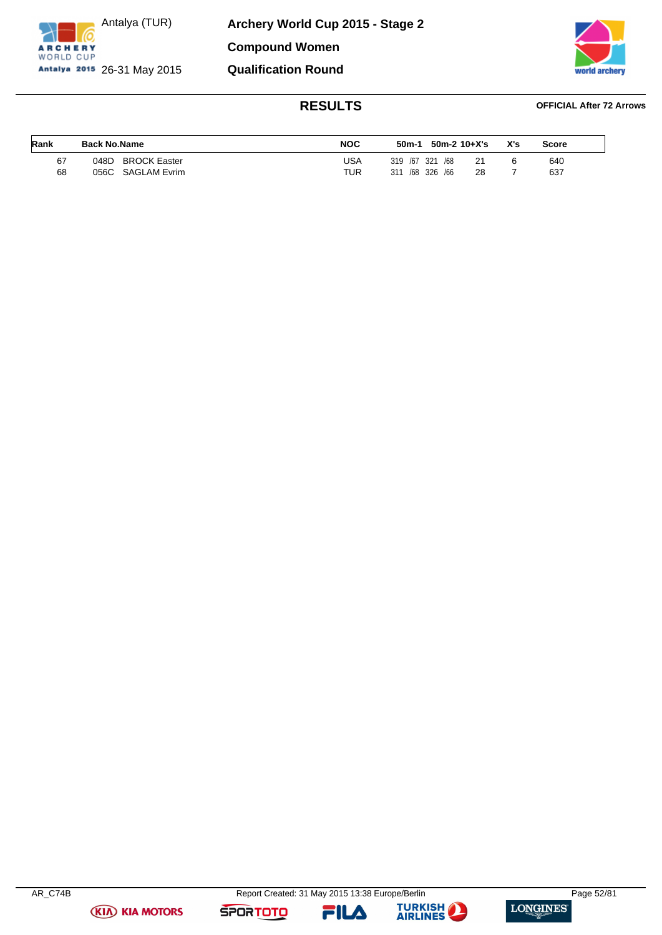

**Archery World Cup 2015 - Stage 2 Compound Women Qualification Round**



### **RESULTS OFFICIAL After 72 Arrows**

| Rank | <b>Back No.Name</b>         | <b>NOC</b> | 50m-2 10+X's<br>50m-1    | X's | <b>Score</b> |
|------|-----------------------------|------------|--------------------------|-----|--------------|
| 67   | <b>BROCK Easter</b><br>048D | USA        | 319 /67 321 /68<br>21    |     | 640          |
| 68   | 056C SAGLAM Evrim           | TUR        | /68 326 /66<br>311<br>28 |     | 637          |

**(KIA) KIA MOTORS** 

**SPORTOTO** 



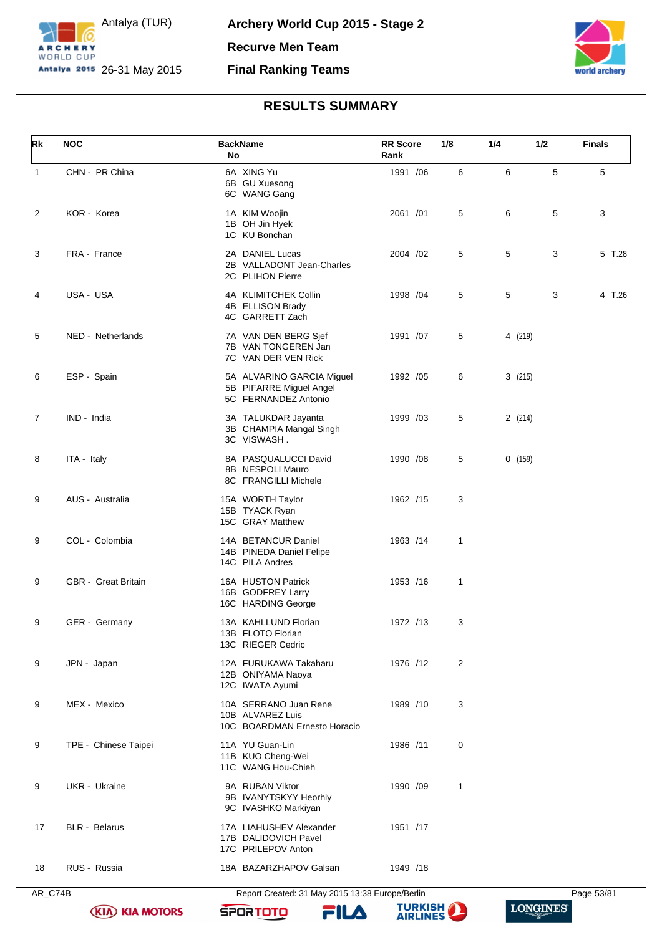



| Rk             | <b>NOC</b>                 | <b>BackName</b><br>No                                                        | <b>RR</b> Score<br>Rank | 1/8 | 1/4     | 1/2 | <b>Finals</b> |
|----------------|----------------------------|------------------------------------------------------------------------------|-------------------------|-----|---------|-----|---------------|
| $\mathbf{1}$   | CHN - PR China             | 6A XING Yu<br>6B GU Xuesong<br>6C WANG Gang                                  | 1991 /06                | 6   | 6       | 5   | 5             |
| 2              | KOR - Korea                | 1A KIM Woojin<br>1B OH Jin Hyek<br>1C KU Bonchan                             | 2061 /01                | 5   | 6       | 5   | 3             |
| 3              | FRA - France               | 2A DANIEL Lucas<br>2B VALLADONT Jean-Charles<br>2C PLIHON Pierre             | 2004 /02                | 5   | 5       | 3   | 5 T.28        |
| 4              | USA - USA                  | 4A KLIMITCHEK Collin<br>4B ELLISON Brady<br>4C GARRETT Zach                  | 1998 / 04               | 5   | 5       | 3   | 4 T.26        |
| 5              | NED - Netherlands          | 7A VAN DEN BERG Sjef<br>7B VAN TONGEREN Jan<br>7C VAN DER VEN Rick           | 1991 /07                | 5   | 4 (219) |     |               |
| 6              | ESP - Spain                | 5A ALVARINO GARCIA Miguel<br>5B PIFARRE Miguel Angel<br>5C FERNANDEZ Antonio | 1992 /05                | 6   | 3(215)  |     |               |
| $\overline{7}$ | IND - India                | 3A TALUKDAR Jayanta<br>3B CHAMPIA Mangal Singh<br>3C VISWASH.                | 1999 /03                | 5   | 2(214)  |     |               |
| 8              | ITA - Italy                | 8A PASQUALUCCI David<br>8B NESPOLI Mauro<br>8C FRANGILLI Michele             | 1990 /08                | 5   | 0(159)  |     |               |
| 9              | AUS - Australia            | 15A WORTH Taylor<br>15B TYACK Ryan<br>15C GRAY Matthew                       | 1962 /15                | 3   |         |     |               |
| 9              | COL - Colombia             | 14A BETANCUR Daniel<br>14B PINEDA Daniel Felipe<br>14C PILA Andres           | 1963 /14                | 1   |         |     |               |
| 9              | <b>GBR</b> - Great Britain | 16A HUSTON Patrick<br>16B GODFREY Larry<br>16C HARDING George                | 1953 /16                | 1   |         |     |               |
| 9              | GER - Germany              | 13A KAHLLUND Florian<br>13B FLOTO Florian<br>13C RIEGER Cedric               | 1972 /13                | 3   |         |     |               |
| 9              | JPN - Japan                | 12A FURUKAWA Takaharu<br>12B ONIYAMA Naoya<br>12C IWATA Ayumi                | 1976 /12                | 2   |         |     |               |
| 9              | MEX - Mexico               | 10A SERRANO Juan Rene<br>10B ALVAREZ Luis<br>10C BOARDMAN Ernesto Horacio    | 1989 /10                | 3   |         |     |               |
| 9              | TPE - Chinese Taipei       | 11A YU Guan-Lin<br>11B KUO Cheng-Wei<br>11C WANG Hou-Chieh                   | 1986 /11                | 0   |         |     |               |
| 9              | UKR - Ukraine              | 9A RUBAN Viktor<br>9B IVANYTSKYY Heorhiy<br>9C IVASHKO Markiyan              | 1990 /09                | 1   |         |     |               |
| 17             | <b>BLR</b> - Belarus       | 17A LIAHUSHEV Alexander<br>17B DALIDOVICH Pavel<br>17C PRILEPOV Anton        | 1951 /17                |     |         |     |               |
| 18             | RUS - Russia               | 18A BAZARZHAPOV Galsan                                                       | 1949 /18                |     |         |     |               |

AR\_C74B Report Created: 31 May 2015 13:38 Europe/Berlin Page 53/81

**SPORTOTO** 

**(KIA) KIA MOTORS** 



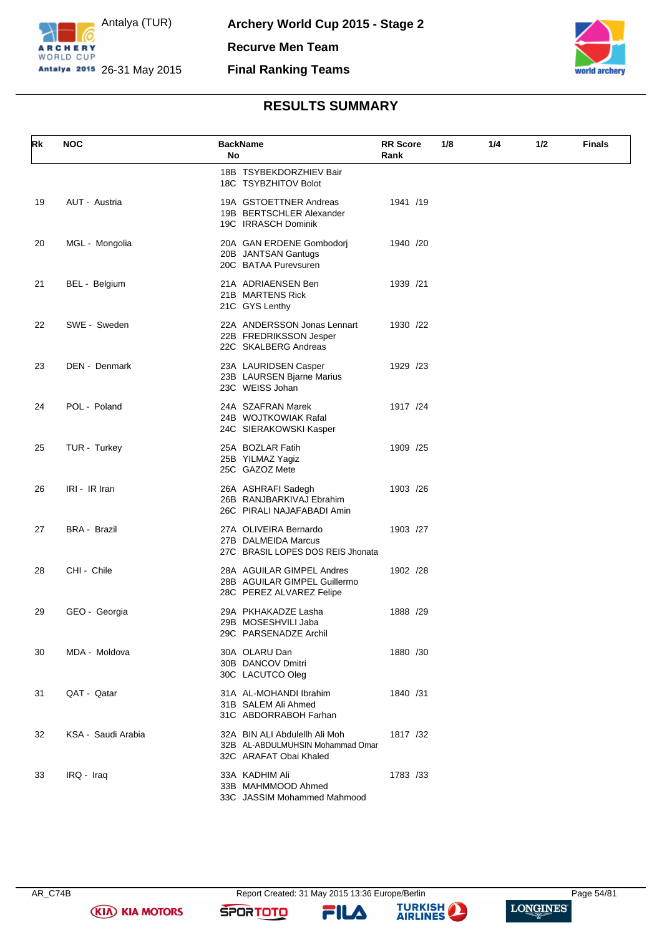



| Rk | <b>NOC</b>          | <b>BackName</b><br>No                                                                       | 1/8<br><b>RR</b> Score<br>Rank | 1/4 | 1/2 | <b>Finals</b> |
|----|---------------------|---------------------------------------------------------------------------------------------|--------------------------------|-----|-----|---------------|
|    |                     | 18B TSYBEKDORZHIEV Bair<br>18C TSYBZHITOV Bolot                                             |                                |     |     |               |
| 19 | AUT - Austria       | 19A GSTOETTNER Andreas<br>19B BERTSCHLER Alexander<br>19C IRRASCH Dominik                   | 1941 /19                       |     |     |               |
| 20 | MGL - Mongolia      | 20A GAN ERDENE Gombodorj<br>20B JANTSAN Gantugs<br>20C BATAA Purevsuren                     | 1940 /20                       |     |     |               |
| 21 | BEL - Belgium       | 21A ADRIAENSEN Ben<br>21B MARTENS Rick<br>21C GYS Lenthy                                    | 1939 /21                       |     |     |               |
| 22 | SWE - Sweden        | 22A ANDERSSON Jonas Lennart<br>22B FREDRIKSSON Jesper<br>22C SKALBERG Andreas               | 1930 /22                       |     |     |               |
| 23 | DEN - Denmark       | 23A LAURIDSEN Casper<br>23B LAURSEN Bjarne Marius<br>23C WEISS Johan                        | 1929 /23                       |     |     |               |
| 24 | POL - Poland        | 24A SZAFRAN Marek<br>24B WOJTKOWIAK Rafal<br>24C SIERAKOWSKI Kasper                         | 1917 /24                       |     |     |               |
| 25 | TUR - Turkey        | 25A BOZLAR Fatih<br>25B YILMAZ Yagiz<br>25C GAZOZ Mete                                      | 1909 /25                       |     |     |               |
| 26 | IRI - IR Iran       | 26A ASHRAFI Sadegh<br>26B RANJBARKIVAJ Ebrahim<br>26C PIRALI NAJAFABADI Amin                | 1903 / 26                      |     |     |               |
| 27 | <b>BRA - Brazil</b> | 27A OLIVEIRA Bernardo<br>27B DALMEIDA Marcus<br>27C BRASIL LOPES DOS REIS Jhonata           | 1903 /27                       |     |     |               |
| 28 | CHI - Chile         | 28A AGUILAR GIMPEL Andres<br>28B AGUILAR GIMPEL Guillermo<br>28C PEREZ ALVAREZ Felipe       | 1902 /28                       |     |     |               |
| 29 | GEO - Georgia       | 29A PKHAKADZE Lasha<br>29B MOSESHVILI Jaba<br>29C PARSENADZE Archil                         | 1888 /29                       |     |     |               |
| 30 | MDA - Moldova       | 30A OLARU Dan<br>30B DANCOV Dmitri<br>30C LACUTCO Oleg                                      | 1880 / 30                      |     |     |               |
| 31 | QAT - Qatar         | 31A AL-MOHANDI Ibrahim<br>31B SALEM Ali Ahmed<br>31C ABDORRABOH Farhan                      | 1840 / 31                      |     |     |               |
| 32 | KSA - Saudi Arabia  | 32A BIN ALI Abdulellh Ali Moh<br>32B AL-ABDULMUHSIN Mohammad Omar<br>32C ARAFAT Obai Khaled | 1817 /32                       |     |     |               |
| 33 | IRQ - Iraq          | 33A KADHIM Ali<br>33B MAHMMOOD Ahmed<br>33C JASSIM Mohammed Mahmood                         | 1783 /33                       |     |     |               |

**(KIA) KIA MOTORS** 

AR\_C74B Report Created: 31 May 2015 13:36 Europe/Berlin Page 54/81

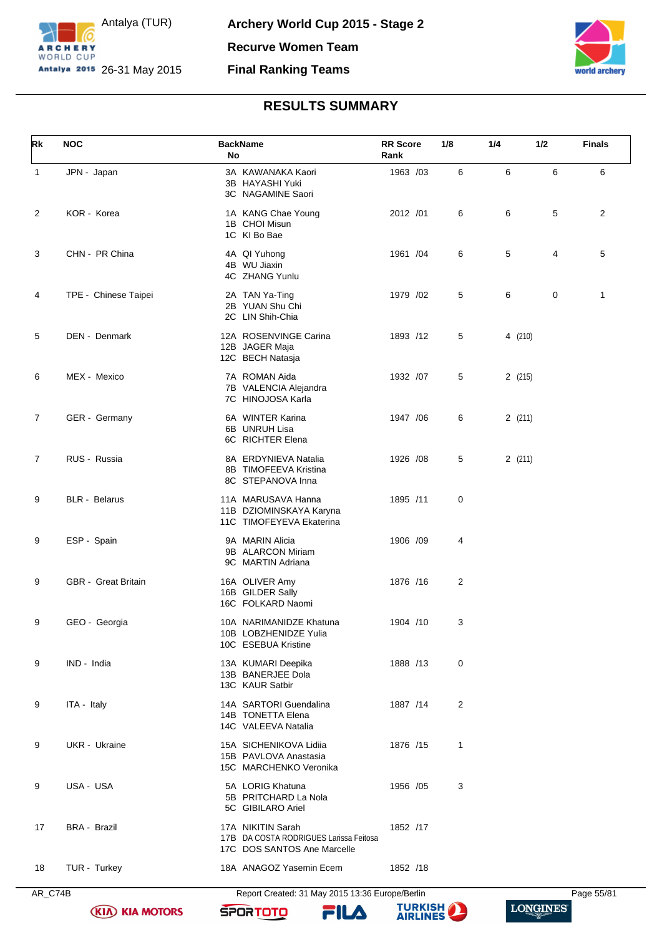



| Rk             | <b>NOC</b>                 | <b>BackName</b><br>No                                                                      | <b>RR</b> Score<br>Rank | 1/8 | 1/4     | 1/2 | <b>Finals</b>  |
|----------------|----------------------------|--------------------------------------------------------------------------------------------|-------------------------|-----|---------|-----|----------------|
| $\mathbf{1}$   | JPN - Japan                | 3A KAWANAKA Kaori<br>3B HAYASHI Yuki<br>3C NAGAMINE Saori                                  | 1963 /03                | 6   | 6       | 6   | 6              |
| $\overline{2}$ | KOR - Korea                | 1A KANG Chae Young<br>1B CHOI Misun<br>1C KI Bo Bae                                        | 2012 /01                | 6   | 6       | 5   | $\overline{2}$ |
| 3              | CHN - PR China             | 4A QI Yuhong<br>4B WU Jiaxin<br>4C ZHANG Yunlu                                             | 1961 /04                | 6   | 5       | 4   | 5              |
| 4              | TPE - Chinese Taipei       | 2A TAN Ya-Ting<br>2B YUAN Shu Chi<br>2C LIN Shih-Chia                                      | 1979 /02                | 5   | 6       | 0   | $\mathbf{1}$   |
| 5              | DEN - Denmark              | 12A ROSENVINGE Carina<br>12B JAGER Maja<br>12C BECH Natasja                                | 1893 /12                | 5   | 4 (210) |     |                |
| 6              | MEX - Mexico               | 7A ROMAN Aida<br>7B VALENCIA Alejandra<br>7C HINOJOSA Karla                                | 1932 /07                | 5   | 2(215)  |     |                |
| $\overline{7}$ | GER - Germany              | 6A WINTER Karina<br>6B UNRUH Lisa<br>6C RICHTER Elena                                      | 1947 / 06               | 6   | 2(211)  |     |                |
| $\overline{7}$ | RUS - Russia               | 8A ERDYNIEVA Natalia<br>8B TIMOFEEVA Kristina<br>8C STEPANOVA Inna                         | 1926 / 08               | 5   | 2(211)  |     |                |
| 9              | <b>BLR</b> - Belarus       | 11A MARUSAVA Hanna<br>11B DZIOMINSKAYA Karyna<br>11C TIMOFEYEVA Ekaterina                  | 1895 /11                | 0   |         |     |                |
| 9              | ESP - Spain                | 9A MARIN Alicia<br>9B ALARCON Miriam<br>9C MARTIN Adriana                                  | 1906 /09                | 4   |         |     |                |
| 9              | <b>GBR</b> - Great Britain | 16A OLIVER Amy<br>16B GILDER Sally<br>16C FOLKARD Naomi                                    | 1876 /16                | 2   |         |     |                |
| 9              | GEO - Georgia              | 10A NARIMANIDZE Khatuna<br>10B LOBZHENIDZE Yulia<br>10C ESEBUA Kristine                    | 1904 /10                | 3   |         |     |                |
| 9              | IND - India                | 13A KUMARI Deepika<br>13B BANERJEE Dola<br>13C KAUR Satbir                                 | 1888 /13                | 0   |         |     |                |
| 9              | ITA - Italy                | 14A SARTORI Guendalina<br>14B TONETTA Elena<br>14C VALEEVA Natalia                         | 1887 /14                | 2   |         |     |                |
| 9              | UKR - Ukraine              | 15A SICHENIKOVA Lidiia<br>15B PAVLOVA Anastasia<br>15C MARCHENKO Veronika                  | 1876 /15                | 1   |         |     |                |
| 9              | USA - USA                  | 5A LORIG Khatuna<br>5B PRITCHARD La Nola<br>5C GIBILARO Ariel                              | 1956 /05                | 3   |         |     |                |
| 17             | <b>BRA - Brazil</b>        | 17A NIKITIN Sarah<br>17B DA COSTA RODRIGUES Larissa Feitosa<br>17C DOS SANTOS Ane Marcelle | 1852 /17                |     |         |     |                |
| 18             | TUR - Turkey               | 18A ANAGOZ Yasemin Ecem                                                                    | 1852 /18                |     |         |     |                |
| AR_C74B        |                            | Report Created: 31 May 2015 13:36 Europe/Berlin                                            |                         |     |         |     | Page 55/81     |



**SPORTOTO** 

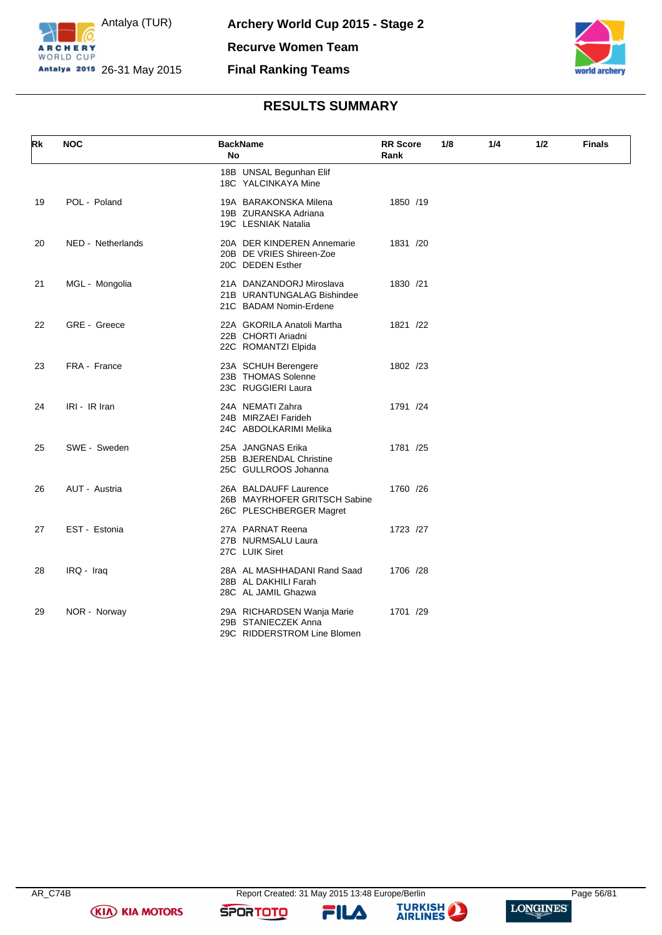



| Rk | <b>NOC</b>        | <b>BackName</b><br>No                                                            | <b>RR</b> Score<br>Rank | 1/8 | 1/4 | 1/2 | <b>Finals</b> |
|----|-------------------|----------------------------------------------------------------------------------|-------------------------|-----|-----|-----|---------------|
|    |                   | 18B UNSAL Begunhan Elif<br>18C YALCINKAYA Mine                                   |                         |     |     |     |               |
| 19 | POL - Poland      | 19A BARAKONSKA Milena<br>19B ZURANSKA Adriana<br>19C LESNIAK Natalia             | 1850 /19                |     |     |     |               |
| 20 | NED - Netherlands | 20A DER KINDEREN Annemarie<br>20B DE VRIES Shireen-Zoe<br>20C DEDEN Esther       | 1831 /20                |     |     |     |               |
| 21 | MGL - Mongolia    | 21A DANZANDORJ Miroslava<br>21B URANTUNGALAG Bishindee<br>21C BADAM Nomin-Erdene | 1830 /21                |     |     |     |               |
| 22 | GRE - Greece      | 22A GKORILA Anatoli Martha<br>22B CHORTI Ariadni<br>22C ROMANTZI Elpida          | 1821 /22                |     |     |     |               |
| 23 | FRA - France      | 23A SCHUH Berengere<br>23B THOMAS Solenne<br>23C RUGGIERI Laura                  | 1802 /23                |     |     |     |               |
| 24 | IRI - IR Iran     | 24A NEMATI Zahra<br>24B MIRZAEI Farideh<br>24C ABDOLKARIMI Melika                | 1791 /24                |     |     |     |               |
| 25 | SWE - Sweden      | 25A JANGNAS Erika<br>25B BJERENDAL Christine<br>25C GULLROOS Johanna             | 1781 /25                |     |     |     |               |
| 26 | AUT - Austria     | 26A BALDAUFF Laurence<br>26B MAYRHOFER GRITSCH Sabine<br>26C PLESCHBERGER Magret | 1760 /26                |     |     |     |               |
| 27 | EST - Estonia     | 27A PARNAT Reena<br>27B NURMSALU Laura<br>27C LUIK Siret                         | 1723 /27                |     |     |     |               |
| 28 | IRQ - Iraq        | 28A AL MASHHADANI Rand Saad<br>28B AL DAKHILI Farah<br>28C AL JAMIL Ghazwa       | 1706 /28                |     |     |     |               |
| 29 | NOR - Norway      | 29A RICHARDSEN Wanja Marie<br>29B STANIECZEK Anna<br>29C RIDDERSTROM Line Blomen | 1701 /29                |     |     |     |               |

**(KIA) KIA MOTORS** 

FILA

**SPORTOTO** 

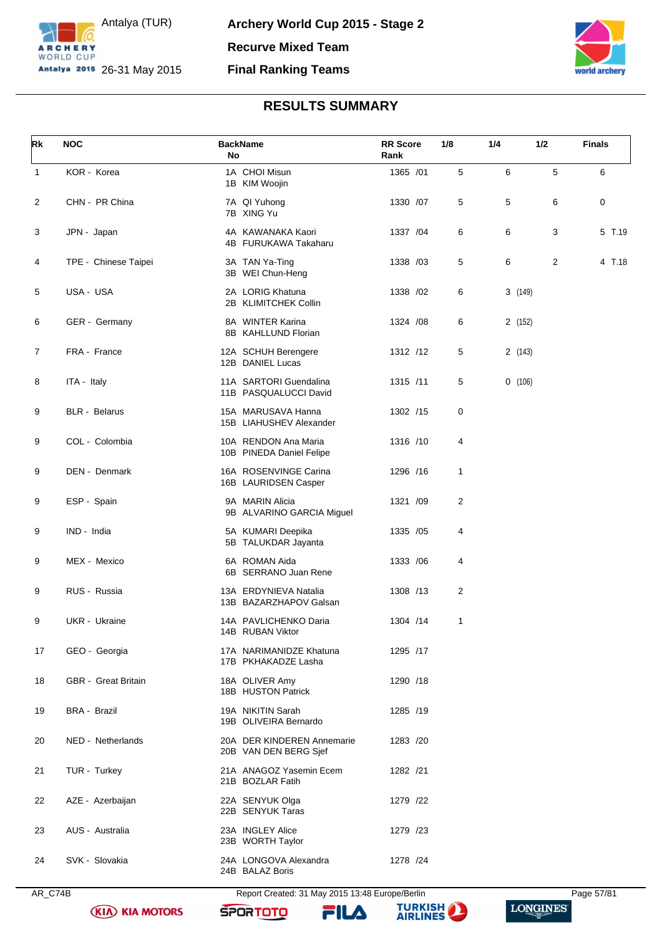



| Rk           | <b>NOC</b>                 | <b>BackName</b><br>No                               | <b>RR</b> Score<br>Rank | 1/8            | 1/4     | 1/2 | <b>Finals</b> |
|--------------|----------------------------|-----------------------------------------------------|-------------------------|----------------|---------|-----|---------------|
| $\mathbf{1}$ | KOR - Korea                | 1A CHOI Misun<br>1B KIM Woojin                      | 1365 /01                | 5              | 6       | 5   | 6             |
| 2            | CHN - PR China             | 7A QI Yuhong<br>7B XING Yu                          | 1330 /07                | 5              | 5       | 6   | 0             |
| 3            | JPN - Japan                | 4A KAWANAKA Kaori<br>4B FURUKAWA Takaharu           | 1337 / 04               | 6              | 6       | 3   | 5 T.19        |
| 4            | TPE - Chinese Taipei       | 3A TAN Ya-Ting<br>3B WEI Chun-Heng                  | 1338 /03                | 5              | 6       | 2   | 4 T.18        |
| 5            | USA - USA                  | 2A LORIG Khatuna<br>2B KLIMITCHEK Collin            | 1338 / 02               | 6              | 3(149)  |     |               |
| 6            | GER - Germany              | 8A WINTER Karina<br>8B KAHLLUND Florian             | 1324 / 08               | 6              | 2 (152) |     |               |
| 7            | FRA - France               | 12A SCHUH Berengere<br>12B DANIEL Lucas             | 1312 /12                | 5              | 2(143)  |     |               |
| 8            | ITA - Italy                | 11A SARTORI Guendalina<br>11B PASQUALUCCI David     | 1315 /11                | 5              | 0(106)  |     |               |
| 9            | <b>BLR</b> - Belarus       | 15A MARUSAVA Hanna<br>15B LIAHUSHEV Alexander       | 1302 /15                | $\pmb{0}$      |         |     |               |
| 9            | COL - Colombia             | 10A RENDON Ana Maria<br>10B PINEDA Daniel Felipe    | 1316 /10                | 4              |         |     |               |
| 9            | DEN - Denmark              | 16A ROSENVINGE Carina<br>16B LAURIDSEN Casper       | 1296 /16                | 1              |         |     |               |
| 9            | ESP - Spain                | 9A MARIN Alicia<br>9B ALVARINO GARCIA Miguel        | 1321 /09                | $\overline{c}$ |         |     |               |
| 9            | IND - India                | 5A KUMARI Deepika<br>5B TALUKDAR Jayanta            | 1335 /05                | 4              |         |     |               |
| 9            | MEX - Mexico               | 6A ROMAN Aida<br>6B SERRANO Juan Rene               | 1333 / 06               | 4              |         |     |               |
| 9            | RUS - Russia               | 13A ERDYNIEVA Natalia<br>13B BAZARZHAPOV Galsan     | 1308 /13                | $\overline{c}$ |         |     |               |
| 9            | UKR - Ukraine              | 14A PAVLICHENKO Daria<br>14B RUBAN Viktor           | 1304 /14                | 1              |         |     |               |
| 17           | GEO - Georgia              | 17A NARIMANIDZE Khatuna<br>17B PKHAKADZE Lasha      | 1295 /17                |                |         |     |               |
| 18           | <b>GBR</b> - Great Britain | 18A OLIVER Amy<br>18B HUSTON Patrick                | 1290 /18                |                |         |     |               |
| 19           | <b>BRA - Brazil</b>        | 19A NIKITIN Sarah<br>19B OLIVEIRA Bernardo          | 1285 /19                |                |         |     |               |
| 20           | NED - Netherlands          | 20A DER KINDEREN Annemarie<br>20B VAN DEN BERG Sjef | 1283 /20                |                |         |     |               |
| 21           | TUR - Turkey               | 21A ANAGOZ Yasemin Ecem<br>21B BOZLAR Fatih         | 1282 /21                |                |         |     |               |
| 22           | AZE - Azerbaijan           | 22A SENYUK Olga<br>22B SENYUK Taras                 | 1279 /22                |                |         |     |               |
| 23           | AUS - Australia            | 23A INGLEY Alice<br>23B WORTH Taylor                | 1279 /23                |                |         |     |               |
| 24           | SVK - Slovakia             | 24A LONGOVA Alexandra<br>24B BALAZ Boris            | 1278 /24                |                |         |     |               |

AR\_C74B Report Created: 31 May 2015 13:48 Europe/Berlin Page 57/81

**SPORTOTO** 



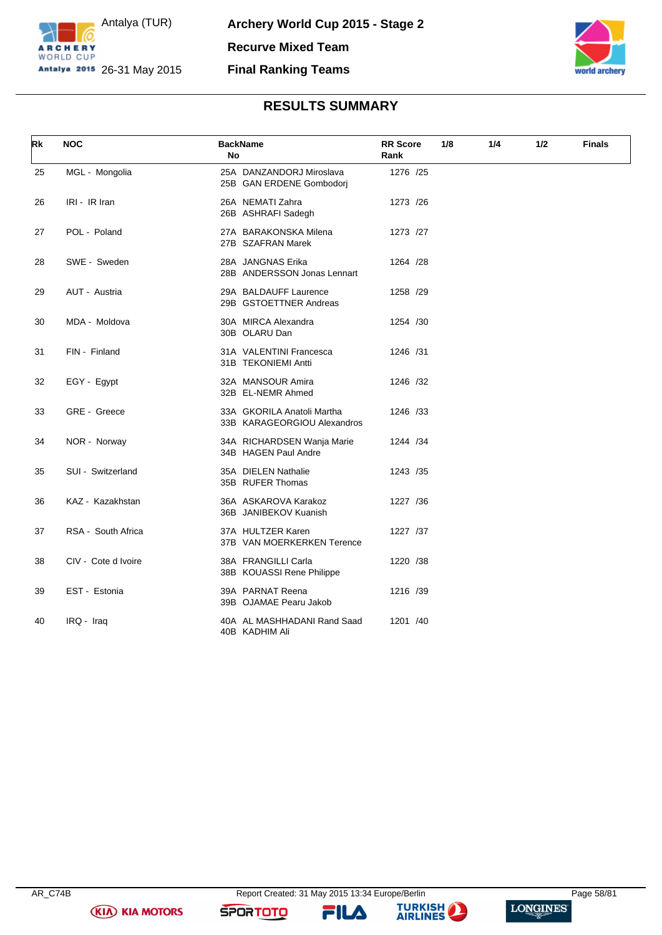



| Rk | <b>NOC</b>          | <b>BackName</b><br>No                                     | <b>RR</b> Score<br>Rank | 1/8 | 1/4 | 1/2 | <b>Finals</b> |
|----|---------------------|-----------------------------------------------------------|-------------------------|-----|-----|-----|---------------|
| 25 | MGL - Mongolia      | 25A DANZANDORJ Miroslava<br>25B GAN ERDENE Gombodorj      | 1276 /25                |     |     |     |               |
| 26 | IRI - IR Iran       | 26A NEMATI Zahra<br>26B ASHRAFI Sadegh                    | 1273 /26                |     |     |     |               |
| 27 | POL - Poland        | 27A BARAKONSKA Milena<br>27B SZAFRAN Marek                | 1273 /27                |     |     |     |               |
| 28 | SWE - Sweden        | 28A JANGNAS Erika<br>28B ANDERSSON Jonas Lennart          | 1264 /28                |     |     |     |               |
| 29 | AUT - Austria       | 29A BALDAUFF Laurence<br>29B GSTOETTNER Andreas           | 1258 /29                |     |     |     |               |
| 30 | MDA - Moldova       | 30A MIRCA Alexandra<br>30B OLARU Dan                      | 1254 /30                |     |     |     |               |
| 31 | FIN - Finland       | 31A VALENTINI Francesca<br>31B TEKONIEMI Antti            | 1246 /31                |     |     |     |               |
| 32 | EGY - Egypt         | 32A MANSOUR Amira<br>32B EL-NEMR Ahmed                    | 1246 /32                |     |     |     |               |
| 33 | GRE - Greece        | 33A GKORILA Anatoli Martha<br>33B KARAGEORGIOU Alexandros | 1246 /33                |     |     |     |               |
| 34 | NOR - Norway        | 34A RICHARDSEN Wanja Marie<br>34B HAGEN Paul Andre        | 1244 /34                |     |     |     |               |
| 35 | SUI - Switzerland   | 35A DIELEN Nathalie<br>35B RUFER Thomas                   | 1243 /35                |     |     |     |               |
| 36 | KAZ - Kazakhstan    | 36A ASKAROVA Karakoz<br>36B JANIBEKOV Kuanish             | 1227 /36                |     |     |     |               |
| 37 | RSA - South Africa  | 37A HULTZER Karen<br>37B VAN MOERKERKEN Terence           | 1227 /37                |     |     |     |               |
| 38 | CIV - Cote d Ivoire | 38A FRANGILLI Carla<br>38B KOUASSI Rene Philippe          | 1220 /38                |     |     |     |               |
| 39 | EST - Estonia       | 39A PARNAT Reena<br>39B OJAMAE Pearu Jakob                | 1216 /39                |     |     |     |               |
| 40 | IRQ - Iraq          | 40A AL MASHHADANI Rand Saad<br>40B KADHIM Ali             | 1201 /40                |     |     |     |               |

**(KIA) KIA MOTORS** 

**SPORTOTO** 

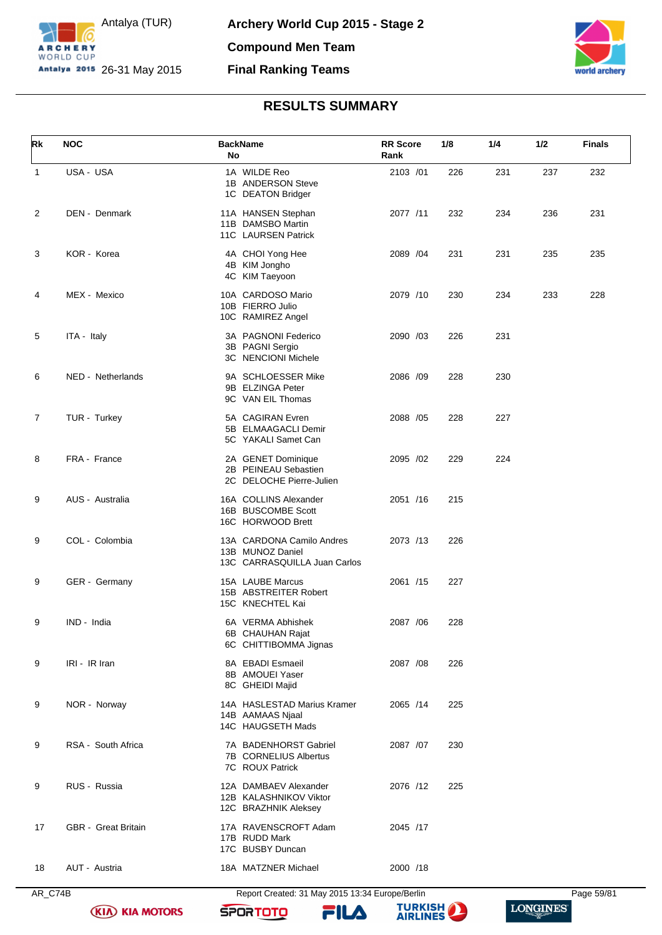



| Rk | <b>NOC</b>                 | <b>BackName</b><br>No                                                         | <b>RR</b> Score<br>Rank | 1/8 | 1/4 | 1/2 | <b>Finals</b> |
|----|----------------------------|-------------------------------------------------------------------------------|-------------------------|-----|-----|-----|---------------|
| 1  | USA - USA                  | 1A WILDE Reo<br>1B ANDERSON Steve<br>1C DEATON Bridger                        | 2103 /01                | 226 | 231 | 237 | 232           |
| 2  | DEN - Denmark              | 11A HANSEN Stephan<br>11B DAMSBO Martin<br>11C LAURSEN Patrick                | 2077 /11                | 232 | 234 | 236 | 231           |
| 3  | KOR - Korea                | 4A CHOI Yong Hee<br>4B KIM Jongho<br>4C KIM Taeyoon                           | 2089 /04                | 231 | 231 | 235 | 235           |
| 4  | MEX - Mexico               | 10A CARDOSO Mario<br>10B FIERRO Julio<br>10C RAMIREZ Angel                    | 2079 /10                | 230 | 234 | 233 | 228           |
| 5  | ITA - Italy                | 3A PAGNONI Federico<br>3B PAGNI Sergio<br><b>3C NENCIONI Michele</b>          | 2090 /03                | 226 | 231 |     |               |
| 6  | NED - Netherlands          | 9A SCHLOESSER Mike<br>9B ELZINGA Peter<br>9C VAN EIL Thomas                   | 2086 /09                | 228 | 230 |     |               |
| 7  | TUR - Turkey               | 5A CAGIRAN Evren<br>5B ELMAAGACLI Demir<br>5C YAKALI Samet Can                | 2088 /05                | 228 | 227 |     |               |
| 8  | FRA - France               | 2A GENET Dominique<br>2B PEINEAU Sebastien<br>2C DELOCHE Pierre-Julien        | 2095 /02                | 229 | 224 |     |               |
| 9  | AUS - Australia            | 16A COLLINS Alexander<br>16B BUSCOMBE Scott<br>16C HORWOOD Brett              | 2051 /16                | 215 |     |     |               |
| 9  | COL - Colombia             | 13A CARDONA Camilo Andres<br>13B MUNOZ Daniel<br>13C CARRASQUILLA Juan Carlos | 2073 /13                | 226 |     |     |               |
| 9  | GER - Germany              | 15A LAUBE Marcus<br>15B ABSTREITER Robert<br>15C KNECHTEL Kai                 | 2061 /15                | 227 |     |     |               |
| 9  | IND - India                | 6A VERMA Abhishek<br>6B CHAUHAN Rajat<br>6C CHITTIBOMMA Jignas                | 2087 / 06               | 228 |     |     |               |
| 9  | IRI - IR Iran              | 8A EBADI Esmaeil<br>8B AMOUEI Yaser<br>8C GHEIDI Majid                        | 2087 /08                | 226 |     |     |               |
| 9  | NOR - Norway               | 14A HASLESTAD Marius Kramer<br>14B AAMAAS Njaal<br>14C HAUGSETH Mads          | 2065 /14                | 225 |     |     |               |
| 9  | RSA - South Africa         | 7A BADENHORST Gabriel<br>7B CORNELIUS Albertus<br>7C ROUX Patrick             | 2087 /07                | 230 |     |     |               |
| 9  | RUS - Russia               | 12A DAMBAEV Alexander<br>12B KALASHNIKOV Viktor<br>12C BRAZHNIK Aleksey       | 2076 /12                | 225 |     |     |               |
| 17 | <b>GBR</b> - Great Britain | 17A RAVENSCROFT Adam<br>17B RUDD Mark<br>17C BUSBY Duncan                     | 2045 /17                |     |     |     |               |
| 18 | AUT - Austria              | 18A MATZNER Michael                                                           | 2000 /18                |     |     |     |               |

**(KIA) KIA MOTORS** 



**SPORTOTO** 

FILA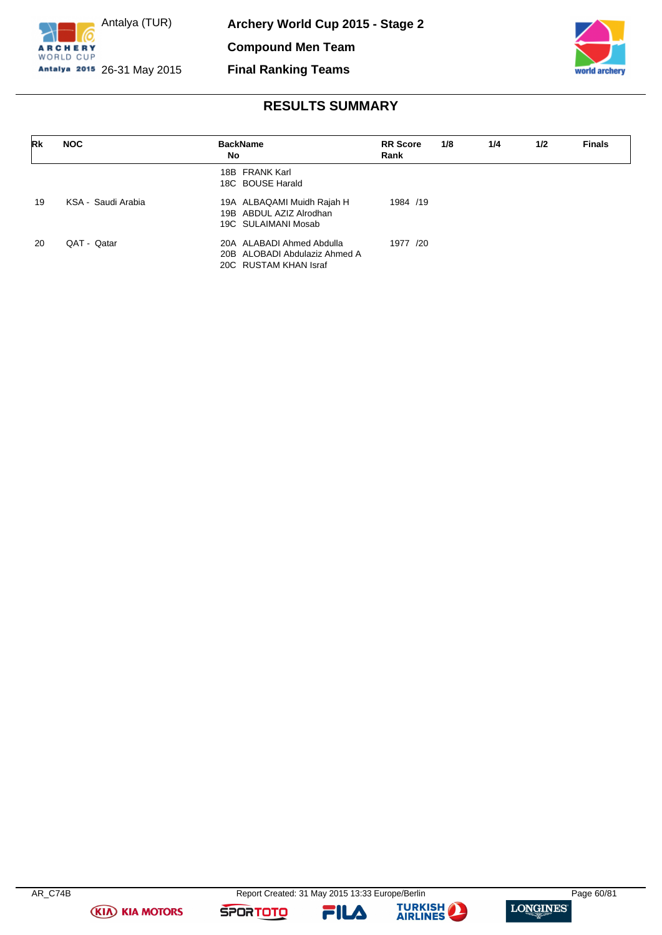



## **RESULTS SUMMARY**

| Rk | <b>NOC</b>         | <b>BackName</b><br>No                                                               | <b>RR</b> Score<br>Rank | 1/8 | 1/4 | 1/2 | <b>Finals</b> |
|----|--------------------|-------------------------------------------------------------------------------------|-------------------------|-----|-----|-----|---------------|
|    |                    | 18B FRANK Karl<br>18C BOUSE Harald                                                  |                         |     |     |     |               |
| 19 | KSA - Saudi Arabia | 19A ALBAQAMI Muidh Rajah H<br>19B ABDUL AZIZ Alrodhan<br>19C SULAIMANI Mosab        | 1984 /19                |     |     |     |               |
| 20 | QAT - Qatar        | 20A ALABADI Ahmed Abdulla<br>20B ALOBADI Abdulaziz Ahmed A<br>20C RUSTAM KHAN Israf | 1977 /20                |     |     |     |               |

**(KIA) KIA MOTORS** 

**SPORTOTO** 



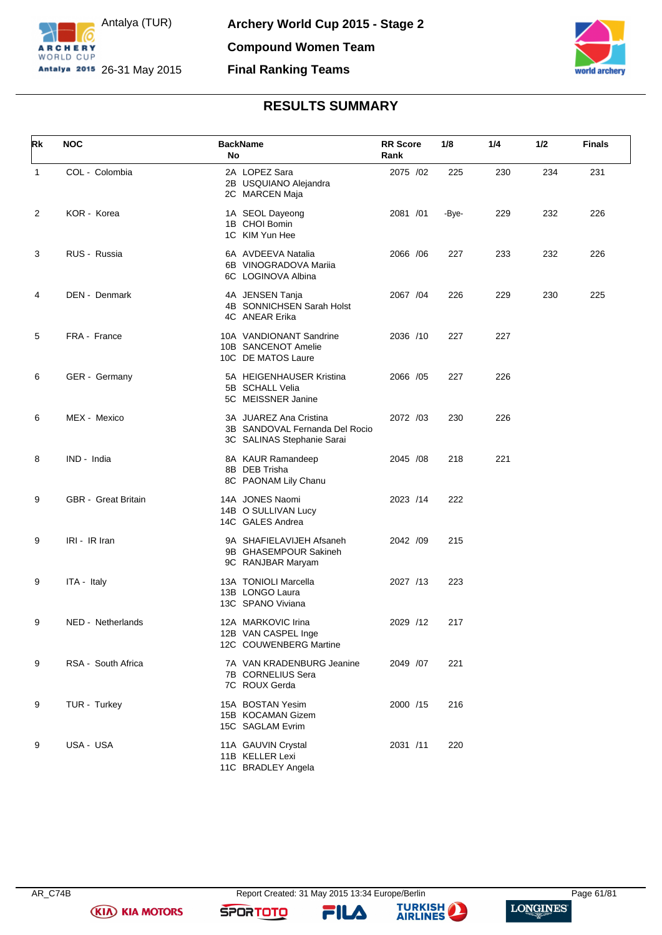



| Rk | <b>NOC</b>          | <b>BackName</b><br>No                                                                  | <b>RR</b> Score<br>Rank | 1/8   | 1/4 | 1/2 | <b>Finals</b> |
|----|---------------------|----------------------------------------------------------------------------------------|-------------------------|-------|-----|-----|---------------|
| 1  | COL - Colombia      | 2A LOPEZ Sara<br>2B USQUIANO Alejandra<br>2C MARCEN Maja                               | 2075 /02                | 225   | 230 | 234 | 231           |
| 2  | KOR - Korea         | 1A SEOL Dayeong<br>1B CHOI Bomin<br>1C KIM Yun Hee                                     | 2081 /01                | -Bye- | 229 | 232 | 226           |
| 3  | RUS - Russia        | 6A AVDEEVA Natalia<br>6B VINOGRADOVA Mariia<br>6C LOGINOVA Albina                      | 2066 / 06               | 227   | 233 | 232 | 226           |
| 4  | DEN - Denmark       | 4A JENSEN Tanja<br>4B SONNICHSEN Sarah Holst<br>4C ANEAR Erika                         | 2067 / 04               | 226   | 229 | 230 | 225           |
| 5  | FRA - France        | 10A VANDIONANT Sandrine<br>10B SANCENOT Amelie<br>10C DE MATOS Laure                   | 2036 /10                | 227   | 227 |     |               |
| 6  | GER - Germany       | 5A HEIGENHAUSER Kristina<br>5B SCHALL Velia<br>5C MEISSNER Janine                      | 2066 /05                | 227   | 226 |     |               |
| 6  | MEX - Mexico        | 3A JUAREZ Ana Cristina<br>3B SANDOVAL Fernanda Del Rocio<br>3C SALINAS Stephanie Sarai | 2072 /03                | 230   | 226 |     |               |
| 8  | IND - India         | 8A KAUR Ramandeep<br>8B DEB Trisha<br>8C PAONAM Lily Chanu                             | 2045 /08                | 218   | 221 |     |               |
| 9  | GBR - Great Britain | 14A JONES Naomi<br>14B O SULLIVAN Lucy<br>14C GALES Andrea                             | 2023 /14                | 222   |     |     |               |
| 9  | IRI - IR Iran       | 9A SHAFIELAVIJEH Afsaneh<br>9B GHASEMPOUR Sakineh<br>9C RANJBAR Maryam                 | 2042 /09                | 215   |     |     |               |
| 9  | ITA - Italy         | 13A TONIOLI Marcella<br>13B LONGO Laura<br>13C SPANO Viviana                           | 2027 /13                | 223   |     |     |               |
| 9  | NED - Netherlands   | 12A MARKOVIC Irina<br>12B VAN CASPEL Inge<br>12C COUWENBERG Martine                    | 2029 /12                | 217   |     |     |               |
| 9  | RSA - South Africa  | 7A VAN KRADENBURG Jeanine<br>7B CORNELIUS Sera<br>7C ROUX Gerda                        | 2049 /07                | 221   |     |     |               |
| 9  | TUR - Turkey        | 15A BOSTAN Yesim<br>15B KOCAMAN Gizem<br>15C SAGLAM Evrim                              | 2000 /15                | 216   |     |     |               |
| 9  | USA - USA           | 11A GAUVIN Crystal<br>11B KELLER Lexi<br>11C BRADLEY Angela                            | 2031 /11                | 220   |     |     |               |

**SPORTOTO** 

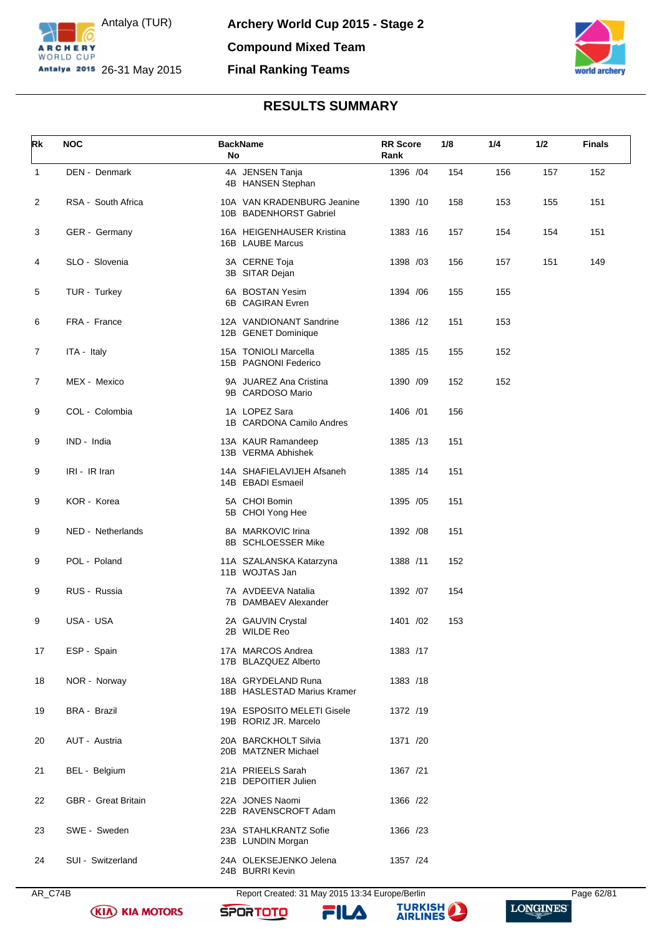



| Rk             | <b>NOC</b>          | <b>BackName</b><br>No                                | <b>RR</b> Score<br>Rank | 1/8 | 1/4 | 1/2 | <b>Finals</b> |
|----------------|---------------------|------------------------------------------------------|-------------------------|-----|-----|-----|---------------|
| $\mathbf{1}$   | DEN - Denmark       | 4A JENSEN Tanja<br>4B HANSEN Stephan                 | 1396 / 04               | 154 | 156 | 157 | 152           |
| $\overline{c}$ | RSA - South Africa  | 10A VAN KRADENBURG Jeanine<br>10B BADENHORST Gabriel | 1390 /10                | 158 | 153 | 155 | 151           |
| 3              | GER - Germany       | 16A HEIGENHAUSER Kristina<br>16B LAUBE Marcus        | 1383 /16                | 157 | 154 | 154 | 151           |
| 4              | SLO - Slovenia      | 3A CERNE Toja<br>3B SITAR Dejan                      | 1398 /03                | 156 | 157 | 151 | 149           |
| 5              | TUR - Turkey        | 6A BOSTAN Yesim<br>6B CAGIRAN Evren                  | 1394 / 06               | 155 | 155 |     |               |
| 6              | FRA - France        | 12A VANDIONANT Sandrine<br>12B GENET Dominique       | 1386 /12                | 151 | 153 |     |               |
| 7              | ITA - Italy         | 15A TONIOLI Marcella<br>15B PAGNONI Federico         | 1385 /15                | 155 | 152 |     |               |
| 7              | MEX - Mexico        | 9A JUAREZ Ana Cristina<br>9B CARDOSO Mario           | 1390 /09                | 152 | 152 |     |               |
| 9              | COL - Colombia      | 1A LOPEZ Sara<br>1B CARDONA Camilo Andres            | 1406 /01                | 156 |     |     |               |
| 9              | IND - India         | 13A KAUR Ramandeep<br>13B VERMA Abhishek             | 1385 /13                | 151 |     |     |               |
| 9              | IRI - IR Iran       | 14A SHAFIELAVIJEH Afsaneh<br>14B EBADI Esmaeil       | 1385 /14                | 151 |     |     |               |
| 9              | KOR - Korea         | 5A CHOI Bomin<br>5B CHOI Yong Hee                    | 1395 / 05               | 151 |     |     |               |
| 9              | NED - Netherlands   | 8A MARKOVIC Irina<br>8B SCHLOESSER Mike              | 1392 /08                | 151 |     |     |               |
| 9              | POL - Poland        | 11A SZALANSKA Katarzyna<br>11B WOJTAS Jan            | 1388 /11                | 152 |     |     |               |
| 9              | RUS - Russia        | 7A AVDEEVA Natalia<br>7B DAMBAEV Alexander           | 1392 /07                | 154 |     |     |               |
| 9              | USA - USA           | 2A GAUVIN Crystal<br>2B WILDE Reo                    | 1401 /02                | 153 |     |     |               |
| 17             | ESP - Spain         | 17A MARCOS Andrea<br>17B BLAZQUEZ Alberto            | 1383 /17                |     |     |     |               |
| 18             | NOR - Norway        | 18A GRYDELAND Runa<br>18B HASLESTAD Marius Kramer    | 1383 /18                |     |     |     |               |
| 19             | <b>BRA - Brazil</b> | 19A ESPOSITO MELETI Gisele<br>19B RORIZ JR. Marcelo  | 1372 /19                |     |     |     |               |
| 20             | AUT - Austria       | 20A BARCKHOLT Silvia<br>20B MATZNER Michael          | 1371 /20                |     |     |     |               |
| 21             | BEL - Belgium       | 21A PRIEELS Sarah<br>21B DEPOITIER Julien            | 1367 /21                |     |     |     |               |
| 22             | GBR - Great Britain | 22A JONES Naomi<br>22B RAVENSCROFT Adam              | 1366 /22                |     |     |     |               |
| 23             | SWE - Sweden        | 23A STAHLKRANTZ Sofie<br>23B LUNDIN Morgan           | 1366 /23                |     |     |     |               |
| 24             | SUI - Switzerland   | 24A OLEKSEJENKO Jelena<br>24B BURRI Kevin            | 1357 /24                |     |     |     |               |

AR\_C74B Report Created: 31 May 2015 13:34 Europe/Berlin Page 62/81

**SPORTOTO** 

**(KIA) KIA MOTORS** 



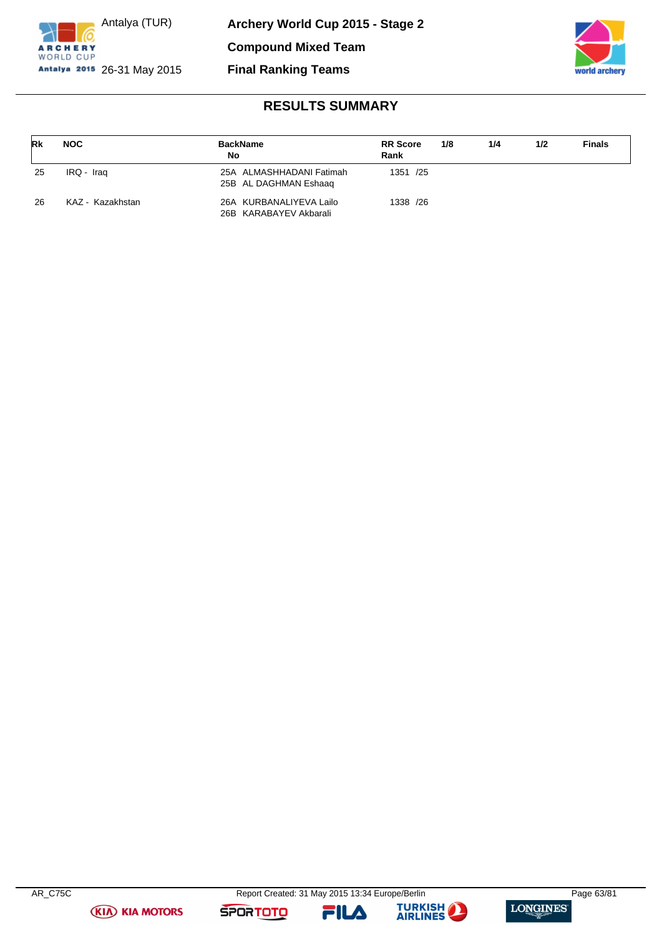



| Rk | <b>NOC</b>       | <b>BackName</b><br><b>No</b>                      | <b>RR</b> Score<br>Rank | 1/8 | 1/4 | 1/2 | <b>Finals</b> |
|----|------------------|---------------------------------------------------|-------------------------|-----|-----|-----|---------------|
| 25 | IRQ - Iraq       | 25A ALMASHHADANI Fatimah<br>25B AL DAGHMAN Eshaag | 1351 /25                |     |     |     |               |
| 26 | KAZ - Kazakhstan | 26A KURBANALIYEVA Lailo<br>26B KARABAYEV Akbarali | 1338 /26                |     |     |     |               |

**(KIA) KIA MOTORS** 

**SPORTOTO** 



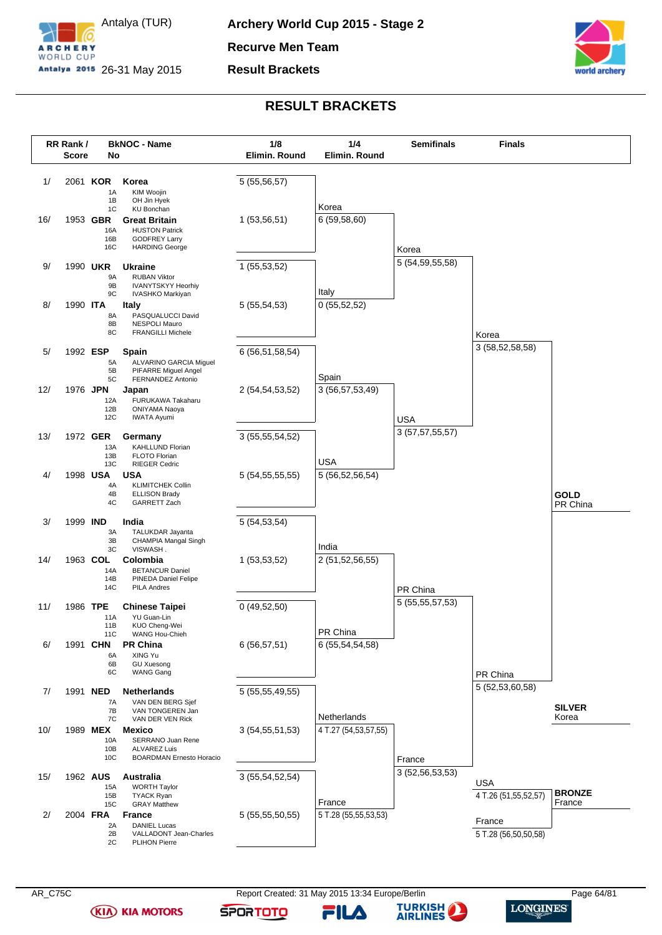

Antalya (TUR) Antalya 2015 26-31 May 2015

**Result Brackets**



### **RESULT BRACKETS**



**(KIA) KIA MOTORS** 

FILД

**SPORTOTO** 

**TURKISH** 

**AIRLINES** 

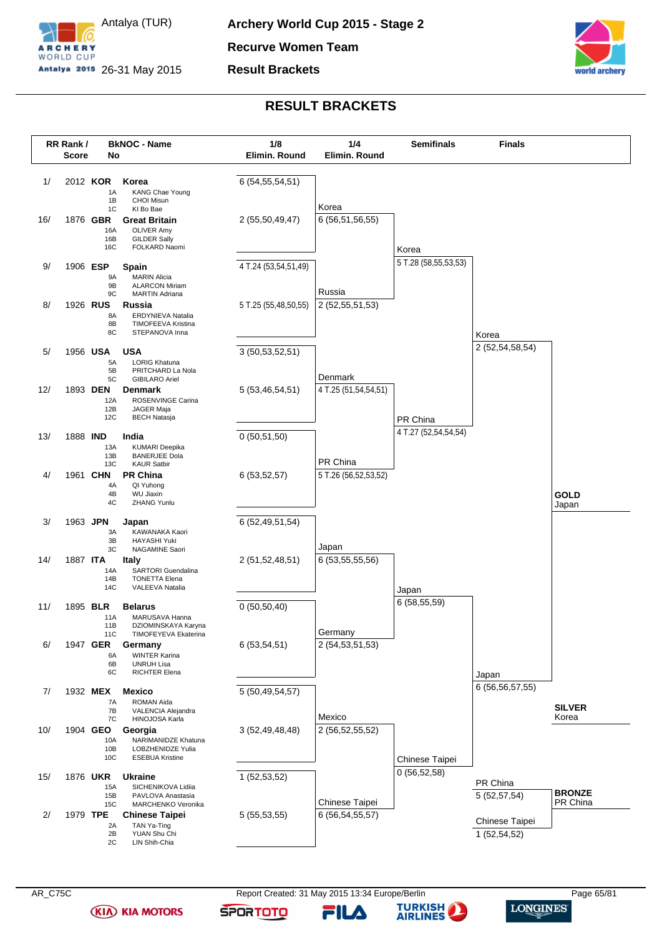

**Recurve Women Team**

**Result Brackets**



### **RESULT BRACKETS**



FILД

**SPORTOTO** 

**TURKISH** 

**AIRLINES**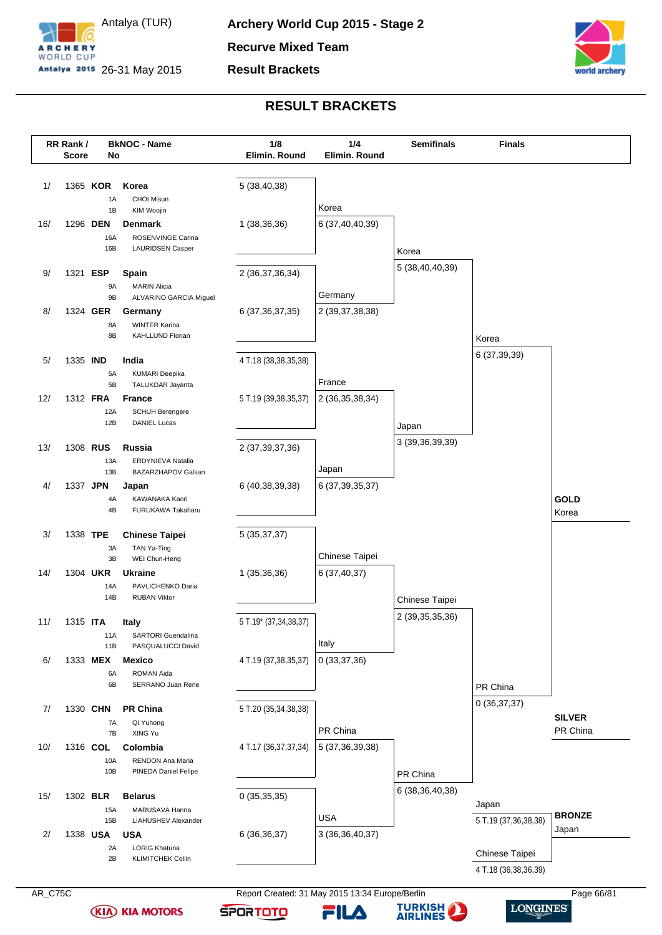



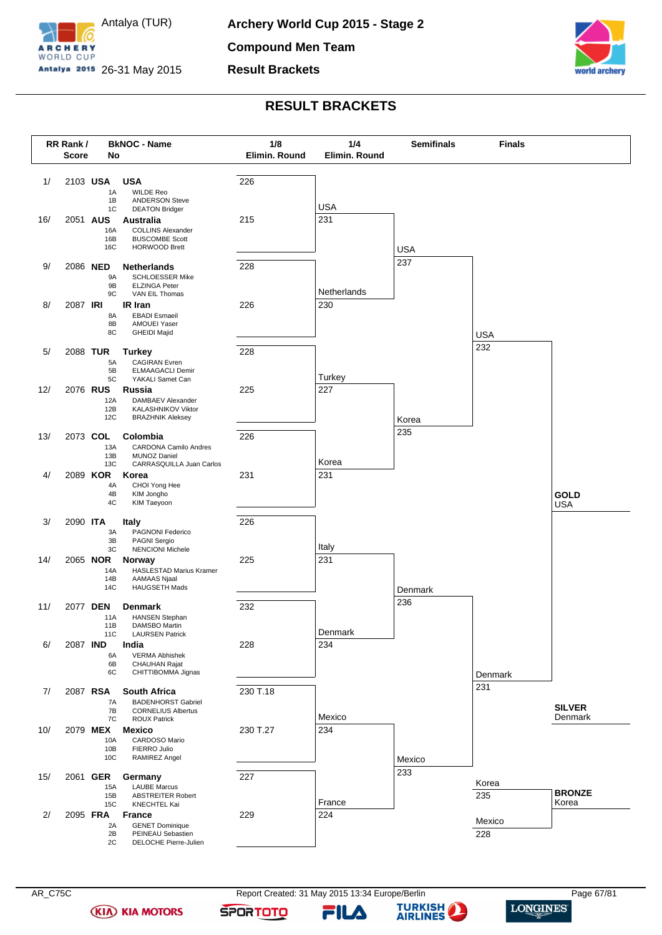

**Compound Men Team**

**Result Brackets**



### **RESULT BRACKETS**



**(KIA) KIA MOTORS** 

FILA

**SPORTOTO** 

**TURKISH** 

**AIRLINES** 

 $\bf{L}$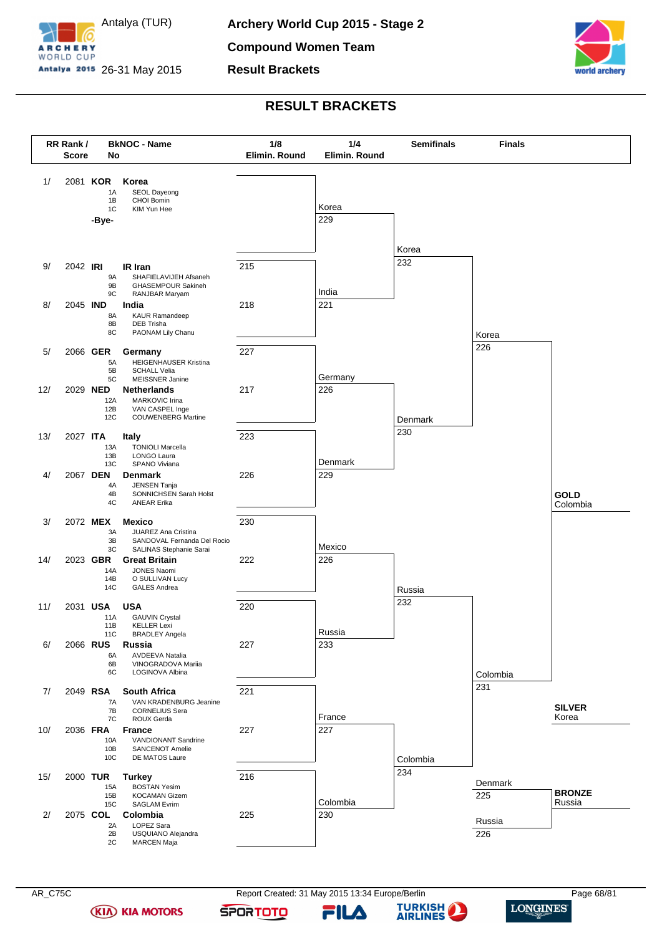

**Result Brackets**



### **RESULT BRACKETS**



**(KIA) KIA MOTORS** 

FILA

**SPORTOTO** 

**TURKISH** 

**AIRLINES** 

 $\bf{L}$ 

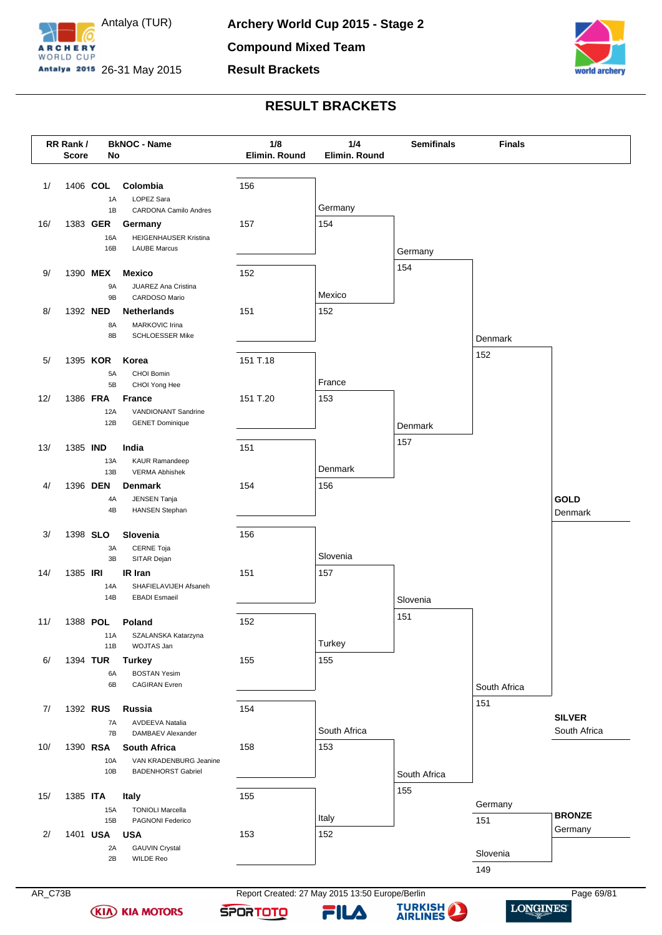

**Result Brackets**



### **RESULT BRACKETS**



**(KIA) KIA MOTORS** 

**SPORTOTO**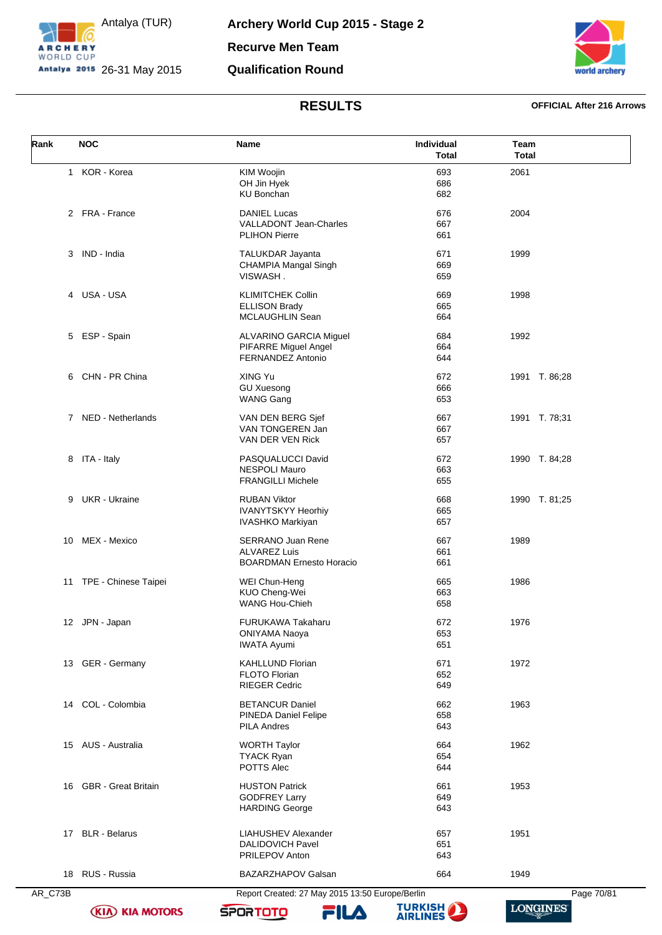

**Archery World Cup 2015 - Stage 2 Recurve Men Team Qualification Round**



### **RESULTS OFFICIAL After 216 Arrows**

| Rank    | <b>NOC</b>             | <b>Name</b>                                           | Individual<br><b>Total</b> | Team<br><b>Total</b> |
|---------|------------------------|-------------------------------------------------------|----------------------------|----------------------|
|         | 1 KOR - Korea          | KIM Woojin                                            | 693                        | 2061                 |
|         |                        | OH Jin Hyek                                           | 686                        |                      |
|         |                        | <b>KU Bonchan</b>                                     | 682                        |                      |
|         | 2 FRA - France         | <b>DANIEL Lucas</b>                                   | 676                        | 2004                 |
|         |                        | <b>VALLADONT Jean-Charles</b>                         | 667                        |                      |
|         |                        | <b>PLIHON Pierre</b>                                  | 661                        |                      |
| 3       | IND - India            | TALUKDAR Jayanta                                      | 671                        | 1999                 |
|         |                        | CHAMPIA Mangal Singh                                  | 669                        |                      |
|         |                        | VISWASH.                                              | 659                        |                      |
|         | 4 USA - USA            | <b>KLIMITCHEK Collin</b>                              | 669                        | 1998                 |
|         |                        | <b>ELLISON Brady</b>                                  | 665                        |                      |
|         |                        | MCLAUGHLIN Sean                                       | 664                        |                      |
|         | 5 ESP - Spain          | ALVARINO GARCIA Miguel                                | 684                        | 1992                 |
|         |                        | PIFARRE Miguel Angel                                  | 664                        |                      |
|         |                        | FERNANDEZ Antonio                                     | 644                        |                      |
|         | 6 CHN - PR China       | XING Yu                                               | 672                        | 1991 T. 86;28        |
|         |                        | <b>GU Xuesong</b>                                     | 666                        |                      |
|         |                        | <b>WANG Gang</b>                                      | 653                        |                      |
|         | 7 NED - Netherlands    | VAN DEN BERG Sjef                                     | 667                        | 1991 T. 78;31        |
|         |                        | VAN TONGEREN Jan                                      | 667                        |                      |
|         |                        | VAN DER VEN Rick                                      | 657                        |                      |
|         | 8 ITA - Italy          | PASQUALUCCI David                                     | 672                        | 1990 T. 84;28        |
|         |                        | <b>NESPOLI Mauro</b>                                  | 663                        |                      |
|         |                        | <b>FRANGILLI Michele</b>                              | 655                        |                      |
| 9       | <b>UKR</b> - Ukraine   | <b>RUBAN Viktor</b>                                   | 668                        | 1990 T. 81;25        |
|         |                        | <b>IVANYTSKYY Heorhiy</b>                             | 665                        |                      |
|         |                        | <b>IVASHKO Markiyan</b>                               | 657                        |                      |
| 10      | MEX - Mexico           | <b>SERRANO Juan Rene</b>                              | 667                        | 1989                 |
|         |                        | <b>ALVAREZ Luis</b>                                   | 661                        |                      |
|         |                        | <b>BOARDMAN Ernesto Horacio</b>                       | 661                        |                      |
| 11      | TPE - Chinese Taipei   | WEI Chun-Heng                                         | 665                        | 1986                 |
|         |                        | KUO Cheng-Wei                                         | 663                        |                      |
|         |                        | <b>WANG Hou-Chieh</b>                                 | 658                        |                      |
|         | 12 JPN - Japan         | FURUKAWA Takaharu                                     | 672                        | 1976                 |
|         |                        | <b>ONIYAMA Naoya</b>                                  | 653                        |                      |
|         |                        | <b>IWATA Ayumi</b>                                    | 651                        |                      |
|         | 13 GER - Germany       | <b>KAHLLUND Florian</b>                               | 671                        | 1972                 |
|         |                        | FLOTO Florian                                         | 652                        |                      |
|         |                        | <b>RIEGER Cedric</b>                                  | 649                        |                      |
|         | 14 COL - Colombia      | <b>BETANCUR Daniel</b>                                | 662                        | 1963                 |
|         |                        | <b>PINEDA Daniel Felipe</b>                           | 658                        |                      |
|         |                        | <b>PILA Andres</b>                                    | 643                        |                      |
|         | 15 AUS - Australia     | <b>WORTH Taylor</b>                                   | 664                        | 1962                 |
|         |                        | <b>TYACK Ryan</b>                                     | 654                        |                      |
|         |                        | POTTS Alec                                            | 644                        |                      |
|         | 16 GBR - Great Britain | <b>HUSTON Patrick</b>                                 | 661                        | 1953                 |
|         |                        | <b>GODFREY Larry</b>                                  | 649                        |                      |
|         |                        | <b>HARDING George</b>                                 | 643                        |                      |
|         |                        |                                                       |                            |                      |
|         | 17 BLR - Belarus       | <b>LIAHUSHEV Alexander</b><br><b>DALIDOVICH Pavel</b> | 657<br>651                 | 1951                 |
|         |                        | PRILEPOV Anton                                        | 643                        |                      |
|         | 18 RUS - Russia        | BAZARZHAPOV Galsan                                    | 664                        | 1949                 |
|         |                        |                                                       |                            |                      |
| AR_C73B |                        | Report Created: 27 May 2015 13:50 Europe/Berlin       |                            | Page 70/81           |

**(KIA) KIA MOTORS** 

FILA **SPORTOTO** 

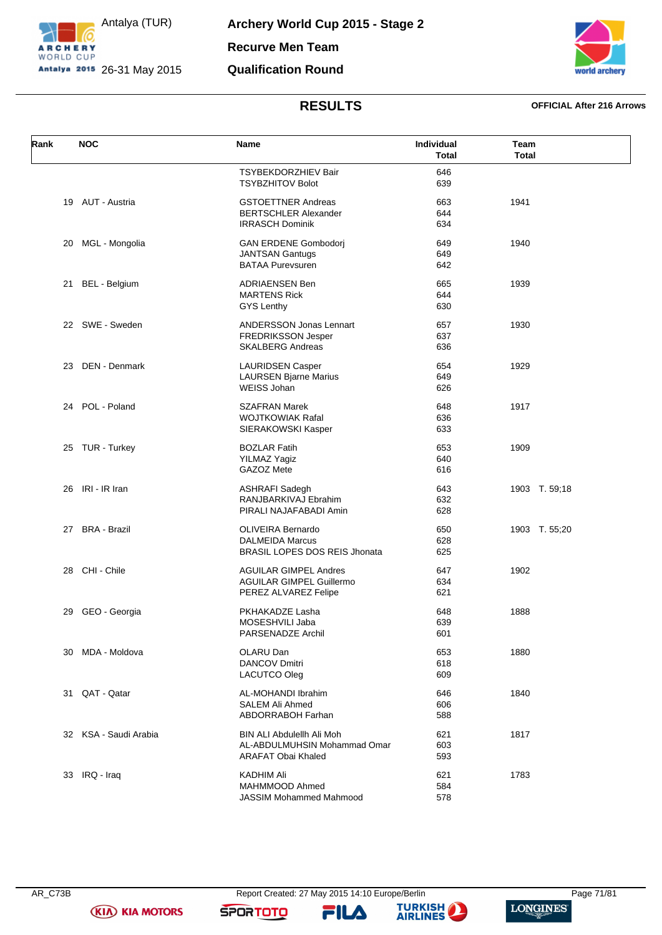



### **RESULTS OFFICIAL After 216 Arrows**

| Rank | <b>NOC</b>            | Name                                 | Individual   | Team          |
|------|-----------------------|--------------------------------------|--------------|---------------|
|      |                       |                                      | <b>Total</b> | <b>Total</b>  |
|      |                       | <b>TSYBEKDORZHIEV Bair</b>           | 646          |               |
|      |                       | <b>TSYBZHITOV Bolot</b>              | 639          |               |
|      | 19 AUT - Austria      | <b>GSTOETTNER Andreas</b>            | 663          | 1941          |
|      |                       | <b>BERTSCHLER Alexander</b>          | 644          |               |
|      |                       | <b>IRRASCH Dominik</b>               | 634          |               |
| 20   | MGL - Mongolia        | <b>GAN ERDENE Gombodorj</b>          | 649          | 1940          |
|      |                       | <b>JANTSAN Gantugs</b>               | 649          |               |
|      |                       | <b>BATAA Purevsuren</b>              | 642          |               |
| 21   | BEL - Belgium         | <b>ADRIAENSEN Ben</b>                | 665          | 1939          |
|      |                       | <b>MARTENS Rick</b>                  | 644          |               |
|      |                       | <b>GYS Lenthy</b>                    | 630          |               |
|      | 22 SWE - Sweden       | ANDERSSON Jonas Lennart              | 657          | 1930          |
|      |                       | <b>FREDRIKSSON Jesper</b>            | 637          |               |
|      |                       | <b>SKALBERG Andreas</b>              | 636          |               |
|      | 23 DEN - Denmark      | <b>LAURIDSEN Casper</b>              | 654          | 1929          |
|      |                       | <b>LAURSEN Bjarne Marius</b>         | 649          |               |
|      |                       | WEISS Johan                          | 626          |               |
|      | 24 POL - Poland       | <b>SZAFRAN Marek</b>                 | 648          | 1917          |
|      |                       | <b>WOJTKOWIAK Rafal</b>              | 636          |               |
|      |                       | SIERAKOWSKI Kasper                   | 633          |               |
|      | 25 TUR - Turkey       | <b>BOZLAR Fatih</b>                  | 653          | 1909          |
|      |                       | <b>YILMAZ Yagiz</b>                  | 640          |               |
|      |                       | GAZOZ Mete                           | 616          |               |
|      | 26 IRI - IR Iran      | <b>ASHRAFI Sadegh</b>                | 643          | 1903 T. 59;18 |
|      |                       | RANJBARKIVAJ Ebrahim                 | 632          |               |
|      |                       | PIRALI NAJAFABADI Amin               | 628          |               |
|      | 27 BRA - Brazil       | <b>OLIVEIRA Bernardo</b>             | 650          | 1903 T. 55;20 |
|      |                       | <b>DALMEIDA Marcus</b>               | 628          |               |
|      |                       | <b>BRASIL LOPES DOS REIS Jhonata</b> | 625          |               |
| 28   | CHI - Chile           | <b>AGUILAR GIMPEL Andres</b>         | 647          | 1902          |
|      |                       | <b>AGUILAR GIMPEL Guillermo</b>      | 634          |               |
|      |                       | PEREZ ALVAREZ Felipe                 | 621          |               |
| 29   | GEO - Georgia         | PKHAKADZE Lasha                      | 648          | 1888          |
|      |                       | MOSESHVILI Jaba                      | 639          |               |
|      |                       | PARSENADZE Archil                    | 601          |               |
| 30   | MDA - Moldova         | OLARU Dan                            | 653          | 1880          |
|      |                       | <b>DANCOV Dmitri</b>                 | 618          |               |
|      |                       | <b>LACUTCO Oleg</b>                  | 609          |               |
|      | 31 QAT - Qatar        | AL-MOHANDI Ibrahim                   | 646          | 1840          |
|      |                       | <b>SALEM Ali Ahmed</b>               | 606          |               |
|      |                       | ABDORRABOH Farhan                    | 588          |               |
|      | 32 KSA - Saudi Arabia | <b>BIN ALI Abdulellh Ali Moh</b>     | 621          | 1817          |
|      |                       | AL-ABDULMUHSIN Mohammad Omar         | 603          |               |
|      |                       | ARAFAT Obai Khaled                   | 593          |               |
|      | 33 IRQ - Iraq         | <b>KADHIM Ali</b>                    | 621          | 1783          |
|      |                       | MAHMMOOD Ahmed                       | 584          |               |
|      |                       | JASSIM Mohammed Mahmood              | 578          |               |

**(KIA) KIA MOTORS** 

**SPORTOTO** 

FILA

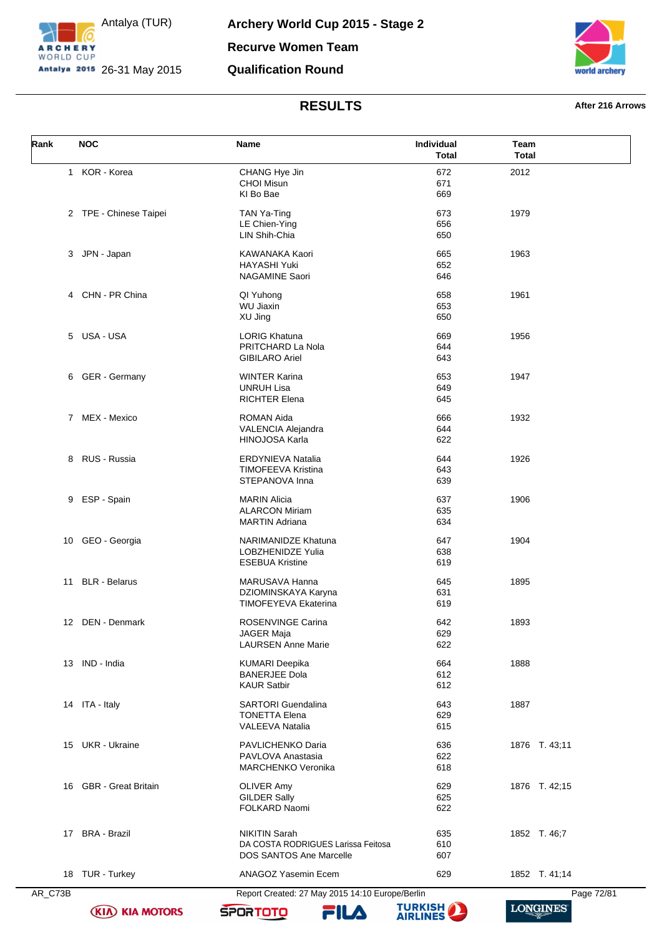



# **RESULTS After 216 Arrows**

|                                                                                                       | 2012          |
|-------------------------------------------------------------------------------------------------------|---------------|
| 1 KOR - Korea<br>672<br>CHANG Hye Jin                                                                 |               |
| <b>CHOI Misun</b><br>671<br>KI Bo Bae<br>669                                                          |               |
|                                                                                                       |               |
| 2 TPE - Chinese Taipei<br>TAN Ya-Ting<br>673<br>LE Chien-Ying<br>656                                  | 1979          |
| LIN Shih-Chia<br>650                                                                                  |               |
| JPN - Japan<br>3<br>KAWANAKA Kaori<br>665                                                             | 1963          |
| <b>HAYASHI Yuki</b><br>652                                                                            |               |
| <b>NAGAMINE Saori</b><br>646                                                                          |               |
| CHN - PR China<br>QI Yuhong<br>658<br>4                                                               | 1961          |
| <b>WU Jiaxin</b><br>653                                                                               |               |
| XU Jing<br>650                                                                                        |               |
| 5 USA - USA<br><b>LORIG Khatuna</b><br>669                                                            | 1956          |
| PRITCHARD La Nola<br>644<br><b>GIBILARO Ariel</b><br>643                                              |               |
|                                                                                                       |               |
| GER - Germany<br><b>WINTER Karina</b><br>653<br>6<br><b>UNRUH Lisa</b><br>649                         | 1947          |
| <b>RICHTER Elena</b><br>645                                                                           |               |
| 7 MEX - Mexico<br>ROMAN Aida<br>666                                                                   | 1932          |
| VALENCIA Alejandra<br>644                                                                             |               |
| HINOJOSA Karla<br>622                                                                                 |               |
| 8 RUS - Russia<br>644<br>ERDYNIEVA Natalia                                                            | 1926          |
| <b>TIMOFEEVA Kristina</b><br>643                                                                      |               |
| STEPANOVA Inna<br>639                                                                                 |               |
| ESP - Spain<br><b>MARIN Alicia</b><br>637<br>9                                                        | 1906          |
| <b>ALARCON Miriam</b><br>635<br><b>MARTIN Adriana</b><br>634                                          |               |
|                                                                                                       |               |
| GEO - Georgia<br>NARIMANIDZE Khatuna<br>647<br>10<br>LOBZHENIDZE Yulia<br>638                         | 1904          |
| <b>ESEBUA Kristine</b><br>619                                                                         |               |
| 11 BLR - Belarus<br>MARUSAVA Hanna<br>645                                                             | 1895          |
| DZIOMINSKAYA Karyna<br>631                                                                            |               |
| <b>TIMOFEYEVA Ekaterina</b><br>619                                                                    |               |
| 12 DEN - Denmark<br>ROSENVINGE Carina<br>642                                                          | 1893          |
| JAGER Maja<br>629                                                                                     |               |
| <b>LAURSEN Anne Marie</b><br>622                                                                      |               |
| 13 IND - India<br><b>KUMARI Deepika</b><br>664                                                        | 1888          |
| <b>BANERJEE Dola</b><br>612                                                                           |               |
| <b>KAUR Satbir</b><br>612                                                                             |               |
| 14 ITA - Italy<br><b>SARTORI</b> Guendalina<br>643                                                    | 1887          |
| <b>TONETTA Elena</b><br>629<br><b>VALEEVA Natalia</b><br>615                                          |               |
|                                                                                                       |               |
| 15 UKR - Ukraine<br>PAVLICHENKO Daria<br>636<br>PAVLOVA Anastasia<br>622                              | 1876 T. 43;11 |
| <b>MARCHENKO Veronika</b><br>618                                                                      |               |
| 16 GBR - Great Britain<br>OLIVER Amy<br>629                                                           | 1876 T. 42;15 |
| <b>GILDER Sally</b><br>625                                                                            |               |
| FOLKARD Naomi<br>622                                                                                  |               |
|                                                                                                       |               |
| <b>BRA - Brazil</b><br><b>NIKITIN Sarah</b><br>635<br>17<br>DA COSTA RODRIGUES Larissa Feitosa<br>610 | 1852 T. 46;7  |
| DOS SANTOS Ane Marcelle<br>607                                                                        |               |
| 18 TUR - Turkey<br>ANAGOZ Yasemin Ecem<br>629                                                         | 1852 T. 41;14 |
| AR_C73B<br>Report Created: 27 May 2015 14:10 Europe/Berlin                                            | Page 72/81    |

**(KIA) KIA MOTORS** 

**SPORTOTO** 

FILA

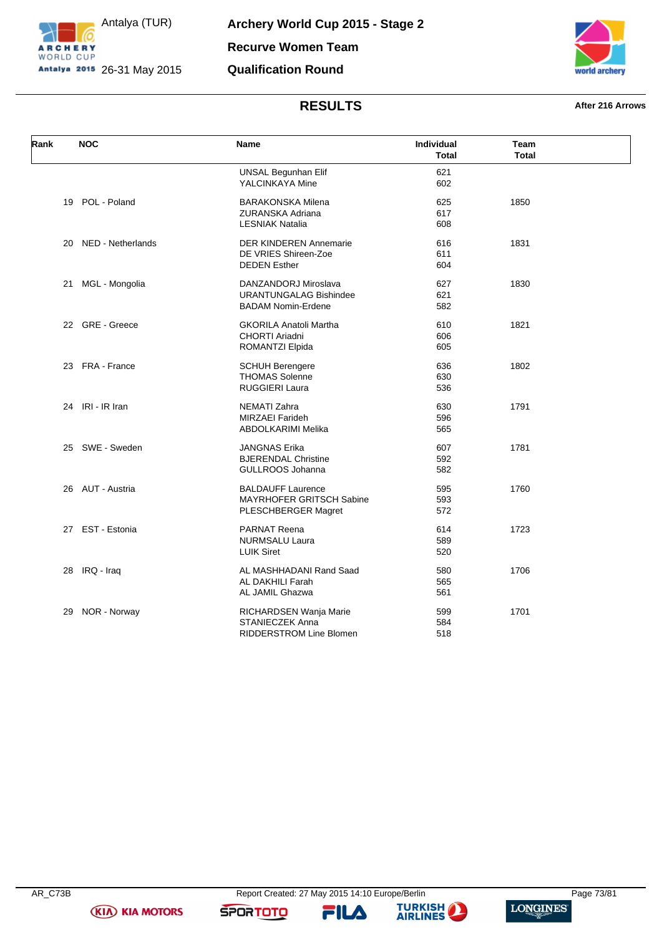



# **RESULTS After 216 Arrows**

| Rank | <b>NOC</b>        | Name                                                                               | <b>Individual</b><br><b>Total</b> | Team<br><b>Total</b> |  |
|------|-------------------|------------------------------------------------------------------------------------|-----------------------------------|----------------------|--|
|      |                   | <b>UNSAL Begunhan Elif</b><br>YALCINKAYA Mine                                      | 621<br>602                        |                      |  |
| 19   | POL - Poland      | <b>BARAKONSKA Milena</b><br>ZURANSKA Adriana<br><b>LESNIAK Natalia</b>             | 625<br>617<br>608                 | 1850                 |  |
| 20   | NED - Netherlands | <b>DER KINDEREN Annemarie</b><br>DE VRIES Shireen-Zoe<br><b>DEDEN Esther</b>       | 616<br>611<br>604                 | 1831                 |  |
| 21   | MGL - Mongolia    | DANZANDORJ Miroslava<br><b>URANTUNGALAG Bishindee</b><br><b>BADAM Nomin-Erdene</b> | 627<br>621<br>582                 | 1830                 |  |
|      | 22 GRE - Greece   | <b>GKORILA Anatoli Martha</b><br>CHORTI Ariadni<br><b>ROMANTZI Elpida</b>          | 610<br>606<br>605                 | 1821                 |  |
|      | 23 FRA - France   | <b>SCHUH Berengere</b><br><b>THOMAS Solenne</b><br><b>RUGGIERI Laura</b>           | 636<br>630<br>536                 | 1802                 |  |
| 24   | IRI - IR Iran     | <b>NEMATI Zahra</b><br><b>MIRZAEI Farideh</b><br>ABDOLKARIMI Melika                | 630<br>596<br>565                 | 1791                 |  |
|      | 25 SWE - Sweden   | <b>JANGNAS Erika</b><br><b>BJERENDAL Christine</b><br>GULLROOS Johanna             | 607<br>592<br>582                 | 1781                 |  |
|      | 26 AUT - Austria  | <b>BALDAUFF Laurence</b><br>MAYRHOFER GRITSCH Sabine<br>PLESCHBERGER Magret        | 595<br>593<br>572                 | 1760                 |  |
|      | 27 EST - Estonia  | PARNAT Reena<br><b>NURMSALU Laura</b><br><b>LUIK Siret</b>                         | 614<br>589<br>520                 | 1723                 |  |
| 28   | IRQ - Iraq        | AL MASHHADANI Rand Saad<br>AL DAKHILI Farah<br>AL JAMIL Ghazwa                     | 580<br>565<br>561                 | 1706                 |  |
| 29   | NOR - Norway      | RICHARDSEN Wanja Marie<br>STANIECZEK Anna<br><b>RIDDERSTROM Line Blomen</b>        | 599<br>584<br>518                 | 1701                 |  |

**(KIA) KIA MOTORS** 

**SPORTOTO**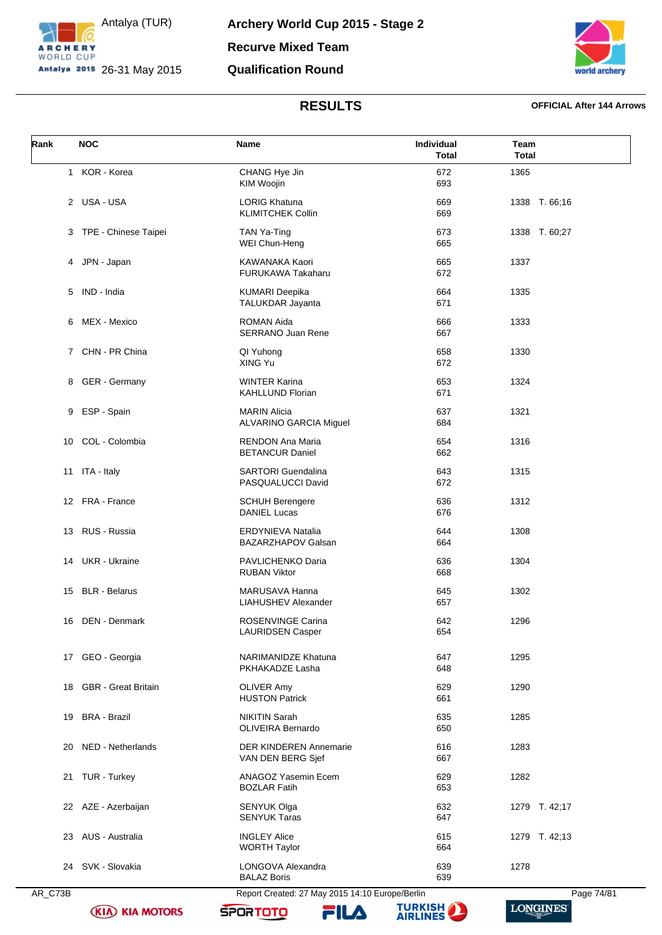



## **RESULTS OFFICIAL After 144 Arrows**

| Rank         | <b>NOC</b>             | Name                                               | Individual<br><b>Total</b> | Team<br><b>Total</b> |
|--------------|------------------------|----------------------------------------------------|----------------------------|----------------------|
| $\mathbf{1}$ | KOR - Korea            | CHANG Hye Jin<br>KIM Woojin                        | 672<br>693                 | 1365                 |
|              | 2 USA-USA              | <b>LORIG Khatuna</b><br><b>KLIMITCHEK Collin</b>   | 669<br>669                 | 1338 T. 66;16        |
| 3            | TPE - Chinese Taipei   | TAN Ya-Ting<br>WEI Chun-Heng                       | 673<br>665                 | 1338 T. 60;27        |
|              | 4 JPN - Japan          | KAWANAKA Kaori<br>FURUKAWA Takaharu                | 665<br>672                 | 1337                 |
| 5            | IND - India            | <b>KUMARI Deepika</b><br><b>TALUKDAR Jayanta</b>   | 664<br>671                 | 1335                 |
| 6            | MEX - Mexico           | ROMAN Aida<br><b>SERRANO Juan Rene</b>             | 666<br>667                 | 1333                 |
|              | 7 CHN - PR China       | QI Yuhong<br>XING Yu                               | 658<br>672                 | 1330                 |
| 8            | GER - Germany          | <b>WINTER Karina</b><br><b>KAHLLUND Florian</b>    | 653<br>671                 | 1324                 |
| 9            | ESP - Spain            | <b>MARIN Alicia</b><br>ALVARINO GARCIA Miguel      | 637<br>684                 | 1321                 |
| 10           | COL - Colombia         | <b>RENDON Ana Maria</b><br><b>BETANCUR Daniel</b>  | 654<br>662                 | 1316                 |
|              | 11 ITA - Italy         | <b>SARTORI</b> Guendalina<br>PASQUALUCCI David     | 643<br>672                 | 1315                 |
|              | 12 FRA - France        | <b>SCHUH Berengere</b><br><b>DANIEL Lucas</b>      | 636<br>676                 | 1312                 |
| 13           | RUS - Russia           | ERDYNIEVA Natalia<br>BAZARZHAPOV Galsan            | 644<br>664                 | 1308                 |
|              | 14 UKR - Ukraine       | PAVLICHENKO Daria<br><b>RUBAN Viktor</b>           | 636<br>668                 | 1304                 |
| 15           | <b>BLR</b> - Belarus   | MARUSAVA Hanna<br><b>LIAHUSHEV Alexander</b>       | 645<br>657                 | 1302                 |
| 16           | DEN - Denmark          | <b>ROSENVINGE Carina</b><br>LAURIDSEN Casper       | 642<br>654                 | 1296                 |
|              | 17 GEO - Georgia       | NARIMANIDZE Khatuna<br>PKHAKADZE Lasha             | 647<br>648                 | 1295                 |
|              | 18 GBR - Great Britain | <b>OLIVER Amy</b><br><b>HUSTON Patrick</b>         | 629<br>661                 | 1290                 |
| 19           | <b>BRA - Brazil</b>    | <b>NIKITIN Sarah</b><br><b>OLIVEIRA Bernardo</b>   | 635<br>650                 | 1285                 |
|              | 20 NED - Netherlands   | <b>DER KINDEREN Annemarie</b><br>VAN DEN BERG Sjef | 616<br>667                 | 1283                 |
|              | 21 TUR - Turkey        | ANAGOZ Yasemin Ecem<br><b>BOZLAR Fatih</b>         | 629<br>653                 | 1282                 |
|              | 22 AZE - Azerbaijan    | <b>SENYUK Olga</b><br><b>SENYUK Taras</b>          | 632<br>647                 | 1279 T. 42;17        |
|              | 23 AUS - Australia     | <b>INGLEY Alice</b><br><b>WORTH Taylor</b>         | 615<br>664                 | 1279 T. 42;13        |
|              | 24 SVK - Slovakia      | LONGOVA Alexandra<br><b>BALAZ Boris</b>            | 639<br>639                 | 1278                 |
| AR_C73B      |                        | Report Created: 27 May 2015 14:10 Europe/Berlin    |                            | Page 74/81           |

**(KIA) KIA MOTORS** 

**TURKISH** 

**SPORTOTO** 

FILA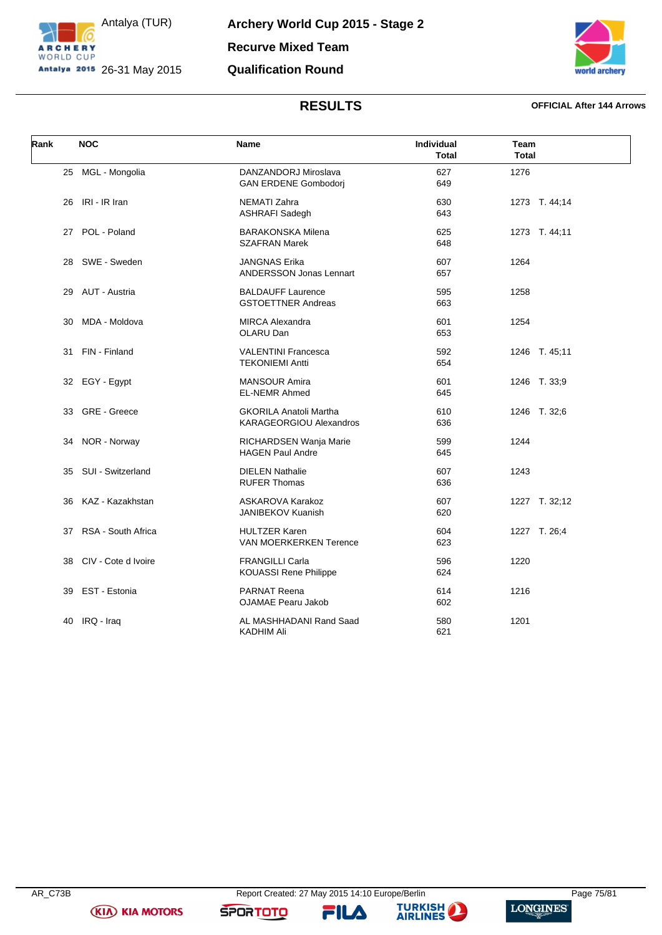



## **RESULTS OFFICIAL After 144 Arrows**

| Rank | <b>NOC</b>            | <b>Name</b>                                              | <b>Individual</b><br><b>Total</b> | Team<br><b>Total</b> |
|------|-----------------------|----------------------------------------------------------|-----------------------------------|----------------------|
|      | 25 MGL - Mongolia     | DANZANDORJ Miroslava<br><b>GAN ERDENE Gombodorj</b>      | 627<br>649                        | 1276                 |
| 26   | IRI - IR Iran         | <b>NEMATI Zahra</b><br><b>ASHRAFI Sadegh</b>             | 630<br>643                        | 1273 T. 44;14        |
|      | 27 POL - Poland       | <b>BARAKONSKA Milena</b><br><b>SZAFRAN Marek</b>         | 625<br>648                        | 1273 T. 44;11        |
| 28   | SWE - Sweden          | <b>JANGNAS Erika</b><br><b>ANDERSSON Jonas Lennart</b>   | 607<br>657                        | 1264                 |
|      | 29 AUT - Austria      | <b>BALDAUFF Laurence</b><br><b>GSTOETTNER Andreas</b>    | 595<br>663                        | 1258                 |
| 30   | MDA - Moldova         | <b>MIRCA Alexandra</b><br>OLARU Dan                      | 601<br>653                        | 1254                 |
| 31   | FIN - Finland         | <b>VALENTINI Francesca</b><br><b>TEKONIEMI Antti</b>     | 592<br>654                        | 1246 T. 45;11        |
|      | 32 EGY - Egypt        | <b>MANSOUR Amira</b><br><b>EL-NEMR Ahmed</b>             | 601<br>645                        | 1246 T. 33;9         |
| 33   | GRE - Greece          | <b>GKORILA Anatoli Martha</b><br>KARAGEORGIOU Alexandros | 610<br>636                        | 1246 T. 32;6         |
|      | 34 NOR - Norway       | RICHARDSEN Wanja Marie<br><b>HAGEN Paul Andre</b>        | 599<br>645                        | 1244                 |
| 35   | SUI - Switzerland     | <b>DIELEN Nathalie</b><br><b>RUFER Thomas</b>            | 607<br>636                        | 1243                 |
| 36   | KAZ - Kazakhstan      | <b>ASKAROVA Karakoz</b><br>JANIBEKOV Kuanish             | 607<br>620                        | 1227 T. 32;12        |
|      | 37 RSA - South Africa | <b>HULTZER Karen</b><br><b>VAN MOERKERKEN Terence</b>    | 604<br>623                        | 1227 T. 26;4         |
| 38   | CIV - Cote d Ivoire   | <b>FRANGILLI Carla</b><br><b>KOUASSI Rene Philippe</b>   | 596<br>624                        | 1220                 |
| 39   | EST - Estonia         | <b>PARNAT Reena</b><br><b>OJAMAE Pearu Jakob</b>         | 614<br>602                        | 1216                 |
| 40   | IRQ - Iraq            | AL MASHHADANI Rand Saad<br>KADHIM Ali                    | 580<br>621                        | 1201                 |

**(KIA) KIA MOTORS** 

**SPORTOTO**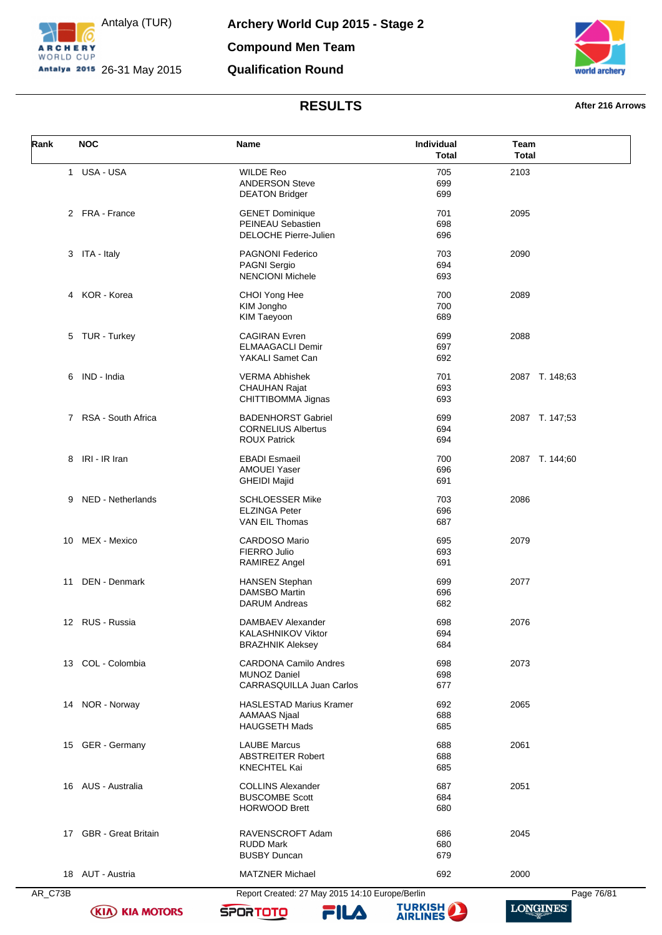



## **RESULTS After 216 Arrows**

| Rank | <b>NOC</b>             | Name                                                                            | Individual<br><b>Total</b> | Team<br><b>Total</b> |
|------|------------------------|---------------------------------------------------------------------------------|----------------------------|----------------------|
| 1    | USA - USA              | <b>WILDE Reo</b><br><b>ANDERSON Steve</b><br><b>DEATON Bridger</b>              | 705<br>699<br>699          | 2103                 |
|      | 2 FRA - France         | <b>GENET Dominique</b><br>PEINEAU Sebastien<br><b>DELOCHE Pierre-Julien</b>     | 701<br>698<br>696          | 2095                 |
|      | 3 ITA - Italy          | <b>PAGNONI Federico</b><br>PAGNI Sergio<br><b>NENCIONI Michele</b>              | 703<br>694<br>693          | 2090                 |
|      | 4 KOR - Korea          | CHOI Yong Hee<br>KIM Jongho<br>KIM Taeyoon                                      | 700<br>700<br>689          | 2089                 |
| 5    | TUR - Turkey           | <b>CAGIRAN Evren</b><br><b>ELMAAGACLI Demir</b><br>YAKALI Samet Can             | 699<br>697<br>692          | 2088                 |
| 6    | IND - India            | <b>VERMA Abhishek</b><br><b>CHAUHAN Rajat</b><br>CHITTIBOMMA Jignas             | 701<br>693<br>693          | 2087 T. 148;63       |
|      | 7 RSA - South Africa   | <b>BADENHORST Gabriel</b><br><b>CORNELIUS Albertus</b><br><b>ROUX Patrick</b>   | 699<br>694<br>694          | 2087 T. 147;53       |
|      | 8 IRI - IR Iran        | <b>EBADI Esmaeil</b><br><b>AMOUEI Yaser</b><br><b>GHEIDI Majid</b>              | 700<br>696<br>691          | 2087 T. 144;60       |
| 9    | NED - Netherlands      | <b>SCHLOESSER Mike</b><br><b>ELZINGA Peter</b><br>VAN EIL Thomas                | 703<br>696<br>687          | 2086                 |
| 10   | MEX - Mexico           | <b>CARDOSO Mario</b><br>FIERRO Julio<br>RAMIREZ Angel                           | 695<br>693<br>691          | 2079                 |
| 11   | DEN - Denmark          | <b>HANSEN Stephan</b><br><b>DAMSBO Martin</b><br><b>DARUM Andreas</b>           | 699<br>696<br>682          | 2077                 |
|      | 12 RUS - Russia        | DAMBAEV Alexander<br>KALASHNIKOV Viktor<br><b>BRAZHNIK Aleksey</b>              | 698<br>694<br>684          | 2076                 |
|      | 13 COL - Colombia      | <b>CARDONA Camilo Andres</b><br><b>MUNOZ Daniel</b><br>CARRASQUILLA Juan Carlos | 698<br>698<br>677          | 2073                 |
|      | 14 NOR - Norway        | <b>HASLESTAD Marius Kramer</b><br><b>AAMAAS Njaal</b><br><b>HAUGSETH Mads</b>   | 692<br>688<br>685          | 2065                 |
|      | 15 GER - Germany       | <b>LAUBE Marcus</b><br><b>ABSTREITER Robert</b><br>KNECHTEL Kai                 | 688<br>688<br>685          | 2061                 |
|      | 16 AUS - Australia     | <b>COLLINS Alexander</b><br><b>BUSCOMBE Scott</b><br><b>HORWOOD Brett</b>       | 687<br>684<br>680          | 2051                 |
|      | 17 GBR - Great Britain | RAVENSCROFT Adam<br><b>RUDD Mark</b><br><b>BUSBY Duncan</b>                     | 686<br>680<br>679          | 2045                 |
|      | 18 AUT - Austria       | <b>MATZNER Michael</b>                                                          | 692                        | 2000                 |

**(KIA) KIA MOTORS** 



**SPORTOTO** 

FILA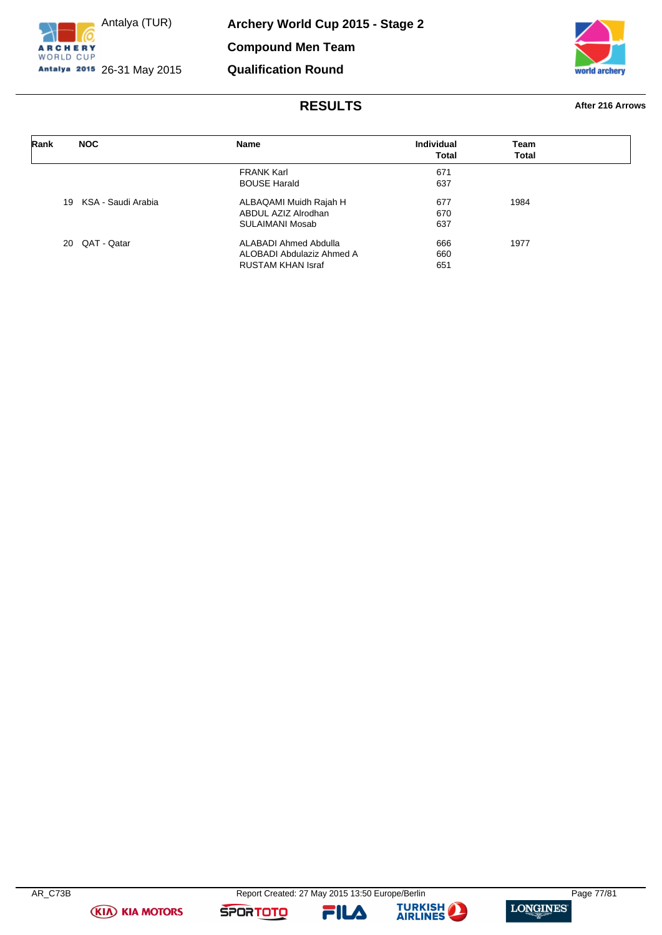



# **RESULTS After 216 Arrows**

| Rank | <b>NOC</b>         | Name                      | <b>Individual</b><br><b>Total</b> | Team<br><b>Total</b> |
|------|--------------------|---------------------------|-----------------------------------|----------------------|
|      |                    |                           |                                   |                      |
|      |                    | <b>FRANK Karl</b>         | 671                               |                      |
|      |                    | <b>BOUSE Harald</b>       | 637                               |                      |
| 19   | KSA - Saudi Arabia | ALBAQAMI Muidh Rajah H    | 677                               | 1984                 |
|      |                    | ABDUL AZIZ Alrodhan       | 670                               |                      |
|      |                    | SULAIMANI Mosab           | 637                               |                      |
|      | 20 QAT - Qatar     | ALABADI Ahmed Abdulla     | 666                               | 1977                 |
|      |                    | ALOBADI Abdulaziz Ahmed A | 660                               |                      |
|      |                    | <b>RUSTAM KHAN Israf</b>  | 651                               |                      |

**(KIA) KIA MOTORS** 

**SPORTOTO** 

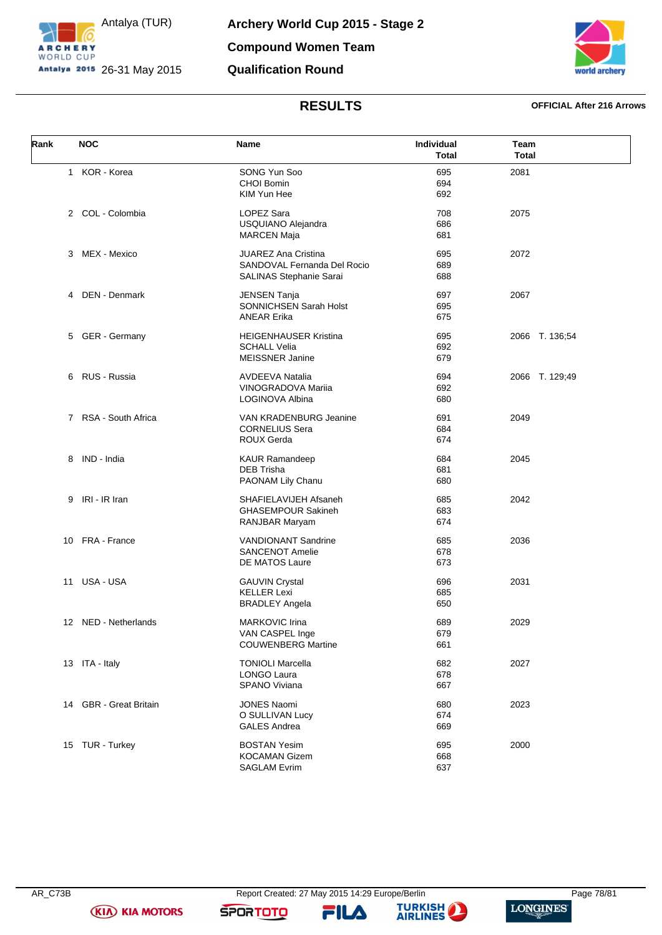



## **RESULTS OFFICIAL After 216 Arrows**

| Rank | <b>NOC</b>             | Name                                                   | Individual<br><b>Total</b> | Team<br><b>Total</b> |
|------|------------------------|--------------------------------------------------------|----------------------------|----------------------|
|      | 1 KOR - Korea          | SONG Yun Soo<br><b>CHOI Bomin</b>                      | 695<br>694                 | 2081                 |
|      |                        | KIM Yun Hee                                            | 692                        |                      |
|      | 2 COL - Colombia       | LOPEZ Sara                                             | 708                        | 2075                 |
|      |                        | USQUIANO Alejandra<br><b>MARCEN Maja</b>               | 686<br>681                 |                      |
|      | 3 MEX - Mexico         | <b>JUAREZ Ana Cristina</b>                             | 695                        | 2072                 |
|      |                        | SANDOVAL Fernanda Del Rocio<br>SALINAS Stephanie Sarai | 689<br>688                 |                      |
|      | 4 DEN - Denmark        | <b>JENSEN Tanja</b>                                    | 697                        | 2067                 |
|      |                        | SONNICHSEN Sarah Holst<br><b>ANEAR Erika</b>           | 695<br>675                 |                      |
| 5    | GER - Germany          | <b>HEIGENHAUSER Kristina</b>                           | 695                        | 2066 T. 136;54       |
|      |                        | <b>SCHALL Velia</b>                                    | 692                        |                      |
|      |                        | <b>MEISSNER Janine</b>                                 | 679                        |                      |
|      | 6 RUS - Russia         | <b>AVDEEVA Natalia</b>                                 | 694                        | 2066 T. 129;49       |
|      |                        | VINOGRADOVA Mariia                                     | 692                        |                      |
|      |                        | LOGINOVA Albina                                        | 680                        |                      |
|      | 7 RSA - South Africa   | VAN KRADENBURG Jeanine                                 | 691                        | 2049                 |
|      |                        | <b>CORNELIUS Sera</b>                                  | 684                        |                      |
|      |                        | <b>ROUX Gerda</b>                                      | 674                        |                      |
|      | 8 IND - India          | <b>KAUR Ramandeep</b>                                  | 684                        | 2045                 |
|      |                        | <b>DEB Trisha</b>                                      | 681                        |                      |
|      |                        | PAONAM Lily Chanu                                      | 680                        |                      |
|      | 9 IRI - IR Iran        | SHAFIELAVIJEH Afsaneh                                  | 685                        | 2042                 |
|      |                        | <b>GHASEMPOUR Sakineh</b>                              | 683                        |                      |
|      |                        | RANJBAR Maryam                                         | 674                        |                      |
|      | 10 FRA - France        | <b>VANDIONANT Sandrine</b>                             | 685                        | 2036                 |
|      |                        | <b>SANCENOT Amelie</b>                                 | 678                        |                      |
|      |                        | DE MATOS Laure                                         | 673                        |                      |
|      | 11 USA - USA           | <b>GAUVIN Crystal</b>                                  | 696                        | 2031                 |
|      |                        | <b>KELLER Lexi</b>                                     | 685                        |                      |
|      |                        | <b>BRADLEY Angela</b>                                  | 650                        |                      |
|      | 12 NED - Netherlands   | <b>MARKOVIC Irina</b>                                  | 689                        | 2029                 |
|      |                        | VAN CASPEL Inge                                        | 679                        |                      |
|      |                        | <b>COUWENBERG Martine</b>                              | 661                        |                      |
|      | 13 ITA - Italy         | <b>TONIOLI Marcella</b>                                | 682                        | 2027                 |
|      |                        | <b>LONGO Laura</b>                                     | 678                        |                      |
|      |                        | SPANO Viviana                                          | 667                        |                      |
|      | 14 GBR - Great Britain | <b>JONES Naomi</b>                                     | 680                        | 2023                 |
|      |                        | O SULLIVAN Lucy                                        | 674                        |                      |
|      |                        | <b>GALES Andrea</b>                                    | 669                        |                      |
|      | 15 TUR - Turkey        | <b>BOSTAN Yesim</b>                                    | 695                        | 2000                 |
|      |                        | <b>KOCAMAN Gizem</b>                                   | 668                        |                      |
|      |                        | <b>SAGLAM Evrim</b>                                    | 637                        |                      |

**SPORTOTO** 

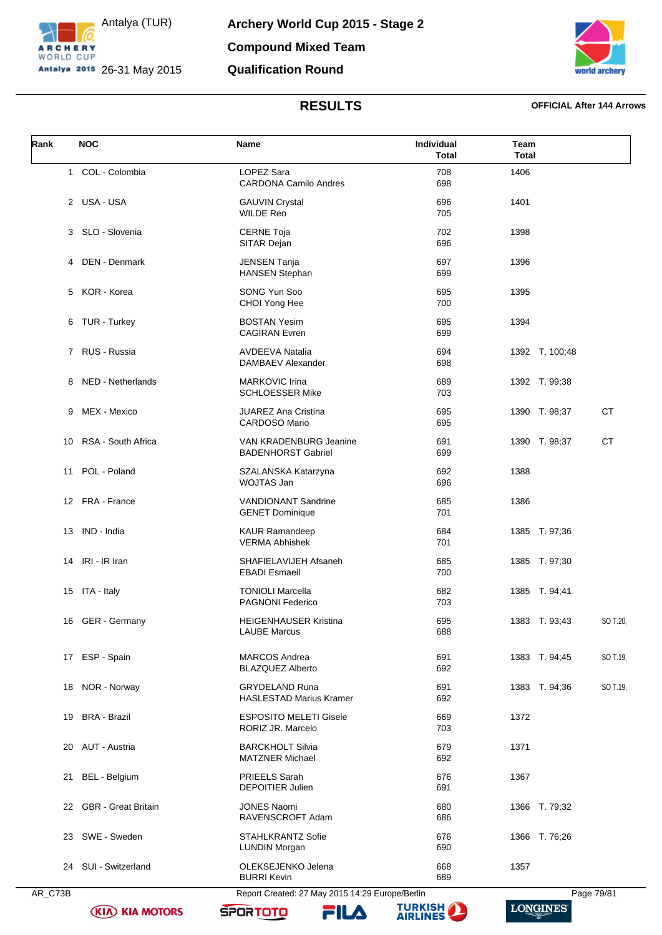

**Archery World Cup 2015 - Stage 2 Compound Mixed Team Qualification Round**



## **RESULTS OFFICIAL After 144 Arrows**

| Rank | <b>NOC</b>             | Name                                                    | Individual<br><b>Total</b> | Team<br><b>Total</b>       |
|------|------------------------|---------------------------------------------------------|----------------------------|----------------------------|
|      | 1 COL - Colombia       | LOPEZ Sara<br><b>CARDONA Camilo Andres</b>              | 708<br>698                 | 1406                       |
|      | 2 USA - USA            | <b>GAUVIN Crystal</b><br><b>WILDE Reo</b>               | 696<br>705                 | 1401                       |
|      | 3 SLO - Slovenia       | <b>CERNE Toja</b><br>SITAR Dejan                        | 702<br>696                 | 1398                       |
|      | 4 DEN - Denmark        | <b>JENSEN Tanja</b><br><b>HANSEN Stephan</b>            | 697<br>699                 | 1396                       |
|      | 5 KOR - Korea          | SONG Yun Soo<br>CHOI Yong Hee                           | 695<br>700                 | 1395                       |
|      | 6 TUR - Turkey         | <b>BOSTAN Yesim</b><br><b>CAGIRAN Evren</b>             | 695<br>699                 | 1394                       |
|      | 7 RUS - Russia         | <b>AVDEEVA Natalia</b><br>DAMBAEV Alexander             | 694<br>698                 | 1392 T. 100;48             |
| 8    | NED - Netherlands      | <b>MARKOVIC Irina</b><br><b>SCHLOESSER Mike</b>         | 689<br>703                 | 1392 T. 99;38              |
| 9    | MEX - Mexico           | <b>JUAREZ Ana Cristina</b><br><b>CARDOSO Mario</b>      | 695<br>695                 | <b>CT</b><br>1390 T. 98;37 |
| 10   | RSA - South Africa     | VAN KRADENBURG Jeanine<br><b>BADENHORST Gabriel</b>     | 691<br>699                 | <b>CT</b><br>1390 T. 98;37 |
| 11   | POL - Poland           | SZALANSKA Katarzyna<br>WOJTAS Jan                       | 692<br>696                 | 1388                       |
|      | 12 FRA - France        | <b>VANDIONANT Sandrine</b><br><b>GENET Dominique</b>    | 685<br>701                 | 1386                       |
| 13   | IND - India            | <b>KAUR Ramandeep</b><br><b>VERMA Abhishek</b>          | 684<br>701                 | 1385 T. 97;36              |
|      | 14 IRI - IR Iran       | SHAFIELAVIJEH Afsaneh<br><b>EBADI</b> Esmaeil           | 685<br>700                 | 1385 T. 97;30              |
|      | 15 ITA - Italy         | <b>TONIOLI Marcella</b><br><b>PAGNONI Federico</b>      | 682<br>703                 | 1385 T. 94;41              |
|      | 16 GER - Germany       | HEIGENHAUSER Kristina<br>LAUBE Marcus                   | 695<br>688                 | SO T.20,<br>1383 T. 93;43  |
|      | 17 ESP - Spain         | <b>MARCOS Andrea</b><br><b>BLAZQUEZ Alberto</b>         | 691<br>692                 | 1383 T. 94;45<br>SO T.19,  |
|      | 18 NOR - Norway        | <b>GRYDELAND Runa</b><br><b>HASLESTAD Marius Kramer</b> | 691<br>692                 | 1383 T. 94;36<br>SO T.19,  |
| 19   | <b>BRA - Brazil</b>    | <b>ESPOSITO MELETI Gisele</b><br>RORIZ JR. Marcelo      | 669<br>703                 | 1372                       |
|      | 20 AUT - Austria       | <b>BARCKHOLT Silvia</b><br><b>MATZNER Michael</b>       | 679<br>692                 | 1371                       |
| 21   | BEL - Belgium          | PRIEELS Sarah<br><b>DEPOITIER Julien</b>                | 676<br>691                 | 1367                       |
|      | 22 GBR - Great Britain | <b>JONES Naomi</b><br>RAVENSCROFT Adam                  | 680<br>686                 | 1366 T. 79;32              |
|      | 23 SWE - Sweden        | <b>STAHLKRANTZ Sofie</b><br><b>LUNDIN Morgan</b>        | 676<br>690                 | 1366 T. 76;26              |
|      | 24 SUI - Switzerland   | OLEKSEJENKO Jelena<br><b>BURRI Kevin</b>                | 668<br>689                 | 1357                       |

**(KIA) KIA MOTORS** 

AR\_C73B Report Created: 27 May 2015 14:29 Europe/Berlin Page 79/81 **TURKISH** 

**SPORTOTO** 

FILA